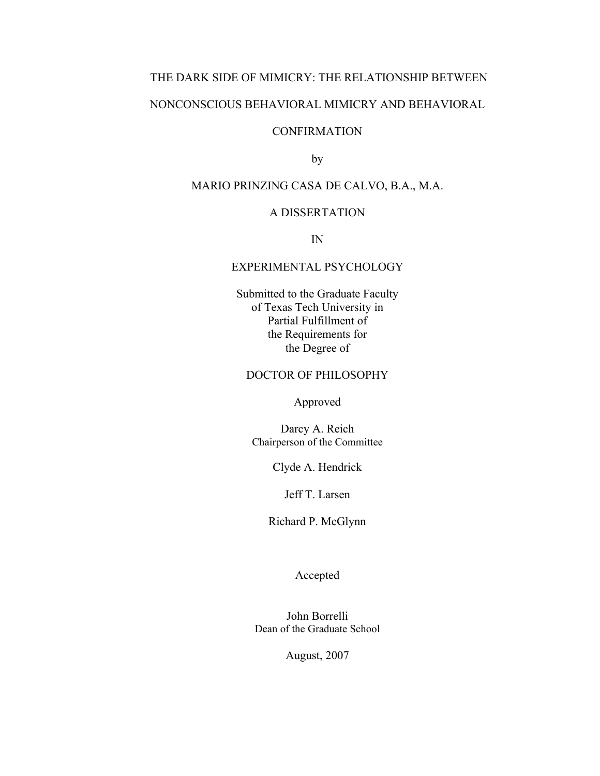# THE DARK SIDE OF MIMICRY: THE RELATIONSHIP BETWEEN

# NONCONSCIOUS BEHAVIORAL MIMICRY AND BEHAVIORAL

# **CONFIRMATION**

by

# MARIO PRINZING CASA DE CALVO, B.A., M.A.

# A DISSERTATION

IN

# EXPERIMENTAL PSYCHOLOGY

Submitted to the Graduate Faculty of Texas Tech University in Partial Fulfillment of the Requirements for the Degree of

# DOCTOR OF PHILOSOPHY

Approved

Darcy A. Reich Chairperson of the Committee

Clyde A. Hendrick

Jeff T. Larsen

Richard P. McGlynn

Accepted

John Borrelli Dean of the Graduate School

August, 2007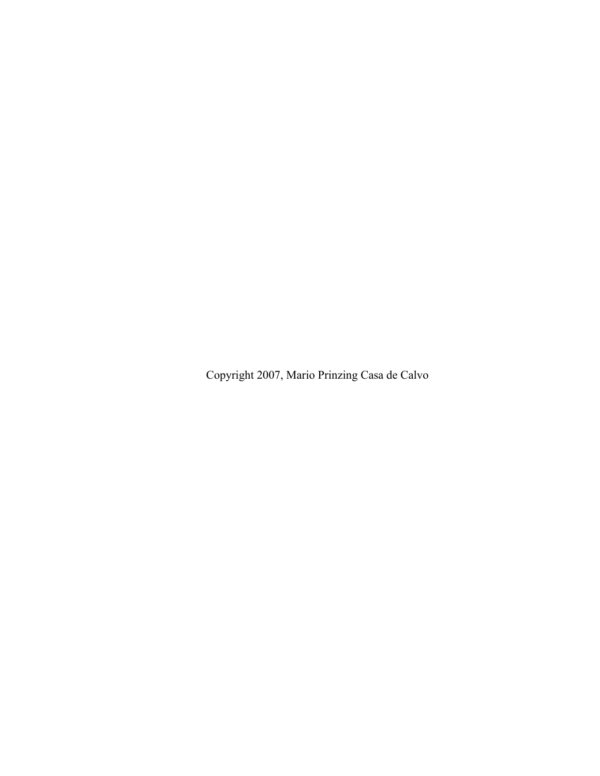Copyright 2007, Mario Prinzing Casa de Calvo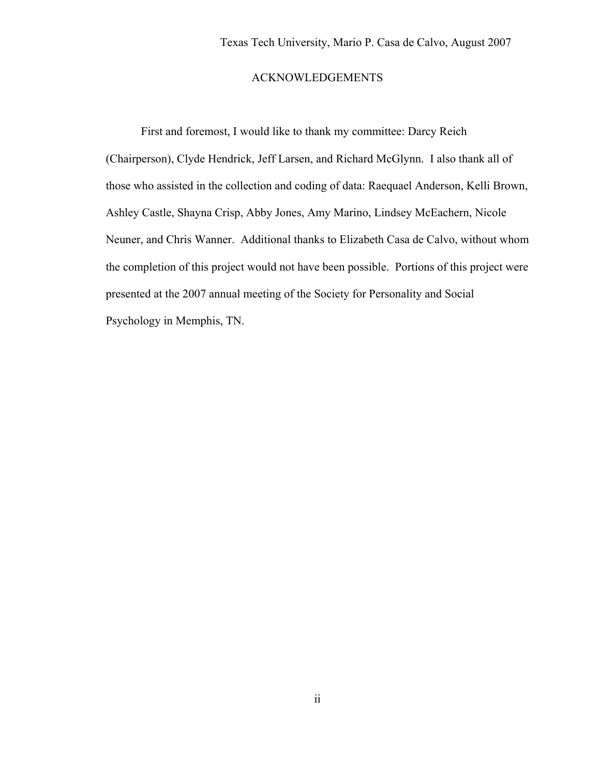# ACKNOWLEDGEMENTS

First and foremost, I would like to thank my committee: Darcy Reich (Chairperson), Clyde Hendrick, Jeff Larsen, and Richard McGlynn. I also thank all of those who assisted in the collection and coding of data: Raequael Anderson, Kelli Brown, Ashley Castle, Shayna Crisp, Abby Jones, Amy Marino, Lindsey McEachern, Nicole Neuner, and Chris Wanner. Additional thanks to Elizabeth Casa de Calvo, without whom the completion of this project would not have been possible. Portions of this project were presented at the 2007 annual meeting of the Society for Personality and Social Psychology in Memphis, TN.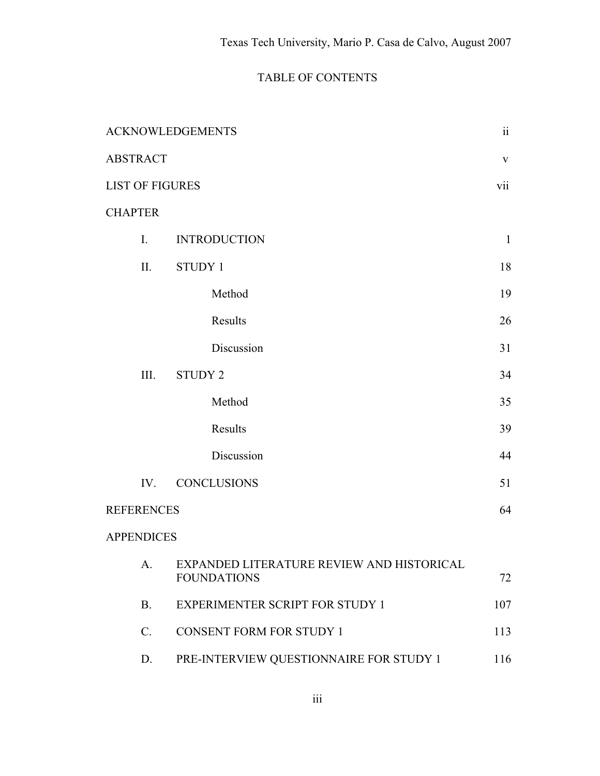# TABLE OF CONTENTS

| <b>ACKNOWLEDGEMENTS</b> |                                                                 |              |
|-------------------------|-----------------------------------------------------------------|--------------|
| <b>ABSTRACT</b>         |                                                                 |              |
| <b>LIST OF FIGURES</b>  |                                                                 |              |
| <b>CHAPTER</b>          |                                                                 |              |
| I.                      | <b>INTRODUCTION</b>                                             | $\mathbf{1}$ |
| II.                     | <b>STUDY 1</b>                                                  | 18           |
|                         | Method                                                          | 19           |
|                         | Results                                                         | 26           |
|                         | Discussion                                                      | 31           |
| III.                    | <b>STUDY 2</b>                                                  | 34           |
|                         | Method                                                          | 35           |
|                         | Results                                                         | 39           |
|                         | Discussion                                                      | 44           |
| IV.                     | <b>CONCLUSIONS</b>                                              | 51           |
| <b>REFERENCES</b>       |                                                                 | 64           |
| <b>APPENDICES</b>       |                                                                 |              |
| A.                      | EXPANDED LITERATURE REVIEW AND HISTORICAL<br><b>FOUNDATIONS</b> | 72           |
| <b>B.</b>               | <b>EXPERIMENTER SCRIPT FOR STUDY 1</b>                          | 107          |
| $\mathcal{C}$ .         | <b>CONSENT FORM FOR STUDY 1</b>                                 | 113          |
| D.                      | PRE-INTERVIEW QUESTIONNAIRE FOR STUDY 1                         | 116          |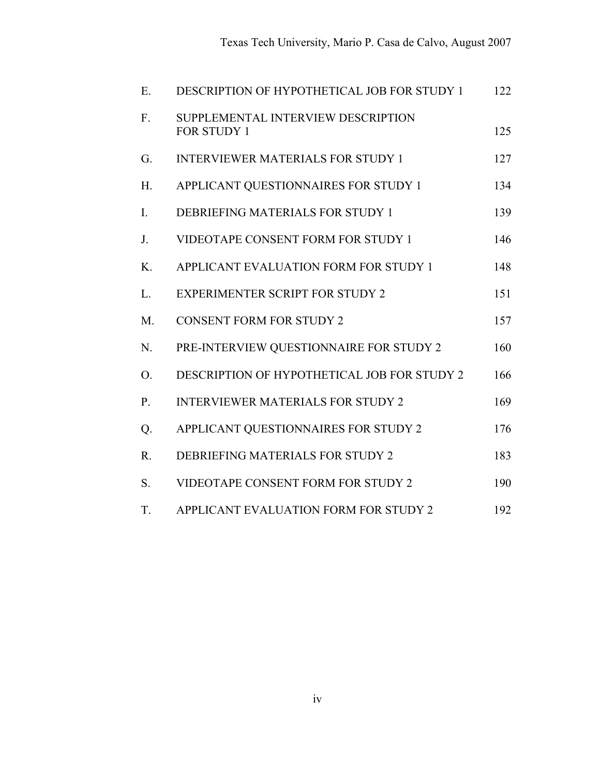| E                | DESCRIPTION OF HYPOTHETICAL JOB FOR STUDY 1              | 122 |
|------------------|----------------------------------------------------------|-----|
| F.               | SUPPLEMENTAL INTERVIEW DESCRIPTION<br><b>FOR STUDY 1</b> | 125 |
| G.               | <b>INTERVIEWER MATERIALS FOR STUDY 1</b>                 | 127 |
| H <sub>1</sub>   | APPLICANT QUESTIONNAIRES FOR STUDY 1                     | 134 |
| $\overline{I}$ . | DEBRIEFING MATERIALS FOR STUDY 1                         | 139 |
| J.               | VIDEOTAPE CONSENT FORM FOR STUDY 1                       | 146 |
| $K_{\cdot}$      | APPLICANT EVALUATION FORM FOR STUDY 1                    | 148 |
| L.               | <b>EXPERIMENTER SCRIPT FOR STUDY 2</b>                   | 151 |
| $M_{\cdot}$      | <b>CONSENT FORM FOR STUDY 2</b>                          | 157 |
| N.               | PRE-INTERVIEW QUESTIONNAIRE FOR STUDY 2                  | 160 |
| O.               | DESCRIPTION OF HYPOTHETICAL JOB FOR STUDY 2              | 166 |
| $P_{\cdot}$      | <b>INTERVIEWER MATERIALS FOR STUDY 2</b>                 | 169 |
| Q.               | APPLICANT QUESTIONNAIRES FOR STUDY 2                     | 176 |
| R.               | DEBRIEFING MATERIALS FOR STUDY 2                         | 183 |
| S.               | VIDEOTAPE CONSENT FORM FOR STUDY 2                       | 190 |
| T.               | APPLICANT EVALUATION FORM FOR STUDY 2                    | 192 |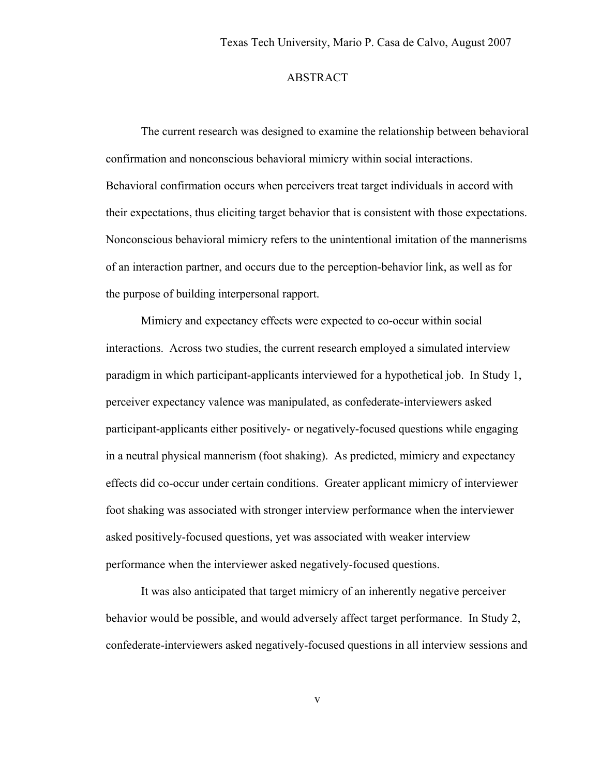# ABSTRACT

The current research was designed to examine the relationship between behavioral confirmation and nonconscious behavioral mimicry within social interactions. Behavioral confirmation occurs when perceivers treat target individuals in accord with their expectations, thus eliciting target behavior that is consistent with those expectations. Nonconscious behavioral mimicry refers to the unintentional imitation of the mannerisms of an interaction partner, and occurs due to the perception-behavior link, as well as for the purpose of building interpersonal rapport.

Mimicry and expectancy effects were expected to co-occur within social interactions. Across two studies, the current research employed a simulated interview paradigm in which participant-applicants interviewed for a hypothetical job. In Study 1, perceiver expectancy valence was manipulated, as confederate-interviewers asked participant-applicants either positively- or negatively-focused questions while engaging in a neutral physical mannerism (foot shaking). As predicted, mimicry and expectancy effects did co-occur under certain conditions. Greater applicant mimicry of interviewer foot shaking was associated with stronger interview performance when the interviewer asked positively-focused questions, yet was associated with weaker interview performance when the interviewer asked negatively-focused questions.

It was also anticipated that target mimicry of an inherently negative perceiver behavior would be possible, and would adversely affect target performance. In Study 2, confederate-interviewers asked negatively-focused questions in all interview sessions and

v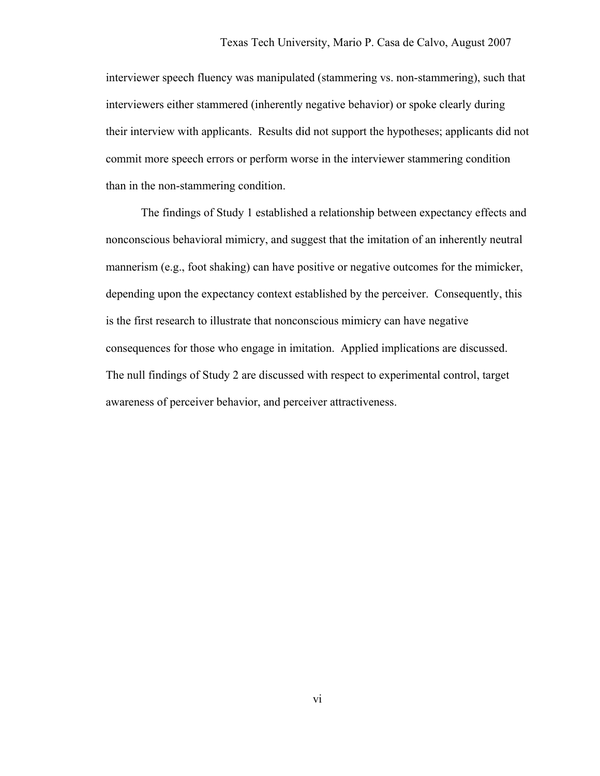interviewer speech fluency was manipulated (stammering vs. non-stammering), such that interviewers either stammered (inherently negative behavior) or spoke clearly during their interview with applicants. Results did not support the hypotheses; applicants did not commit more speech errors or perform worse in the interviewer stammering condition than in the non-stammering condition.

The findings of Study 1 established a relationship between expectancy effects and nonconscious behavioral mimicry, and suggest that the imitation of an inherently neutral mannerism (e.g., foot shaking) can have positive or negative outcomes for the mimicker, depending upon the expectancy context established by the perceiver. Consequently, this is the first research to illustrate that nonconscious mimicry can have negative consequences for those who engage in imitation. Applied implications are discussed. The null findings of Study 2 are discussed with respect to experimental control, target awareness of perceiver behavior, and perceiver attractiveness.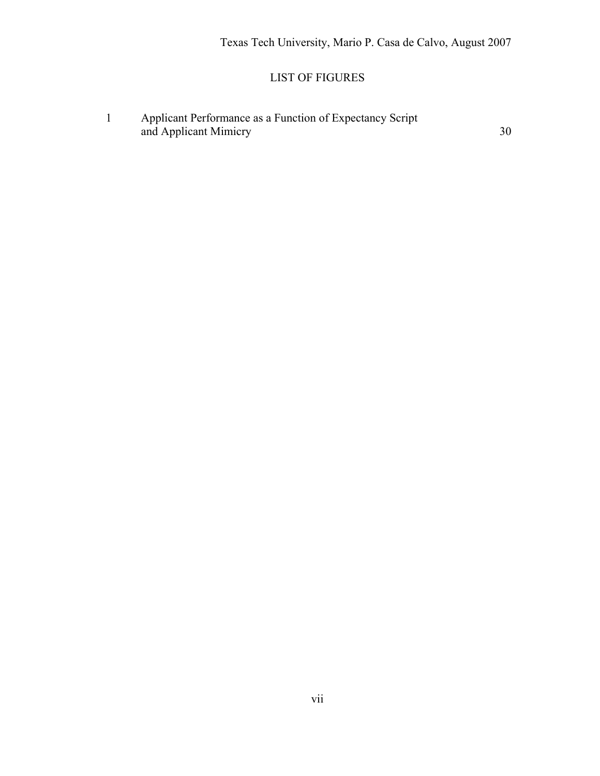# LIST OF FIGURES

1 Applicant Performance as a Function of Expectancy Script and Applicant Mimicry 30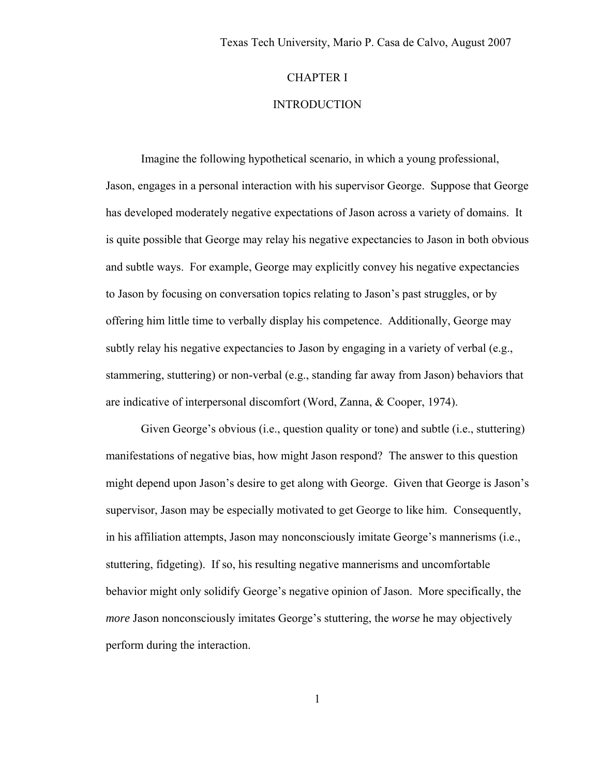# CHAPTER I

# **INTRODUCTION**

Imagine the following hypothetical scenario, in which a young professional, Jason, engages in a personal interaction with his supervisor George. Suppose that George has developed moderately negative expectations of Jason across a variety of domains. It is quite possible that George may relay his negative expectancies to Jason in both obvious and subtle ways. For example, George may explicitly convey his negative expectancies to Jason by focusing on conversation topics relating to Jason's past struggles, or by offering him little time to verbally display his competence. Additionally, George may subtly relay his negative expectancies to Jason by engaging in a variety of verbal (e.g., stammering, stuttering) or non-verbal (e.g., standing far away from Jason) behaviors that are indicative of interpersonal discomfort (Word, Zanna, & Cooper, 1974).

 Given George's obvious (i.e., question quality or tone) and subtle (i.e., stuttering) manifestations of negative bias, how might Jason respond? The answer to this question might depend upon Jason's desire to get along with George. Given that George is Jason's supervisor, Jason may be especially motivated to get George to like him. Consequently, in his affiliation attempts, Jason may nonconsciously imitate George's mannerisms (i.e., stuttering, fidgeting). If so, his resulting negative mannerisms and uncomfortable behavior might only solidify George's negative opinion of Jason. More specifically, the *more* Jason nonconsciously imitates George's stuttering, the *worse* he may objectively perform during the interaction.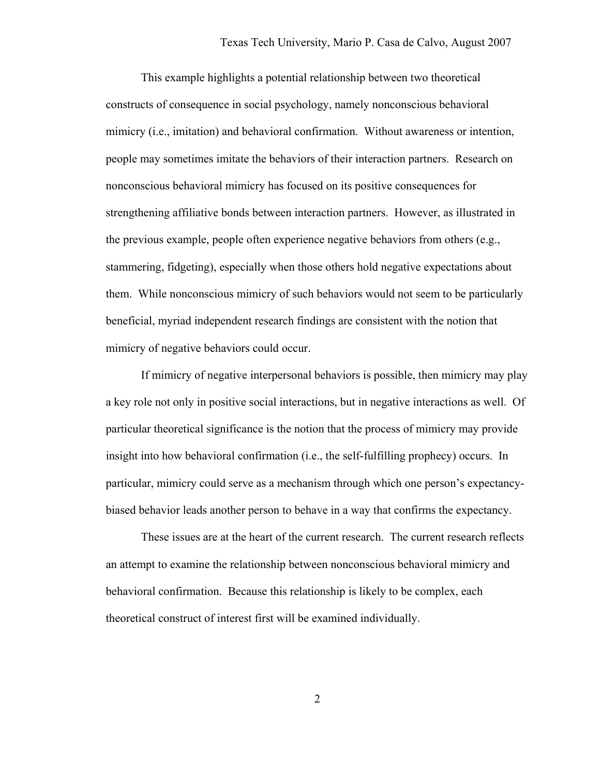This example highlights a potential relationship between two theoretical constructs of consequence in social psychology, namely nonconscious behavioral mimicry (i.e., imitation) and behavioral confirmation. Without awareness or intention, people may sometimes imitate the behaviors of their interaction partners. Research on nonconscious behavioral mimicry has focused on its positive consequences for strengthening affiliative bonds between interaction partners. However, as illustrated in the previous example, people often experience negative behaviors from others (e.g., stammering, fidgeting), especially when those others hold negative expectations about them. While nonconscious mimicry of such behaviors would not seem to be particularly beneficial, myriad independent research findings are consistent with the notion that mimicry of negative behaviors could occur.

If mimicry of negative interpersonal behaviors is possible, then mimicry may play a key role not only in positive social interactions, but in negative interactions as well. Of particular theoretical significance is the notion that the process of mimicry may provide insight into how behavioral confirmation (i.e., the self-fulfilling prophecy) occurs. In particular, mimicry could serve as a mechanism through which one person's expectancybiased behavior leads another person to behave in a way that confirms the expectancy.

 These issues are at the heart of the current research. The current research reflects an attempt to examine the relationship between nonconscious behavioral mimicry and behavioral confirmation. Because this relationship is likely to be complex, each theoretical construct of interest first will be examined individually.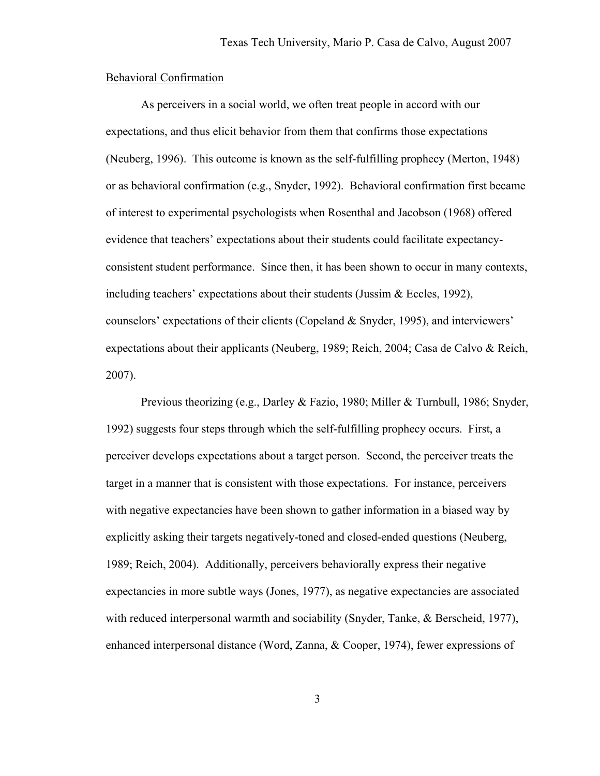#### Behavioral Confirmation

 As perceivers in a social world, we often treat people in accord with our expectations, and thus elicit behavior from them that confirms those expectations (Neuberg, 1996). This outcome is known as the self-fulfilling prophecy (Merton, 1948) or as behavioral confirmation (e.g., Snyder, 1992). Behavioral confirmation first became of interest to experimental psychologists when Rosenthal and Jacobson (1968) offered evidence that teachers' expectations about their students could facilitate expectancyconsistent student performance. Since then, it has been shown to occur in many contexts, including teachers' expectations about their students (Jussim & Eccles, 1992), counselors' expectations of their clients (Copeland & Snyder, 1995), and interviewers' expectations about their applicants (Neuberg, 1989; Reich, 2004; Casa de Calvo & Reich, 2007).

Previous theorizing (e.g., Darley & Fazio, 1980; Miller & Turnbull, 1986; Snyder, 1992) suggests four steps through which the self-fulfilling prophecy occurs. First, a perceiver develops expectations about a target person. Second, the perceiver treats the target in a manner that is consistent with those expectations. For instance, perceivers with negative expectancies have been shown to gather information in a biased way by explicitly asking their targets negatively-toned and closed-ended questions (Neuberg, 1989; Reich, 2004). Additionally, perceivers behaviorally express their negative expectancies in more subtle ways (Jones, 1977), as negative expectancies are associated with reduced interpersonal warmth and sociability (Snyder, Tanke, & Berscheid, 1977), enhanced interpersonal distance (Word, Zanna, & Cooper, 1974), fewer expressions of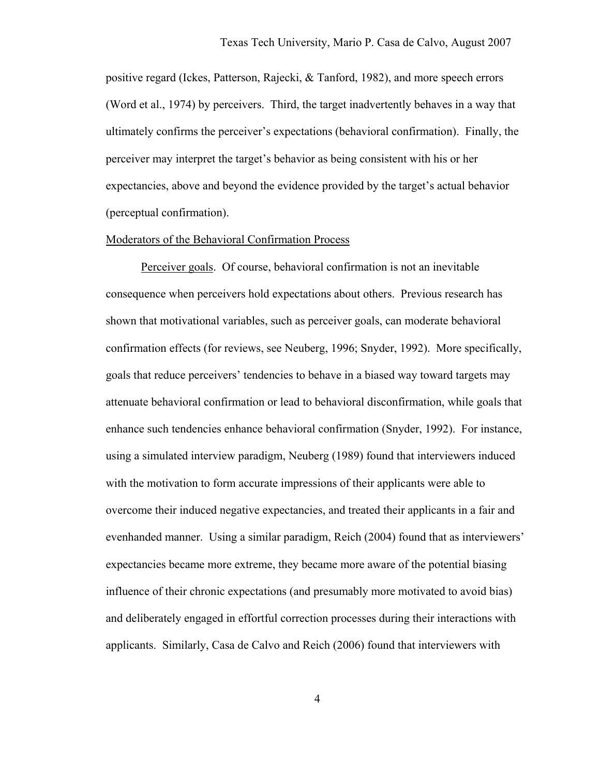positive regard (Ickes, Patterson, Rajecki, & Tanford, 1982), and more speech errors (Word et al., 1974) by perceivers. Third, the target inadvertently behaves in a way that ultimately confirms the perceiver's expectations (behavioral confirmation). Finally, the perceiver may interpret the target's behavior as being consistent with his or her expectancies, above and beyond the evidence provided by the target's actual behavior (perceptual confirmation).

#### Moderators of the Behavioral Confirmation Process

 Perceiver goals. Of course, behavioral confirmation is not an inevitable consequence when perceivers hold expectations about others. Previous research has shown that motivational variables, such as perceiver goals, can moderate behavioral confirmation effects (for reviews, see Neuberg, 1996; Snyder, 1992). More specifically, goals that reduce perceivers' tendencies to behave in a biased way toward targets may attenuate behavioral confirmation or lead to behavioral disconfirmation, while goals that enhance such tendencies enhance behavioral confirmation (Snyder, 1992). For instance, using a simulated interview paradigm, Neuberg (1989) found that interviewers induced with the motivation to form accurate impressions of their applicants were able to overcome their induced negative expectancies, and treated their applicants in a fair and evenhanded manner. Using a similar paradigm, Reich (2004) found that as interviewers' expectancies became more extreme, they became more aware of the potential biasing influence of their chronic expectations (and presumably more motivated to avoid bias) and deliberately engaged in effortful correction processes during their interactions with applicants. Similarly, Casa de Calvo and Reich (2006) found that interviewers with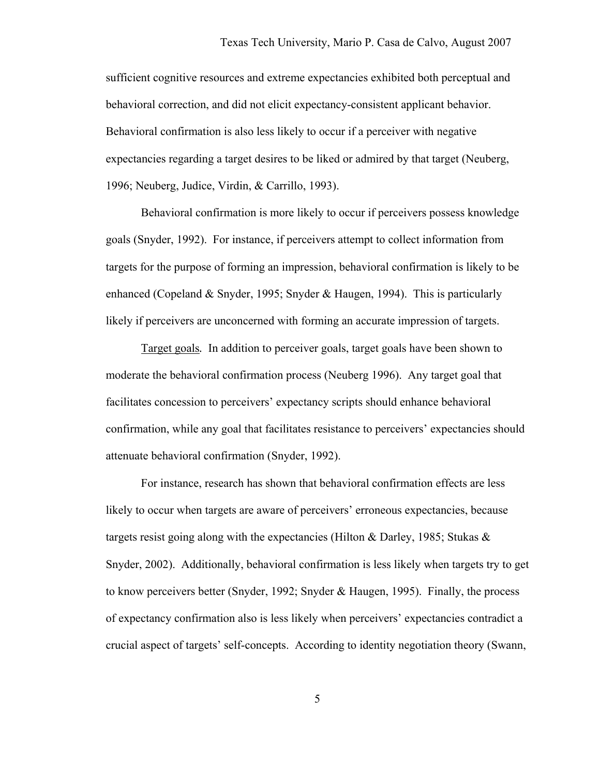sufficient cognitive resources and extreme expectancies exhibited both perceptual and behavioral correction, and did not elicit expectancy-consistent applicant behavior. Behavioral confirmation is also less likely to occur if a perceiver with negative expectancies regarding a target desires to be liked or admired by that target (Neuberg, 1996; Neuberg, Judice, Virdin, & Carrillo, 1993).

Behavioral confirmation is more likely to occur if perceivers possess knowledge goals (Snyder, 1992). For instance, if perceivers attempt to collect information from targets for the purpose of forming an impression, behavioral confirmation is likely to be enhanced (Copeland & Snyder, 1995; Snyder & Haugen, 1994). This is particularly likely if perceivers are unconcerned with forming an accurate impression of targets.

Target goals*.* In addition to perceiver goals, target goals have been shown to moderate the behavioral confirmation process (Neuberg 1996). Any target goal that facilitates concession to perceivers' expectancy scripts should enhance behavioral confirmation, while any goal that facilitates resistance to perceivers' expectancies should attenuate behavioral confirmation (Snyder, 1992).

For instance, research has shown that behavioral confirmation effects are less likely to occur when targets are aware of perceivers' erroneous expectancies, because targets resist going along with the expectancies (Hilton & Darley, 1985; Stukas & Snyder, 2002). Additionally, behavioral confirmation is less likely when targets try to get to know perceivers better (Snyder, 1992; Snyder & Haugen, 1995). Finally, the process of expectancy confirmation also is less likely when perceivers' expectancies contradict a crucial aspect of targets' self-concepts. According to identity negotiation theory (Swann,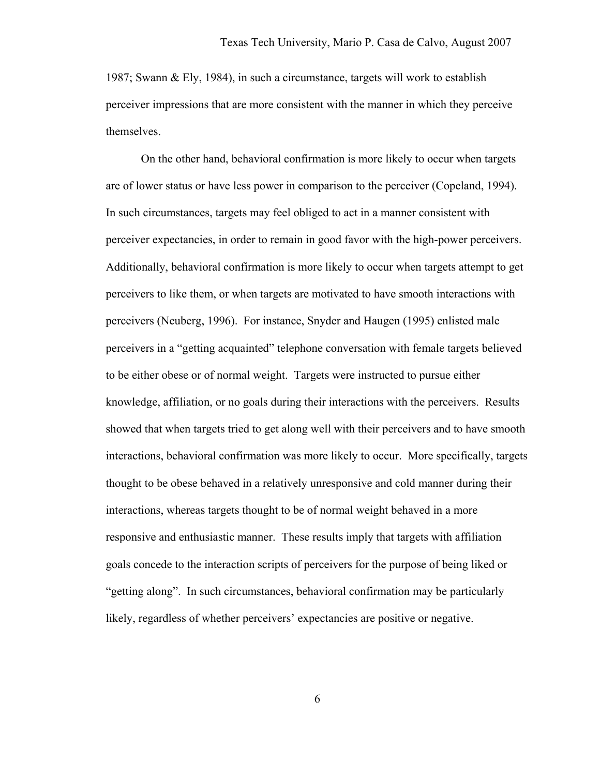1987; Swann & Ely, 1984), in such a circumstance, targets will work to establish perceiver impressions that are more consistent with the manner in which they perceive themselves.

On the other hand, behavioral confirmation is more likely to occur when targets are of lower status or have less power in comparison to the perceiver (Copeland, 1994). In such circumstances, targets may feel obliged to act in a manner consistent with perceiver expectancies, in order to remain in good favor with the high-power perceivers. Additionally, behavioral confirmation is more likely to occur when targets attempt to get perceivers to like them, or when targets are motivated to have smooth interactions with perceivers (Neuberg, 1996). For instance, Snyder and Haugen (1995) enlisted male perceivers in a "getting acquainted" telephone conversation with female targets believed to be either obese or of normal weight. Targets were instructed to pursue either knowledge, affiliation, or no goals during their interactions with the perceivers. Results showed that when targets tried to get along well with their perceivers and to have smooth interactions, behavioral confirmation was more likely to occur. More specifically, targets thought to be obese behaved in a relatively unresponsive and cold manner during their interactions, whereas targets thought to be of normal weight behaved in a more responsive and enthusiastic manner. These results imply that targets with affiliation goals concede to the interaction scripts of perceivers for the purpose of being liked or "getting along". In such circumstances, behavioral confirmation may be particularly likely, regardless of whether perceivers' expectancies are positive or negative.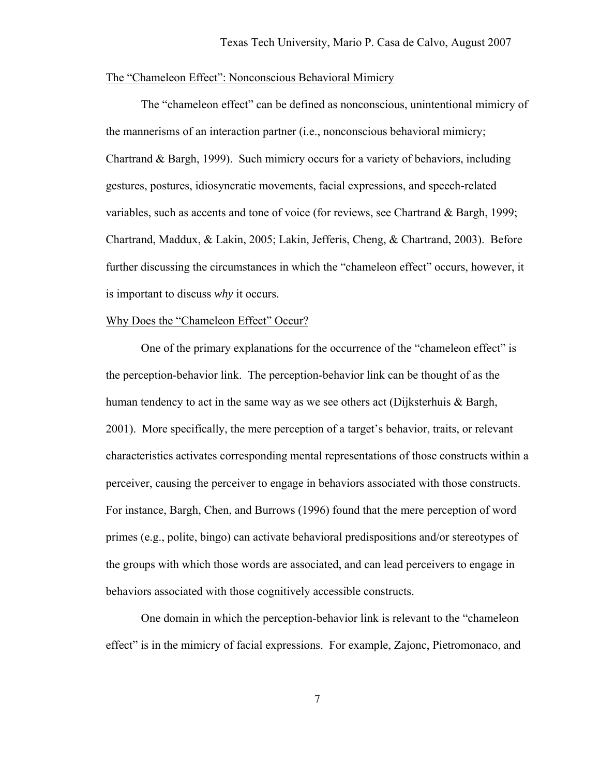#### The "Chameleon Effect": Nonconscious Behavioral Mimicry

 The "chameleon effect" can be defined as nonconscious, unintentional mimicry of the mannerisms of an interaction partner (i.e., nonconscious behavioral mimicry; Chartrand & Bargh, 1999). Such mimicry occurs for a variety of behaviors, including gestures, postures, idiosyncratic movements, facial expressions, and speech-related variables, such as accents and tone of voice (for reviews, see Chartrand & Bargh, 1999; Chartrand, Maddux, & Lakin, 2005; Lakin, Jefferis, Cheng, & Chartrand, 2003). Before further discussing the circumstances in which the "chameleon effect" occurs, however, it is important to discuss *why* it occurs.

#### Why Does the "Chameleon Effect" Occur?

 One of the primary explanations for the occurrence of the "chameleon effect" is the perception-behavior link. The perception-behavior link can be thought of as the human tendency to act in the same way as we see others act (Dijksterhuis & Bargh, 2001). More specifically, the mere perception of a target's behavior, traits, or relevant characteristics activates corresponding mental representations of those constructs within a perceiver, causing the perceiver to engage in behaviors associated with those constructs. For instance, Bargh, Chen, and Burrows (1996) found that the mere perception of word primes (e.g., polite, bingo) can activate behavioral predispositions and/or stereotypes of the groups with which those words are associated, and can lead perceivers to engage in behaviors associated with those cognitively accessible constructs.

One domain in which the perception-behavior link is relevant to the "chameleon effect" is in the mimicry of facial expressions. For example, Zajonc, Pietromonaco, and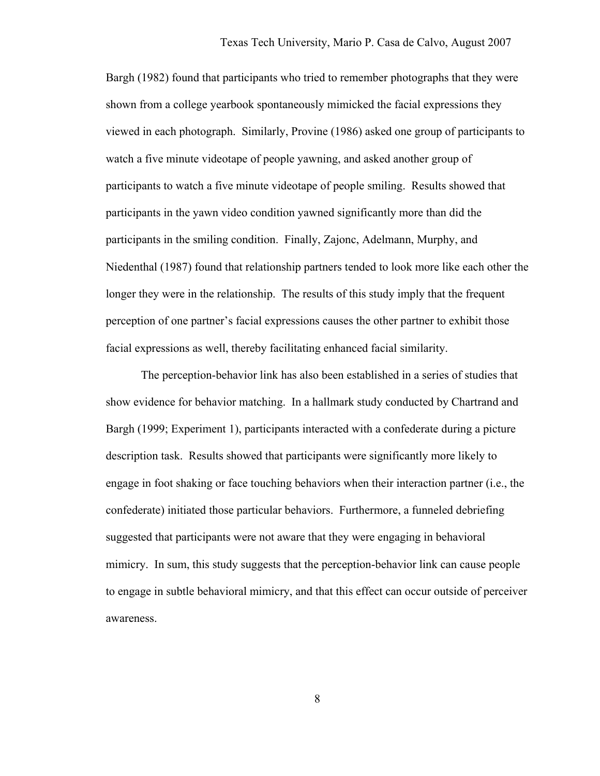Bargh (1982) found that participants who tried to remember photographs that they were shown from a college yearbook spontaneously mimicked the facial expressions they viewed in each photograph. Similarly, Provine (1986) asked one group of participants to watch a five minute videotape of people yawning, and asked another group of participants to watch a five minute videotape of people smiling. Results showed that participants in the yawn video condition yawned significantly more than did the participants in the smiling condition. Finally, Zajonc, Adelmann, Murphy, and Niedenthal (1987) found that relationship partners tended to look more like each other the longer they were in the relationship. The results of this study imply that the frequent perception of one partner's facial expressions causes the other partner to exhibit those facial expressions as well, thereby facilitating enhanced facial similarity.

 The perception-behavior link has also been established in a series of studies that show evidence for behavior matching. In a hallmark study conducted by Chartrand and Bargh (1999; Experiment 1), participants interacted with a confederate during a picture description task. Results showed that participants were significantly more likely to engage in foot shaking or face touching behaviors when their interaction partner (i.e., the confederate) initiated those particular behaviors. Furthermore, a funneled debriefing suggested that participants were not aware that they were engaging in behavioral mimicry. In sum, this study suggests that the perception-behavior link can cause people to engage in subtle behavioral mimicry, and that this effect can occur outside of perceiver awareness.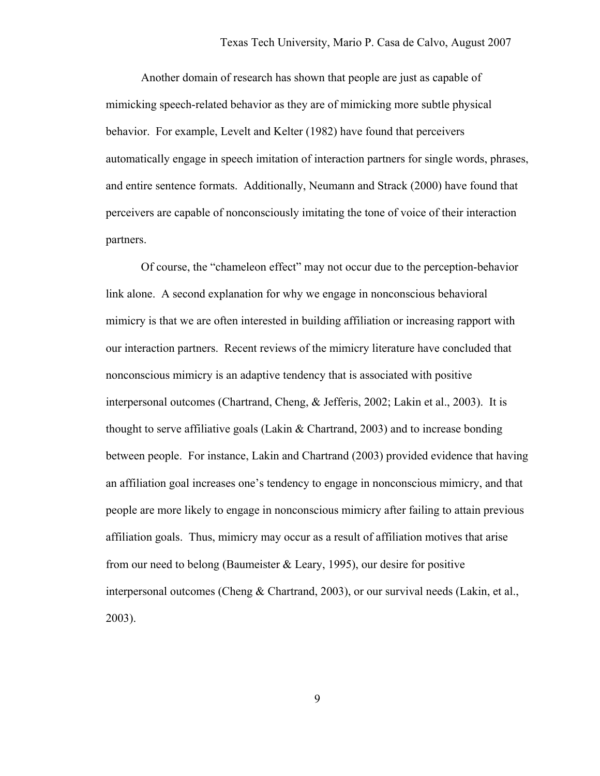Another domain of research has shown that people are just as capable of mimicking speech-related behavior as they are of mimicking more subtle physical behavior. For example, Levelt and Kelter (1982) have found that perceivers automatically engage in speech imitation of interaction partners for single words, phrases, and entire sentence formats. Additionally, Neumann and Strack (2000) have found that perceivers are capable of nonconsciously imitating the tone of voice of their interaction partners.

Of course, the "chameleon effect" may not occur due to the perception-behavior link alone. A second explanation for why we engage in nonconscious behavioral mimicry is that we are often interested in building affiliation or increasing rapport with our interaction partners. Recent reviews of the mimicry literature have concluded that nonconscious mimicry is an adaptive tendency that is associated with positive interpersonal outcomes (Chartrand, Cheng, & Jefferis, 2002; Lakin et al., 2003). It is thought to serve affiliative goals (Lakin  $\&$  Chartrand, 2003) and to increase bonding between people. For instance, Lakin and Chartrand (2003) provided evidence that having an affiliation goal increases one's tendency to engage in nonconscious mimicry, and that people are more likely to engage in nonconscious mimicry after failing to attain previous affiliation goals. Thus, mimicry may occur as a result of affiliation motives that arise from our need to belong (Baumeister  $&$  Leary, 1995), our desire for positive interpersonal outcomes (Cheng & Chartrand, 2003), or our survival needs (Lakin, et al., 2003).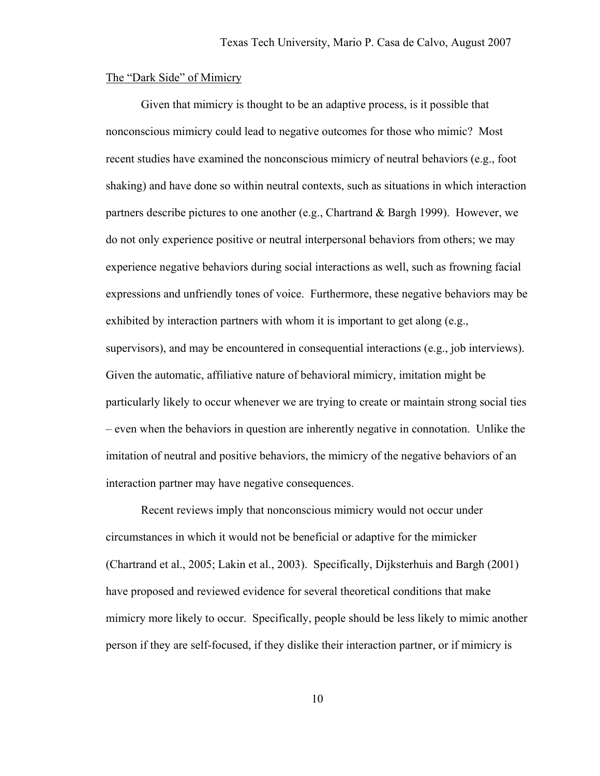#### The "Dark Side" of Mimicry

Given that mimicry is thought to be an adaptive process, is it possible that nonconscious mimicry could lead to negative outcomes for those who mimic? Most recent studies have examined the nonconscious mimicry of neutral behaviors (e.g., foot shaking) and have done so within neutral contexts, such as situations in which interaction partners describe pictures to one another (e.g., Chartrand & Bargh 1999). However, we do not only experience positive or neutral interpersonal behaviors from others; we may experience negative behaviors during social interactions as well, such as frowning facial expressions and unfriendly tones of voice. Furthermore, these negative behaviors may be exhibited by interaction partners with whom it is important to get along (e.g., supervisors), and may be encountered in consequential interactions (e.g., job interviews). Given the automatic, affiliative nature of behavioral mimicry, imitation might be particularly likely to occur whenever we are trying to create or maintain strong social ties – even when the behaviors in question are inherently negative in connotation. Unlike the imitation of neutral and positive behaviors, the mimicry of the negative behaviors of an interaction partner may have negative consequences.

Recent reviews imply that nonconscious mimicry would not occur under circumstances in which it would not be beneficial or adaptive for the mimicker (Chartrand et al., 2005; Lakin et al., 2003). Specifically, Dijksterhuis and Bargh (2001) have proposed and reviewed evidence for several theoretical conditions that make mimicry more likely to occur. Specifically, people should be less likely to mimic another person if they are self-focused, if they dislike their interaction partner, or if mimicry is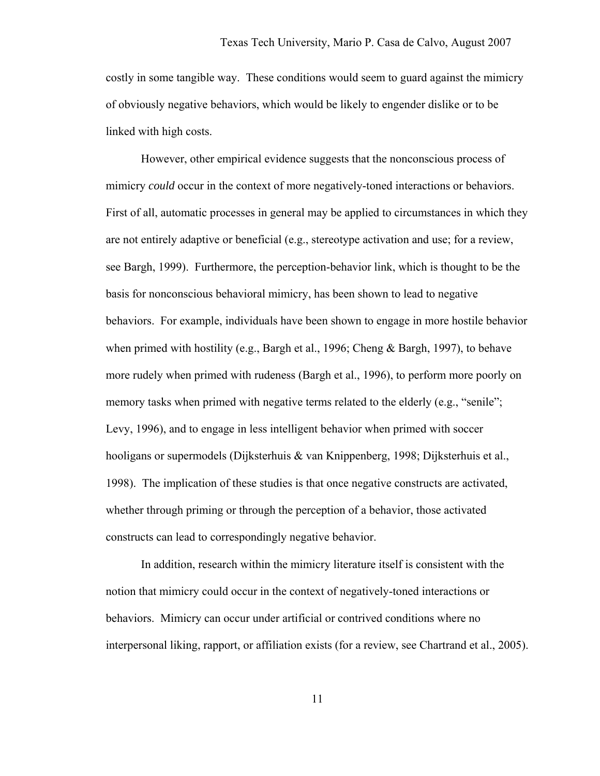costly in some tangible way. These conditions would seem to guard against the mimicry of obviously negative behaviors, which would be likely to engender dislike or to be linked with high costs.

However, other empirical evidence suggests that the nonconscious process of mimicry *could* occur in the context of more negatively-toned interactions or behaviors. First of all, automatic processes in general may be applied to circumstances in which they are not entirely adaptive or beneficial (e.g., stereotype activation and use; for a review, see Bargh, 1999). Furthermore, the perception-behavior link, which is thought to be the basis for nonconscious behavioral mimicry, has been shown to lead to negative behaviors. For example, individuals have been shown to engage in more hostile behavior when primed with hostility (e.g., Bargh et al., 1996; Cheng & Bargh, 1997), to behave more rudely when primed with rudeness (Bargh et al., 1996), to perform more poorly on memory tasks when primed with negative terms related to the elderly (e.g., "senile"; Levy, 1996), and to engage in less intelligent behavior when primed with soccer hooligans or supermodels (Dijksterhuis & van Knippenberg, 1998; Dijksterhuis et al., 1998). The implication of these studies is that once negative constructs are activated, whether through priming or through the perception of a behavior, those activated constructs can lead to correspondingly negative behavior.

In addition, research within the mimicry literature itself is consistent with the notion that mimicry could occur in the context of negatively-toned interactions or behaviors. Mimicry can occur under artificial or contrived conditions where no interpersonal liking, rapport, or affiliation exists (for a review, see Chartrand et al., 2005).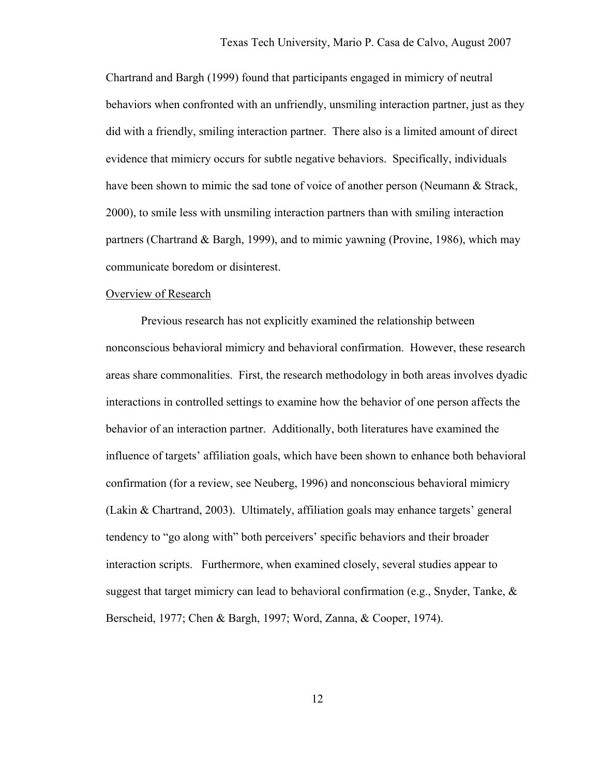Chartrand and Bargh (1999) found that participants engaged in mimicry of neutral behaviors when confronted with an unfriendly, unsmiling interaction partner, just as they did with a friendly, smiling interaction partner. There also is a limited amount of direct evidence that mimicry occurs for subtle negative behaviors. Specifically, individuals have been shown to mimic the sad tone of voice of another person (Neumann & Strack, 2000), to smile less with unsmiling interaction partners than with smiling interaction partners (Chartrand & Bargh, 1999), and to mimic yawning (Provine, 1986), which may communicate boredom or disinterest.

#### Overview of Research

Previous research has not explicitly examined the relationship between nonconscious behavioral mimicry and behavioral confirmation. However, these research areas share commonalities. First, the research methodology in both areas involves dyadic interactions in controlled settings to examine how the behavior of one person affects the behavior of an interaction partner. Additionally, both literatures have examined the influence of targets' affiliation goals, which have been shown to enhance both behavioral confirmation (for a review, see Neuberg, 1996) and nonconscious behavioral mimicry (Lakin & Chartrand, 2003). Ultimately, affiliation goals may enhance targets' general tendency to "go along with" both perceivers' specific behaviors and their broader interaction scripts. Furthermore, when examined closely, several studies appear to suggest that target mimicry can lead to behavioral confirmation (e.g., Snyder, Tanke,  $\&$ Berscheid, 1977; Chen & Bargh, 1997; Word, Zanna, & Cooper, 1974).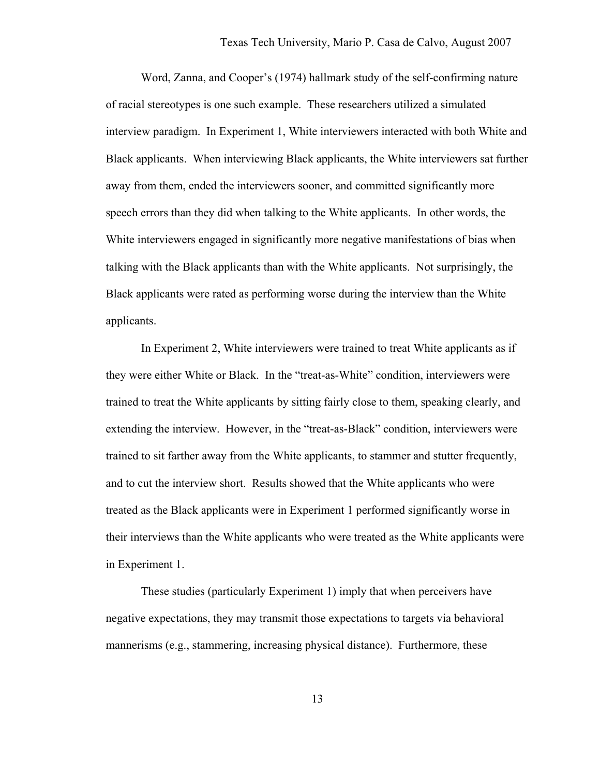Word, Zanna, and Cooper's (1974) hallmark study of the self-confirming nature of racial stereotypes is one such example. These researchers utilized a simulated interview paradigm. In Experiment 1, White interviewers interacted with both White and Black applicants. When interviewing Black applicants, the White interviewers sat further away from them, ended the interviewers sooner, and committed significantly more speech errors than they did when talking to the White applicants. In other words, the White interviewers engaged in significantly more negative manifestations of bias when talking with the Black applicants than with the White applicants. Not surprisingly, the Black applicants were rated as performing worse during the interview than the White applicants.

 In Experiment 2, White interviewers were trained to treat White applicants as if they were either White or Black. In the "treat-as-White" condition, interviewers were trained to treat the White applicants by sitting fairly close to them, speaking clearly, and extending the interview. However, in the "treat-as-Black" condition, interviewers were trained to sit farther away from the White applicants, to stammer and stutter frequently, and to cut the interview short. Results showed that the White applicants who were treated as the Black applicants were in Experiment 1 performed significantly worse in their interviews than the White applicants who were treated as the White applicants were in Experiment 1.

 These studies (particularly Experiment 1) imply that when perceivers have negative expectations, they may transmit those expectations to targets via behavioral mannerisms (e.g., stammering, increasing physical distance). Furthermore, these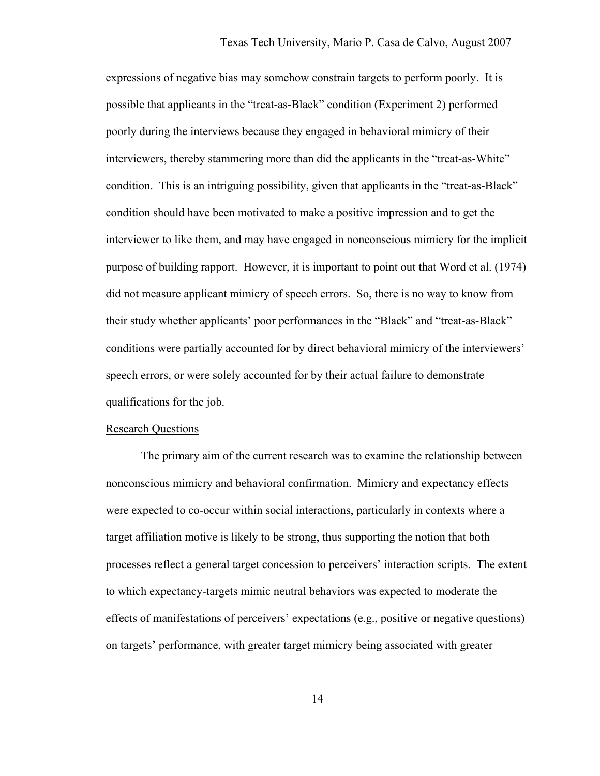expressions of negative bias may somehow constrain targets to perform poorly. It is possible that applicants in the "treat-as-Black" condition (Experiment 2) performed poorly during the interviews because they engaged in behavioral mimicry of their interviewers, thereby stammering more than did the applicants in the "treat-as-White" condition. This is an intriguing possibility, given that applicants in the "treat-as-Black" condition should have been motivated to make a positive impression and to get the interviewer to like them, and may have engaged in nonconscious mimicry for the implicit purpose of building rapport. However, it is important to point out that Word et al. (1974) did not measure applicant mimicry of speech errors. So, there is no way to know from their study whether applicants' poor performances in the "Black" and "treat-as-Black" conditions were partially accounted for by direct behavioral mimicry of the interviewers' speech errors, or were solely accounted for by their actual failure to demonstrate qualifications for the job.

#### Research Questions

The primary aim of the current research was to examine the relationship between nonconscious mimicry and behavioral confirmation. Mimicry and expectancy effects were expected to co-occur within social interactions, particularly in contexts where a target affiliation motive is likely to be strong, thus supporting the notion that both processes reflect a general target concession to perceivers' interaction scripts. The extent to which expectancy-targets mimic neutral behaviors was expected to moderate the effects of manifestations of perceivers' expectations (e.g., positive or negative questions) on targets' performance, with greater target mimicry being associated with greater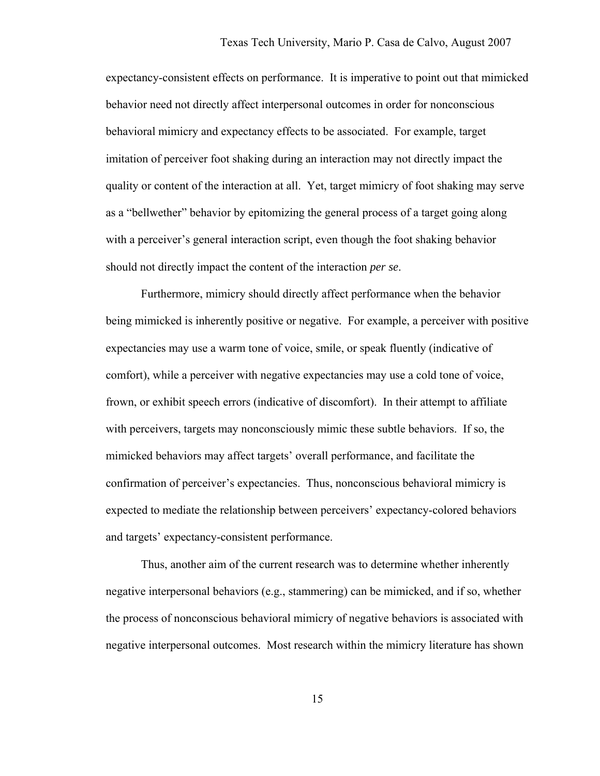expectancy-consistent effects on performance. It is imperative to point out that mimicked behavior need not directly affect interpersonal outcomes in order for nonconscious behavioral mimicry and expectancy effects to be associated. For example, target imitation of perceiver foot shaking during an interaction may not directly impact the quality or content of the interaction at all. Yet, target mimicry of foot shaking may serve as a "bellwether" behavior by epitomizing the general process of a target going along with a perceiver's general interaction script, even though the foot shaking behavior should not directly impact the content of the interaction *per se*.

Furthermore, mimicry should directly affect performance when the behavior being mimicked is inherently positive or negative. For example, a perceiver with positive expectancies may use a warm tone of voice, smile, or speak fluently (indicative of comfort), while a perceiver with negative expectancies may use a cold tone of voice, frown, or exhibit speech errors (indicative of discomfort). In their attempt to affiliate with perceivers, targets may nonconsciously mimic these subtle behaviors. If so, the mimicked behaviors may affect targets' overall performance, and facilitate the confirmation of perceiver's expectancies. Thus, nonconscious behavioral mimicry is expected to mediate the relationship between perceivers' expectancy-colored behaviors and targets' expectancy-consistent performance.

Thus, another aim of the current research was to determine whether inherently negative interpersonal behaviors (e.g., stammering) can be mimicked, and if so, whether the process of nonconscious behavioral mimicry of negative behaviors is associated with negative interpersonal outcomes. Most research within the mimicry literature has shown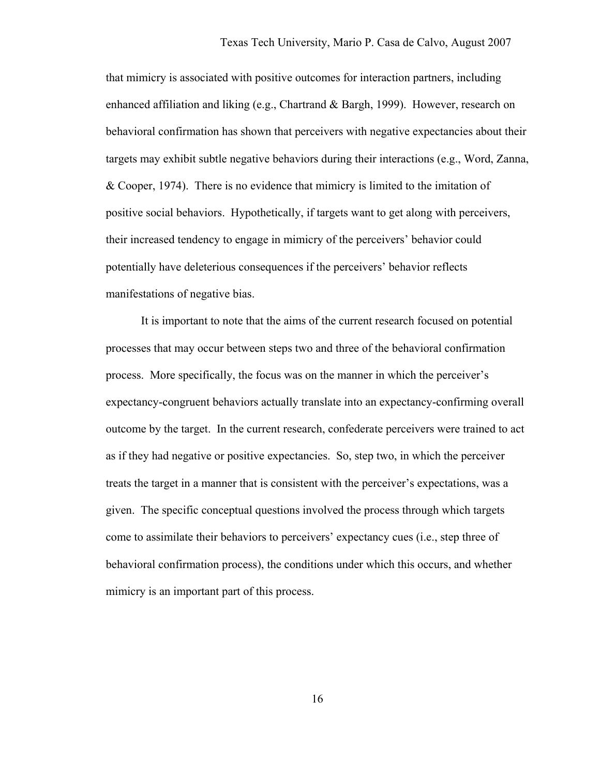that mimicry is associated with positive outcomes for interaction partners, including enhanced affiliation and liking (e.g., Chartrand & Bargh, 1999). However, research on behavioral confirmation has shown that perceivers with negative expectancies about their targets may exhibit subtle negative behaviors during their interactions (e.g., Word, Zanna, & Cooper, 1974). There is no evidence that mimicry is limited to the imitation of positive social behaviors. Hypothetically, if targets want to get along with perceivers, their increased tendency to engage in mimicry of the perceivers' behavior could potentially have deleterious consequences if the perceivers' behavior reflects manifestations of negative bias.

It is important to note that the aims of the current research focused on potential processes that may occur between steps two and three of the behavioral confirmation process. More specifically, the focus was on the manner in which the perceiver's expectancy-congruent behaviors actually translate into an expectancy-confirming overall outcome by the target. In the current research, confederate perceivers were trained to act as if they had negative or positive expectancies. So, step two, in which the perceiver treats the target in a manner that is consistent with the perceiver's expectations, was a given. The specific conceptual questions involved the process through which targets come to assimilate their behaviors to perceivers' expectancy cues (i.e., step three of behavioral confirmation process), the conditions under which this occurs, and whether mimicry is an important part of this process.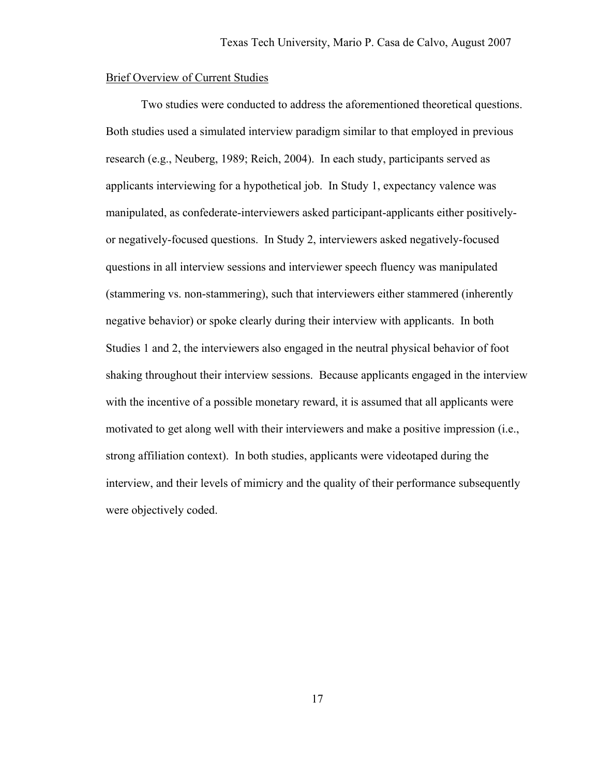# Brief Overview of Current Studies

Two studies were conducted to address the aforementioned theoretical questions. Both studies used a simulated interview paradigm similar to that employed in previous research (e.g., Neuberg, 1989; Reich, 2004). In each study, participants served as applicants interviewing for a hypothetical job. In Study 1, expectancy valence was manipulated, as confederate-interviewers asked participant-applicants either positivelyor negatively-focused questions. In Study 2, interviewers asked negatively-focused questions in all interview sessions and interviewer speech fluency was manipulated (stammering vs. non-stammering), such that interviewers either stammered (inherently negative behavior) or spoke clearly during their interview with applicants. In both Studies 1 and 2, the interviewers also engaged in the neutral physical behavior of foot shaking throughout their interview sessions. Because applicants engaged in the interview with the incentive of a possible monetary reward, it is assumed that all applicants were motivated to get along well with their interviewers and make a positive impression (i.e., strong affiliation context). In both studies, applicants were videotaped during the interview, and their levels of mimicry and the quality of their performance subsequently were objectively coded.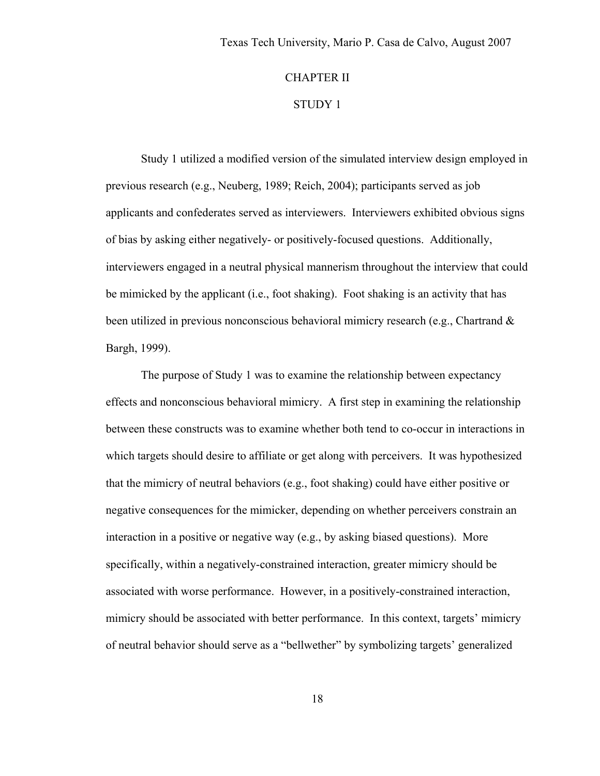# CHAPTER II

# STUDY 1

Study 1 utilized a modified version of the simulated interview design employed in previous research (e.g., Neuberg, 1989; Reich, 2004); participants served as job applicants and confederates served as interviewers. Interviewers exhibited obvious signs of bias by asking either negatively- or positively-focused questions. Additionally, interviewers engaged in a neutral physical mannerism throughout the interview that could be mimicked by the applicant (i.e., foot shaking). Foot shaking is an activity that has been utilized in previous nonconscious behavioral mimicry research (e.g., Chartrand & Bargh, 1999).

The purpose of Study 1 was to examine the relationship between expectancy effects and nonconscious behavioral mimicry. A first step in examining the relationship between these constructs was to examine whether both tend to co-occur in interactions in which targets should desire to affiliate or get along with perceivers. It was hypothesized that the mimicry of neutral behaviors (e.g., foot shaking) could have either positive or negative consequences for the mimicker, depending on whether perceivers constrain an interaction in a positive or negative way (e.g., by asking biased questions). More specifically, within a negatively-constrained interaction, greater mimicry should be associated with worse performance. However, in a positively-constrained interaction, mimicry should be associated with better performance. In this context, targets' mimicry of neutral behavior should serve as a "bellwether" by symbolizing targets' generalized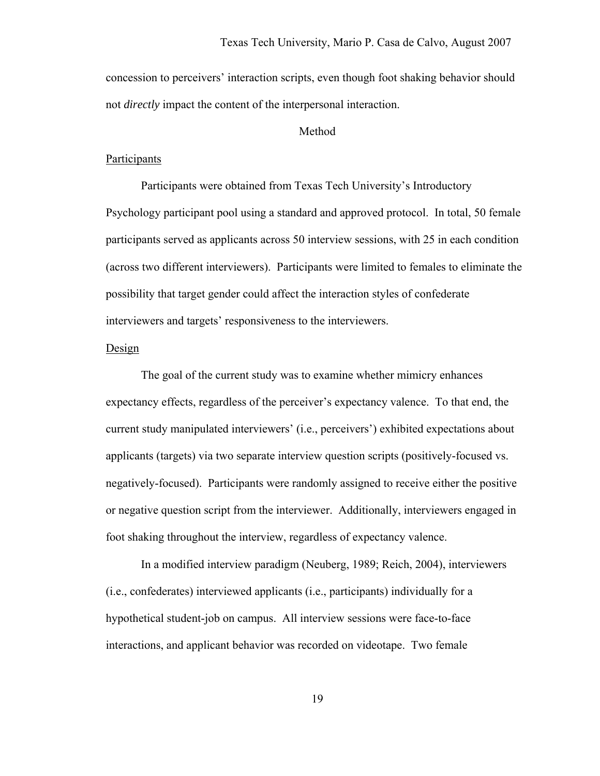concession to perceivers' interaction scripts, even though foot shaking behavior should not *directly* impact the content of the interpersonal interaction.

# Method

#### **Participants**

 Participants were obtained from Texas Tech University's Introductory Psychology participant pool using a standard and approved protocol. In total, 50 female participants served as applicants across 50 interview sessions, with 25 in each condition (across two different interviewers). Participants were limited to females to eliminate the possibility that target gender could affect the interaction styles of confederate interviewers and targets' responsiveness to the interviewers.

#### Design

 The goal of the current study was to examine whether mimicry enhances expectancy effects, regardless of the perceiver's expectancy valence. To that end, the current study manipulated interviewers' (i.e., perceivers') exhibited expectations about applicants (targets) via two separate interview question scripts (positively-focused vs. negatively-focused). Participants were randomly assigned to receive either the positive or negative question script from the interviewer. Additionally, interviewers engaged in foot shaking throughout the interview, regardless of expectancy valence.

In a modified interview paradigm (Neuberg, 1989; Reich, 2004), interviewers (i.e., confederates) interviewed applicants (i.e., participants) individually for a hypothetical student-job on campus. All interview sessions were face-to-face interactions, and applicant behavior was recorded on videotape. Two female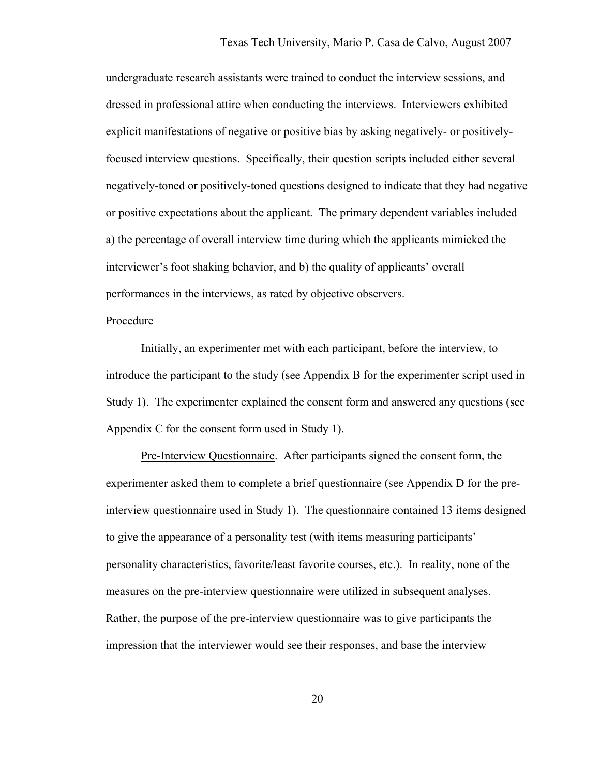undergraduate research assistants were trained to conduct the interview sessions, and dressed in professional attire when conducting the interviews. Interviewers exhibited explicit manifestations of negative or positive bias by asking negatively- or positivelyfocused interview questions. Specifically, their question scripts included either several negatively-toned or positively-toned questions designed to indicate that they had negative or positive expectations about the applicant. The primary dependent variables included a) the percentage of overall interview time during which the applicants mimicked the interviewer's foot shaking behavior, and b) the quality of applicants' overall performances in the interviews, as rated by objective observers.

#### Procedure

 Initially, an experimenter met with each participant, before the interview, to introduce the participant to the study (see Appendix B for the experimenter script used in Study 1). The experimenter explained the consent form and answered any questions (see Appendix C for the consent form used in Study 1).

Pre-Interview Questionnaire. After participants signed the consent form, the experimenter asked them to complete a brief questionnaire (see Appendix D for the preinterview questionnaire used in Study 1). The questionnaire contained 13 items designed to give the appearance of a personality test (with items measuring participants' personality characteristics, favorite/least favorite courses, etc.). In reality, none of the measures on the pre-interview questionnaire were utilized in subsequent analyses. Rather, the purpose of the pre-interview questionnaire was to give participants the impression that the interviewer would see their responses, and base the interview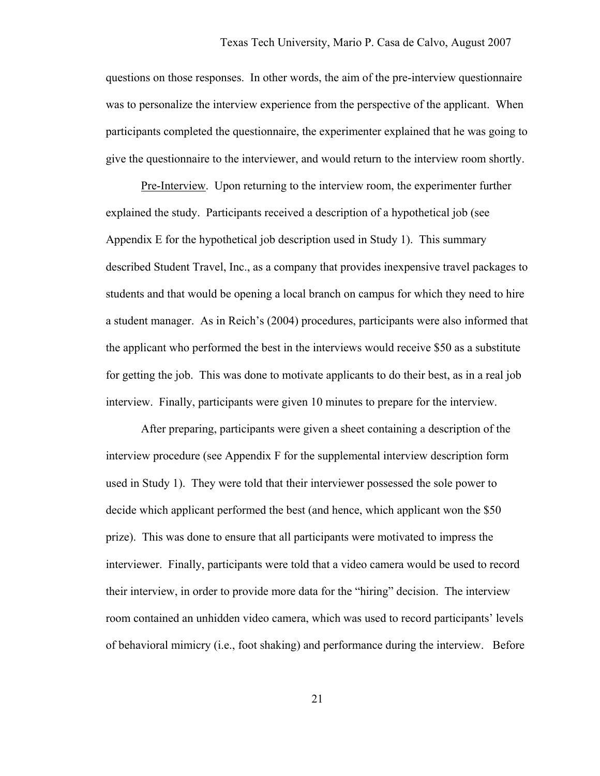questions on those responses. In other words, the aim of the pre-interview questionnaire was to personalize the interview experience from the perspective of the applicant. When participants completed the questionnaire, the experimenter explained that he was going to give the questionnaire to the interviewer, and would return to the interview room shortly.

Pre-Interview. Upon returning to the interview room, the experimenter further explained the study. Participants received a description of a hypothetical job (see Appendix E for the hypothetical job description used in Study 1). This summary described Student Travel, Inc., as a company that provides inexpensive travel packages to students and that would be opening a local branch on campus for which they need to hire a student manager. As in Reich's (2004) procedures, participants were also informed that the applicant who performed the best in the interviews would receive \$50 as a substitute for getting the job. This was done to motivate applicants to do their best, as in a real job interview. Finally, participants were given 10 minutes to prepare for the interview.

 After preparing, participants were given a sheet containing a description of the interview procedure (see Appendix F for the supplemental interview description form used in Study 1). They were told that their interviewer possessed the sole power to decide which applicant performed the best (and hence, which applicant won the \$50 prize). This was done to ensure that all participants were motivated to impress the interviewer. Finally, participants were told that a video camera would be used to record their interview, in order to provide more data for the "hiring" decision. The interview room contained an unhidden video camera, which was used to record participants' levels of behavioral mimicry (i.e., foot shaking) and performance during the interview. Before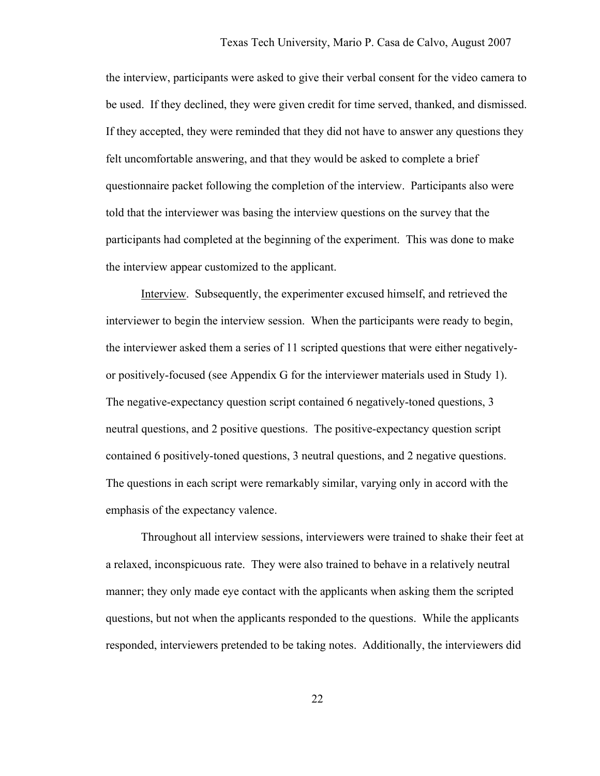the interview, participants were asked to give their verbal consent for the video camera to be used. If they declined, they were given credit for time served, thanked, and dismissed. If they accepted, they were reminded that they did not have to answer any questions they felt uncomfortable answering, and that they would be asked to complete a brief questionnaire packet following the completion of the interview. Participants also were told that the interviewer was basing the interview questions on the survey that the participants had completed at the beginning of the experiment. This was done to make the interview appear customized to the applicant.

Interview. Subsequently, the experimenter excused himself, and retrieved the interviewer to begin the interview session. When the participants were ready to begin, the interviewer asked them a series of 11 scripted questions that were either negativelyor positively-focused (see Appendix G for the interviewer materials used in Study 1). The negative-expectancy question script contained 6 negatively-toned questions, 3 neutral questions, and 2 positive questions. The positive-expectancy question script contained 6 positively-toned questions, 3 neutral questions, and 2 negative questions. The questions in each script were remarkably similar, varying only in accord with the emphasis of the expectancy valence.

Throughout all interview sessions, interviewers were trained to shake their feet at a relaxed, inconspicuous rate. They were also trained to behave in a relatively neutral manner; they only made eye contact with the applicants when asking them the scripted questions, but not when the applicants responded to the questions. While the applicants responded, interviewers pretended to be taking notes. Additionally, the interviewers did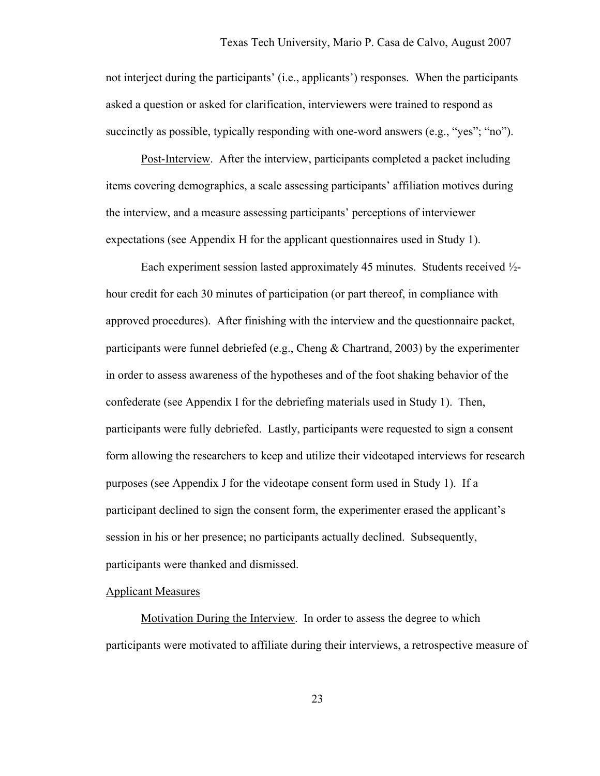not interject during the participants' (i.e., applicants') responses. When the participants asked a question or asked for clarification, interviewers were trained to respond as succinctly as possible, typically responding with one-word answers (e.g., "yes"; "no").

Post-Interview. After the interview, participants completed a packet including items covering demographics, a scale assessing participants' affiliation motives during the interview, and a measure assessing participants' perceptions of interviewer expectations (see Appendix H for the applicant questionnaires used in Study 1).

 Each experiment session lasted approximately 45 minutes. Students received ½ hour credit for each 30 minutes of participation (or part thereof, in compliance with approved procedures). After finishing with the interview and the questionnaire packet, participants were funnel debriefed (e.g., Cheng & Chartrand, 2003) by the experimenter in order to assess awareness of the hypotheses and of the foot shaking behavior of the confederate (see Appendix I for the debriefing materials used in Study 1). Then, participants were fully debriefed. Lastly, participants were requested to sign a consent form allowing the researchers to keep and utilize their videotaped interviews for research purposes (see Appendix J for the videotape consent form used in Study 1). If a participant declined to sign the consent form, the experimenter erased the applicant's session in his or her presence; no participants actually declined. Subsequently, participants were thanked and dismissed.

# Applicant Measures

Motivation During the Interview. In order to assess the degree to which participants were motivated to affiliate during their interviews, a retrospective measure of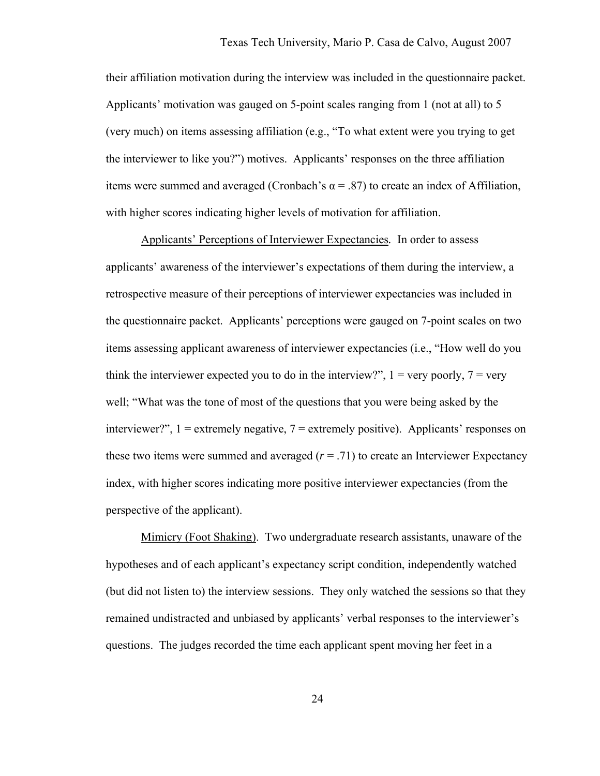their affiliation motivation during the interview was included in the questionnaire packet. Applicants' motivation was gauged on 5-point scales ranging from 1 (not at all) to 5 (very much) on items assessing affiliation (e.g., "To what extent were you trying to get the interviewer to like you?") motives. Applicants' responses on the three affiliation items were summed and averaged (Cronbach's  $\alpha$  = .87) to create an index of Affiliation, with higher scores indicating higher levels of motivation for affiliation.

Applicants' Perceptions of Interviewer Expectancies*.* In order to assess applicants' awareness of the interviewer's expectations of them during the interview, a retrospective measure of their perceptions of interviewer expectancies was included in the questionnaire packet. Applicants' perceptions were gauged on 7-point scales on two items assessing applicant awareness of interviewer expectancies (i.e., "How well do you think the interviewer expected you to do in the interview?",  $1 = \text{very poorly}, 7 = \text{very}$ well; "What was the tone of most of the questions that you were being asked by the interviewer?",  $1 =$  extremely negative,  $7 =$  extremely positive). Applicants' responses on these two items were summed and averaged  $(r = .71)$  to create an Interviewer Expectancy index, with higher scores indicating more positive interviewer expectancies (from the perspective of the applicant).

Mimicry (Foot Shaking). Two undergraduate research assistants, unaware of the hypotheses and of each applicant's expectancy script condition, independently watched (but did not listen to) the interview sessions. They only watched the sessions so that they remained undistracted and unbiased by applicants' verbal responses to the interviewer's questions. The judges recorded the time each applicant spent moving her feet in a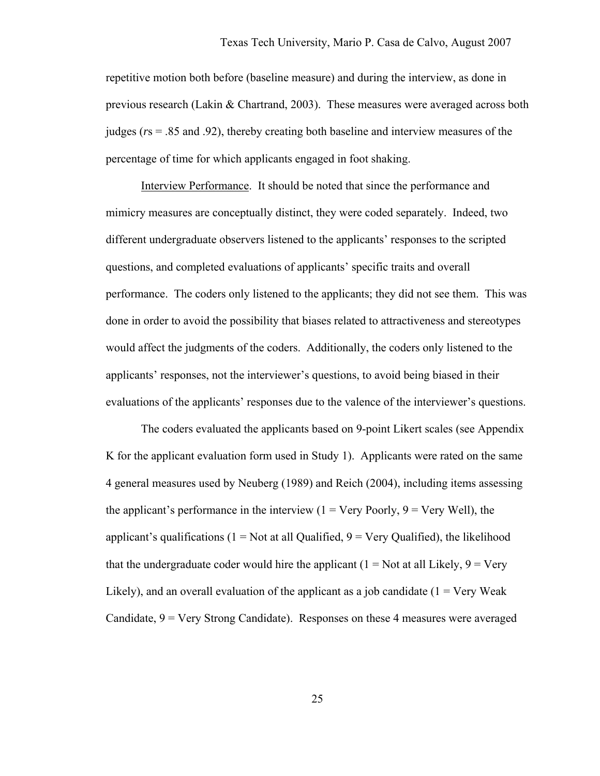repetitive motion both before (baseline measure) and during the interview, as done in previous research (Lakin & Chartrand, 2003). These measures were averaged across both judges (*r*s = .85 and .92), thereby creating both baseline and interview measures of the percentage of time for which applicants engaged in foot shaking.

Interview Performance. It should be noted that since the performance and mimicry measures are conceptually distinct, they were coded separately. Indeed, two different undergraduate observers listened to the applicants' responses to the scripted questions, and completed evaluations of applicants' specific traits and overall performance. The coders only listened to the applicants; they did not see them. This was done in order to avoid the possibility that biases related to attractiveness and stereotypes would affect the judgments of the coders. Additionally, the coders only listened to the applicants' responses, not the interviewer's questions, to avoid being biased in their evaluations of the applicants' responses due to the valence of the interviewer's questions.

The coders evaluated the applicants based on 9-point Likert scales (see Appendix K for the applicant evaluation form used in Study 1). Applicants were rated on the same 4 general measures used by Neuberg (1989) and Reich (2004), including items assessing the applicant's performance in the interview  $(1 = \text{Very Poorly}, 9 = \text{Very Well})$ , the applicant's qualifications ( $1 = Not$  at all Qualified,  $9 = Very$  Qualified), the likelihood that the undergraduate coder would hire the applicant  $(1 = Not at all Likely, 9 = Very)$ Likely), and an overall evaluation of the applicant as a job candidate  $(1 = V$ ery Weak Candidate,  $9 = \text{Very Strong Candidate}$ . Responses on these 4 measures were averaged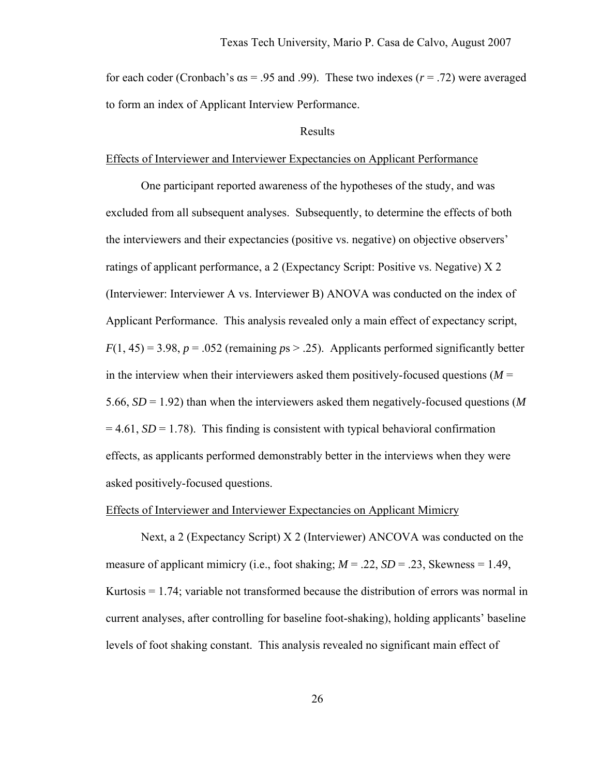for each coder (Cronbach's  $\alpha s = .95$  and .99). These two indexes ( $r = .72$ ) were averaged to form an index of Applicant Interview Performance.

#### Results

#### Effects of Interviewer and Interviewer Expectancies on Applicant Performance

One participant reported awareness of the hypotheses of the study, and was excluded from all subsequent analyses. Subsequently, to determine the effects of both the interviewers and their expectancies (positive vs. negative) on objective observers' ratings of applicant performance, a 2 (Expectancy Script: Positive vs. Negative) X 2 (Interviewer: Interviewer A vs. Interviewer B) ANOVA was conducted on the index of Applicant Performance. This analysis revealed only a main effect of expectancy script,  $F(1, 45) = 3.98$ ,  $p = .052$  (remaining  $p s > .25$ ). Applicants performed significantly better in the interview when their interviewers asked them positively-focused questions  $(M =$ 5.66, *SD* = 1.92) than when the interviewers asked them negatively-focused questions (*M*  $= 4.61$ , *SD* = 1.78). This finding is consistent with typical behavioral confirmation effects, as applicants performed demonstrably better in the interviews when they were asked positively-focused questions.

#### Effects of Interviewer and Interviewer Expectancies on Applicant Mimicry

Next, a 2 (Expectancy Script) X 2 (Interviewer) ANCOVA was conducted on the measure of applicant mimicry (i.e., foot shaking;  $M = 0.22$ ,  $SD = 0.23$ , Skewness = 1.49, Kurtosis  $= 1.74$ ; variable not transformed because the distribution of errors was normal in current analyses, after controlling for baseline foot-shaking), holding applicants' baseline levels of foot shaking constant. This analysis revealed no significant main effect of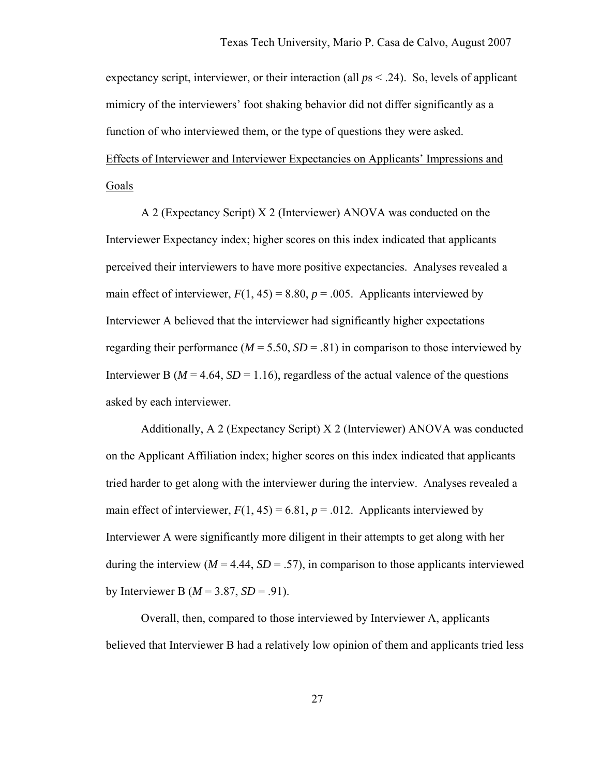expectancy script, interviewer, or their interaction (all *p*s < .24). So, levels of applicant mimicry of the interviewers' foot shaking behavior did not differ significantly as a function of who interviewed them, or the type of questions they were asked. Effects of Interviewer and Interviewer Expectancies on Applicants' Impressions and Goals

A 2 (Expectancy Script) X 2 (Interviewer) ANOVA was conducted on the Interviewer Expectancy index; higher scores on this index indicated that applicants perceived their interviewers to have more positive expectancies. Analyses revealed a main effect of interviewer,  $F(1, 45) = 8.80$ ,  $p = .005$ . Applicants interviewed by Interviewer A believed that the interviewer had significantly higher expectations regarding their performance ( $M = 5.50$ ,  $SD = .81$ ) in comparison to those interviewed by Interviewer B ( $M = 4.64$ ,  $SD = 1.16$ ), regardless of the actual valence of the questions asked by each interviewer.

Additionally, A 2 (Expectancy Script) X 2 (Interviewer) ANOVA was conducted on the Applicant Affiliation index; higher scores on this index indicated that applicants tried harder to get along with the interviewer during the interview. Analyses revealed a main effect of interviewer,  $F(1, 45) = 6.81$ ,  $p = .012$ . Applicants interviewed by Interviewer A were significantly more diligent in their attempts to get along with her during the interview  $(M = 4.44, SD = .57)$ , in comparison to those applicants interviewed by Interviewer B ( $M = 3.87$ ,  $SD = .91$ ).

Overall, then, compared to those interviewed by Interviewer A, applicants believed that Interviewer B had a relatively low opinion of them and applicants tried less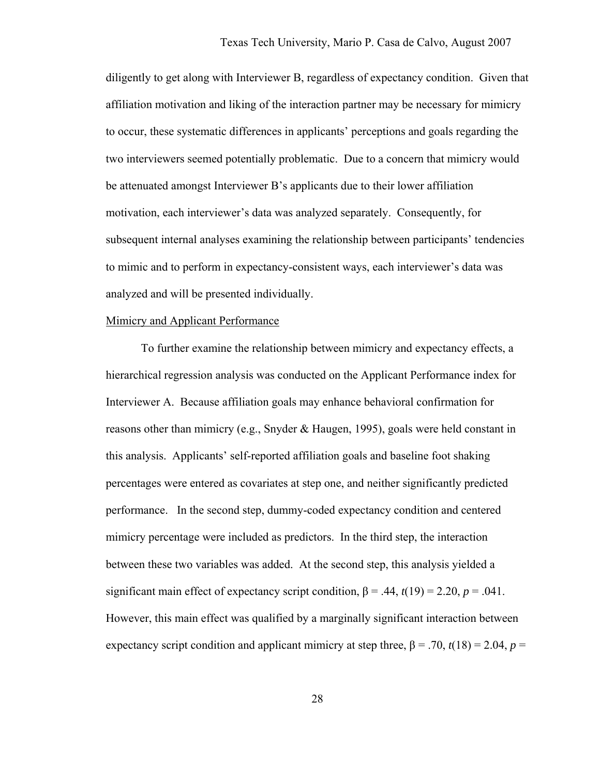diligently to get along with Interviewer B, regardless of expectancy condition. Given that affiliation motivation and liking of the interaction partner may be necessary for mimicry to occur, these systematic differences in applicants' perceptions and goals regarding the two interviewers seemed potentially problematic. Due to a concern that mimicry would be attenuated amongst Interviewer B's applicants due to their lower affiliation motivation, each interviewer's data was analyzed separately. Consequently, for subsequent internal analyses examining the relationship between participants' tendencies to mimic and to perform in expectancy-consistent ways, each interviewer's data was analyzed and will be presented individually.

#### Mimicry and Applicant Performance

To further examine the relationship between mimicry and expectancy effects, a hierarchical regression analysis was conducted on the Applicant Performance index for Interviewer A. Because affiliation goals may enhance behavioral confirmation for reasons other than mimicry (e.g., Snyder  $\&$  Haugen, 1995), goals were held constant in this analysis. Applicants' self-reported affiliation goals and baseline foot shaking percentages were entered as covariates at step one, and neither significantly predicted performance. In the second step, dummy-coded expectancy condition and centered mimicry percentage were included as predictors. In the third step, the interaction between these two variables was added. At the second step, this analysis yielded a significant main effect of expectancy script condition,  $\beta = .44$ ,  $t(19) = 2.20$ ,  $p = .041$ . However, this main effect was qualified by a marginally significant interaction between expectancy script condition and applicant mimicry at step three,  $\beta$  = .70,  $t(18)$  = 2.04,  $p$  =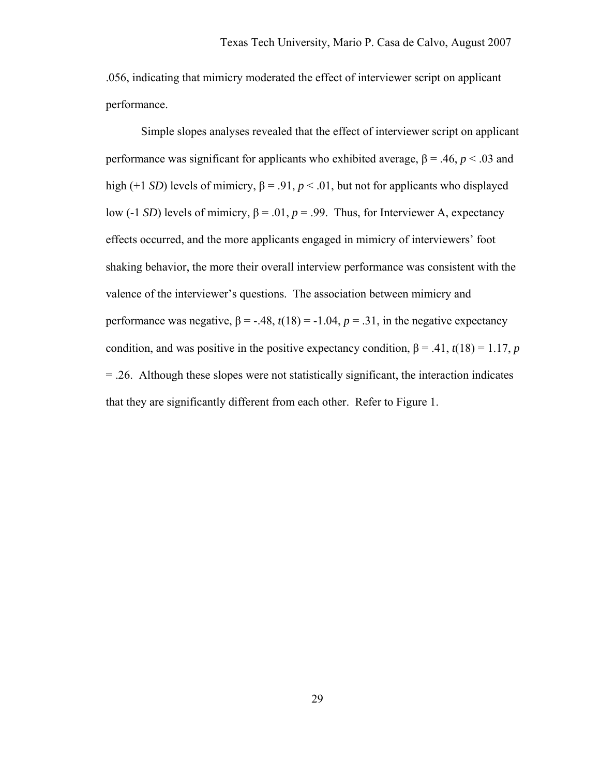.056, indicating that mimicry moderated the effect of interviewer script on applicant performance.

Simple slopes analyses revealed that the effect of interviewer script on applicant performance was significant for applicants who exhibited average,  $β = .46$ ,  $p < .03$  and high (+1 *SD*) levels of mimicry,  $\beta$  = .91,  $p < .01$ , but not for applicants who displayed low (-1 *SD*) levels of mimicry,  $β = .01$ ,  $p = .99$ . Thus, for Interviewer A, expectancy effects occurred, and the more applicants engaged in mimicry of interviewers' foot shaking behavior, the more their overall interview performance was consistent with the valence of the interviewer's questions. The association between mimicry and performance was negative,  $\beta = -.48$ ,  $t(18) = -1.04$ ,  $p = .31$ , in the negative expectancy condition, and was positive in the positive expectancy condition,  $\beta = .41$ ,  $t(18) = 1.17$ , *p* = .26. Although these slopes were not statistically significant, the interaction indicates that they are significantly different from each other. Refer to Figure 1.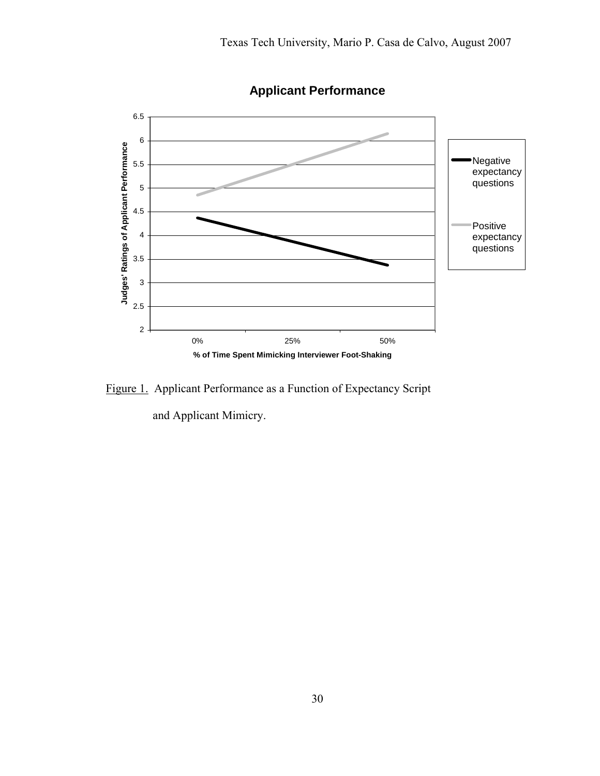

**Applicant Performance**

Figure 1. Applicant Performance as a Function of Expectancy Script

and Applicant Mimicry.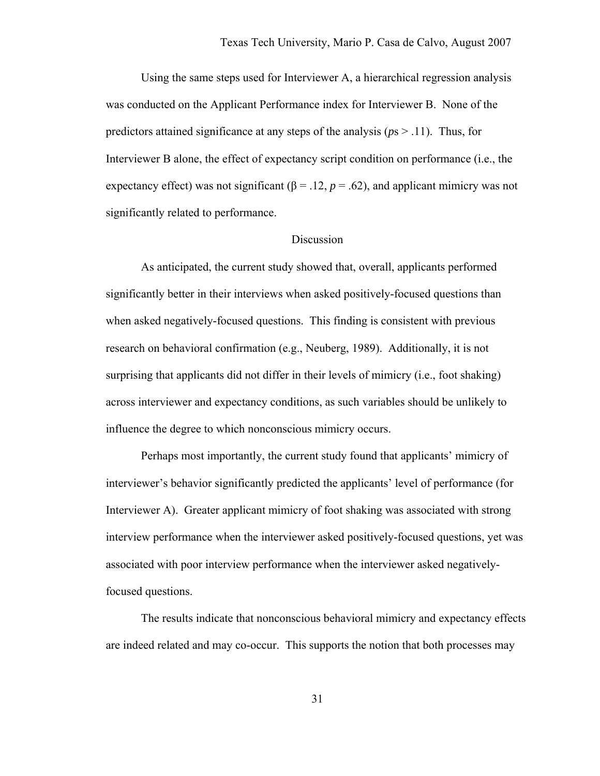Using the same steps used for Interviewer A, a hierarchical regression analysis was conducted on the Applicant Performance index for Interviewer B. None of the predictors attained significance at any steps of the analysis ( $p_s > .11$ ). Thus, for Interviewer B alone, the effect of expectancy script condition on performance (i.e., the expectancy effect) was not significant  $(\beta = .12, p = .62)$ , and applicant mimicry was not significantly related to performance.

### Discussion

 As anticipated, the current study showed that, overall, applicants performed significantly better in their interviews when asked positively-focused questions than when asked negatively-focused questions. This finding is consistent with previous research on behavioral confirmation (e.g., Neuberg, 1989). Additionally, it is not surprising that applicants did not differ in their levels of mimicry (i.e., foot shaking) across interviewer and expectancy conditions, as such variables should be unlikely to influence the degree to which nonconscious mimicry occurs.

 Perhaps most importantly, the current study found that applicants' mimicry of interviewer's behavior significantly predicted the applicants' level of performance (for Interviewer A). Greater applicant mimicry of foot shaking was associated with strong interview performance when the interviewer asked positively-focused questions, yet was associated with poor interview performance when the interviewer asked negativelyfocused questions.

 The results indicate that nonconscious behavioral mimicry and expectancy effects are indeed related and may co-occur. This supports the notion that both processes may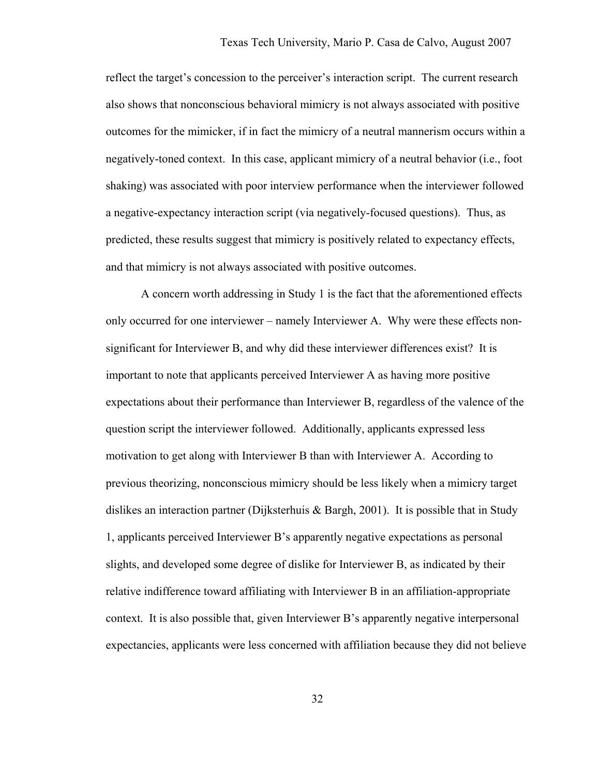reflect the target's concession to the perceiver's interaction script. The current research also shows that nonconscious behavioral mimicry is not always associated with positive outcomes for the mimicker, if in fact the mimicry of a neutral mannerism occurs within a negatively-toned context. In this case, applicant mimicry of a neutral behavior (i.e., foot shaking) was associated with poor interview performance when the interviewer followed a negative-expectancy interaction script (via negatively-focused questions). Thus, as predicted, these results suggest that mimicry is positively related to expectancy effects, and that mimicry is not always associated with positive outcomes.

 A concern worth addressing in Study 1 is the fact that the aforementioned effects only occurred for one interviewer – namely Interviewer A. Why were these effects nonsignificant for Interviewer B, and why did these interviewer differences exist? It is important to note that applicants perceived Interviewer A as having more positive expectations about their performance than Interviewer B, regardless of the valence of the question script the interviewer followed. Additionally, applicants expressed less motivation to get along with Interviewer B than with Interviewer A. According to previous theorizing, nonconscious mimicry should be less likely when a mimicry target dislikes an interaction partner (Dijksterhuis & Bargh, 2001). It is possible that in Study 1, applicants perceived Interviewer B's apparently negative expectations as personal slights, and developed some degree of dislike for Interviewer B, as indicated by their relative indifference toward affiliating with Interviewer B in an affiliation-appropriate context. It is also possible that, given Interviewer B's apparently negative interpersonal expectancies, applicants were less concerned with affiliation because they did not believe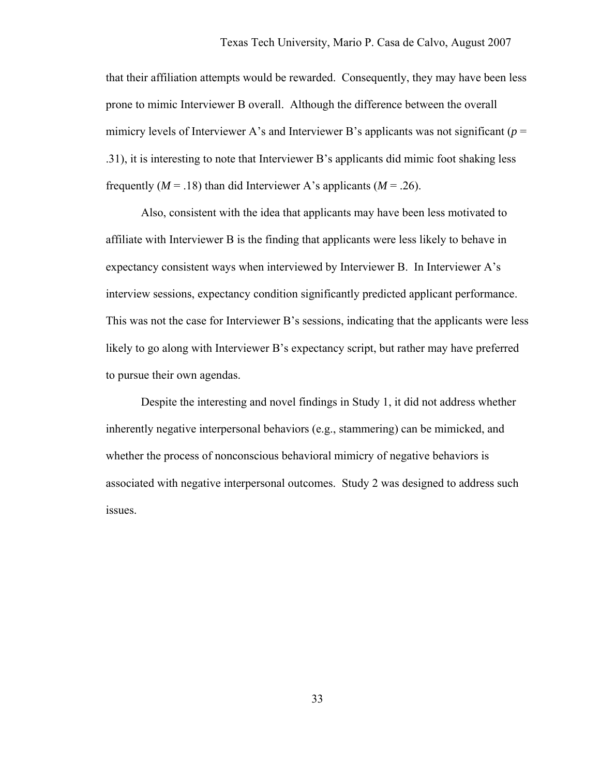that their affiliation attempts would be rewarded. Consequently, they may have been less prone to mimic Interviewer B overall. Although the difference between the overall mimicry levels of Interviewer A's and Interviewer B's applicants was not significant ( $p =$ .31), it is interesting to note that Interviewer B's applicants did mimic foot shaking less frequently  $(M = .18)$  than did Interviewer A's applicants  $(M = .26)$ .

 Also, consistent with the idea that applicants may have been less motivated to affiliate with Interviewer B is the finding that applicants were less likely to behave in expectancy consistent ways when interviewed by Interviewer B. In Interviewer A's interview sessions, expectancy condition significantly predicted applicant performance. This was not the case for Interviewer B's sessions, indicating that the applicants were less likely to go along with Interviewer B's expectancy script, but rather may have preferred to pursue their own agendas.

Despite the interesting and novel findings in Study 1, it did not address whether inherently negative interpersonal behaviors (e.g., stammering) can be mimicked, and whether the process of nonconscious behavioral mimicry of negative behaviors is associated with negative interpersonal outcomes. Study 2 was designed to address such issues.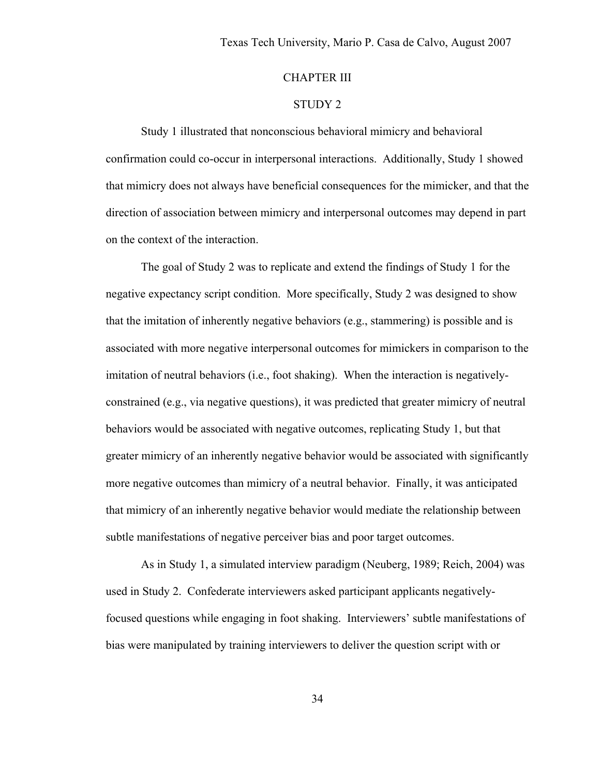## CHAPTER III

## STUDY 2

 Study 1 illustrated that nonconscious behavioral mimicry and behavioral confirmation could co-occur in interpersonal interactions. Additionally, Study 1 showed that mimicry does not always have beneficial consequences for the mimicker, and that the direction of association between mimicry and interpersonal outcomes may depend in part on the context of the interaction.

The goal of Study 2 was to replicate and extend the findings of Study 1 for the negative expectancy script condition. More specifically, Study 2 was designed to show that the imitation of inherently negative behaviors (e.g., stammering) is possible and is associated with more negative interpersonal outcomes for mimickers in comparison to the imitation of neutral behaviors (i.e., foot shaking). When the interaction is negativelyconstrained (e.g., via negative questions), it was predicted that greater mimicry of neutral behaviors would be associated with negative outcomes, replicating Study 1, but that greater mimicry of an inherently negative behavior would be associated with significantly more negative outcomes than mimicry of a neutral behavior. Finally, it was anticipated that mimicry of an inherently negative behavior would mediate the relationship between subtle manifestations of negative perceiver bias and poor target outcomes.

As in Study 1, a simulated interview paradigm (Neuberg, 1989; Reich, 2004) was used in Study 2. Confederate interviewers asked participant applicants negativelyfocused questions while engaging in foot shaking. Interviewers' subtle manifestations of bias were manipulated by training interviewers to deliver the question script with or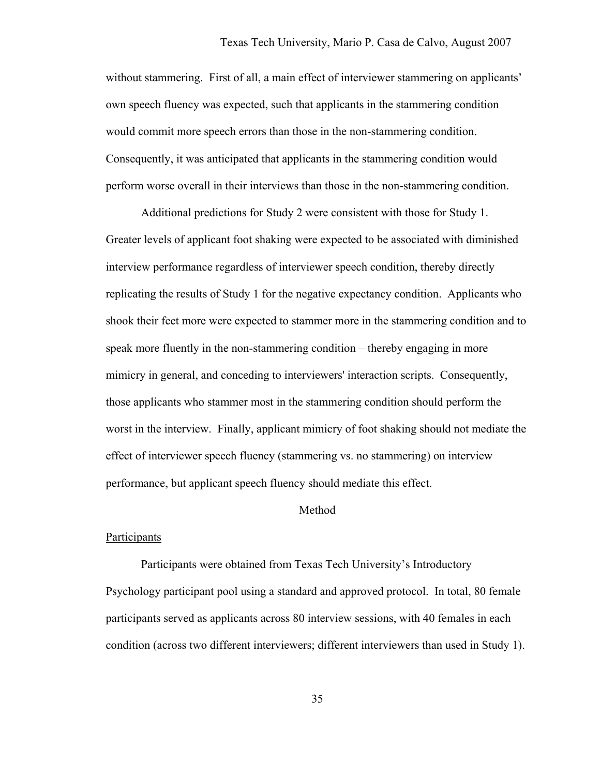without stammering. First of all, a main effect of interviewer stammering on applicants' own speech fluency was expected, such that applicants in the stammering condition would commit more speech errors than those in the non-stammering condition. Consequently, it was anticipated that applicants in the stammering condition would perform worse overall in their interviews than those in the non-stammering condition.

Additional predictions for Study 2 were consistent with those for Study 1. Greater levels of applicant foot shaking were expected to be associated with diminished interview performance regardless of interviewer speech condition, thereby directly replicating the results of Study 1 for the negative expectancy condition. Applicants who shook their feet more were expected to stammer more in the stammering condition and to speak more fluently in the non-stammering condition – thereby engaging in more mimicry in general, and conceding to interviewers' interaction scripts. Consequently, those applicants who stammer most in the stammering condition should perform the worst in the interview. Finally, applicant mimicry of foot shaking should not mediate the effect of interviewer speech fluency (stammering vs. no stammering) on interview performance, but applicant speech fluency should mediate this effect.

#### Method

#### Participants

 Participants were obtained from Texas Tech University's Introductory Psychology participant pool using a standard and approved protocol. In total, 80 female participants served as applicants across 80 interview sessions, with 40 females in each condition (across two different interviewers; different interviewers than used in Study 1).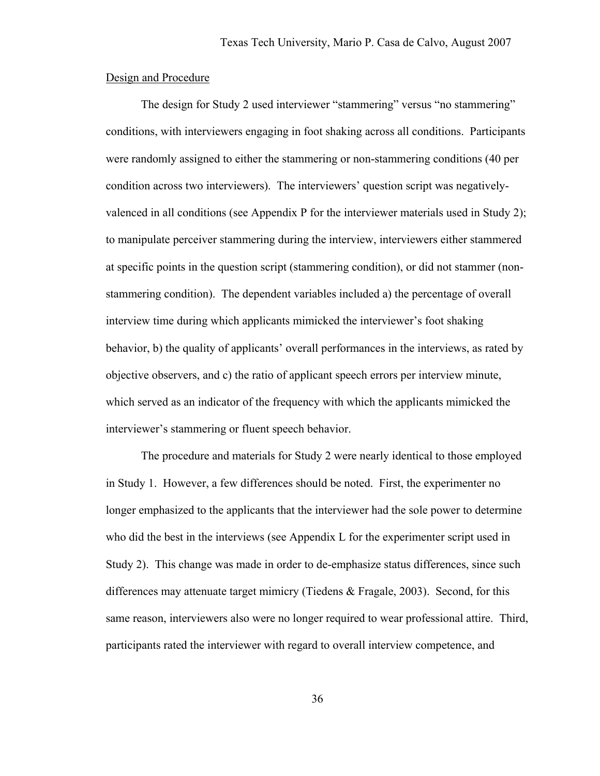### Design and Procedure

The design for Study 2 used interviewer "stammering" versus "no stammering" conditions, with interviewers engaging in foot shaking across all conditions. Participants were randomly assigned to either the stammering or non-stammering conditions (40 per condition across two interviewers). The interviewers' question script was negativelyvalenced in all conditions (see Appendix P for the interviewer materials used in Study 2); to manipulate perceiver stammering during the interview, interviewers either stammered at specific points in the question script (stammering condition), or did not stammer (nonstammering condition). The dependent variables included a) the percentage of overall interview time during which applicants mimicked the interviewer's foot shaking behavior, b) the quality of applicants' overall performances in the interviews, as rated by objective observers, and c) the ratio of applicant speech errors per interview minute, which served as an indicator of the frequency with which the applicants mimicked the interviewer's stammering or fluent speech behavior.

The procedure and materials for Study 2 were nearly identical to those employed in Study 1. However, a few differences should be noted. First, the experimenter no longer emphasized to the applicants that the interviewer had the sole power to determine who did the best in the interviews (see Appendix L for the experimenter script used in Study 2). This change was made in order to de-emphasize status differences, since such differences may attenuate target mimicry (Tiedens & Fragale, 2003). Second, for this same reason, interviewers also were no longer required to wear professional attire. Third, participants rated the interviewer with regard to overall interview competence, and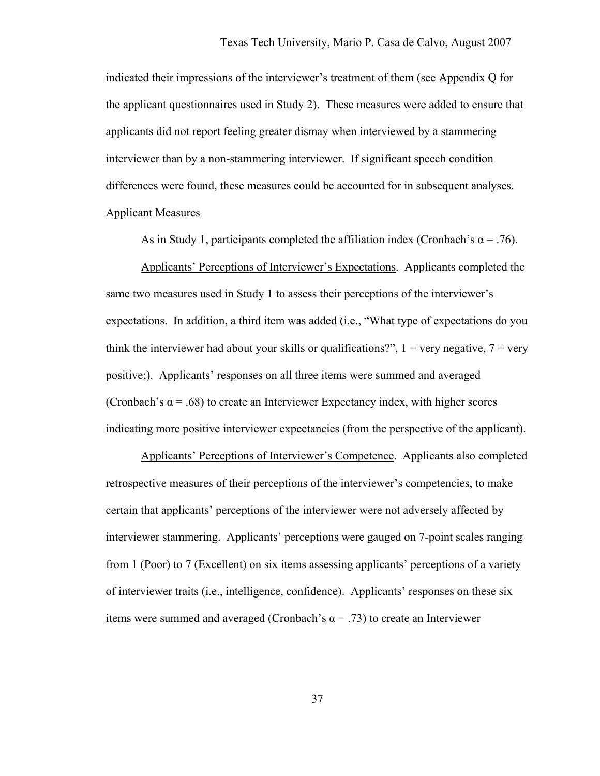indicated their impressions of the interviewer's treatment of them (see Appendix Q for the applicant questionnaires used in Study 2). These measures were added to ensure that applicants did not report feeling greater dismay when interviewed by a stammering interviewer than by a non-stammering interviewer. If significant speech condition differences were found, these measures could be accounted for in subsequent analyses. Applicant Measures

As in Study 1, participants completed the affiliation index (Cronbach's  $\alpha = .76$ ).

Applicants' Perceptions of Interviewer's Expectations. Applicants completed the same two measures used in Study 1 to assess their perceptions of the interviewer's expectations. In addition, a third item was added (i.e., "What type of expectations do you think the interviewer had about your skills or qualifications?",  $1 = \text{very negative}, 7 = \text{very}$ positive;). Applicants' responses on all three items were summed and averaged (Cronbach's  $\alpha$  = .68) to create an Interviewer Expectancy index, with higher scores indicating more positive interviewer expectancies (from the perspective of the applicant).

Applicants' Perceptions of Interviewer's Competence. Applicants also completed retrospective measures of their perceptions of the interviewer's competencies, to make certain that applicants' perceptions of the interviewer were not adversely affected by interviewer stammering. Applicants' perceptions were gauged on 7-point scales ranging from 1 (Poor) to 7 (Excellent) on six items assessing applicants' perceptions of a variety of interviewer traits (i.e., intelligence, confidence). Applicants' responses on these six items were summed and averaged (Cronbach's  $\alpha$  = .73) to create an Interviewer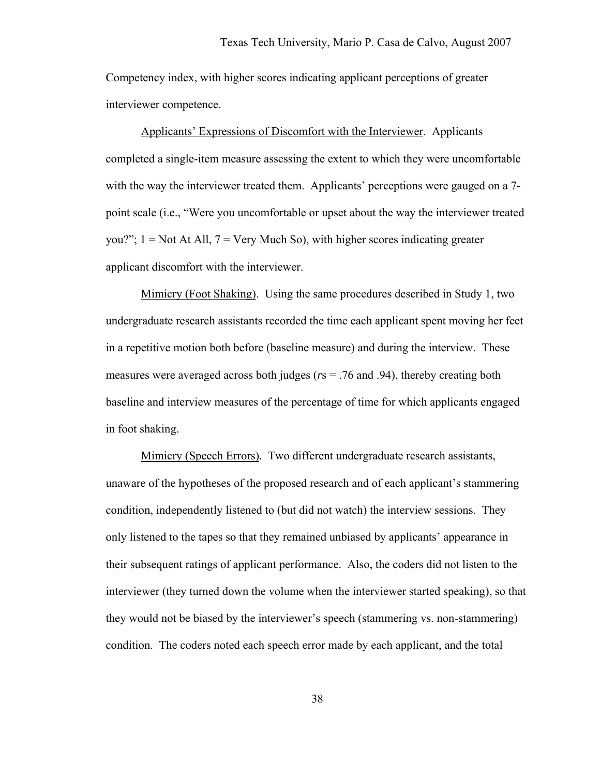Competency index, with higher scores indicating applicant perceptions of greater interviewer competence.

Applicants' Expressions of Discomfort with the Interviewer. Applicants completed a single-item measure assessing the extent to which they were uncomfortable with the way the interviewer treated them. Applicants' perceptions were gauged on a 7point scale (i.e., "Were you uncomfortable or upset about the way the interviewer treated you?";  $1 = Not At All$ ,  $7 = Very Much So$ , with higher scores indicating greater applicant discomfort with the interviewer.

Mimicry (Foot Shaking). Using the same procedures described in Study 1, two undergraduate research assistants recorded the time each applicant spent moving her feet in a repetitive motion both before (baseline measure) and during the interview. These measures were averaged across both judges (*r*s = .76 and .94), thereby creating both baseline and interview measures of the percentage of time for which applicants engaged in foot shaking.

Mimicry (Speech Errors)*.* Two different undergraduate research assistants, unaware of the hypotheses of the proposed research and of each applicant's stammering condition, independently listened to (but did not watch) the interview sessions. They only listened to the tapes so that they remained unbiased by applicants' appearance in their subsequent ratings of applicant performance. Also, the coders did not listen to the interviewer (they turned down the volume when the interviewer started speaking), so that they would not be biased by the interviewer's speech (stammering vs. non-stammering) condition. The coders noted each speech error made by each applicant, and the total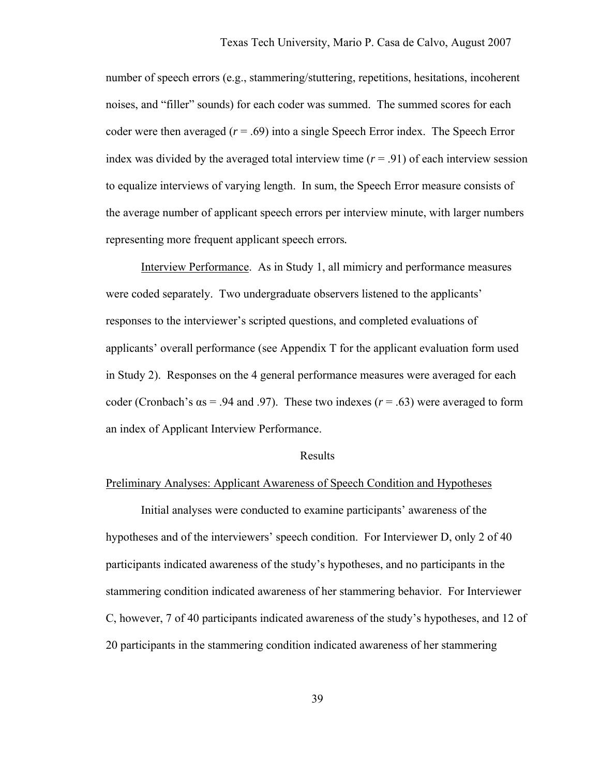number of speech errors (e.g., stammering/stuttering, repetitions, hesitations, incoherent noises, and "filler" sounds) for each coder was summed. The summed scores for each coder were then averaged  $(r = .69)$  into a single Speech Error index. The Speech Error index was divided by the averaged total interview time  $(r = .91)$  of each interview session to equalize interviews of varying length. In sum, the Speech Error measure consists of the average number of applicant speech errors per interview minute, with larger numbers representing more frequent applicant speech errors*.*

Interview Performance. As in Study 1, all mimicry and performance measures were coded separately. Two undergraduate observers listened to the applicants' responses to the interviewer's scripted questions, and completed evaluations of applicants' overall performance (see Appendix T for the applicant evaluation form used in Study 2). Responses on the 4 general performance measures were averaged for each coder (Cronbach's  $\alpha s = .94$  and .97). These two indexes ( $r = .63$ ) were averaged to form an index of Applicant Interview Performance.

#### Results

### Preliminary Analyses: Applicant Awareness of Speech Condition and Hypotheses

Initial analyses were conducted to examine participants' awareness of the hypotheses and of the interviewers' speech condition. For Interviewer D, only 2 of 40 participants indicated awareness of the study's hypotheses, and no participants in the stammering condition indicated awareness of her stammering behavior. For Interviewer C, however, 7 of 40 participants indicated awareness of the study's hypotheses, and 12 of 20 participants in the stammering condition indicated awareness of her stammering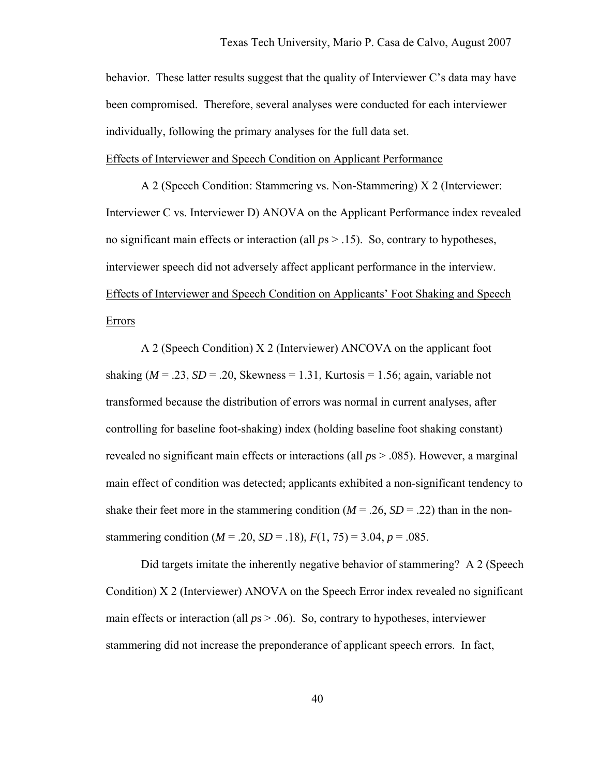behavior. These latter results suggest that the quality of Interviewer C's data may have been compromised. Therefore, several analyses were conducted for each interviewer individually, following the primary analyses for the full data set.

Effects of Interviewer and Speech Condition on Applicant Performance

 A 2 (Speech Condition: Stammering vs. Non-Stammering) X 2 (Interviewer: Interviewer C vs. Interviewer D) ANOVA on the Applicant Performance index revealed no significant main effects or interaction (all *p*s > .15). So, contrary to hypotheses, interviewer speech did not adversely affect applicant performance in the interview. Effects of Interviewer and Speech Condition on Applicants' Foot Shaking and Speech Errors

 A 2 (Speech Condition) X 2 (Interviewer) ANCOVA on the applicant foot shaking ( $M = 0.23$ ,  $SD = 0.20$ , Skewness = 1.31, Kurtosis = 1.56; again, variable not transformed because the distribution of errors was normal in current analyses, after controlling for baseline foot-shaking) index (holding baseline foot shaking constant) revealed no significant main effects or interactions (all *p*s > .085). However, a marginal main effect of condition was detected; applicants exhibited a non-significant tendency to shake their feet more in the stammering condition  $(M = .26, SD = .22)$  than in the nonstammering condition ( $M = .20$ ,  $SD = .18$ ),  $F(1, 75) = 3.04$ ,  $p = .085$ .

Did targets imitate the inherently negative behavior of stammering? A 2 (Speech Condition) X 2 (Interviewer) ANOVA on the Speech Error index revealed no significant main effects or interaction (all  $p_s > .06$ ). So, contrary to hypotheses, interviewer stammering did not increase the preponderance of applicant speech errors. In fact,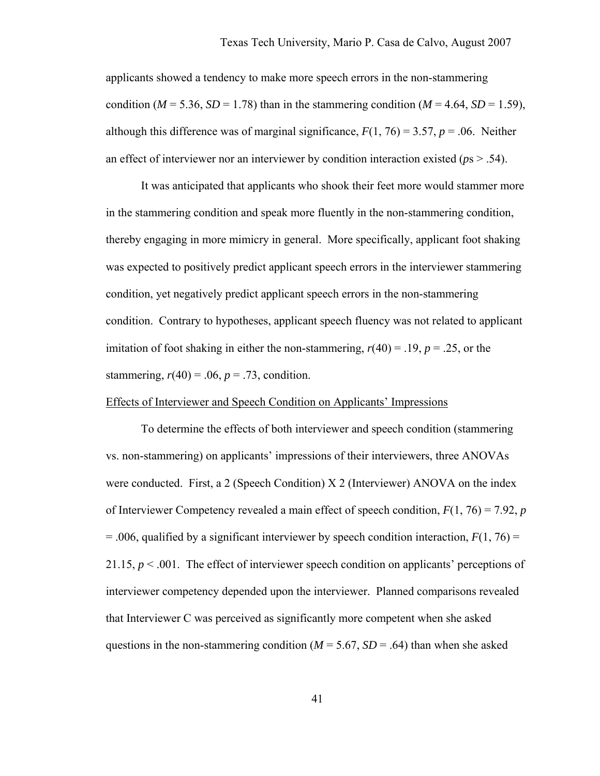applicants showed a tendency to make more speech errors in the non-stammering condition ( $M = 5.36$ ,  $SD = 1.78$ ) than in the stammering condition ( $M = 4.64$ ,  $SD = 1.59$ ), although this difference was of marginal significance,  $F(1, 76) = 3.57$ ,  $p = .06$ . Neither an effect of interviewer nor an interviewer by condition interaction existed (*p*s > .54).

It was anticipated that applicants who shook their feet more would stammer more in the stammering condition and speak more fluently in the non-stammering condition, thereby engaging in more mimicry in general. More specifically, applicant foot shaking was expected to positively predict applicant speech errors in the interviewer stammering condition, yet negatively predict applicant speech errors in the non-stammering condition. Contrary to hypotheses, applicant speech fluency was not related to applicant imitation of foot shaking in either the non-stammering,  $r(40) = .19$ ,  $p = .25$ , or the stammering,  $r(40) = .06$ ,  $p = .73$ , condition.

### Effects of Interviewer and Speech Condition on Applicants' Impressions

To determine the effects of both interviewer and speech condition (stammering vs. non-stammering) on applicants' impressions of their interviewers, three ANOVAs were conducted. First, a 2 (Speech Condition) X 2 (Interviewer) ANOVA on the index of Interviewer Competency revealed a main effect of speech condition, *F*(1, 76) = 7.92, *p*  $=$  .006, qualified by a significant interviewer by speech condition interaction,  $F(1, 76) =$ 21.15, *p* < .001. The effect of interviewer speech condition on applicants' perceptions of interviewer competency depended upon the interviewer. Planned comparisons revealed that Interviewer C was perceived as significantly more competent when she asked questions in the non-stammering condition ( $M = 5.67$ ,  $SD = .64$ ) than when she asked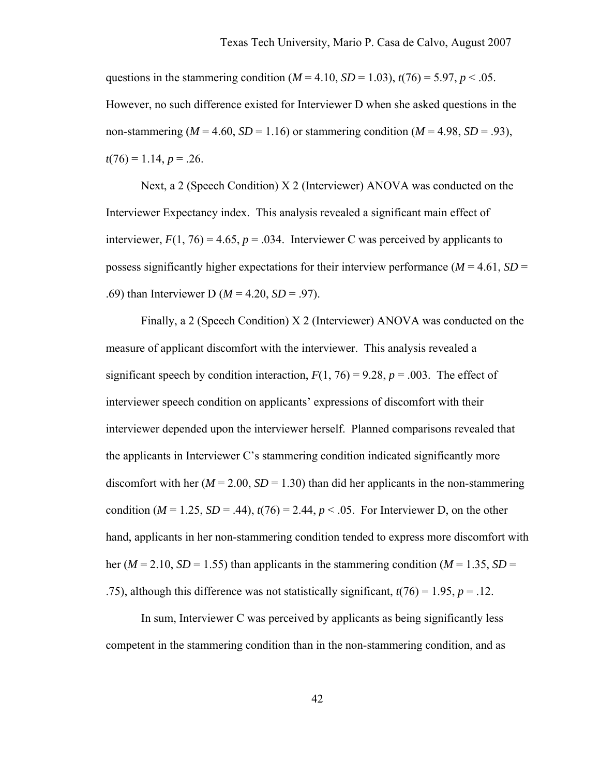questions in the stammering condition ( $M = 4.10$ ,  $SD = 1.03$ ),  $t(76) = 5.97$ ,  $p < .05$ . However, no such difference existed for Interviewer D when she asked questions in the non-stammering ( $M = 4.60$ ,  $SD = 1.16$ ) or stammering condition ( $M = 4.98$ ,  $SD = .93$ ),  $t(76) = 1.14, p = .26.$ 

Next, a 2 (Speech Condition) X 2 (Interviewer) ANOVA was conducted on the Interviewer Expectancy index. This analysis revealed a significant main effect of interviewer,  $F(1, 76) = 4.65$ ,  $p = .034$ . Interviewer C was perceived by applicants to possess significantly higher expectations for their interview performance ( $M = 4.61$ ,  $SD =$ .69) than Interviewer D (*M* = 4.20, *SD* = .97).

Finally, a 2 (Speech Condition) X 2 (Interviewer) ANOVA was conducted on the measure of applicant discomfort with the interviewer. This analysis revealed a significant speech by condition interaction,  $F(1, 76) = 9.28$ ,  $p = .003$ . The effect of interviewer speech condition on applicants' expressions of discomfort with their interviewer depended upon the interviewer herself. Planned comparisons revealed that the applicants in Interviewer C's stammering condition indicated significantly more discomfort with her  $(M = 2.00, SD = 1.30)$  than did her applicants in the non-stammering condition ( $M = 1.25$ ,  $SD = .44$ ),  $t(76) = 2.44$ ,  $p < .05$ . For Interviewer D, on the other hand, applicants in her non-stammering condition tended to express more discomfort with her ( $M = 2.10$ ,  $SD = 1.55$ ) than applicants in the stammering condition ( $M = 1.35$ ,  $SD =$ .75), although this difference was not statistically significant,  $t(76) = 1.95$ ,  $p = .12$ .

 In sum, Interviewer C was perceived by applicants as being significantly less competent in the stammering condition than in the non-stammering condition, and as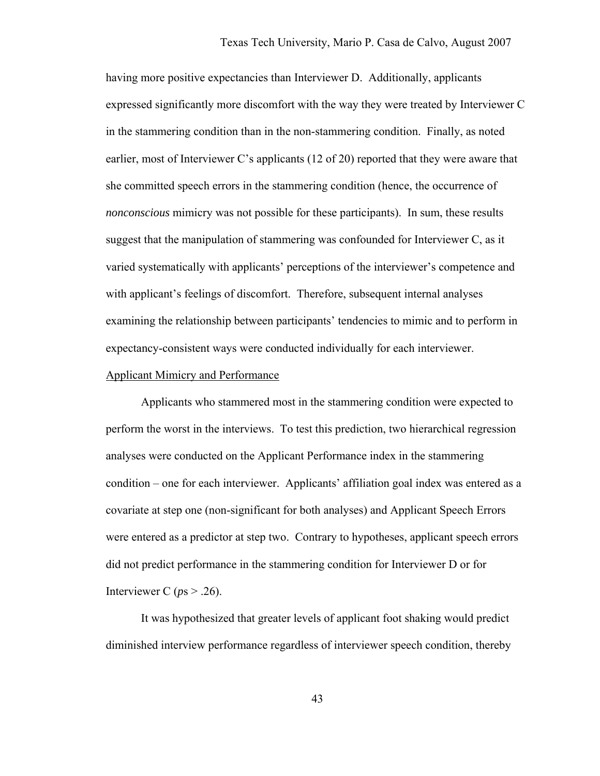having more positive expectancies than Interviewer D. Additionally, applicants expressed significantly more discomfort with the way they were treated by Interviewer C in the stammering condition than in the non-stammering condition. Finally, as noted earlier, most of Interviewer C's applicants (12 of 20) reported that they were aware that she committed speech errors in the stammering condition (hence, the occurrence of *nonconscious* mimicry was not possible for these participants). In sum, these results suggest that the manipulation of stammering was confounded for Interviewer C, as it varied systematically with applicants' perceptions of the interviewer's competence and with applicant's feelings of discomfort. Therefore, subsequent internal analyses examining the relationship between participants' tendencies to mimic and to perform in expectancy-consistent ways were conducted individually for each interviewer.

#### Applicant Mimicry and Performance

Applicants who stammered most in the stammering condition were expected to perform the worst in the interviews. To test this prediction, two hierarchical regression analyses were conducted on the Applicant Performance index in the stammering condition – one for each interviewer. Applicants' affiliation goal index was entered as a covariate at step one (non-significant for both analyses) and Applicant Speech Errors were entered as a predictor at step two. Contrary to hypotheses, applicant speech errors did not predict performance in the stammering condition for Interviewer D or for Interviewer C ( $ps > .26$ ).

It was hypothesized that greater levels of applicant foot shaking would predict diminished interview performance regardless of interviewer speech condition, thereby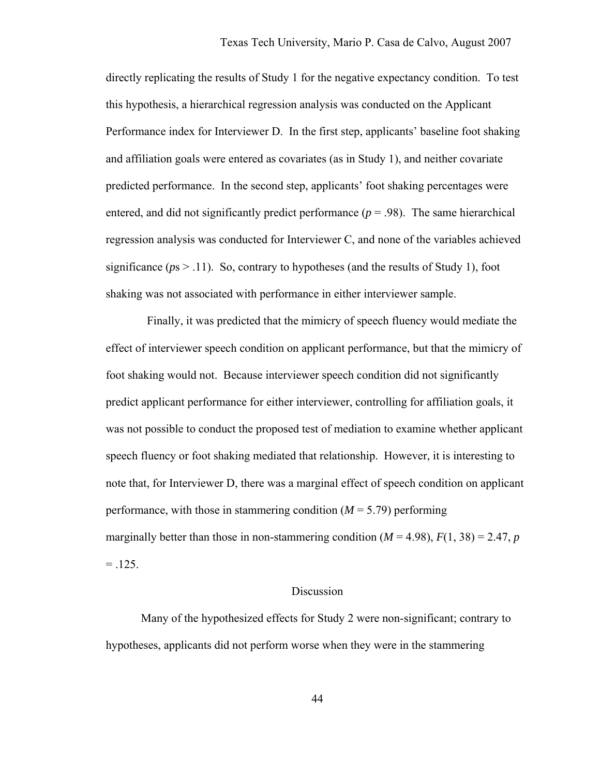directly replicating the results of Study 1 for the negative expectancy condition. To test this hypothesis, a hierarchical regression analysis was conducted on the Applicant Performance index for Interviewer D. In the first step, applicants' baseline foot shaking and affiliation goals were entered as covariates (as in Study 1), and neither covariate predicted performance. In the second step, applicants' foot shaking percentages were entered, and did not significantly predict performance  $(p = .98)$ . The same hierarchical regression analysis was conducted for Interviewer C, and none of the variables achieved significance ( $ps > .11$ ). So, contrary to hypotheses (and the results of Study 1), foot shaking was not associated with performance in either interviewer sample.

 Finally, it was predicted that the mimicry of speech fluency would mediate the effect of interviewer speech condition on applicant performance, but that the mimicry of foot shaking would not. Because interviewer speech condition did not significantly predict applicant performance for either interviewer, controlling for affiliation goals, it was not possible to conduct the proposed test of mediation to examine whether applicant speech fluency or foot shaking mediated that relationship. However, it is interesting to note that, for Interviewer D, there was a marginal effect of speech condition on applicant performance, with those in stammering condition  $(M = 5.79)$  performing marginally better than those in non-stammering condition  $(M = 4.98)$ ,  $F(1, 38) = 2.47$ , *p*  $= .125.$ 

### Discussion

 Many of the hypothesized effects for Study 2 were non-significant; contrary to hypotheses, applicants did not perform worse when they were in the stammering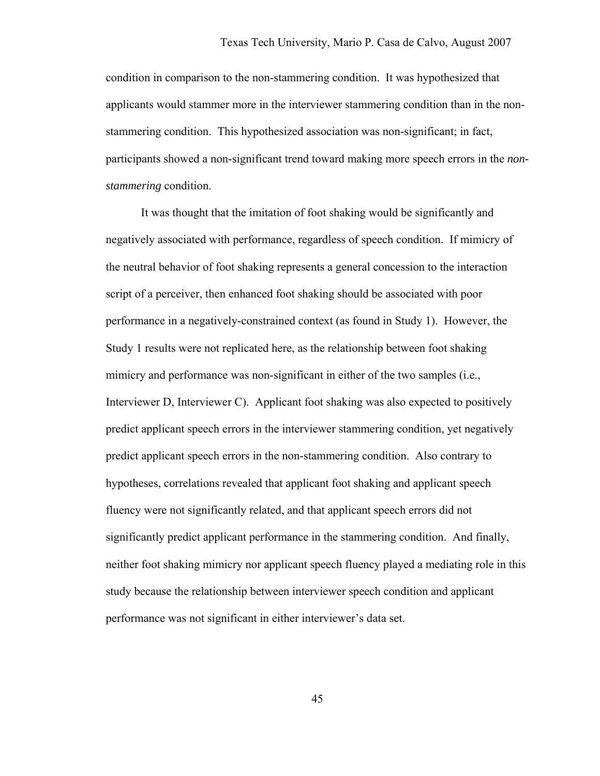condition in comparison to the non-stammering condition. It was hypothesized that applicants would stammer more in the interviewer stammering condition than in the nonstammering condition. This hypothesized association was non-significant; in fact, participants showed a non-significant trend toward making more speech errors in the *nonstammering* condition.

 It was thought that the imitation of foot shaking would be significantly and negatively associated with performance, regardless of speech condition. If mimicry of the neutral behavior of foot shaking represents a general concession to the interaction script of a perceiver, then enhanced foot shaking should be associated with poor performance in a negatively-constrained context (as found in Study 1). However, the Study 1 results were not replicated here, as the relationship between foot shaking mimicry and performance was non-significant in either of the two samples (i.e., Interviewer D, Interviewer C). Applicant foot shaking was also expected to positively predict applicant speech errors in the interviewer stammering condition, yet negatively predict applicant speech errors in the non-stammering condition. Also contrary to hypotheses, correlations revealed that applicant foot shaking and applicant speech fluency were not significantly related, and that applicant speech errors did not significantly predict applicant performance in the stammering condition. And finally, neither foot shaking mimicry nor applicant speech fluency played a mediating role in this study because the relationship between interviewer speech condition and applicant performance was not significant in either interviewer's data set.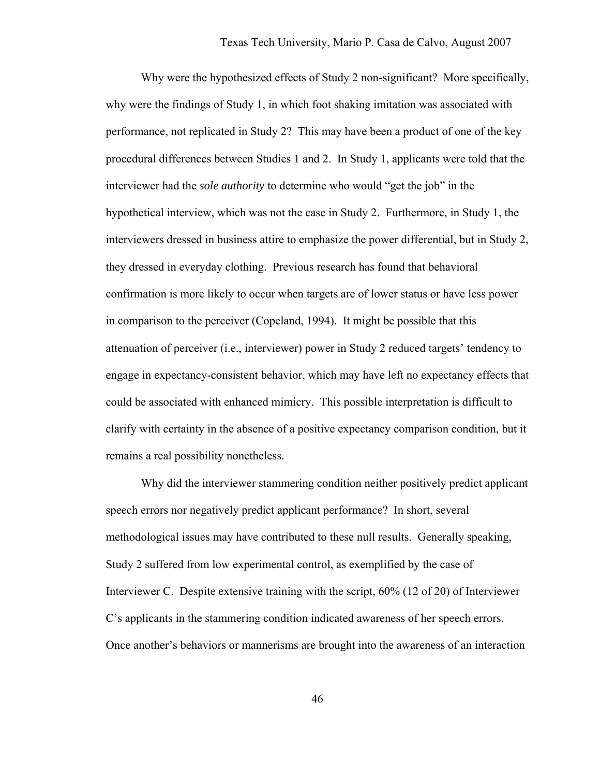Why were the hypothesized effects of Study 2 non-significant? More specifically, why were the findings of Study 1, in which foot shaking imitation was associated with performance, not replicated in Study 2? This may have been a product of one of the key procedural differences between Studies 1 and 2. In Study 1, applicants were told that the interviewer had the *sole authority* to determine who would "get the job" in the hypothetical interview, which was not the case in Study 2. Furthermore, in Study 1, the interviewers dressed in business attire to emphasize the power differential, but in Study 2, they dressed in everyday clothing. Previous research has found that behavioral confirmation is more likely to occur when targets are of lower status or have less power in comparison to the perceiver (Copeland, 1994). It might be possible that this attenuation of perceiver (i.e., interviewer) power in Study 2 reduced targets' tendency to engage in expectancy-consistent behavior, which may have left no expectancy effects that could be associated with enhanced mimicry. This possible interpretation is difficult to clarify with certainty in the absence of a positive expectancy comparison condition, but it remains a real possibility nonetheless.

Why did the interviewer stammering condition neither positively predict applicant speech errors nor negatively predict applicant performance? In short, several methodological issues may have contributed to these null results. Generally speaking, Study 2 suffered from low experimental control, as exemplified by the case of Interviewer C. Despite extensive training with the script, 60% (12 of 20) of Interviewer C's applicants in the stammering condition indicated awareness of her speech errors. Once another's behaviors or mannerisms are brought into the awareness of an interaction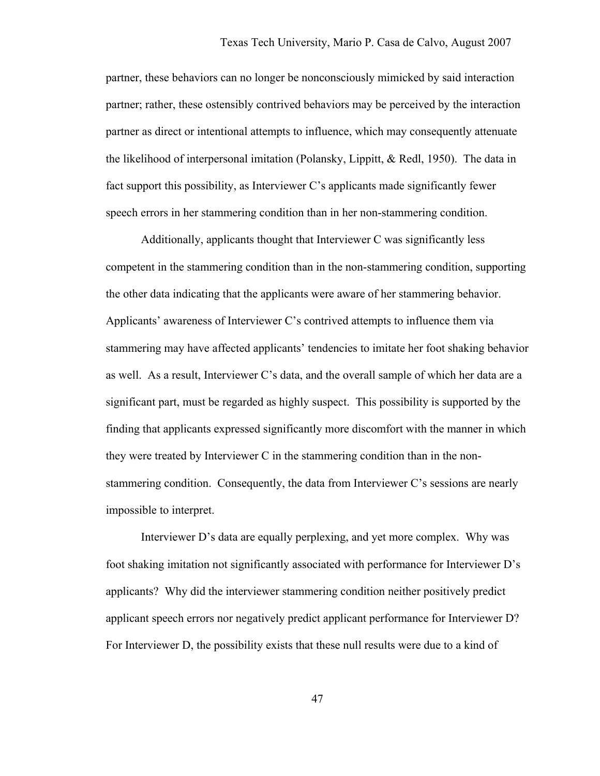partner, these behaviors can no longer be nonconsciously mimicked by said interaction partner; rather, these ostensibly contrived behaviors may be perceived by the interaction partner as direct or intentional attempts to influence, which may consequently attenuate the likelihood of interpersonal imitation (Polansky, Lippitt, & Redl, 1950). The data in fact support this possibility, as Interviewer C's applicants made significantly fewer speech errors in her stammering condition than in her non-stammering condition.

Additionally, applicants thought that Interviewer C was significantly less competent in the stammering condition than in the non-stammering condition, supporting the other data indicating that the applicants were aware of her stammering behavior. Applicants' awareness of Interviewer C's contrived attempts to influence them via stammering may have affected applicants' tendencies to imitate her foot shaking behavior as well. As a result, Interviewer C's data, and the overall sample of which her data are a significant part, must be regarded as highly suspect. This possibility is supported by the finding that applicants expressed significantly more discomfort with the manner in which they were treated by Interviewer C in the stammering condition than in the nonstammering condition. Consequently, the data from Interviewer C's sessions are nearly impossible to interpret.

 Interviewer D's data are equally perplexing, and yet more complex. Why was foot shaking imitation not significantly associated with performance for Interviewer D's applicants? Why did the interviewer stammering condition neither positively predict applicant speech errors nor negatively predict applicant performance for Interviewer D? For Interviewer D, the possibility exists that these null results were due to a kind of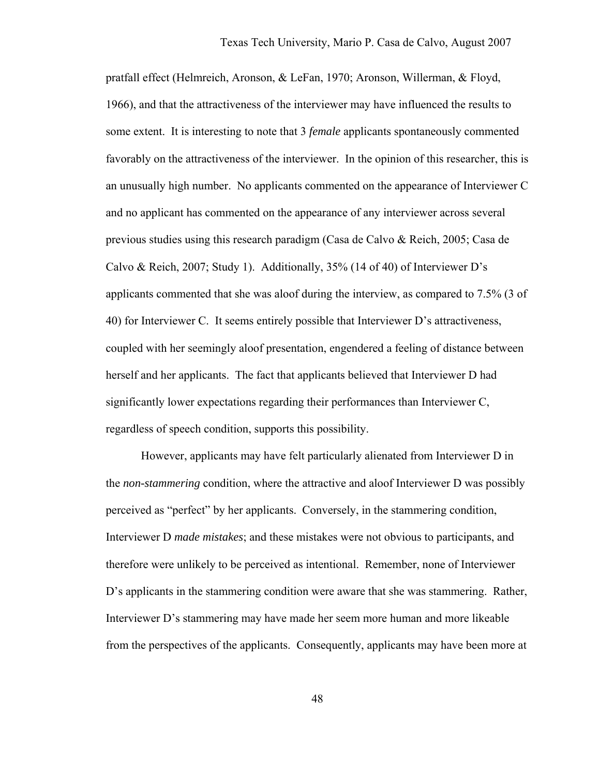pratfall effect (Helmreich, Aronson, & LeFan, 1970; Aronson, Willerman, & Floyd, 1966), and that the attractiveness of the interviewer may have influenced the results to some extent. It is interesting to note that 3 *female* applicants spontaneously commented favorably on the attractiveness of the interviewer. In the opinion of this researcher, this is an unusually high number. No applicants commented on the appearance of Interviewer C and no applicant has commented on the appearance of any interviewer across several previous studies using this research paradigm (Casa de Calvo & Reich, 2005; Casa de Calvo & Reich, 2007; Study 1). Additionally, 35% (14 of 40) of Interviewer D's applicants commented that she was aloof during the interview, as compared to 7.5% (3 of 40) for Interviewer C. It seems entirely possible that Interviewer D's attractiveness, coupled with her seemingly aloof presentation, engendered a feeling of distance between herself and her applicants. The fact that applicants believed that Interviewer D had significantly lower expectations regarding their performances than Interviewer C, regardless of speech condition, supports this possibility.

However, applicants may have felt particularly alienated from Interviewer D in the *non-stammering* condition, where the attractive and aloof Interviewer D was possibly perceived as "perfect" by her applicants. Conversely, in the stammering condition, Interviewer D *made mistakes*; and these mistakes were not obvious to participants, and therefore were unlikely to be perceived as intentional. Remember, none of Interviewer D's applicants in the stammering condition were aware that she was stammering. Rather, Interviewer D's stammering may have made her seem more human and more likeable from the perspectives of the applicants. Consequently, applicants may have been more at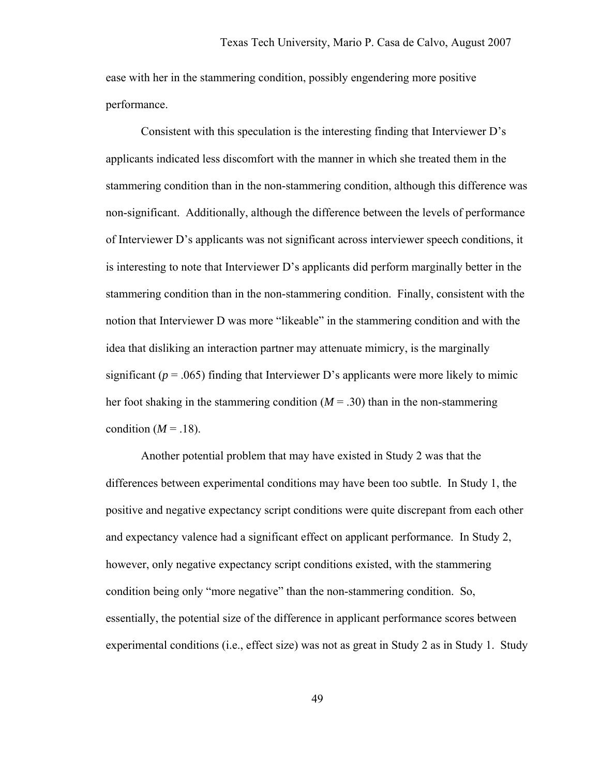ease with her in the stammering condition, possibly engendering more positive performance.

Consistent with this speculation is the interesting finding that Interviewer D's applicants indicated less discomfort with the manner in which she treated them in the stammering condition than in the non-stammering condition, although this difference was non-significant. Additionally, although the difference between the levels of performance of Interviewer D's applicants was not significant across interviewer speech conditions, it is interesting to note that Interviewer D's applicants did perform marginally better in the stammering condition than in the non-stammering condition. Finally, consistent with the notion that Interviewer D was more "likeable" in the stammering condition and with the idea that disliking an interaction partner may attenuate mimicry, is the marginally significant ( $p = .065$ ) finding that Interviewer D's applicants were more likely to mimic her foot shaking in the stammering condition  $(M = .30)$  than in the non-stammering condition  $(M = .18)$ .

Another potential problem that may have existed in Study 2 was that the differences between experimental conditions may have been too subtle. In Study 1, the positive and negative expectancy script conditions were quite discrepant from each other and expectancy valence had a significant effect on applicant performance. In Study 2, however, only negative expectancy script conditions existed, with the stammering condition being only "more negative" than the non-stammering condition. So, essentially, the potential size of the difference in applicant performance scores between experimental conditions (i.e., effect size) was not as great in Study 2 as in Study 1. Study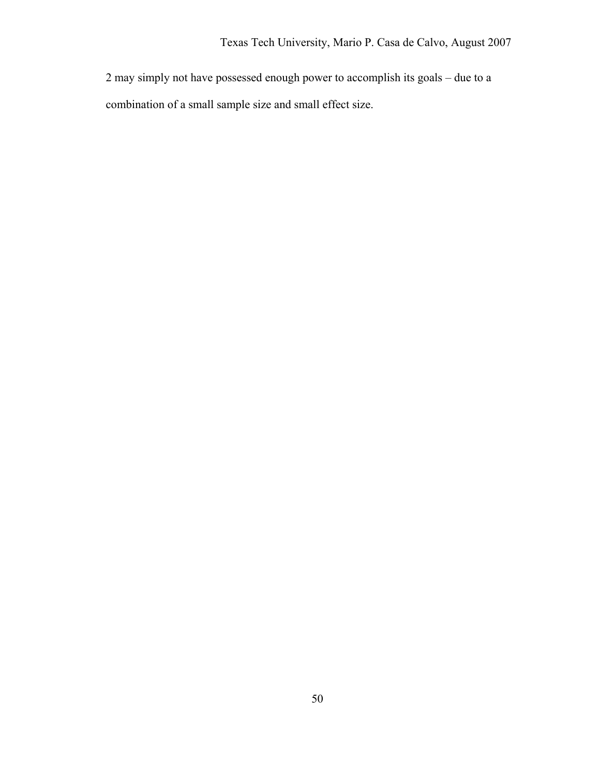2 may simply not have possessed enough power to accomplish its goals – due to a combination of a small sample size and small effect size.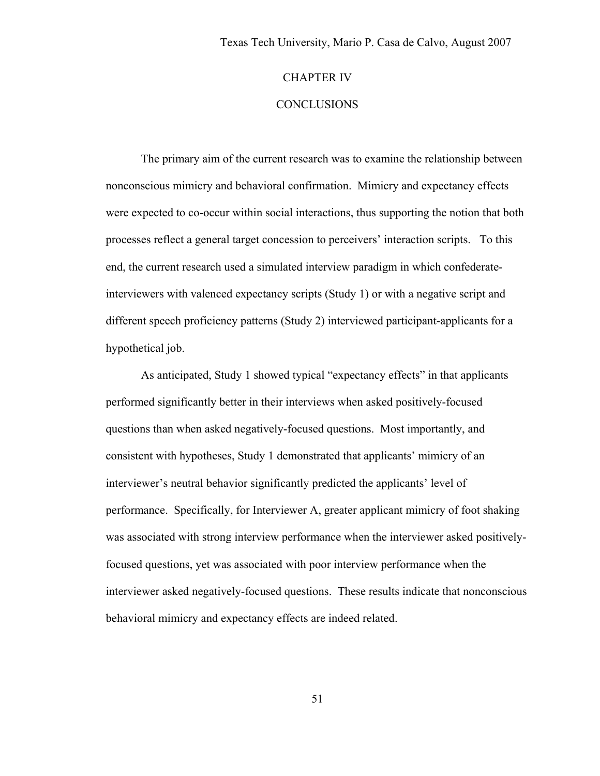## CHAPTER IV

# **CONCLUSIONS**

The primary aim of the current research was to examine the relationship between nonconscious mimicry and behavioral confirmation. Mimicry and expectancy effects were expected to co-occur within social interactions, thus supporting the notion that both processes reflect a general target concession to perceivers' interaction scripts. To this end, the current research used a simulated interview paradigm in which confederateinterviewers with valenced expectancy scripts (Study 1) or with a negative script and different speech proficiency patterns (Study 2) interviewed participant-applicants for a hypothetical job.

As anticipated, Study 1 showed typical "expectancy effects" in that applicants performed significantly better in their interviews when asked positively-focused questions than when asked negatively-focused questions. Most importantly, and consistent with hypotheses, Study 1 demonstrated that applicants' mimicry of an interviewer's neutral behavior significantly predicted the applicants' level of performance. Specifically, for Interviewer A, greater applicant mimicry of foot shaking was associated with strong interview performance when the interviewer asked positivelyfocused questions, yet was associated with poor interview performance when the interviewer asked negatively-focused questions. These results indicate that nonconscious behavioral mimicry and expectancy effects are indeed related.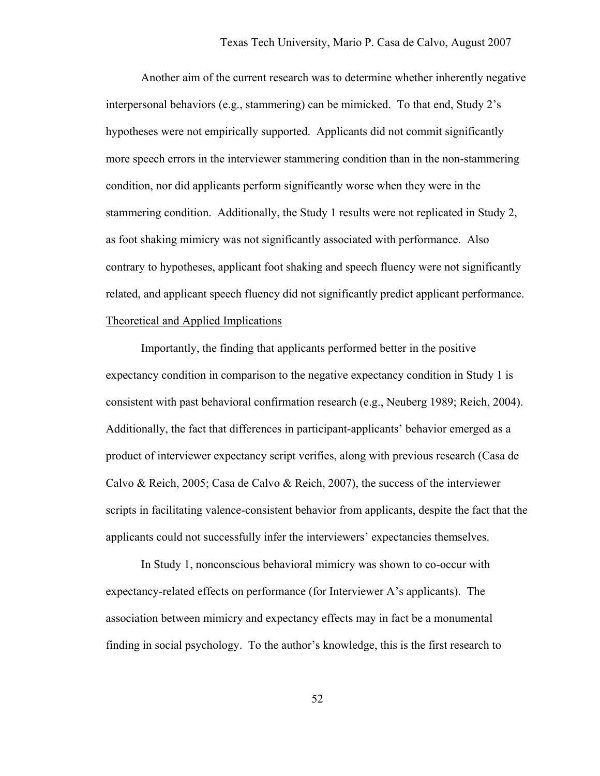Another aim of the current research was to determine whether inherently negative interpersonal behaviors (e.g., stammering) can be mimicked. To that end, Study 2's hypotheses were not empirically supported. Applicants did not commit significantly more speech errors in the interviewer stammering condition than in the non-stammering condition, nor did applicants perform significantly worse when they were in the stammering condition. Additionally, the Study 1 results were not replicated in Study 2, as foot shaking mimicry was not significantly associated with performance. Also contrary to hypotheses, applicant foot shaking and speech fluency were not significantly related, and applicant speech fluency did not significantly predict applicant performance. Theoretical and Applied Implications

 Importantly, the finding that applicants performed better in the positive expectancy condition in comparison to the negative expectancy condition in Study 1 is consistent with past behavioral confirmation research (e.g., Neuberg 1989; Reich, 2004). Additionally, the fact that differences in participant-applicants' behavior emerged as a product of interviewer expectancy script verifies, along with previous research (Casa de Calvo & Reich, 2005; Casa de Calvo & Reich, 2007), the success of the interviewer scripts in facilitating valence-consistent behavior from applicants, despite the fact that the applicants could not successfully infer the interviewers' expectancies themselves.

In Study 1, nonconscious behavioral mimicry was shown to co-occur with expectancy-related effects on performance (for Interviewer A's applicants). The association between mimicry and expectancy effects may in fact be a monumental finding in social psychology. To the author's knowledge, this is the first research to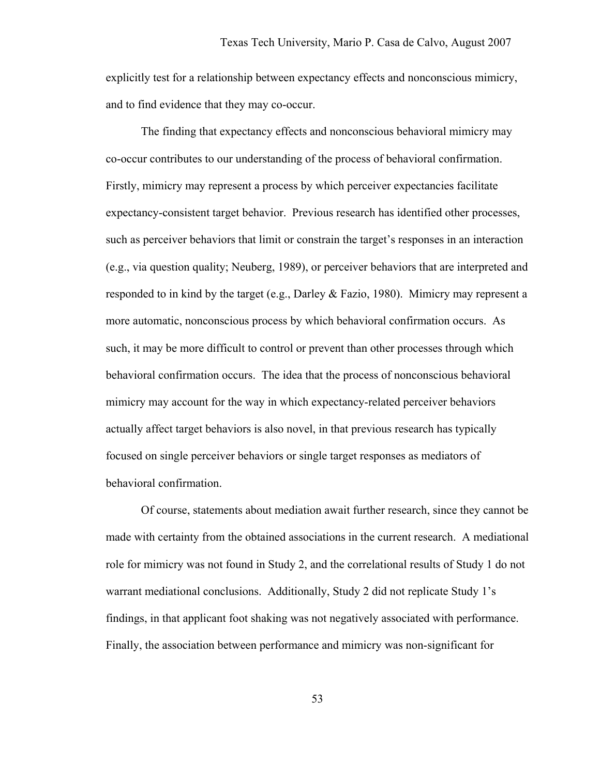explicitly test for a relationship between expectancy effects and nonconscious mimicry, and to find evidence that they may co-occur.

The finding that expectancy effects and nonconscious behavioral mimicry may co-occur contributes to our understanding of the process of behavioral confirmation. Firstly, mimicry may represent a process by which perceiver expectancies facilitate expectancy-consistent target behavior. Previous research has identified other processes, such as perceiver behaviors that limit or constrain the target's responses in an interaction (e.g., via question quality; Neuberg, 1989), or perceiver behaviors that are interpreted and responded to in kind by the target (e.g., Darley & Fazio, 1980). Mimicry may represent a more automatic, nonconscious process by which behavioral confirmation occurs. As such, it may be more difficult to control or prevent than other processes through which behavioral confirmation occurs. The idea that the process of nonconscious behavioral mimicry may account for the way in which expectancy-related perceiver behaviors actually affect target behaviors is also novel, in that previous research has typically focused on single perceiver behaviors or single target responses as mediators of behavioral confirmation.

Of course, statements about mediation await further research, since they cannot be made with certainty from the obtained associations in the current research. A mediational role for mimicry was not found in Study 2, and the correlational results of Study 1 do not warrant mediational conclusions. Additionally, Study 2 did not replicate Study 1's findings, in that applicant foot shaking was not negatively associated with performance. Finally, the association between performance and mimicry was non-significant for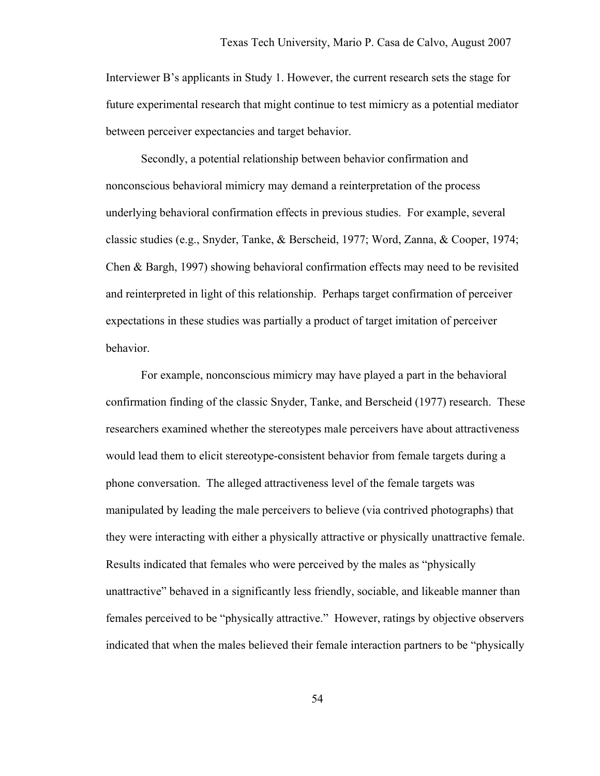Interviewer B's applicants in Study 1. However, the current research sets the stage for future experimental research that might continue to test mimicry as a potential mediator between perceiver expectancies and target behavior.

 Secondly, a potential relationship between behavior confirmation and nonconscious behavioral mimicry may demand a reinterpretation of the process underlying behavioral confirmation effects in previous studies. For example, several classic studies (e.g., Snyder, Tanke, & Berscheid, 1977; Word, Zanna, & Cooper, 1974; Chen & Bargh, 1997) showing behavioral confirmation effects may need to be revisited and reinterpreted in light of this relationship. Perhaps target confirmation of perceiver expectations in these studies was partially a product of target imitation of perceiver behavior.

For example, nonconscious mimicry may have played a part in the behavioral confirmation finding of the classic Snyder, Tanke, and Berscheid (1977) research. These researchers examined whether the stereotypes male perceivers have about attractiveness would lead them to elicit stereotype-consistent behavior from female targets during a phone conversation. The alleged attractiveness level of the female targets was manipulated by leading the male perceivers to believe (via contrived photographs) that they were interacting with either a physically attractive or physically unattractive female. Results indicated that females who were perceived by the males as "physically unattractive" behaved in a significantly less friendly, sociable, and likeable manner than females perceived to be "physically attractive." However, ratings by objective observers indicated that when the males believed their female interaction partners to be "physically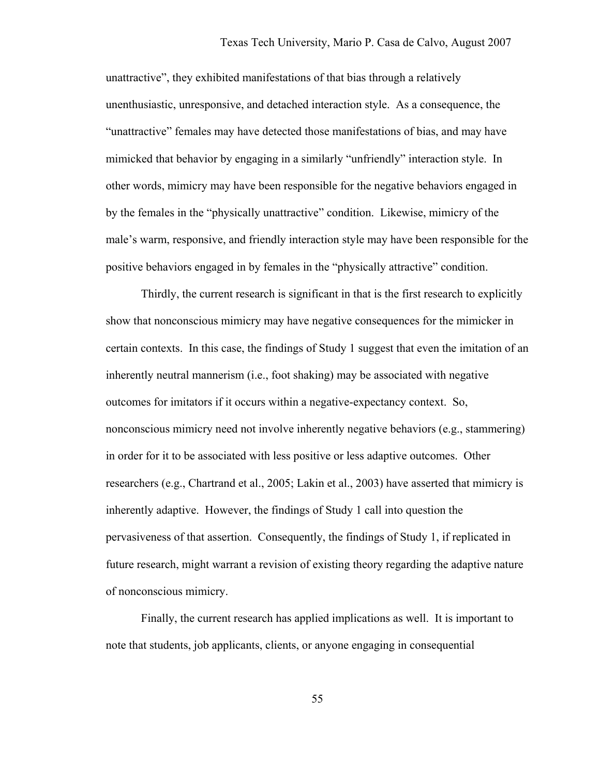unattractive", they exhibited manifestations of that bias through a relatively unenthusiastic, unresponsive, and detached interaction style. As a consequence, the "unattractive" females may have detected those manifestations of bias, and may have mimicked that behavior by engaging in a similarly "unfriendly" interaction style. In other words, mimicry may have been responsible for the negative behaviors engaged in by the females in the "physically unattractive" condition. Likewise, mimicry of the male's warm, responsive, and friendly interaction style may have been responsible for the positive behaviors engaged in by females in the "physically attractive" condition.

 Thirdly, the current research is significant in that is the first research to explicitly show that nonconscious mimicry may have negative consequences for the mimicker in certain contexts. In this case, the findings of Study 1 suggest that even the imitation of an inherently neutral mannerism (i.e., foot shaking) may be associated with negative outcomes for imitators if it occurs within a negative-expectancy context. So, nonconscious mimicry need not involve inherently negative behaviors (e.g., stammering) in order for it to be associated with less positive or less adaptive outcomes. Other researchers (e.g., Chartrand et al., 2005; Lakin et al., 2003) have asserted that mimicry is inherently adaptive. However, the findings of Study 1 call into question the pervasiveness of that assertion. Consequently, the findings of Study 1, if replicated in future research, might warrant a revision of existing theory regarding the adaptive nature of nonconscious mimicry.

Finally, the current research has applied implications as well. It is important to note that students, job applicants, clients, or anyone engaging in consequential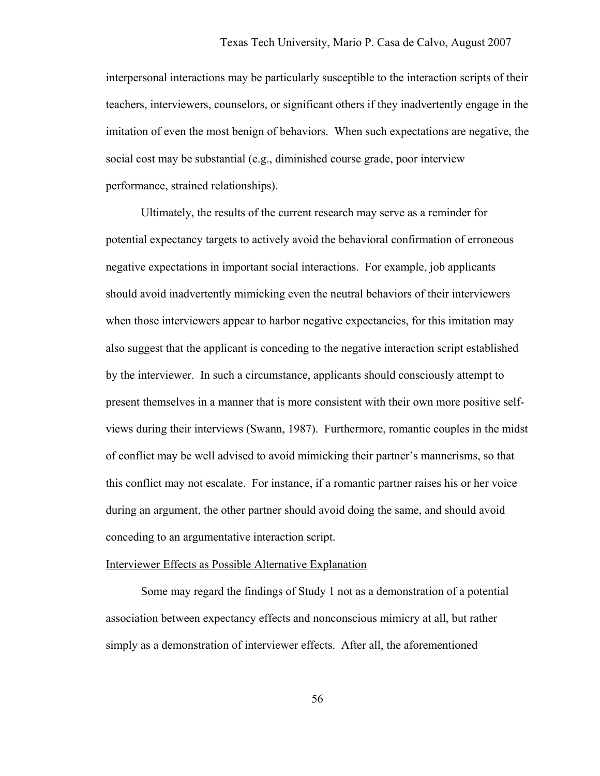interpersonal interactions may be particularly susceptible to the interaction scripts of their teachers, interviewers, counselors, or significant others if they inadvertently engage in the imitation of even the most benign of behaviors. When such expectations are negative, the social cost may be substantial (e.g., diminished course grade, poor interview performance, strained relationships).

Ultimately, the results of the current research may serve as a reminder for potential expectancy targets to actively avoid the behavioral confirmation of erroneous negative expectations in important social interactions. For example, job applicants should avoid inadvertently mimicking even the neutral behaviors of their interviewers when those interviewers appear to harbor negative expectancies, for this imitation may also suggest that the applicant is conceding to the negative interaction script established by the interviewer. In such a circumstance, applicants should consciously attempt to present themselves in a manner that is more consistent with their own more positive selfviews during their interviews (Swann, 1987). Furthermore, romantic couples in the midst of conflict may be well advised to avoid mimicking their partner's mannerisms, so that this conflict may not escalate. For instance, if a romantic partner raises his or her voice during an argument, the other partner should avoid doing the same, and should avoid conceding to an argumentative interaction script.

#### Interviewer Effects as Possible Alternative Explanation

 Some may regard the findings of Study 1 not as a demonstration of a potential association between expectancy effects and nonconscious mimicry at all, but rather simply as a demonstration of interviewer effects. After all, the aforementioned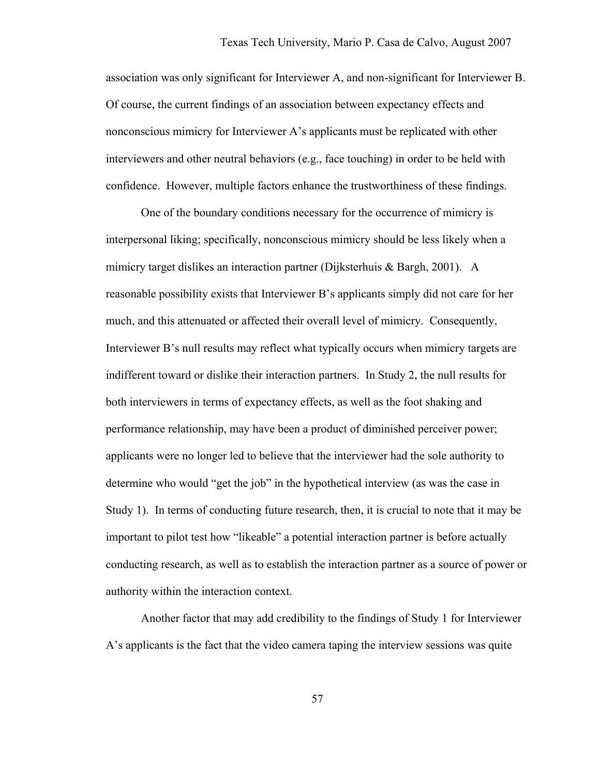association was only significant for Interviewer A, and non-significant for Interviewer B. Of course, the current findings of an association between expectancy effects and nonconscious mimicry for Interviewer A's applicants must be replicated with other interviewers and other neutral behaviors (e.g., face touching) in order to be held with confidence. However, multiple factors enhance the trustworthiness of these findings.

 One of the boundary conditions necessary for the occurrence of mimicry is interpersonal liking; specifically, nonconscious mimicry should be less likely when a mimicry target dislikes an interaction partner (Dijksterhuis & Bargh, 2001). A reasonable possibility exists that Interviewer B's applicants simply did not care for her much, and this attenuated or affected their overall level of mimicry. Consequently, Interviewer B's null results may reflect what typically occurs when mimicry targets are indifferent toward or dislike their interaction partners. In Study 2, the null results for both interviewers in terms of expectancy effects, as well as the foot shaking and performance relationship, may have been a product of diminished perceiver power; applicants were no longer led to believe that the interviewer had the sole authority to determine who would "get the job" in the hypothetical interview (as was the case in Study 1). In terms of conducting future research, then, it is crucial to note that it may be important to pilot test how "likeable" a potential interaction partner is before actually conducting research, as well as to establish the interaction partner as a source of power or authority within the interaction context.

Another factor that may add credibility to the findings of Study 1 for Interviewer A's applicants is the fact that the video camera taping the interview sessions was quite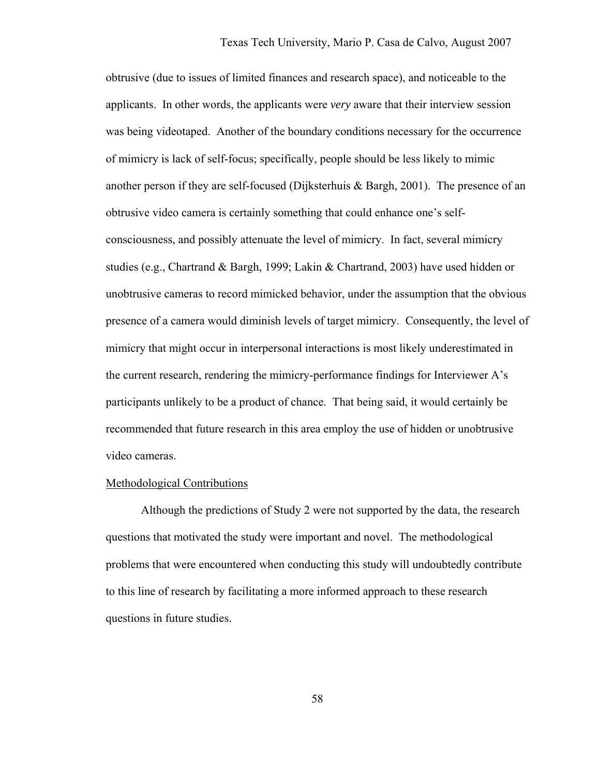obtrusive (due to issues of limited finances and research space), and noticeable to the applicants. In other words, the applicants were *very* aware that their interview session was being videotaped. Another of the boundary conditions necessary for the occurrence of mimicry is lack of self-focus; specifically, people should be less likely to mimic another person if they are self-focused (Dijksterhuis & Bargh, 2001). The presence of an obtrusive video camera is certainly something that could enhance one's selfconsciousness, and possibly attenuate the level of mimicry. In fact, several mimicry studies (e.g., Chartrand & Bargh, 1999; Lakin & Chartrand, 2003) have used hidden or unobtrusive cameras to record mimicked behavior, under the assumption that the obvious presence of a camera would diminish levels of target mimicry. Consequently, the level of mimicry that might occur in interpersonal interactions is most likely underestimated in the current research, rendering the mimicry-performance findings for Interviewer A's participants unlikely to be a product of chance. That being said, it would certainly be recommended that future research in this area employ the use of hidden or unobtrusive video cameras.

#### Methodological Contributions

Although the predictions of Study 2 were not supported by the data, the research questions that motivated the study were important and novel. The methodological problems that were encountered when conducting this study will undoubtedly contribute to this line of research by facilitating a more informed approach to these research questions in future studies.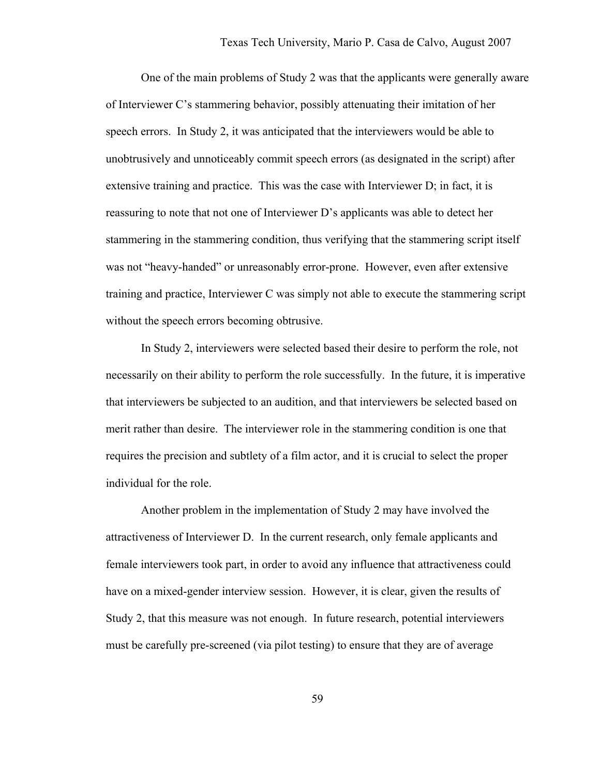One of the main problems of Study 2 was that the applicants were generally aware of Interviewer C's stammering behavior, possibly attenuating their imitation of her speech errors. In Study 2, it was anticipated that the interviewers would be able to unobtrusively and unnoticeably commit speech errors (as designated in the script) after extensive training and practice. This was the case with Interviewer D; in fact, it is reassuring to note that not one of Interviewer D's applicants was able to detect her stammering in the stammering condition, thus verifying that the stammering script itself was not "heavy-handed" or unreasonably error-prone. However, even after extensive training and practice, Interviewer C was simply not able to execute the stammering script without the speech errors becoming obtrusive.

In Study 2, interviewers were selected based their desire to perform the role, not necessarily on their ability to perform the role successfully. In the future, it is imperative that interviewers be subjected to an audition, and that interviewers be selected based on merit rather than desire. The interviewer role in the stammering condition is one that requires the precision and subtlety of a film actor, and it is crucial to select the proper individual for the role.

Another problem in the implementation of Study 2 may have involved the attractiveness of Interviewer D. In the current research, only female applicants and female interviewers took part, in order to avoid any influence that attractiveness could have on a mixed-gender interview session. However, it is clear, given the results of Study 2, that this measure was not enough. In future research, potential interviewers must be carefully pre-screened (via pilot testing) to ensure that they are of average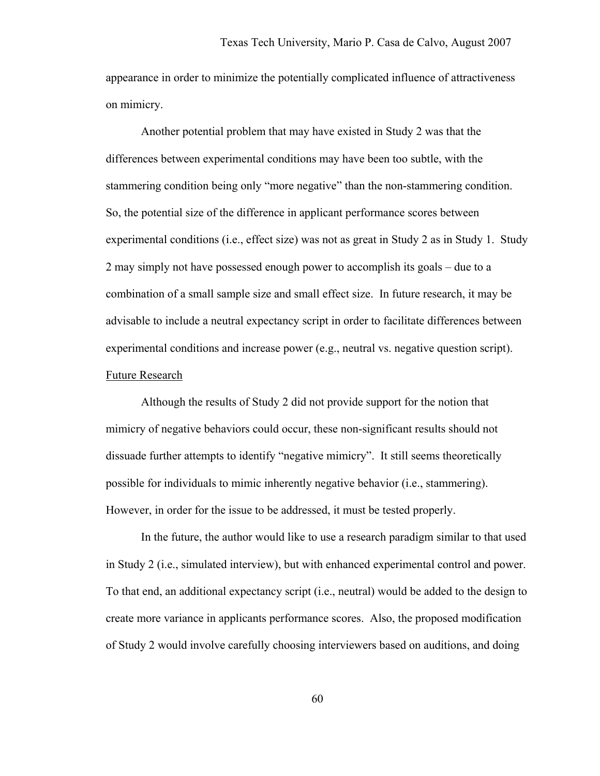appearance in order to minimize the potentially complicated influence of attractiveness on mimicry.

Another potential problem that may have existed in Study 2 was that the differences between experimental conditions may have been too subtle, with the stammering condition being only "more negative" than the non-stammering condition. So, the potential size of the difference in applicant performance scores between experimental conditions (i.e., effect size) was not as great in Study 2 as in Study 1. Study 2 may simply not have possessed enough power to accomplish its goals – due to a combination of a small sample size and small effect size. In future research, it may be advisable to include a neutral expectancy script in order to facilitate differences between experimental conditions and increase power (e.g., neutral vs. negative question script). Future Research

 Although the results of Study 2 did not provide support for the notion that mimicry of negative behaviors could occur, these non-significant results should not dissuade further attempts to identify "negative mimicry". It still seems theoretically possible for individuals to mimic inherently negative behavior (i.e., stammering). However, in order for the issue to be addressed, it must be tested properly.

 In the future, the author would like to use a research paradigm similar to that used in Study 2 (i.e., simulated interview), but with enhanced experimental control and power. To that end, an additional expectancy script (i.e., neutral) would be added to the design to create more variance in applicants performance scores. Also, the proposed modification of Study 2 would involve carefully choosing interviewers based on auditions, and doing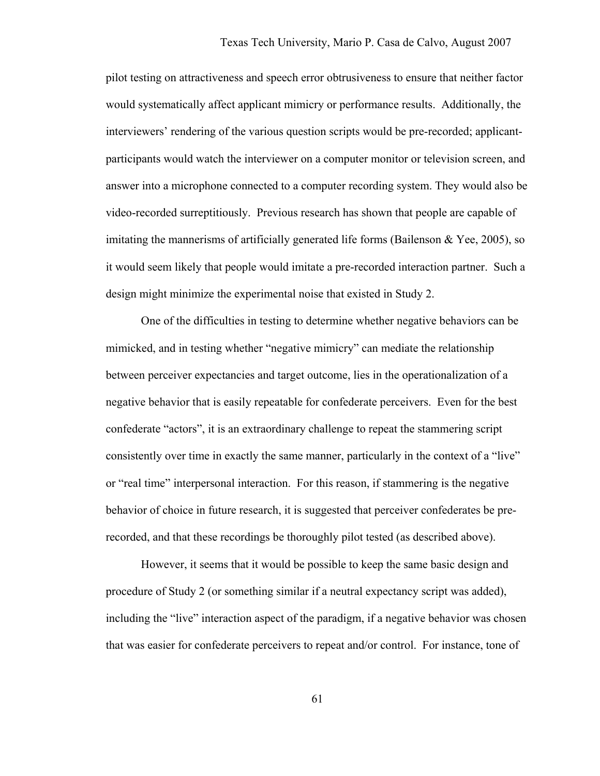pilot testing on attractiveness and speech error obtrusiveness to ensure that neither factor would systematically affect applicant mimicry or performance results. Additionally, the interviewers' rendering of the various question scripts would be pre-recorded; applicantparticipants would watch the interviewer on a computer monitor or television screen, and answer into a microphone connected to a computer recording system. They would also be video-recorded surreptitiously. Previous research has shown that people are capable of imitating the mannerisms of artificially generated life forms (Bailenson & Yee, 2005), so it would seem likely that people would imitate a pre-recorded interaction partner. Such a design might minimize the experimental noise that existed in Study 2.

One of the difficulties in testing to determine whether negative behaviors can be mimicked, and in testing whether "negative mimicry" can mediate the relationship between perceiver expectancies and target outcome, lies in the operationalization of a negative behavior that is easily repeatable for confederate perceivers. Even for the best confederate "actors", it is an extraordinary challenge to repeat the stammering script consistently over time in exactly the same manner, particularly in the context of a "live" or "real time" interpersonal interaction. For this reason, if stammering is the negative behavior of choice in future research, it is suggested that perceiver confederates be prerecorded, and that these recordings be thoroughly pilot tested (as described above).

However, it seems that it would be possible to keep the same basic design and procedure of Study 2 (or something similar if a neutral expectancy script was added), including the "live" interaction aspect of the paradigm, if a negative behavior was chosen that was easier for confederate perceivers to repeat and/or control. For instance, tone of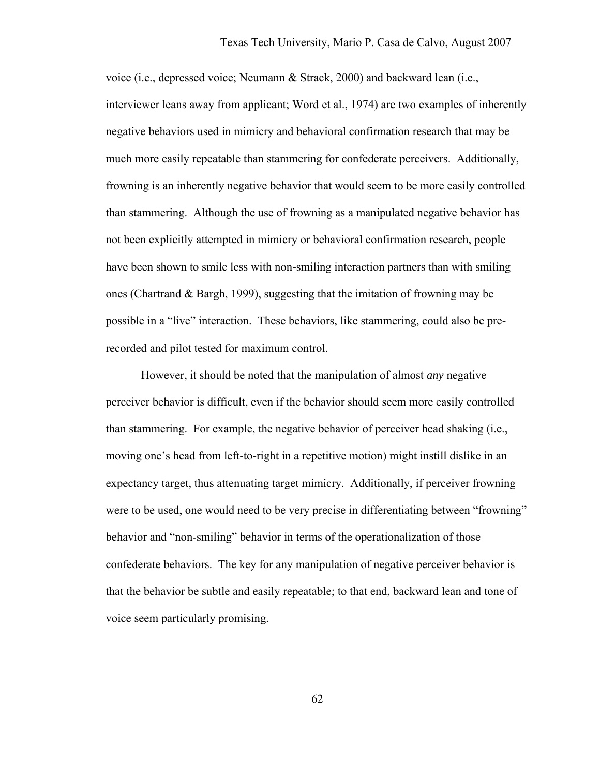voice (i.e., depressed voice; Neumann & Strack, 2000) and backward lean (i.e., interviewer leans away from applicant; Word et al., 1974) are two examples of inherently negative behaviors used in mimicry and behavioral confirmation research that may be much more easily repeatable than stammering for confederate perceivers. Additionally, frowning is an inherently negative behavior that would seem to be more easily controlled than stammering. Although the use of frowning as a manipulated negative behavior has not been explicitly attempted in mimicry or behavioral confirmation research, people have been shown to smile less with non-smiling interaction partners than with smiling ones (Chartrand & Bargh, 1999), suggesting that the imitation of frowning may be possible in a "live" interaction. These behaviors, like stammering, could also be prerecorded and pilot tested for maximum control.

However, it should be noted that the manipulation of almost *any* negative perceiver behavior is difficult, even if the behavior should seem more easily controlled than stammering. For example, the negative behavior of perceiver head shaking (i.e., moving one's head from left-to-right in a repetitive motion) might instill dislike in an expectancy target, thus attenuating target mimicry. Additionally, if perceiver frowning were to be used, one would need to be very precise in differentiating between "frowning" behavior and "non-smiling" behavior in terms of the operationalization of those confederate behaviors. The key for any manipulation of negative perceiver behavior is that the behavior be subtle and easily repeatable; to that end, backward lean and tone of voice seem particularly promising.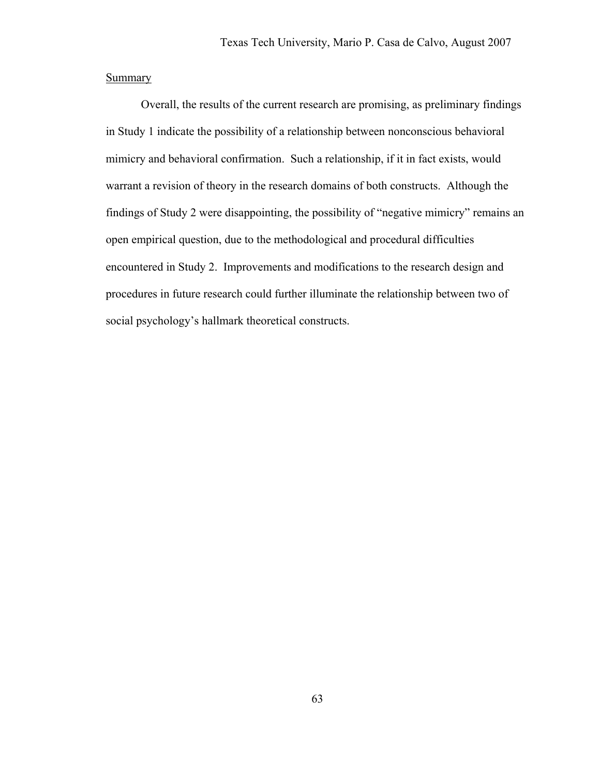## **Summary**

 Overall, the results of the current research are promising, as preliminary findings in Study 1 indicate the possibility of a relationship between nonconscious behavioral mimicry and behavioral confirmation. Such a relationship, if it in fact exists, would warrant a revision of theory in the research domains of both constructs. Although the findings of Study 2 were disappointing, the possibility of "negative mimicry" remains an open empirical question, due to the methodological and procedural difficulties encountered in Study 2. Improvements and modifications to the research design and procedures in future research could further illuminate the relationship between two of social psychology's hallmark theoretical constructs.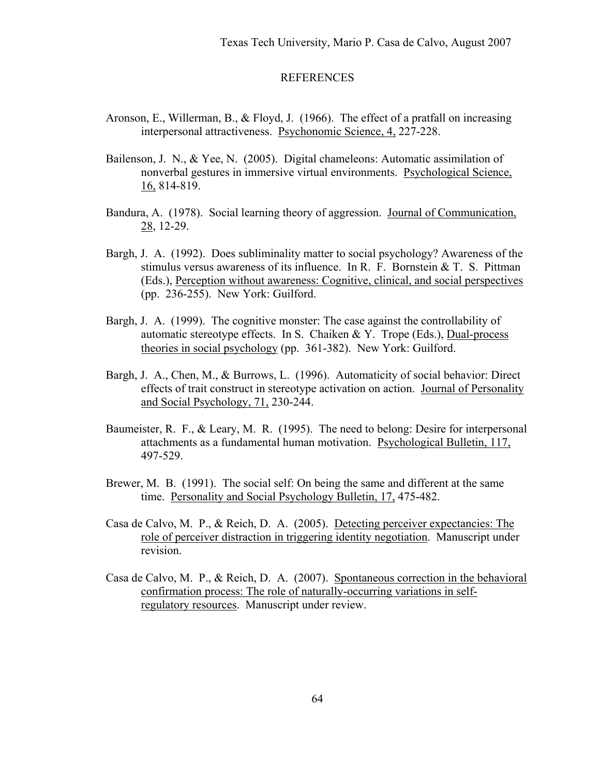#### REFERENCES

- Aronson, E., Willerman, B., & Floyd, J. (1966). The effect of a pratfall on increasing interpersonal attractiveness. Psychonomic Science, 4, 227-228.
- Bailenson, J. N., & Yee, N. (2005). Digital chameleons: Automatic assimilation of nonverbal gestures in immersive virtual environments. Psychological Science, 16, 814-819.
- Bandura, A. (1978). Social learning theory of aggression. Journal of Communication, 28, 12-29.
- Bargh, J. A. (1992). Does subliminality matter to social psychology? Awareness of the stimulus versus awareness of its influence. In R. F. Bornstein & T. S. Pittman (Eds.), Perception without awareness: Cognitive, clinical, and social perspectives (pp. 236-255). New York: Guilford.
- Bargh, J. A. (1999). The cognitive monster: The case against the controllability of automatic stereotype effects. In S. Chaiken & Y. Trope (Eds.), Dual-process theories in social psychology (pp. 361-382). New York: Guilford.
- Bargh, J. A., Chen, M., & Burrows, L. (1996). Automaticity of social behavior: Direct effects of trait construct in stereotype activation on action. Journal of Personality and Social Psychology, 71, 230-244.
- Baumeister, R. F., & Leary, M. R. (1995). The need to belong: Desire for interpersonal attachments as a fundamental human motivation. Psychological Bulletin, 117, 497-529.
- Brewer, M. B. (1991). The social self: On being the same and different at the same time. Personality and Social Psychology Bulletin, 17, 475-482.
- Casa de Calvo, M. P., & Reich, D. A. (2005). Detecting perceiver expectancies: The role of perceiver distraction in triggering identity negotiation. Manuscript under revision.
- Casa de Calvo, M. P., & Reich, D. A. (2007). Spontaneous correction in the behavioral confirmation process: The role of naturally-occurring variations in self regulatory resources. Manuscript under review.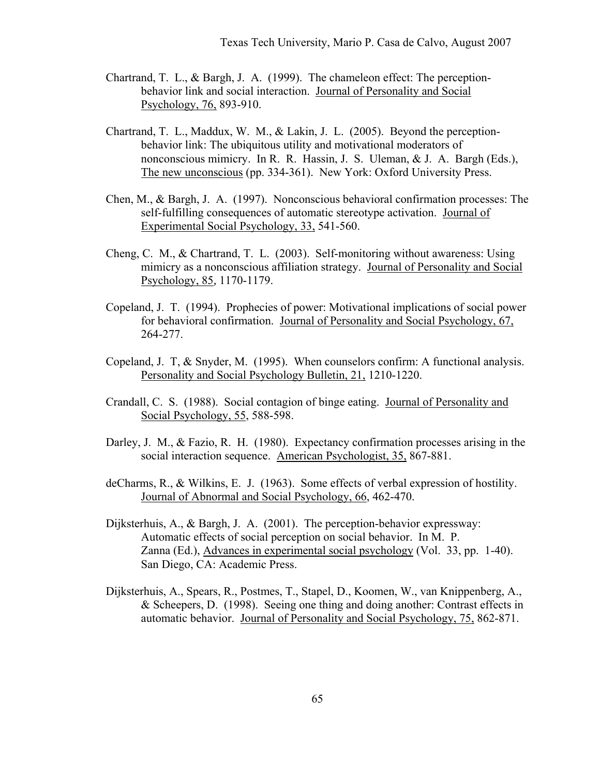- Chartrand, T. L., & Bargh, J. A. (1999). The chameleon effect: The perceptionbehavior link and social interaction. Journal of Personality and Social Psychology, 76, 893-910.
- Chartrand, T. L., Maddux, W. M., & Lakin, J. L. (2005). Beyond the perceptionbehavior link: The ubiquitous utility and motivational moderators of nonconscious mimicry. In R. R. Hassin, J. S. Uleman, & J. A. Bargh (Eds.), The new unconscious (pp. 334-361). New York: Oxford University Press.
- Chen, M., & Bargh, J. A. (1997). Nonconscious behavioral confirmation processes: The self-fulfilling consequences of automatic stereotype activation. Journal of Experimental Social Psychology, 33, 541-560.
- Cheng, C. M., & Chartrand, T. L. (2003). Self-monitoring without awareness: Using mimicry as a nonconscious affiliation strategy. Journal of Personality and Social Psychology, 85*,* 1170-1179.
- Copeland, J. T. (1994). Prophecies of power: Motivational implications of social power for behavioral confirmation. Journal of Personality and Social Psychology, 67, 264-277.
- Copeland, J. T, & Snyder, M. (1995). When counselors confirm: A functional analysis. Personality and Social Psychology Bulletin, 21, 1210-1220.
- Crandall, C. S. (1988). Social contagion of binge eating. Journal of Personality and Social Psychology, 55, 588-598.
- Darley, J. M., & Fazio, R. H. (1980). Expectancy confirmation processes arising in the social interaction sequence. American Psychologist, 35, 867-881.
- deCharms, R., & Wilkins, E. J. (1963). Some effects of verbal expression of hostility. Journal of Abnormal and Social Psychology, 66, 462-470.
- Dijksterhuis, A., & Bargh, J. A. (2001). The perception-behavior expressway: Automatic effects of social perception on social behavior. In M. P. Zanna (Ed.), Advances in experimental social psychology (Vol. 33, pp. 1-40). San Diego, CA: Academic Press.
- Dijksterhuis, A., Spears, R., Postmes, T., Stapel, D., Koomen, W., van Knippenberg, A., & Scheepers, D. (1998). Seeing one thing and doing another: Contrast effects in automatic behavior. Journal of Personality and Social Psychology, 75, 862-871.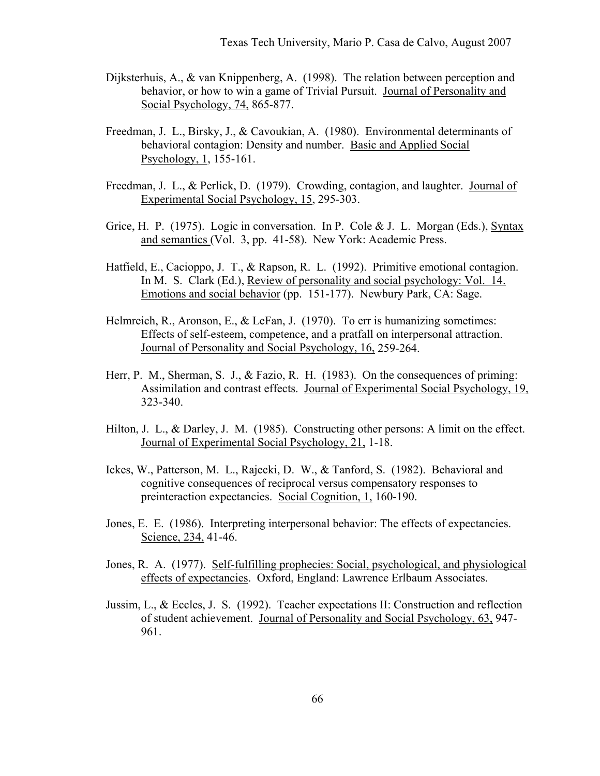- Dijksterhuis, A., & van Knippenberg, A. (1998). The relation between perception and behavior, or how to win a game of Trivial Pursuit. Journal of Personality and Social Psychology, 74, 865-877.
- Freedman, J. L., Birsky, J., & Cavoukian, A. (1980). Environmental determinants of behavioral contagion: Density and number. Basic and Applied Social Psychology, 1, 155-161.
- Freedman, J. L., & Perlick, D. (1979). Crowding, contagion, and laughter. Journal of Experimental Social Psychology, 15, 295-303.
- Grice, H. P. (1975). Logic in conversation. In P. Cole & J. L. Morgan (Eds.), Syntax and semantics (Vol. 3, pp. 41-58). New York: Academic Press.
- Hatfield, E., Cacioppo, J. T., & Rapson, R. L. (1992). Primitive emotional contagion. In M. S. Clark (Ed.), Review of personality and social psychology: Vol. 14. Emotions and social behavior (pp. 151-177). Newbury Park, CA: Sage.
- Helmreich, R., Aronson, E., & LeFan, J. (1970). To err is humanizing sometimes: Effects of self-esteem, competence, and a pratfall on interpersonal attraction. Journal of Personality and Social Psychology, 16, 259-264.
- Herr, P. M., Sherman, S. J., & Fazio, R. H. (1983). On the consequences of priming: Assimilation and contrast effects. Journal of Experimental Social Psychology, 19, 323-340.
- Hilton, J. L., & Darley, J. M. (1985). Constructing other persons: A limit on the effect. Journal of Experimental Social Psychology, 21, 1-18.
- Ickes, W., Patterson, M. L., Rajecki, D. W., & Tanford, S. (1982). Behavioral and cognitive consequences of reciprocal versus compensatory responses to preinteraction expectancies. Social Cognition, 1, 160-190.
- Jones, E. E. (1986). Interpreting interpersonal behavior: The effects of expectancies. Science, 234, 41-46.
- Jones, R. A. (1977). Self-fulfilling prophecies: Social, psychological, and physiological effects of expectancies. Oxford, England: Lawrence Erlbaum Associates.
- Jussim, L., & Eccles, J. S. (1992). Teacher expectations II: Construction and reflection of student achievement. Journal of Personality and Social Psychology, 63, 947- 961.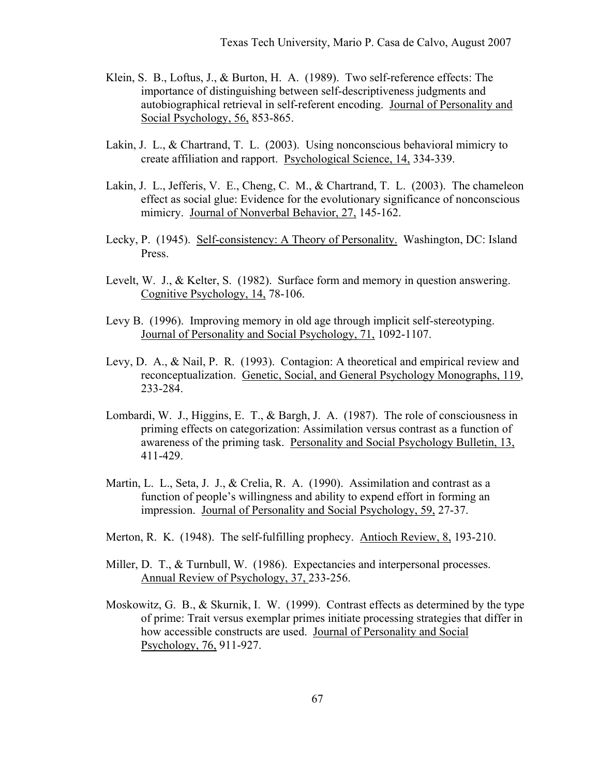- Klein, S. B., Loftus, J., & Burton, H. A. (1989). Two self-reference effects: The importance of distinguishing between self-descriptiveness judgments and autobiographical retrieval in self-referent encoding. Journal of Personality and Social Psychology, 56, 853-865.
- Lakin, J. L., & Chartrand, T. L. (2003). Using nonconscious behavioral mimicry to create affiliation and rapport. Psychological Science, 14, 334-339.
- Lakin, J. L., Jefferis, V. E., Cheng, C. M., & Chartrand, T. L. (2003). The chameleon effect as social glue: Evidence for the evolutionary significance of nonconscious mimicry. Journal of Nonverbal Behavior, 27, 145-162.
- Lecky, P. (1945). Self-consistency: A Theory of Personality. Washington, DC: Island Press.
- Levelt, W. J., & Kelter, S. (1982). Surface form and memory in question answering. Cognitive Psychology, 14, 78-106.
- Levy B. (1996). Improving memory in old age through implicit self-stereotyping. Journal of Personality and Social Psychology, 71, 1092-1107.
- Levy, D. A., & Nail, P. R. (1993). Contagion: A theoretical and empirical review and reconceptualization. Genetic, Social, and General Psychology Monographs, 119, 233-284.
- Lombardi, W. J., Higgins, E. T., & Bargh, J. A. (1987). The role of consciousness in priming effects on categorization: Assimilation versus contrast as a function of awareness of the priming task. Personality and Social Psychology Bulletin, 13, 411-429.
- Martin, L. L., Seta, J. J., & Crelia, R. A. (1990). Assimilation and contrast as a function of people's willingness and ability to expend effort in forming an impression. Journal of Personality and Social Psychology, 59, 27-37.
- Merton, R. K. (1948). The self-fulfilling prophecy. Antioch Review, 8, 193-210.
- Miller, D. T., & Turnbull, W. (1986). Expectancies and interpersonal processes. Annual Review of Psychology, 37, 233-256.
- Moskowitz, G. B., & Skurnik, I. W. (1999). Contrast effects as determined by the type of prime: Trait versus exemplar primes initiate processing strategies that differ in how accessible constructs are used. Journal of Personality and Social Psychology, 76, 911-927.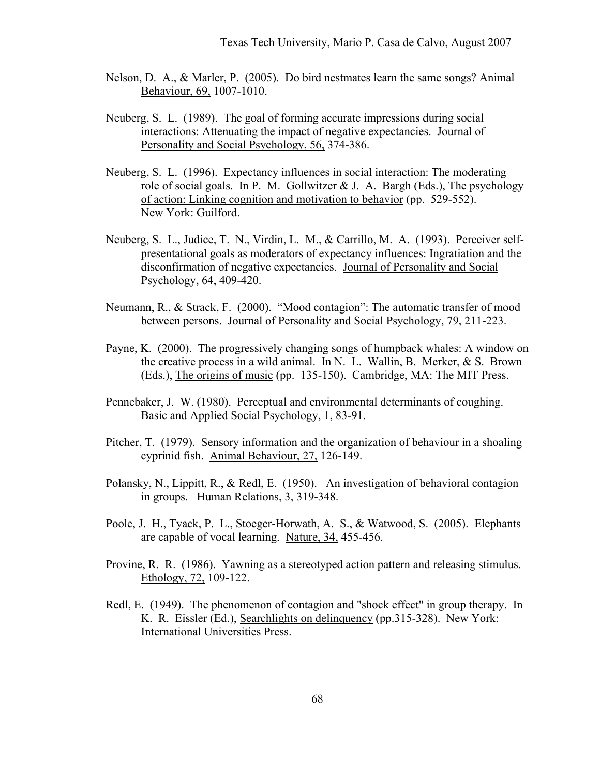- Nelson, D. A., & Marler, P. (2005). Do bird nestmates learn the same songs? Animal Behaviour, 69, 1007-1010.
- Neuberg, S. L. (1989). The goal of forming accurate impressions during social interactions: Attenuating the impact of negative expectancies. Journal of Personality and Social Psychology, 56, 374-386.
- Neuberg, S. L. (1996). Expectancy influences in social interaction: The moderating role of social goals. In P. M. Gollwitzer  $& J. A.$  Bargh (Eds.), The psychology of action: Linking cognition and motivation to behavior (pp. 529-552). New York: Guilford.
- Neuberg, S. L., Judice, T. N., Virdin, L. M., & Carrillo, M. A. (1993). Perceiver selfpresentational goals as moderators of expectancy influences: Ingratiation and the disconfirmation of negative expectancies. Journal of Personality and Social Psychology, 64, 409-420.
- Neumann, R., & Strack, F. (2000). "Mood contagion": The automatic transfer of mood between persons. Journal of Personality and Social Psychology, 79, 211-223.
- Payne, K. (2000). The progressively changing songs of humpback whales: A window on the creative process in a wild animal. In N. L. Wallin, B. Merker,  $& S$ . Brown (Eds.), The origins of music (pp. 135-150). Cambridge, MA: The MIT Press.
- Pennebaker, J. W. (1980). Perceptual and environmental determinants of coughing. Basic and Applied Social Psychology, 1, 83-91.
- Pitcher, T. (1979). Sensory information and the organization of behaviour in a shoaling cyprinid fish. Animal Behaviour, 27, 126-149.
- Polansky, N., Lippitt, R., & Redl, E. (1950). An investigation of behavioral contagion in groups. Human Relations, 3, 319-348.
- Poole, J. H., Tyack, P. L., Stoeger-Horwath, A. S., & Watwood, S. (2005). Elephants are capable of vocal learning. Nature, 34, 455-456.
- Provine, R. R. (1986). Yawning as a stereotyped action pattern and releasing stimulus. Ethology, 72, 109-122.
- Redl, E. (1949). The phenomenon of contagion and "shock effect" in group therapy. In K. R. Eissler (Ed.), Searchlights on delinquency (pp.315-328). New York: International Universities Press.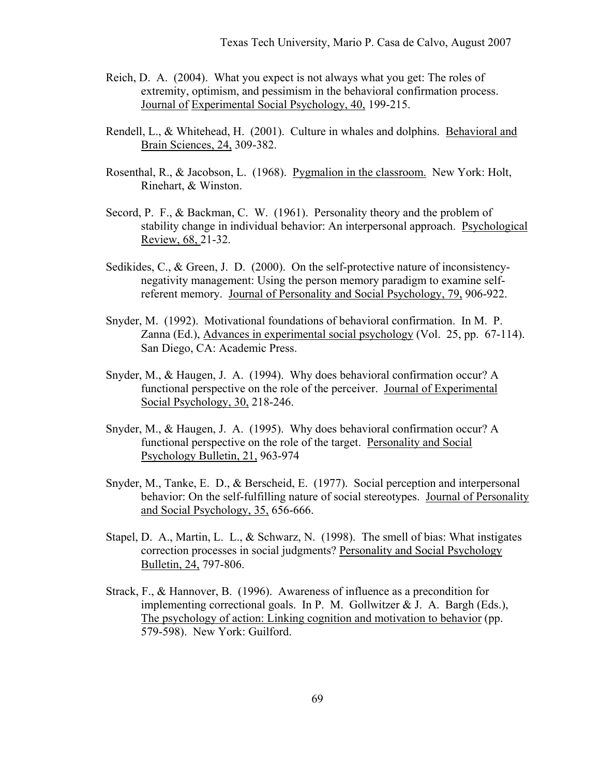- Reich, D. A. (2004). What you expect is not always what you get: The roles of extremity, optimism, and pessimism in the behavioral confirmation process. Journal of Experimental Social Psychology, 40, 199-215.
- Rendell, L., & Whitehead, H. (2001). Culture in whales and dolphins. Behavioral and Brain Sciences, 24, 309-382.
- Rosenthal, R., & Jacobson, L. (1968). Pygmalion in the classroom. New York: Holt, Rinehart, & Winston.
- Secord, P. F., & Backman, C. W. (1961). Personality theory and the problem of stability change in individual behavior: An interpersonal approach. Psychological Review, 68, 21-32.
- Sedikides, C., & Green, J. D. (2000). On the self-protective nature of inconsistencynegativity management: Using the person memory paradigm to examine selfreferent memory. Journal of Personality and Social Psychology, 79, 906-922.
- Snyder, M. (1992). Motivational foundations of behavioral confirmation. In M. P. Zanna (Ed.), Advances in experimental social psychology (Vol. 25, pp. 67-114). San Diego, CA: Academic Press.
- Snyder, M., & Haugen, J. A. (1994). Why does behavioral confirmation occur? A functional perspective on the role of the perceiver. Journal of Experimental Social Psychology, 30, 218-246.
- Snyder, M., & Haugen, J. A. (1995). Why does behavioral confirmation occur? A functional perspective on the role of the target. Personality and Social Psychology Bulletin, 21, 963-974
- Snyder, M., Tanke, E. D., & Berscheid, E. (1977). Social perception and interpersonal behavior: On the self-fulfilling nature of social stereotypes. Journal of Personality and Social Psychology, 35, 656-666.
- Stapel, D. A., Martin, L. L., & Schwarz, N. (1998). The smell of bias: What instigates correction processes in social judgments? Personality and Social Psychology Bulletin, 24, 797-806.
- Strack, F., & Hannover, B. (1996). Awareness of influence as a precondition for implementing correctional goals. In P. M. Gollwitzer  $& J. A.$  Bargh (Eds.), The psychology of action: Linking cognition and motivation to behavior (pp. 579-598). New York: Guilford.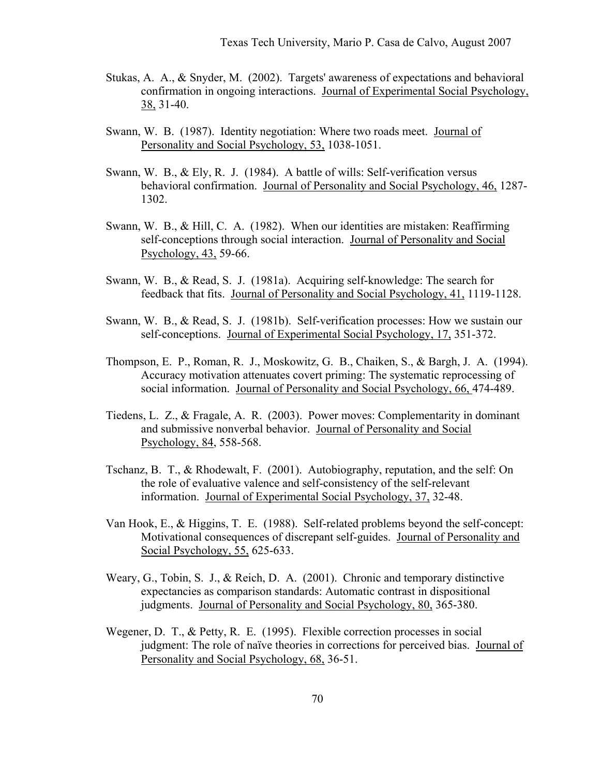- Stukas, A. A., & Snyder, M. (2002). Targets' awareness of expectations and behavioral confirmation in ongoing interactions. Journal of Experimental Social Psychology, 38, 31-40.
- Swann, W. B. (1987). Identity negotiation: Where two roads meet. Journal of Personality and Social Psychology, 53, 1038-1051.
- Swann, W. B., & Ely, R. J. (1984). A battle of wills: Self-verification versus behavioral confirmation. Journal of Personality and Social Psychology, 46, 1287- 1302.
- Swann, W. B., & Hill, C. A. (1982). When our identities are mistaken: Reaffirming self-conceptions through social interaction. Journal of Personality and Social Psychology, 43, 59-66.
- Swann, W. B., & Read, S. J. (1981a). Acquiring self-knowledge: The search for feedback that fits. Journal of Personality and Social Psychology, 41, 1119-1128.
- Swann, W. B., & Read, S. J. (1981b). Self-verification processes: How we sustain our self-conceptions. Journal of Experimental Social Psychology, 17, 351-372.
- Thompson, E. P., Roman, R. J., Moskowitz, G. B., Chaiken, S., & Bargh, J. A. (1994). Accuracy motivation attenuates covert priming: The systematic reprocessing of social information. Journal of Personality and Social Psychology, 66, 474-489.
- Tiedens, L. Z., & Fragale, A. R. (2003). Power moves: Complementarity in dominant and submissive nonverbal behavior. Journal of Personality and Social Psychology, 84, 558-568.
- Tschanz, B. T., & Rhodewalt, F. (2001). Autobiography, reputation, and the self: On the role of evaluative valence and self-consistency of the self-relevant information. Journal of Experimental Social Psychology, 37, 32-48.
- Van Hook, E., & Higgins, T. E. (1988). Self-related problems beyond the self-concept: Motivational consequences of discrepant self-guides. Journal of Personality and Social Psychology, 55, 625-633.
- Weary, G., Tobin, S. J., & Reich, D. A. (2001). Chronic and temporary distinctive expectancies as comparison standards: Automatic contrast in dispositional judgments. Journal of Personality and Social Psychology, 80, 365-380.
- Wegener, D. T., & Petty, R. E. (1995). Flexible correction processes in social judgment: The role of naïve theories in corrections for perceived bias. Journal of Personality and Social Psychology, 68, 36-51.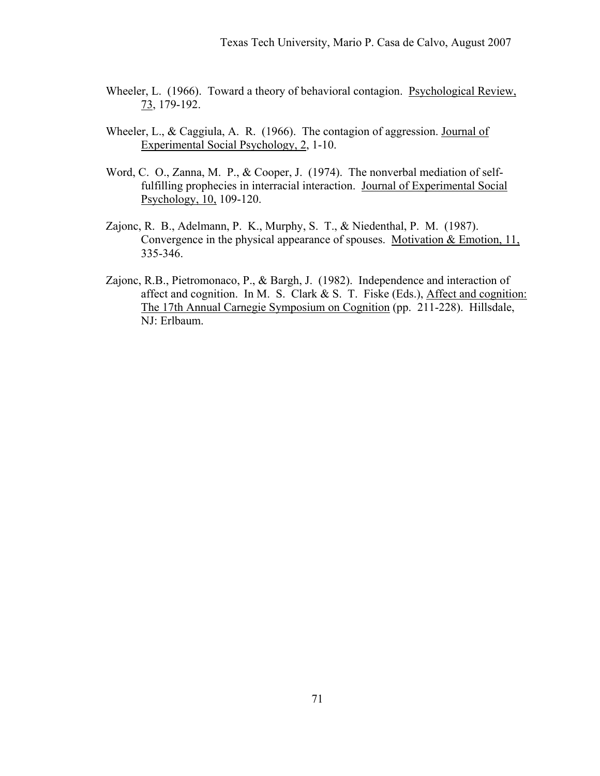- Wheeler, L. (1966). Toward a theory of behavioral contagion. Psychological Review, 73, 179-192.
- Wheeler, L., & Caggiula, A. R. (1966). The contagion of aggression. Journal of Experimental Social Psychology, 2, 1-10.
- Word, C. O., Zanna, M. P., & Cooper, J. (1974). The nonverbal mediation of selffulfilling prophecies in interracial interaction. Journal of Experimental Social Psychology, 10, 109-120.
- Zajonc, R. B., Adelmann, P. K., Murphy, S. T., & Niedenthal, P. M. (1987). Convergence in the physical appearance of spouses. Motivation  $&$  Emotion, 11, 335-346.
- Zajonc, R.B., Pietromonaco, P., & Bargh, J. (1982). Independence and interaction of affect and cognition. In M. S. Clark & S. T. Fiske (Eds.), Affect and cognition: The 17th Annual Carnegie Symposium on Cognition (pp. 211-228). Hillsdale, NJ: Erlbaum.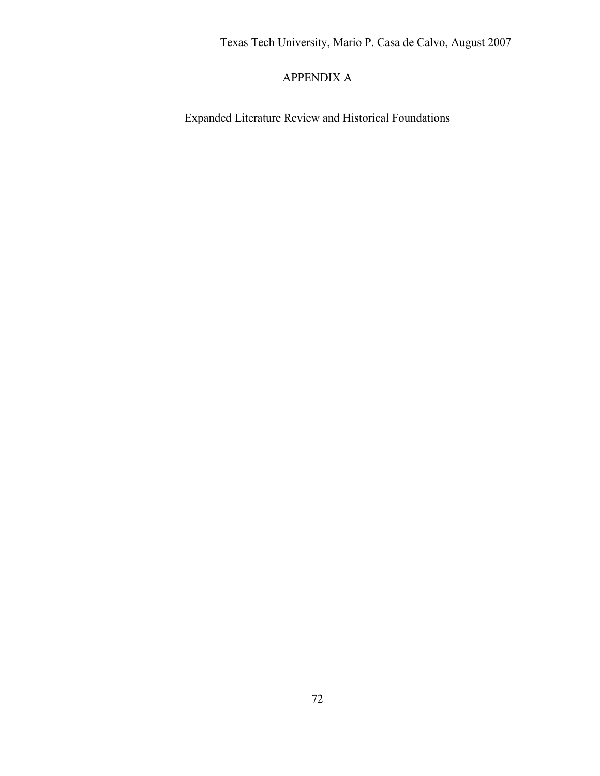Texas Tech University, Mario P. Casa de Calvo, August 2007

# APPENDIX A

Expanded Literature Review and Historical Foundations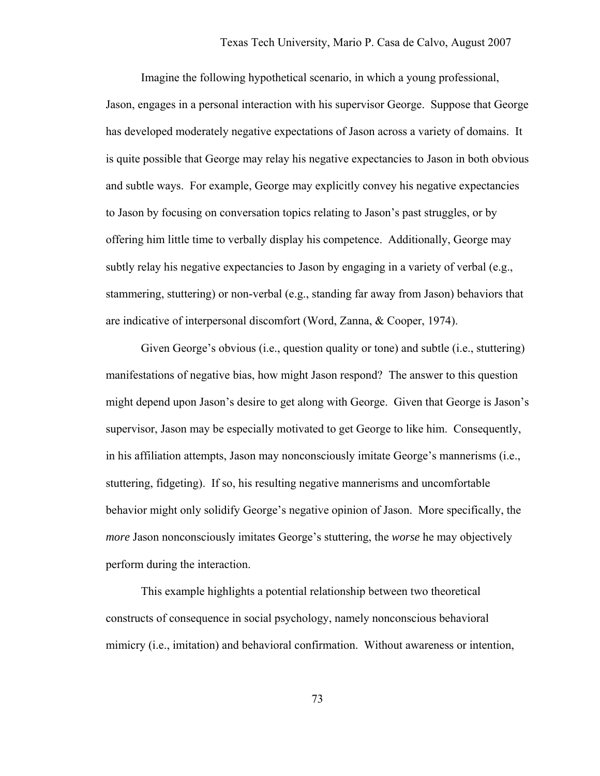Imagine the following hypothetical scenario, in which a young professional, Jason, engages in a personal interaction with his supervisor George. Suppose that George has developed moderately negative expectations of Jason across a variety of domains. It is quite possible that George may relay his negative expectancies to Jason in both obvious and subtle ways. For example, George may explicitly convey his negative expectancies to Jason by focusing on conversation topics relating to Jason's past struggles, or by offering him little time to verbally display his competence. Additionally, George may subtly relay his negative expectancies to Jason by engaging in a variety of verbal (e.g., stammering, stuttering) or non-verbal (e.g., standing far away from Jason) behaviors that are indicative of interpersonal discomfort (Word, Zanna, & Cooper, 1974).

 Given George's obvious (i.e., question quality or tone) and subtle (i.e., stuttering) manifestations of negative bias, how might Jason respond? The answer to this question might depend upon Jason's desire to get along with George. Given that George is Jason's supervisor, Jason may be especially motivated to get George to like him. Consequently, in his affiliation attempts, Jason may nonconsciously imitate George's mannerisms (i.e., stuttering, fidgeting). If so, his resulting negative mannerisms and uncomfortable behavior might only solidify George's negative opinion of Jason. More specifically, the *more* Jason nonconsciously imitates George's stuttering, the *worse* he may objectively perform during the interaction.

 This example highlights a potential relationship between two theoretical constructs of consequence in social psychology, namely nonconscious behavioral mimicry (i.e., imitation) and behavioral confirmation. Without awareness or intention,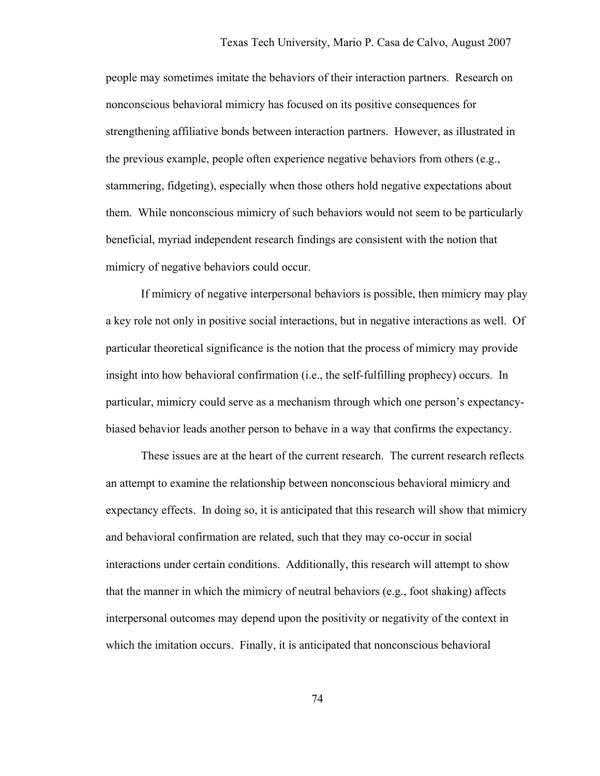people may sometimes imitate the behaviors of their interaction partners. Research on nonconscious behavioral mimicry has focused on its positive consequences for strengthening affiliative bonds between interaction partners. However, as illustrated in the previous example, people often experience negative behaviors from others (e.g., stammering, fidgeting), especially when those others hold negative expectations about them. While nonconscious mimicry of such behaviors would not seem to be particularly beneficial, myriad independent research findings are consistent with the notion that mimicry of negative behaviors could occur.

If mimicry of negative interpersonal behaviors is possible, then mimicry may play a key role not only in positive social interactions, but in negative interactions as well. Of particular theoretical significance is the notion that the process of mimicry may provide insight into how behavioral confirmation (i.e., the self-fulfilling prophecy) occurs. In particular, mimicry could serve as a mechanism through which one person's expectancybiased behavior leads another person to behave in a way that confirms the expectancy.

 These issues are at the heart of the current research. The current research reflects an attempt to examine the relationship between nonconscious behavioral mimicry and expectancy effects. In doing so, it is anticipated that this research will show that mimicry and behavioral confirmation are related, such that they may co-occur in social interactions under certain conditions. Additionally, this research will attempt to show that the manner in which the mimicry of neutral behaviors (e.g., foot shaking) affects interpersonal outcomes may depend upon the positivity or negativity of the context in which the imitation occurs. Finally, it is anticipated that nonconscious behavioral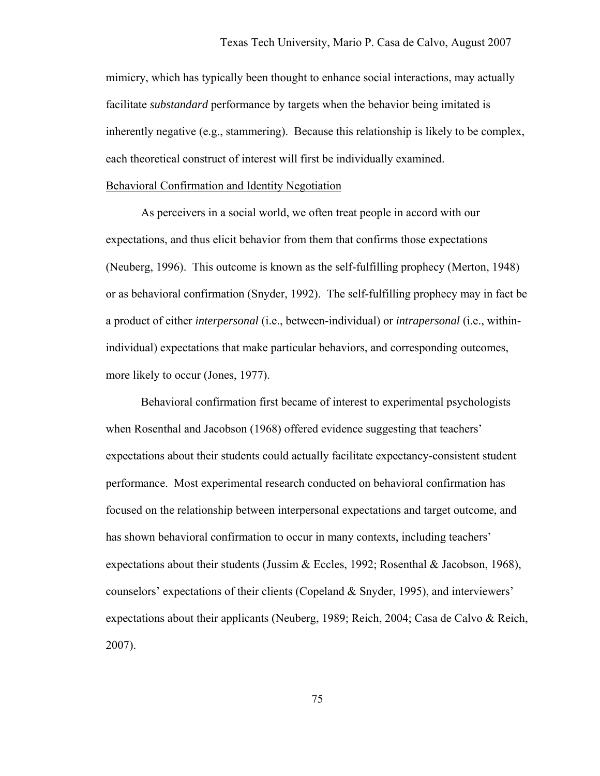mimicry, which has typically been thought to enhance social interactions, may actually facilitate *substandard* performance by targets when the behavior being imitated is inherently negative (e.g., stammering). Because this relationship is likely to be complex, each theoretical construct of interest will first be individually examined.

## Behavioral Confirmation and Identity Negotiation

 As perceivers in a social world, we often treat people in accord with our expectations, and thus elicit behavior from them that confirms those expectations (Neuberg, 1996). This outcome is known as the self-fulfilling prophecy (Merton, 1948) or as behavioral confirmation (Snyder, 1992). The self-fulfilling prophecy may in fact be a product of either *interpersonal* (i.e., between-individual) or *intrapersonal* (i.e., withinindividual) expectations that make particular behaviors, and corresponding outcomes, more likely to occur (Jones, 1977).

Behavioral confirmation first became of interest to experimental psychologists when Rosenthal and Jacobson (1968) offered evidence suggesting that teachers' expectations about their students could actually facilitate expectancy-consistent student performance. Most experimental research conducted on behavioral confirmation has focused on the relationship between interpersonal expectations and target outcome, and has shown behavioral confirmation to occur in many contexts, including teachers' expectations about their students (Jussim & Eccles, 1992; Rosenthal & Jacobson, 1968), counselors' expectations of their clients (Copeland & Snyder, 1995), and interviewers' expectations about their applicants (Neuberg, 1989; Reich, 2004; Casa de Calvo & Reich, 2007).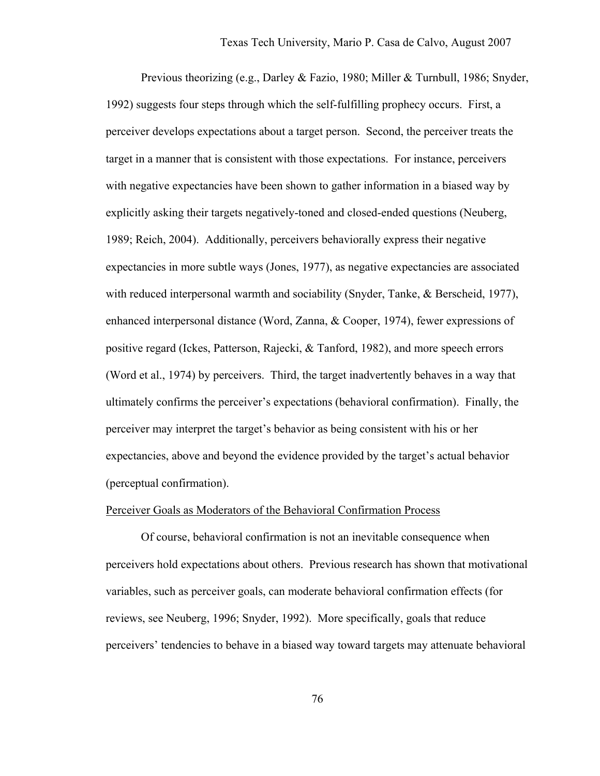Previous theorizing (e.g., Darley & Fazio, 1980; Miller & Turnbull, 1986; Snyder, 1992) suggests four steps through which the self-fulfilling prophecy occurs. First, a perceiver develops expectations about a target person. Second, the perceiver treats the target in a manner that is consistent with those expectations. For instance, perceivers with negative expectancies have been shown to gather information in a biased way by explicitly asking their targets negatively-toned and closed-ended questions (Neuberg, 1989; Reich, 2004). Additionally, perceivers behaviorally express their negative expectancies in more subtle ways (Jones, 1977), as negative expectancies are associated with reduced interpersonal warmth and sociability (Snyder, Tanke, & Berscheid, 1977), enhanced interpersonal distance (Word, Zanna, & Cooper, 1974), fewer expressions of positive regard (Ickes, Patterson, Rajecki, & Tanford, 1982), and more speech errors (Word et al., 1974) by perceivers. Third, the target inadvertently behaves in a way that ultimately confirms the perceiver's expectations (behavioral confirmation). Finally, the perceiver may interpret the target's behavior as being consistent with his or her expectancies, above and beyond the evidence provided by the target's actual behavior (perceptual confirmation).

### Perceiver Goals as Moderators of the Behavioral Confirmation Process

 Of course, behavioral confirmation is not an inevitable consequence when perceivers hold expectations about others. Previous research has shown that motivational variables, such as perceiver goals, can moderate behavioral confirmation effects (for reviews, see Neuberg, 1996; Snyder, 1992). More specifically, goals that reduce perceivers' tendencies to behave in a biased way toward targets may attenuate behavioral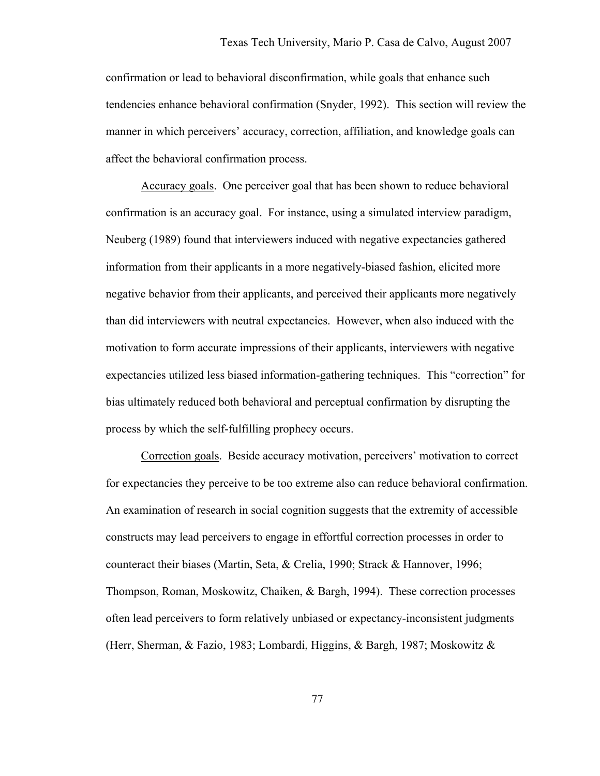confirmation or lead to behavioral disconfirmation, while goals that enhance such tendencies enhance behavioral confirmation (Snyder, 1992). This section will review the manner in which perceivers' accuracy, correction, affiliation, and knowledge goals can affect the behavioral confirmation process.

Accuracy goals. One perceiver goal that has been shown to reduce behavioral confirmation is an accuracy goal. For instance, using a simulated interview paradigm, Neuberg (1989) found that interviewers induced with negative expectancies gathered information from their applicants in a more negatively-biased fashion, elicited more negative behavior from their applicants, and perceived their applicants more negatively than did interviewers with neutral expectancies. However, when also induced with the motivation to form accurate impressions of their applicants, interviewers with negative expectancies utilized less biased information-gathering techniques. This "correction" for bias ultimately reduced both behavioral and perceptual confirmation by disrupting the process by which the self-fulfilling prophecy occurs.

Correction goals. Beside accuracy motivation, perceivers' motivation to correct for expectancies they perceive to be too extreme also can reduce behavioral confirmation. An examination of research in social cognition suggests that the extremity of accessible constructs may lead perceivers to engage in effortful correction processes in order to counteract their biases (Martin, Seta, & Crelia, 1990; Strack & Hannover, 1996; Thompson, Roman, Moskowitz, Chaiken, & Bargh, 1994). These correction processes often lead perceivers to form relatively unbiased or expectancy-inconsistent judgments (Herr, Sherman, & Fazio, 1983; Lombardi, Higgins, & Bargh, 1987; Moskowitz &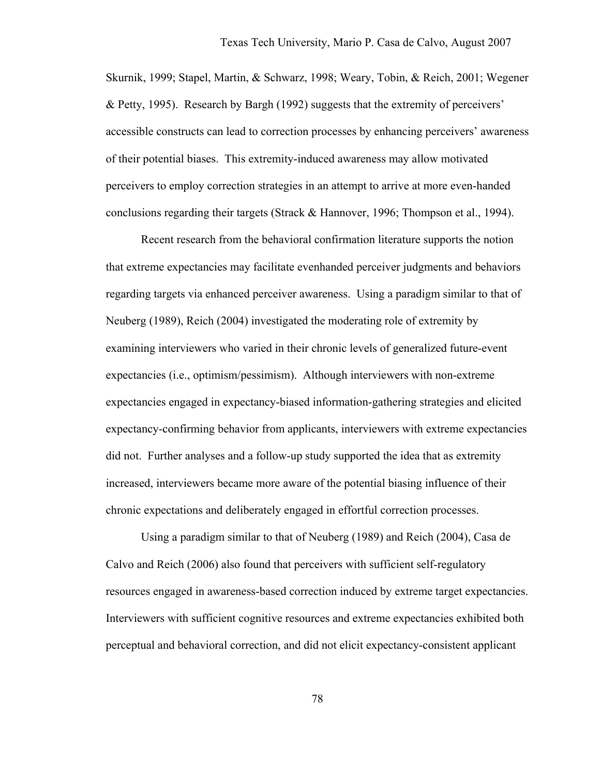Skurnik, 1999; Stapel, Martin, & Schwarz, 1998; Weary, Tobin, & Reich, 2001; Wegener & Petty, 1995). Research by Bargh (1992) suggests that the extremity of perceivers' accessible constructs can lead to correction processes by enhancing perceivers' awareness of their potential biases. This extremity-induced awareness may allow motivated perceivers to employ correction strategies in an attempt to arrive at more even-handed conclusions regarding their targets (Strack & Hannover, 1996; Thompson et al., 1994).

Recent research from the behavioral confirmation literature supports the notion that extreme expectancies may facilitate evenhanded perceiver judgments and behaviors regarding targets via enhanced perceiver awareness. Using a paradigm similar to that of Neuberg (1989), Reich (2004) investigated the moderating role of extremity by examining interviewers who varied in their chronic levels of generalized future-event expectancies (i.e., optimism/pessimism). Although interviewers with non-extreme expectancies engaged in expectancy-biased information-gathering strategies and elicited expectancy-confirming behavior from applicants, interviewers with extreme expectancies did not. Further analyses and a follow-up study supported the idea that as extremity increased, interviewers became more aware of the potential biasing influence of their chronic expectations and deliberately engaged in effortful correction processes.

Using a paradigm similar to that of Neuberg (1989) and Reich (2004), Casa de Calvo and Reich (2006) also found that perceivers with sufficient self-regulatory resources engaged in awareness-based correction induced by extreme target expectancies. Interviewers with sufficient cognitive resources and extreme expectancies exhibited both perceptual and behavioral correction, and did not elicit expectancy-consistent applicant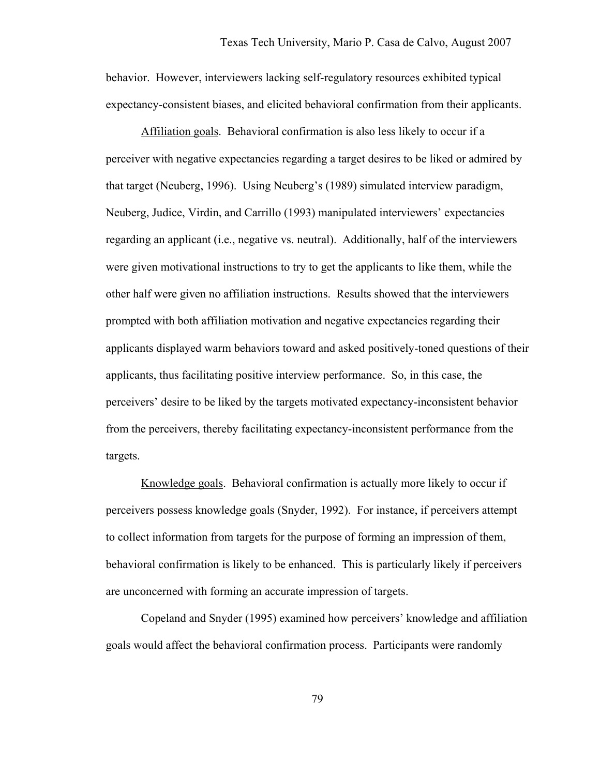behavior. However, interviewers lacking self-regulatory resources exhibited typical expectancy-consistent biases, and elicited behavioral confirmation from their applicants.

Affiliation goals. Behavioral confirmation is also less likely to occur if a perceiver with negative expectancies regarding a target desires to be liked or admired by that target (Neuberg, 1996). Using Neuberg's (1989) simulated interview paradigm, Neuberg, Judice, Virdin, and Carrillo (1993) manipulated interviewers' expectancies regarding an applicant (i.e., negative vs. neutral). Additionally, half of the interviewers were given motivational instructions to try to get the applicants to like them, while the other half were given no affiliation instructions. Results showed that the interviewers prompted with both affiliation motivation and negative expectancies regarding their applicants displayed warm behaviors toward and asked positively-toned questions of their applicants, thus facilitating positive interview performance. So, in this case, the perceivers' desire to be liked by the targets motivated expectancy-inconsistent behavior from the perceivers, thereby facilitating expectancy-inconsistent performance from the targets.

Knowledge goals. Behavioral confirmation is actually more likely to occur if perceivers possess knowledge goals (Snyder, 1992). For instance, if perceivers attempt to collect information from targets for the purpose of forming an impression of them, behavioral confirmation is likely to be enhanced. This is particularly likely if perceivers are unconcerned with forming an accurate impression of targets.

Copeland and Snyder (1995) examined how perceivers' knowledge and affiliation goals would affect the behavioral confirmation process. Participants were randomly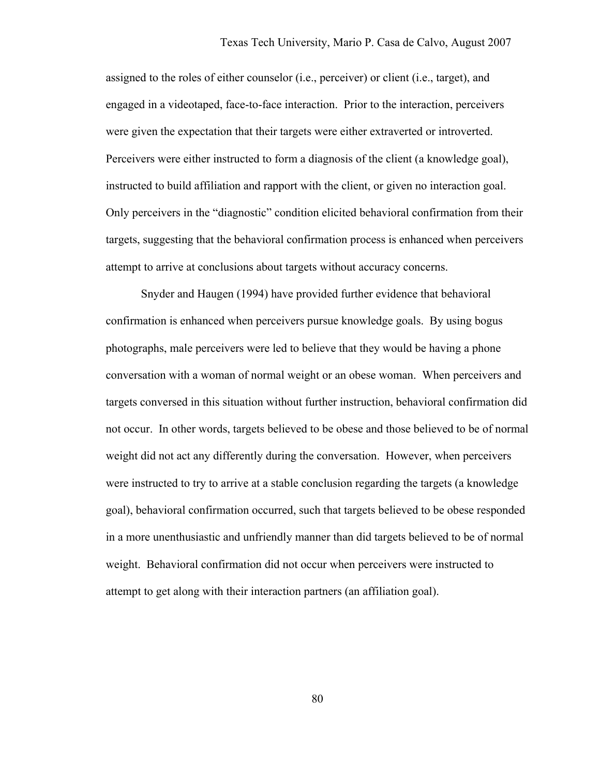assigned to the roles of either counselor (i.e., perceiver) or client (i.e., target), and engaged in a videotaped, face-to-face interaction. Prior to the interaction, perceivers were given the expectation that their targets were either extraverted or introverted. Perceivers were either instructed to form a diagnosis of the client (a knowledge goal), instructed to build affiliation and rapport with the client, or given no interaction goal. Only perceivers in the "diagnostic" condition elicited behavioral confirmation from their targets, suggesting that the behavioral confirmation process is enhanced when perceivers attempt to arrive at conclusions about targets without accuracy concerns.

Snyder and Haugen (1994) have provided further evidence that behavioral confirmation is enhanced when perceivers pursue knowledge goals. By using bogus photographs, male perceivers were led to believe that they would be having a phone conversation with a woman of normal weight or an obese woman. When perceivers and targets conversed in this situation without further instruction, behavioral confirmation did not occur. In other words, targets believed to be obese and those believed to be of normal weight did not act any differently during the conversation. However, when perceivers were instructed to try to arrive at a stable conclusion regarding the targets (a knowledge goal), behavioral confirmation occurred, such that targets believed to be obese responded in a more unenthusiastic and unfriendly manner than did targets believed to be of normal weight. Behavioral confirmation did not occur when perceivers were instructed to attempt to get along with their interaction partners (an affiliation goal).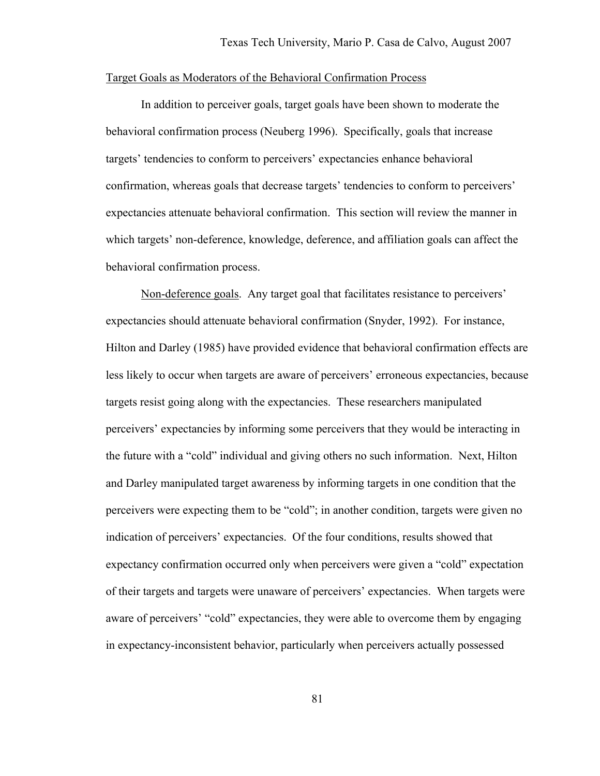## Target Goals as Moderators of the Behavioral Confirmation Process

 In addition to perceiver goals, target goals have been shown to moderate the behavioral confirmation process (Neuberg 1996). Specifically, goals that increase targets' tendencies to conform to perceivers' expectancies enhance behavioral confirmation, whereas goals that decrease targets' tendencies to conform to perceivers' expectancies attenuate behavioral confirmation. This section will review the manner in which targets' non-deference, knowledge, deference, and affiliation goals can affect the behavioral confirmation process.

Non-deference goals. Any target goal that facilitates resistance to perceivers' expectancies should attenuate behavioral confirmation (Snyder, 1992). For instance, Hilton and Darley (1985) have provided evidence that behavioral confirmation effects are less likely to occur when targets are aware of perceivers' erroneous expectancies, because targets resist going along with the expectancies. These researchers manipulated perceivers' expectancies by informing some perceivers that they would be interacting in the future with a "cold" individual and giving others no such information. Next, Hilton and Darley manipulated target awareness by informing targets in one condition that the perceivers were expecting them to be "cold"; in another condition, targets were given no indication of perceivers' expectancies. Of the four conditions, results showed that expectancy confirmation occurred only when perceivers were given a "cold" expectation of their targets and targets were unaware of perceivers' expectancies. When targets were aware of perceivers' "cold" expectancies, they were able to overcome them by engaging in expectancy-inconsistent behavior, particularly when perceivers actually possessed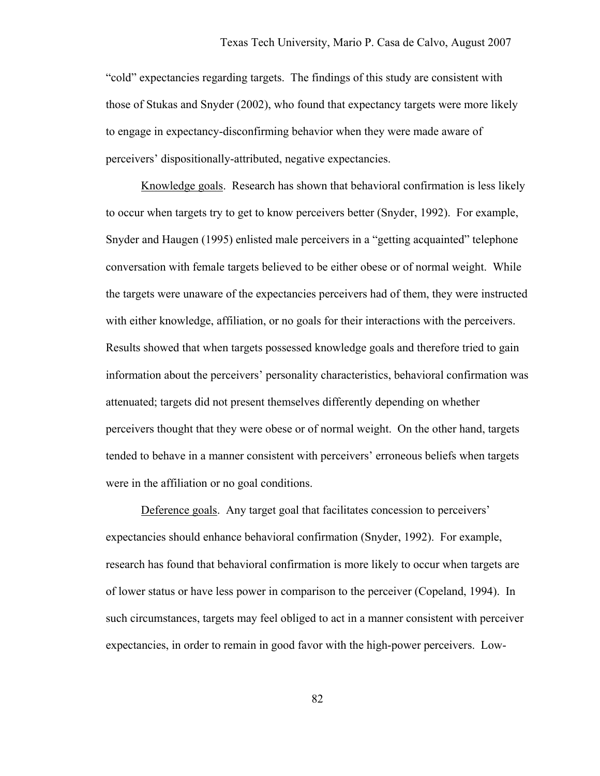"cold" expectancies regarding targets. The findings of this study are consistent with those of Stukas and Snyder (2002), who found that expectancy targets were more likely to engage in expectancy-disconfirming behavior when they were made aware of perceivers' dispositionally-attributed, negative expectancies.

Knowledge goals. Research has shown that behavioral confirmation is less likely to occur when targets try to get to know perceivers better (Snyder, 1992). For example, Snyder and Haugen (1995) enlisted male perceivers in a "getting acquainted" telephone conversation with female targets believed to be either obese or of normal weight. While the targets were unaware of the expectancies perceivers had of them, they were instructed with either knowledge, affiliation, or no goals for their interactions with the perceivers. Results showed that when targets possessed knowledge goals and therefore tried to gain information about the perceivers' personality characteristics, behavioral confirmation was attenuated; targets did not present themselves differently depending on whether perceivers thought that they were obese or of normal weight. On the other hand, targets tended to behave in a manner consistent with perceivers' erroneous beliefs when targets were in the affiliation or no goal conditions.

Deference goals. Any target goal that facilitates concession to perceivers' expectancies should enhance behavioral confirmation (Snyder, 1992). For example, research has found that behavioral confirmation is more likely to occur when targets are of lower status or have less power in comparison to the perceiver (Copeland, 1994). In such circumstances, targets may feel obliged to act in a manner consistent with perceiver expectancies, in order to remain in good favor with the high-power perceivers. Low-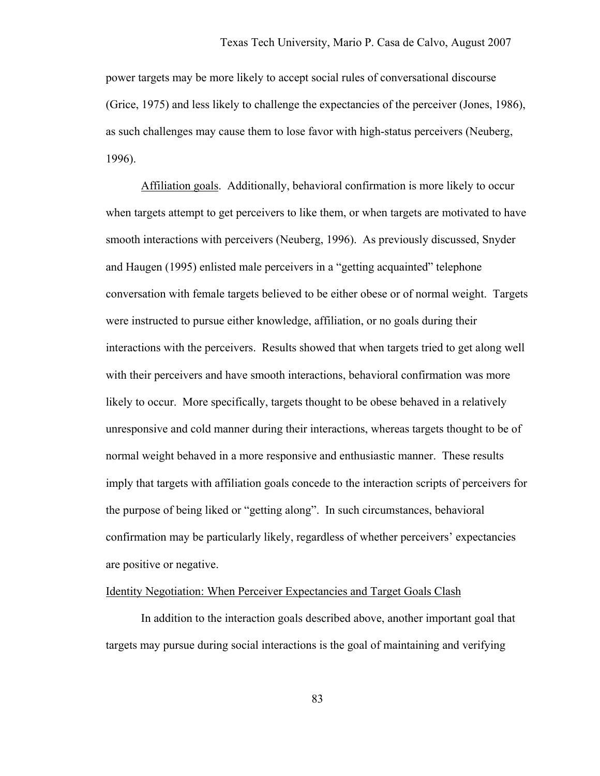power targets may be more likely to accept social rules of conversational discourse (Grice, 1975) and less likely to challenge the expectancies of the perceiver (Jones, 1986), as such challenges may cause them to lose favor with high-status perceivers (Neuberg, 1996).

Affiliation goals. Additionally, behavioral confirmation is more likely to occur when targets attempt to get perceivers to like them, or when targets are motivated to have smooth interactions with perceivers (Neuberg, 1996). As previously discussed, Snyder and Haugen (1995) enlisted male perceivers in a "getting acquainted" telephone conversation with female targets believed to be either obese or of normal weight. Targets were instructed to pursue either knowledge, affiliation, or no goals during their interactions with the perceivers. Results showed that when targets tried to get along well with their perceivers and have smooth interactions, behavioral confirmation was more likely to occur. More specifically, targets thought to be obese behaved in a relatively unresponsive and cold manner during their interactions, whereas targets thought to be of normal weight behaved in a more responsive and enthusiastic manner. These results imply that targets with affiliation goals concede to the interaction scripts of perceivers for the purpose of being liked or "getting along". In such circumstances, behavioral confirmation may be particularly likely, regardless of whether perceivers' expectancies are positive or negative.

# Identity Negotiation: When Perceiver Expectancies and Target Goals Clash

In addition to the interaction goals described above, another important goal that targets may pursue during social interactions is the goal of maintaining and verifying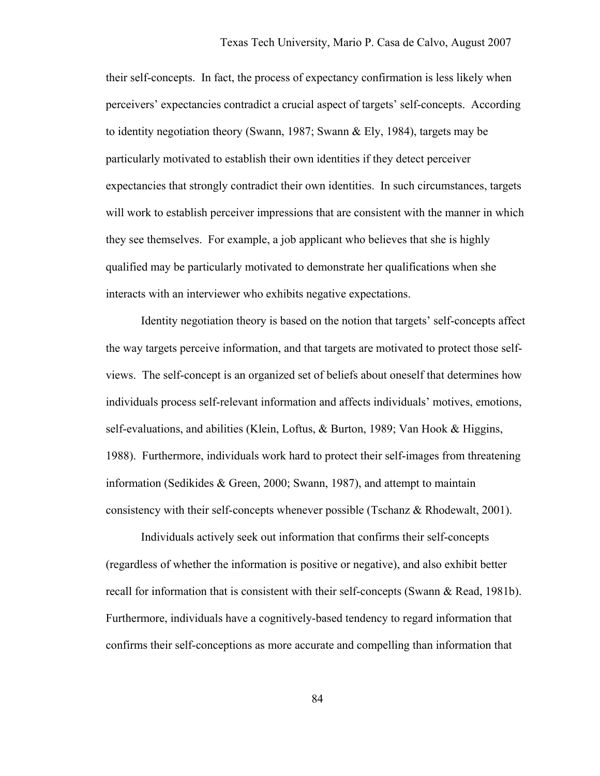their self-concepts. In fact, the process of expectancy confirmation is less likely when perceivers' expectancies contradict a crucial aspect of targets' self-concepts. According to identity negotiation theory (Swann, 1987; Swann & Ely, 1984), targets may be particularly motivated to establish their own identities if they detect perceiver expectancies that strongly contradict their own identities. In such circumstances, targets will work to establish perceiver impressions that are consistent with the manner in which they see themselves. For example, a job applicant who believes that she is highly qualified may be particularly motivated to demonstrate her qualifications when she interacts with an interviewer who exhibits negative expectations.

Identity negotiation theory is based on the notion that targets' self-concepts affect the way targets perceive information, and that targets are motivated to protect those selfviews. The self-concept is an organized set of beliefs about oneself that determines how individuals process self-relevant information and affects individuals' motives, emotions, self-evaluations, and abilities (Klein, Loftus, & Burton, 1989; Van Hook & Higgins, 1988). Furthermore, individuals work hard to protect their self-images from threatening information (Sedikides & Green, 2000; Swann, 1987), and attempt to maintain consistency with their self-concepts whenever possible (Tschanz & Rhodewalt, 2001).

Individuals actively seek out information that confirms their self-concepts (regardless of whether the information is positive or negative), and also exhibit better recall for information that is consistent with their self-concepts (Swann & Read, 1981b). Furthermore, individuals have a cognitively-based tendency to regard information that confirms their self-conceptions as more accurate and compelling than information that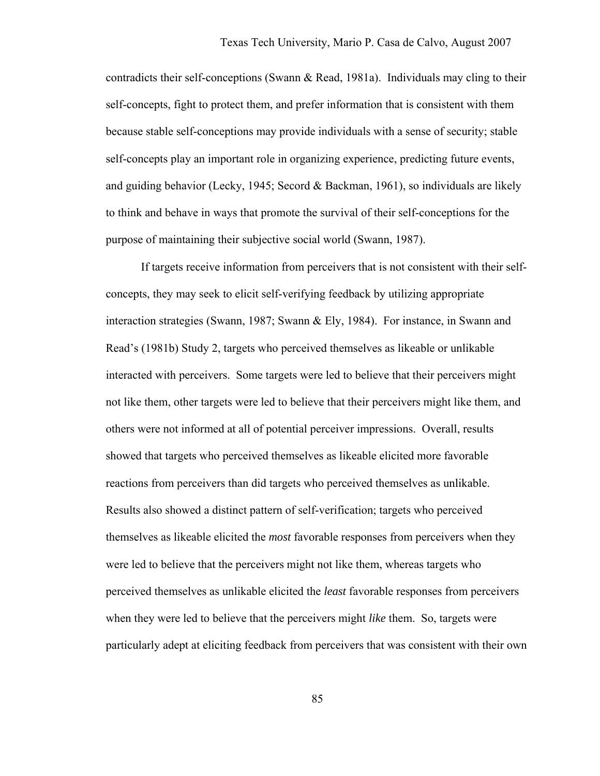contradicts their self-conceptions (Swann & Read, 1981a). Individuals may cling to their self-concepts, fight to protect them, and prefer information that is consistent with them because stable self-conceptions may provide individuals with a sense of security; stable self-concepts play an important role in organizing experience, predicting future events, and guiding behavior (Lecky, 1945; Secord & Backman, 1961), so individuals are likely to think and behave in ways that promote the survival of their self-conceptions for the purpose of maintaining their subjective social world (Swann, 1987).

 If targets receive information from perceivers that is not consistent with their selfconcepts, they may seek to elicit self-verifying feedback by utilizing appropriate interaction strategies (Swann, 1987; Swann & Ely, 1984). For instance, in Swann and Read's (1981b) Study 2, targets who perceived themselves as likeable or unlikable interacted with perceivers. Some targets were led to believe that their perceivers might not like them, other targets were led to believe that their perceivers might like them, and others were not informed at all of potential perceiver impressions. Overall, results showed that targets who perceived themselves as likeable elicited more favorable reactions from perceivers than did targets who perceived themselves as unlikable. Results also showed a distinct pattern of self-verification; targets who perceived themselves as likeable elicited the *most* favorable responses from perceivers when they were led to believe that the perceivers might not like them, whereas targets who perceived themselves as unlikable elicited the *least* favorable responses from perceivers when they were led to believe that the perceivers might *like* them. So, targets were particularly adept at eliciting feedback from perceivers that was consistent with their own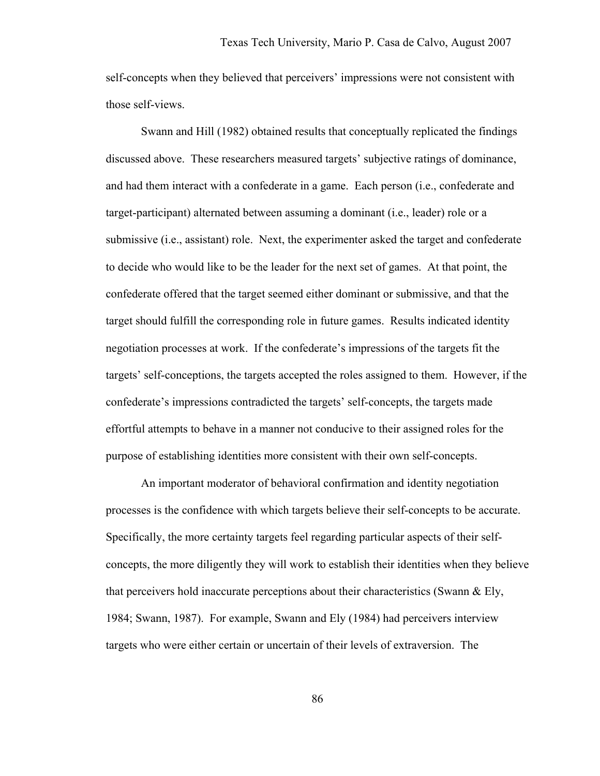self-concepts when they believed that perceivers' impressions were not consistent with those self-views.

 Swann and Hill (1982) obtained results that conceptually replicated the findings discussed above. These researchers measured targets' subjective ratings of dominance, and had them interact with a confederate in a game. Each person (i.e., confederate and target-participant) alternated between assuming a dominant (i.e., leader) role or a submissive (i.e., assistant) role. Next, the experimenter asked the target and confederate to decide who would like to be the leader for the next set of games. At that point, the confederate offered that the target seemed either dominant or submissive, and that the target should fulfill the corresponding role in future games. Results indicated identity negotiation processes at work. If the confederate's impressions of the targets fit the targets' self-conceptions, the targets accepted the roles assigned to them. However, if the confederate's impressions contradicted the targets' self-concepts, the targets made effortful attempts to behave in a manner not conducive to their assigned roles for the purpose of establishing identities more consistent with their own self-concepts.

 An important moderator of behavioral confirmation and identity negotiation processes is the confidence with which targets believe their self-concepts to be accurate. Specifically, the more certainty targets feel regarding particular aspects of their selfconcepts, the more diligently they will work to establish their identities when they believe that perceivers hold inaccurate perceptions about their characteristics (Swann  $\&$  Ely, 1984; Swann, 1987). For example, Swann and Ely (1984) had perceivers interview targets who were either certain or uncertain of their levels of extraversion. The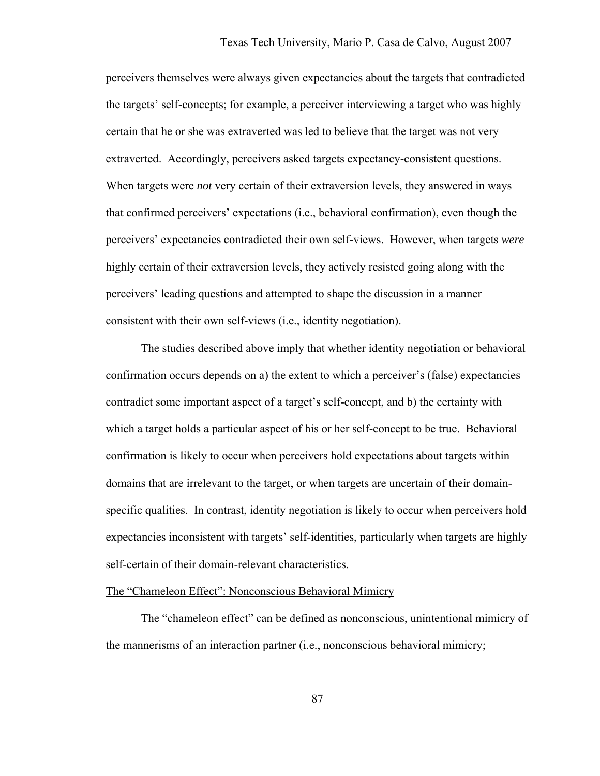perceivers themselves were always given expectancies about the targets that contradicted the targets' self-concepts; for example, a perceiver interviewing a target who was highly certain that he or she was extraverted was led to believe that the target was not very extraverted. Accordingly, perceivers asked targets expectancy-consistent questions. When targets were *not* very certain of their extraversion levels, they answered in ways that confirmed perceivers' expectations (i.e., behavioral confirmation), even though the perceivers' expectancies contradicted their own self-views. However, when targets *were* highly certain of their extraversion levels, they actively resisted going along with the perceivers' leading questions and attempted to shape the discussion in a manner consistent with their own self-views (i.e., identity negotiation).

The studies described above imply that whether identity negotiation or behavioral confirmation occurs depends on a) the extent to which a perceiver's (false) expectancies contradict some important aspect of a target's self-concept, and b) the certainty with which a target holds a particular aspect of his or her self-concept to be true. Behavioral confirmation is likely to occur when perceivers hold expectations about targets within domains that are irrelevant to the target, or when targets are uncertain of their domainspecific qualities. In contrast, identity negotiation is likely to occur when perceivers hold expectancies inconsistent with targets' self-identities, particularly when targets are highly self-certain of their domain-relevant characteristics.

# The "Chameleon Effect": Nonconscious Behavioral Mimicry

 The "chameleon effect" can be defined as nonconscious, unintentional mimicry of the mannerisms of an interaction partner (i.e., nonconscious behavioral mimicry;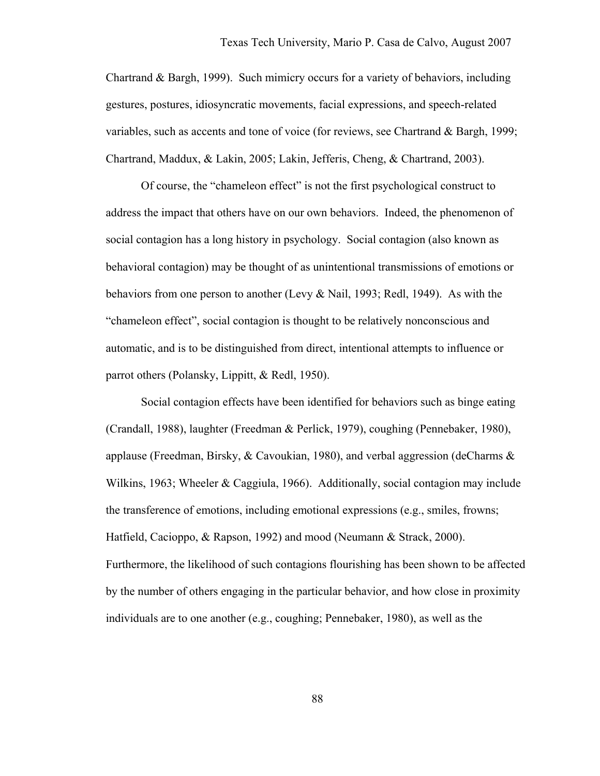Chartrand & Bargh, 1999). Such mimicry occurs for a variety of behaviors, including gestures, postures, idiosyncratic movements, facial expressions, and speech-related variables, such as accents and tone of voice (for reviews, see Chartrand & Bargh, 1999; Chartrand, Maddux, & Lakin, 2005; Lakin, Jefferis, Cheng, & Chartrand, 2003).

Of course, the "chameleon effect" is not the first psychological construct to address the impact that others have on our own behaviors. Indeed, the phenomenon of social contagion has a long history in psychology. Social contagion (also known as behavioral contagion) may be thought of as unintentional transmissions of emotions or behaviors from one person to another (Levy & Nail, 1993; Redl, 1949). As with the "chameleon effect", social contagion is thought to be relatively nonconscious and automatic, and is to be distinguished from direct, intentional attempts to influence or parrot others (Polansky, Lippitt, & Redl, 1950).

Social contagion effects have been identified for behaviors such as binge eating (Crandall, 1988), laughter (Freedman & Perlick, 1979), coughing (Pennebaker, 1980), applause (Freedman, Birsky,  $\&$  Cavoukian, 1980), and verbal aggression (deCharms  $\&$ Wilkins, 1963; Wheeler & Caggiula, 1966). Additionally, social contagion may include the transference of emotions, including emotional expressions (e.g., smiles, frowns; Hatfield, Cacioppo, & Rapson, 1992) and mood (Neumann & Strack, 2000). Furthermore, the likelihood of such contagions flourishing has been shown to be affected by the number of others engaging in the particular behavior, and how close in proximity individuals are to one another (e.g., coughing; Pennebaker, 1980), as well as the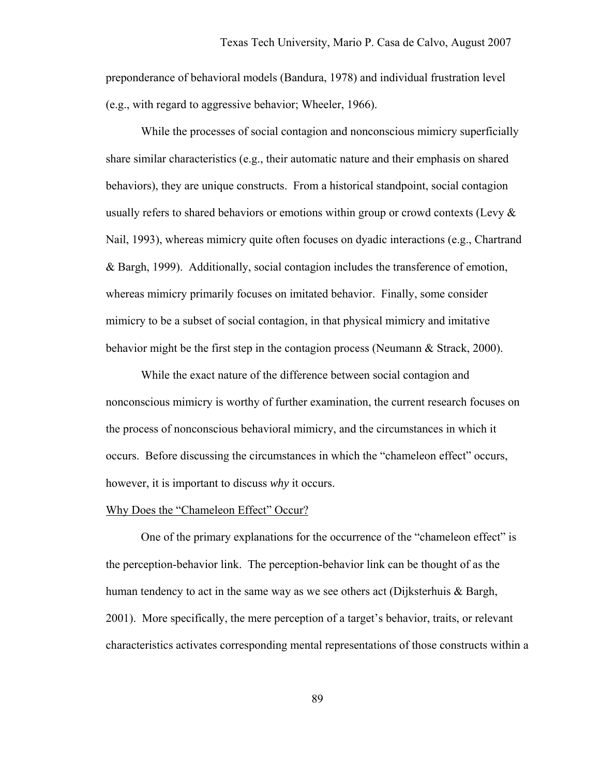preponderance of behavioral models (Bandura, 1978) and individual frustration level (e.g., with regard to aggressive behavior; Wheeler, 1966).

While the processes of social contagion and nonconscious mimicry superficially share similar characteristics (e.g., their automatic nature and their emphasis on shared behaviors), they are unique constructs. From a historical standpoint, social contagion usually refers to shared behaviors or emotions within group or crowd contexts (Levy  $\&$ Nail, 1993), whereas mimicry quite often focuses on dyadic interactions (e.g., Chartrand & Bargh, 1999). Additionally, social contagion includes the transference of emotion, whereas mimicry primarily focuses on imitated behavior. Finally, some consider mimicry to be a subset of social contagion, in that physical mimicry and imitative behavior might be the first step in the contagion process (Neumann & Strack, 2000).

While the exact nature of the difference between social contagion and nonconscious mimicry is worthy of further examination, the current research focuses on the process of nonconscious behavioral mimicry, and the circumstances in which it occurs. Before discussing the circumstances in which the "chameleon effect" occurs, however, it is important to discuss *why* it occurs.

### Why Does the "Chameleon Effect" Occur?

 One of the primary explanations for the occurrence of the "chameleon effect" is the perception-behavior link. The perception-behavior link can be thought of as the human tendency to act in the same way as we see others act (Dijksterhuis & Bargh, 2001). More specifically, the mere perception of a target's behavior, traits, or relevant characteristics activates corresponding mental representations of those constructs within a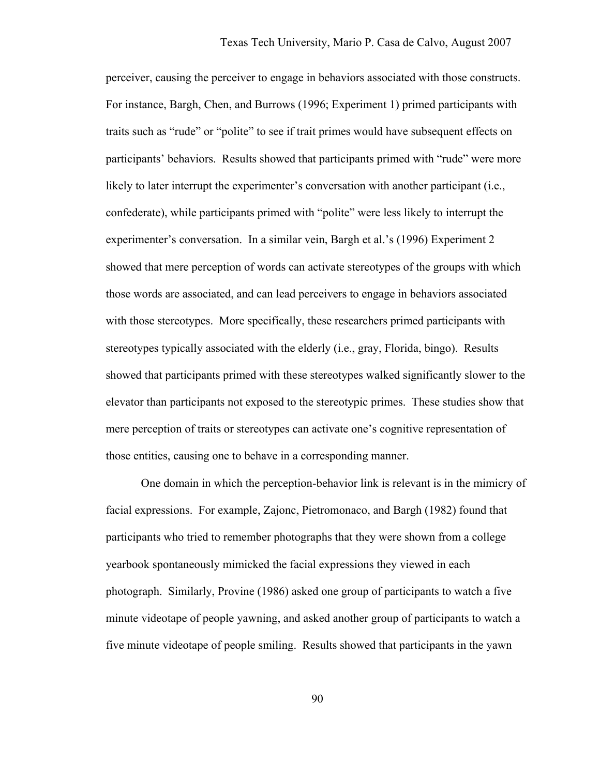perceiver, causing the perceiver to engage in behaviors associated with those constructs. For instance, Bargh, Chen, and Burrows (1996; Experiment 1) primed participants with traits such as "rude" or "polite" to see if trait primes would have subsequent effects on participants' behaviors. Results showed that participants primed with "rude" were more likely to later interrupt the experimenter's conversation with another participant (i.e., confederate), while participants primed with "polite" were less likely to interrupt the experimenter's conversation. In a similar vein, Bargh et al.'s (1996) Experiment 2 showed that mere perception of words can activate stereotypes of the groups with which those words are associated, and can lead perceivers to engage in behaviors associated with those stereotypes. More specifically, these researchers primed participants with stereotypes typically associated with the elderly (i.e., gray, Florida, bingo). Results showed that participants primed with these stereotypes walked significantly slower to the elevator than participants not exposed to the stereotypic primes. These studies show that mere perception of traits or stereotypes can activate one's cognitive representation of those entities, causing one to behave in a corresponding manner.

 One domain in which the perception-behavior link is relevant is in the mimicry of facial expressions. For example, Zajonc, Pietromonaco, and Bargh (1982) found that participants who tried to remember photographs that they were shown from a college yearbook spontaneously mimicked the facial expressions they viewed in each photograph. Similarly, Provine (1986) asked one group of participants to watch a five minute videotape of people yawning, and asked another group of participants to watch a five minute videotape of people smiling. Results showed that participants in the yawn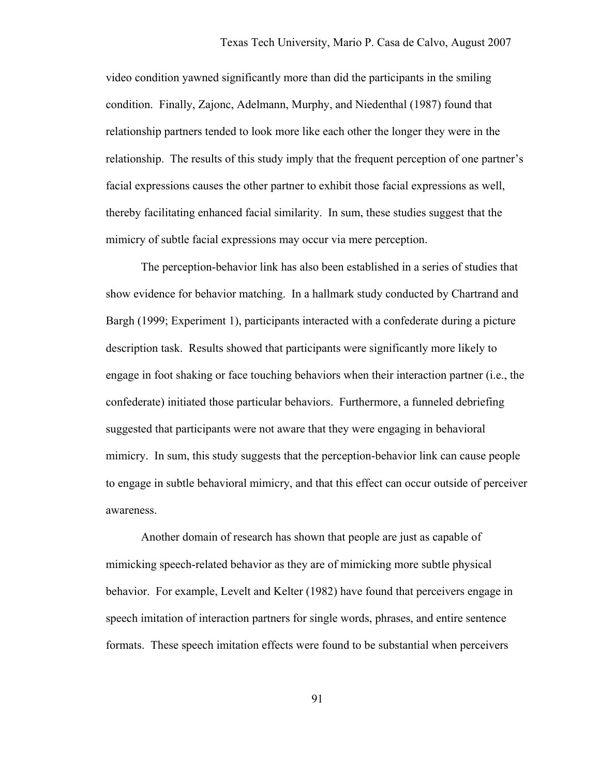video condition yawned significantly more than did the participants in the smiling condition. Finally, Zajonc, Adelmann, Murphy, and Niedenthal (1987) found that relationship partners tended to look more like each other the longer they were in the relationship. The results of this study imply that the frequent perception of one partner's facial expressions causes the other partner to exhibit those facial expressions as well, thereby facilitating enhanced facial similarity. In sum, these studies suggest that the mimicry of subtle facial expressions may occur via mere perception.

 The perception-behavior link has also been established in a series of studies that show evidence for behavior matching. In a hallmark study conducted by Chartrand and Bargh (1999; Experiment 1), participants interacted with a confederate during a picture description task. Results showed that participants were significantly more likely to engage in foot shaking or face touching behaviors when their interaction partner (i.e., the confederate) initiated those particular behaviors. Furthermore, a funneled debriefing suggested that participants were not aware that they were engaging in behavioral mimicry. In sum, this study suggests that the perception-behavior link can cause people to engage in subtle behavioral mimicry, and that this effect can occur outside of perceiver awareness.

 Another domain of research has shown that people are just as capable of mimicking speech-related behavior as they are of mimicking more subtle physical behavior. For example, Levelt and Kelter (1982) have found that perceivers engage in speech imitation of interaction partners for single words, phrases, and entire sentence formats. These speech imitation effects were found to be substantial when perceivers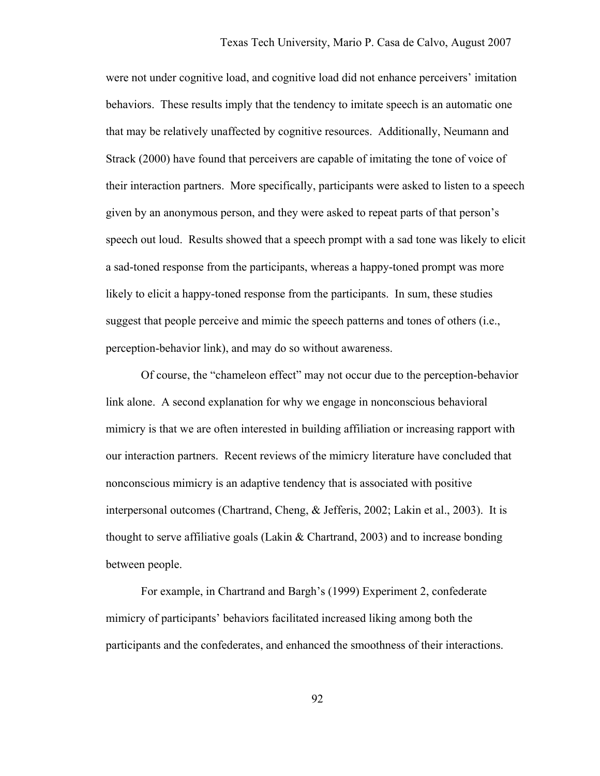were not under cognitive load, and cognitive load did not enhance perceivers' imitation behaviors. These results imply that the tendency to imitate speech is an automatic one that may be relatively unaffected by cognitive resources. Additionally, Neumann and Strack (2000) have found that perceivers are capable of imitating the tone of voice of their interaction partners. More specifically, participants were asked to listen to a speech given by an anonymous person, and they were asked to repeat parts of that person's speech out loud. Results showed that a speech prompt with a sad tone was likely to elicit a sad-toned response from the participants, whereas a happy-toned prompt was more likely to elicit a happy-toned response from the participants. In sum, these studies suggest that people perceive and mimic the speech patterns and tones of others (i.e., perception-behavior link), and may do so without awareness.

Of course, the "chameleon effect" may not occur due to the perception-behavior link alone. A second explanation for why we engage in nonconscious behavioral mimicry is that we are often interested in building affiliation or increasing rapport with our interaction partners. Recent reviews of the mimicry literature have concluded that nonconscious mimicry is an adaptive tendency that is associated with positive interpersonal outcomes (Chartrand, Cheng, & Jefferis, 2002; Lakin et al., 2003). It is thought to serve affiliative goals (Lakin  $&$  Chartrand, 2003) and to increase bonding between people.

For example, in Chartrand and Bargh's (1999) Experiment 2, confederate mimicry of participants' behaviors facilitated increased liking among both the participants and the confederates, and enhanced the smoothness of their interactions.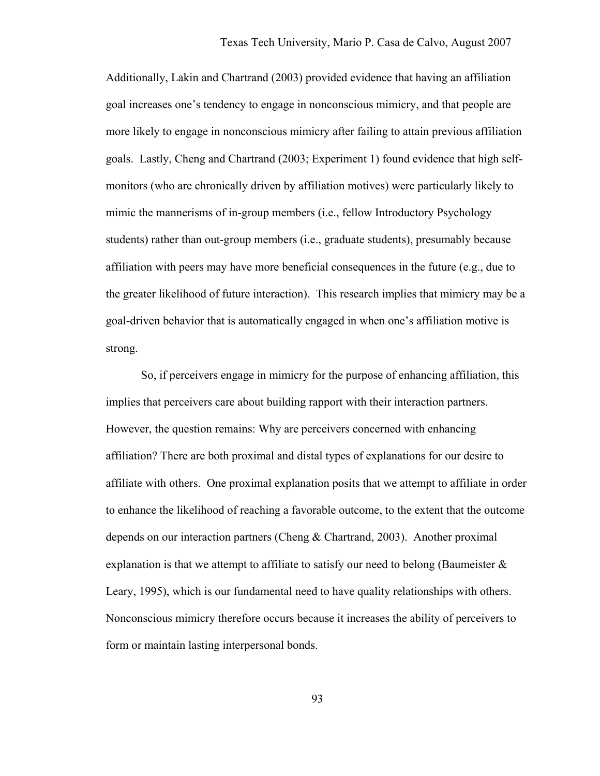Additionally, Lakin and Chartrand (2003) provided evidence that having an affiliation goal increases one's tendency to engage in nonconscious mimicry, and that people are more likely to engage in nonconscious mimicry after failing to attain previous affiliation goals. Lastly, Cheng and Chartrand (2003; Experiment 1) found evidence that high selfmonitors (who are chronically driven by affiliation motives) were particularly likely to mimic the mannerisms of in-group members (i.e., fellow Introductory Psychology students) rather than out-group members (i.e., graduate students), presumably because affiliation with peers may have more beneficial consequences in the future (e.g., due to the greater likelihood of future interaction). This research implies that mimicry may be a goal-driven behavior that is automatically engaged in when one's affiliation motive is strong.

 So, if perceivers engage in mimicry for the purpose of enhancing affiliation, this implies that perceivers care about building rapport with their interaction partners. However, the question remains: Why are perceivers concerned with enhancing affiliation? There are both proximal and distal types of explanations for our desire to affiliate with others. One proximal explanation posits that we attempt to affiliate in order to enhance the likelihood of reaching a favorable outcome, to the extent that the outcome depends on our interaction partners (Cheng & Chartrand, 2003). Another proximal explanation is that we attempt to affiliate to satisfy our need to belong (Baumeister  $\&$ Leary, 1995), which is our fundamental need to have quality relationships with others. Nonconscious mimicry therefore occurs because it increases the ability of perceivers to form or maintain lasting interpersonal bonds.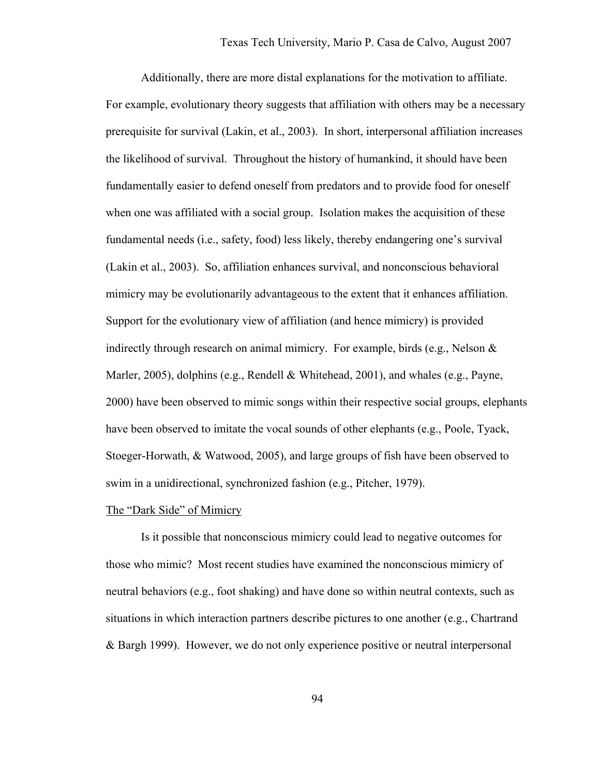Additionally, there are more distal explanations for the motivation to affiliate. For example, evolutionary theory suggests that affiliation with others may be a necessary prerequisite for survival (Lakin, et al., 2003). In short, interpersonal affiliation increases the likelihood of survival. Throughout the history of humankind, it should have been fundamentally easier to defend oneself from predators and to provide food for oneself when one was affiliated with a social group. Isolation makes the acquisition of these fundamental needs (i.e., safety, food) less likely, thereby endangering one's survival (Lakin et al., 2003). So, affiliation enhances survival, and nonconscious behavioral mimicry may be evolutionarily advantageous to the extent that it enhances affiliation. Support for the evolutionary view of affiliation (and hence mimicry) is provided indirectly through research on animal mimicry. For example, birds (e.g., Nelson  $\&$ Marler, 2005), dolphins (e.g., Rendell & Whitehead, 2001), and whales (e.g., Payne, 2000) have been observed to mimic songs within their respective social groups, elephants have been observed to imitate the vocal sounds of other elephants (e.g., Poole, Tyack, Stoeger-Horwath, & Watwood, 2005), and large groups of fish have been observed to swim in a unidirectional, synchronized fashion (e.g., Pitcher, 1979).

#### The "Dark Side" of Mimicry

Is it possible that nonconscious mimicry could lead to negative outcomes for those who mimic? Most recent studies have examined the nonconscious mimicry of neutral behaviors (e.g., foot shaking) and have done so within neutral contexts, such as situations in which interaction partners describe pictures to one another (e.g., Chartrand & Bargh 1999). However, we do not only experience positive or neutral interpersonal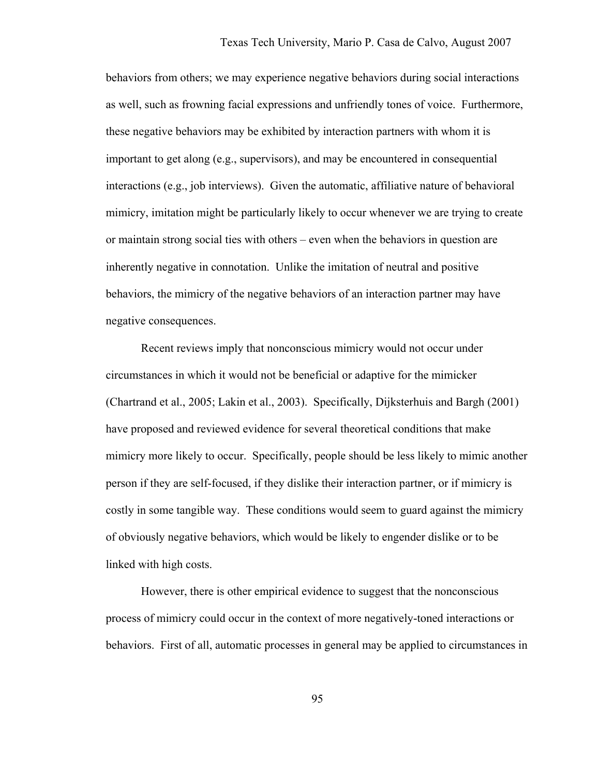behaviors from others; we may experience negative behaviors during social interactions as well, such as frowning facial expressions and unfriendly tones of voice. Furthermore, these negative behaviors may be exhibited by interaction partners with whom it is important to get along (e.g., supervisors), and may be encountered in consequential interactions (e.g., job interviews). Given the automatic, affiliative nature of behavioral mimicry, imitation might be particularly likely to occur whenever we are trying to create or maintain strong social ties with others – even when the behaviors in question are inherently negative in connotation. Unlike the imitation of neutral and positive behaviors, the mimicry of the negative behaviors of an interaction partner may have negative consequences.

Recent reviews imply that nonconscious mimicry would not occur under circumstances in which it would not be beneficial or adaptive for the mimicker (Chartrand et al., 2005; Lakin et al., 2003). Specifically, Dijksterhuis and Bargh (2001) have proposed and reviewed evidence for several theoretical conditions that make mimicry more likely to occur. Specifically, people should be less likely to mimic another person if they are self-focused, if they dislike their interaction partner, or if mimicry is costly in some tangible way. These conditions would seem to guard against the mimicry of obviously negative behaviors, which would be likely to engender dislike or to be linked with high costs.

However, there is other empirical evidence to suggest that the nonconscious process of mimicry could occur in the context of more negatively-toned interactions or behaviors. First of all, automatic processes in general may be applied to circumstances in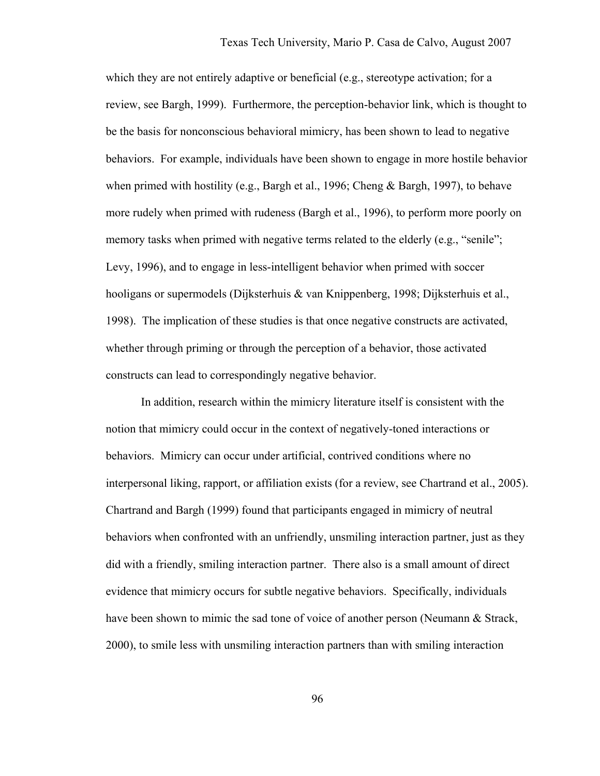which they are not entirely adaptive or beneficial (e.g., stereotype activation; for a review, see Bargh, 1999). Furthermore, the perception-behavior link, which is thought to be the basis for nonconscious behavioral mimicry, has been shown to lead to negative behaviors. For example, individuals have been shown to engage in more hostile behavior when primed with hostility (e.g., Bargh et al., 1996; Cheng & Bargh, 1997), to behave more rudely when primed with rudeness (Bargh et al., 1996), to perform more poorly on memory tasks when primed with negative terms related to the elderly (e.g., "senile"; Levy, 1996), and to engage in less-intelligent behavior when primed with soccer hooligans or supermodels (Dijksterhuis & van Knippenberg, 1998; Dijksterhuis et al., 1998). The implication of these studies is that once negative constructs are activated, whether through priming or through the perception of a behavior, those activated constructs can lead to correspondingly negative behavior.

In addition, research within the mimicry literature itself is consistent with the notion that mimicry could occur in the context of negatively-toned interactions or behaviors. Mimicry can occur under artificial, contrived conditions where no interpersonal liking, rapport, or affiliation exists (for a review, see Chartrand et al., 2005). Chartrand and Bargh (1999) found that participants engaged in mimicry of neutral behaviors when confronted with an unfriendly, unsmiling interaction partner, just as they did with a friendly, smiling interaction partner. There also is a small amount of direct evidence that mimicry occurs for subtle negative behaviors. Specifically, individuals have been shown to mimic the sad tone of voice of another person (Neumann & Strack, 2000), to smile less with unsmiling interaction partners than with smiling interaction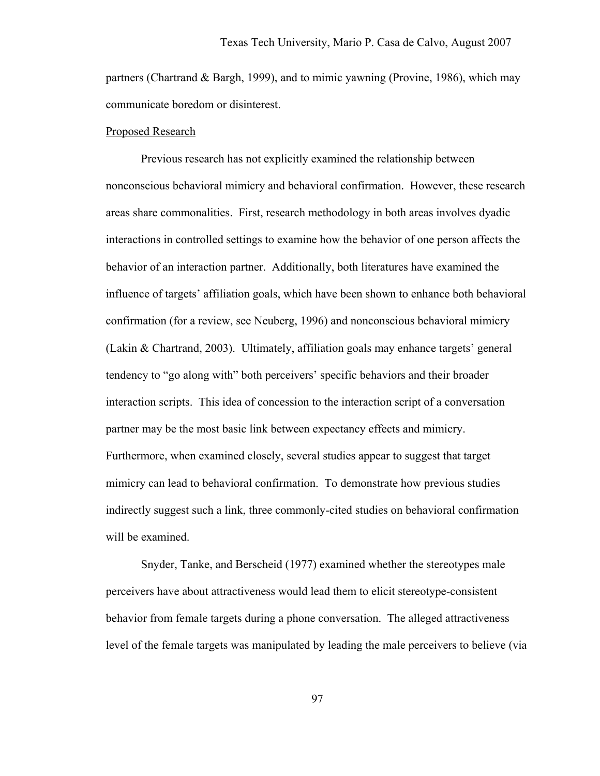partners (Chartrand & Bargh, 1999), and to mimic yawning (Provine, 1986), which may communicate boredom or disinterest.

## Proposed Research

Previous research has not explicitly examined the relationship between nonconscious behavioral mimicry and behavioral confirmation. However, these research areas share commonalities. First, research methodology in both areas involves dyadic interactions in controlled settings to examine how the behavior of one person affects the behavior of an interaction partner. Additionally, both literatures have examined the influence of targets' affiliation goals, which have been shown to enhance both behavioral confirmation (for a review, see Neuberg, 1996) and nonconscious behavioral mimicry (Lakin & Chartrand, 2003). Ultimately, affiliation goals may enhance targets' general tendency to "go along with" both perceivers' specific behaviors and their broader interaction scripts. This idea of concession to the interaction script of a conversation partner may be the most basic link between expectancy effects and mimicry. Furthermore, when examined closely, several studies appear to suggest that target mimicry can lead to behavioral confirmation. To demonstrate how previous studies indirectly suggest such a link, three commonly-cited studies on behavioral confirmation will be examined.

Snyder, Tanke, and Berscheid (1977) examined whether the stereotypes male perceivers have about attractiveness would lead them to elicit stereotype-consistent behavior from female targets during a phone conversation. The alleged attractiveness level of the female targets was manipulated by leading the male perceivers to believe (via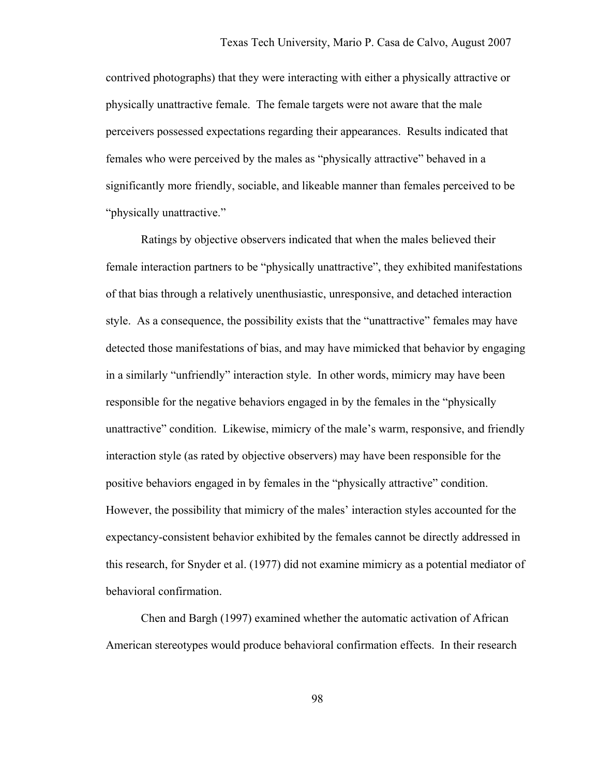contrived photographs) that they were interacting with either a physically attractive or physically unattractive female. The female targets were not aware that the male perceivers possessed expectations regarding their appearances. Results indicated that females who were perceived by the males as "physically attractive" behaved in a significantly more friendly, sociable, and likeable manner than females perceived to be "physically unattractive."

Ratings by objective observers indicated that when the males believed their female interaction partners to be "physically unattractive", they exhibited manifestations of that bias through a relatively unenthusiastic, unresponsive, and detached interaction style. As a consequence, the possibility exists that the "unattractive" females may have detected those manifestations of bias, and may have mimicked that behavior by engaging in a similarly "unfriendly" interaction style. In other words, mimicry may have been responsible for the negative behaviors engaged in by the females in the "physically unattractive" condition. Likewise, mimicry of the male's warm, responsive, and friendly interaction style (as rated by objective observers) may have been responsible for the positive behaviors engaged in by females in the "physically attractive" condition. However, the possibility that mimicry of the males' interaction styles accounted for the expectancy-consistent behavior exhibited by the females cannot be directly addressed in this research, for Snyder et al. (1977) did not examine mimicry as a potential mediator of behavioral confirmation.

Chen and Bargh (1997) examined whether the automatic activation of African American stereotypes would produce behavioral confirmation effects. In their research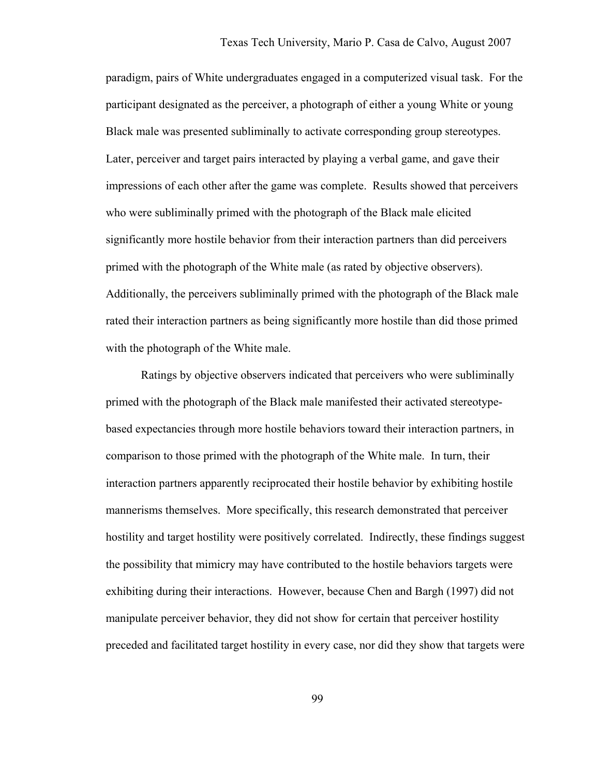paradigm, pairs of White undergraduates engaged in a computerized visual task. For the participant designated as the perceiver, a photograph of either a young White or young Black male was presented subliminally to activate corresponding group stereotypes. Later, perceiver and target pairs interacted by playing a verbal game, and gave their impressions of each other after the game was complete. Results showed that perceivers who were subliminally primed with the photograph of the Black male elicited significantly more hostile behavior from their interaction partners than did perceivers primed with the photograph of the White male (as rated by objective observers). Additionally, the perceivers subliminally primed with the photograph of the Black male rated their interaction partners as being significantly more hostile than did those primed with the photograph of the White male.

Ratings by objective observers indicated that perceivers who were subliminally primed with the photograph of the Black male manifested their activated stereotypebased expectancies through more hostile behaviors toward their interaction partners, in comparison to those primed with the photograph of the White male. In turn, their interaction partners apparently reciprocated their hostile behavior by exhibiting hostile mannerisms themselves. More specifically, this research demonstrated that perceiver hostility and target hostility were positively correlated. Indirectly, these findings suggest the possibility that mimicry may have contributed to the hostile behaviors targets were exhibiting during their interactions. However, because Chen and Bargh (1997) did not manipulate perceiver behavior, they did not show for certain that perceiver hostility preceded and facilitated target hostility in every case, nor did they show that targets were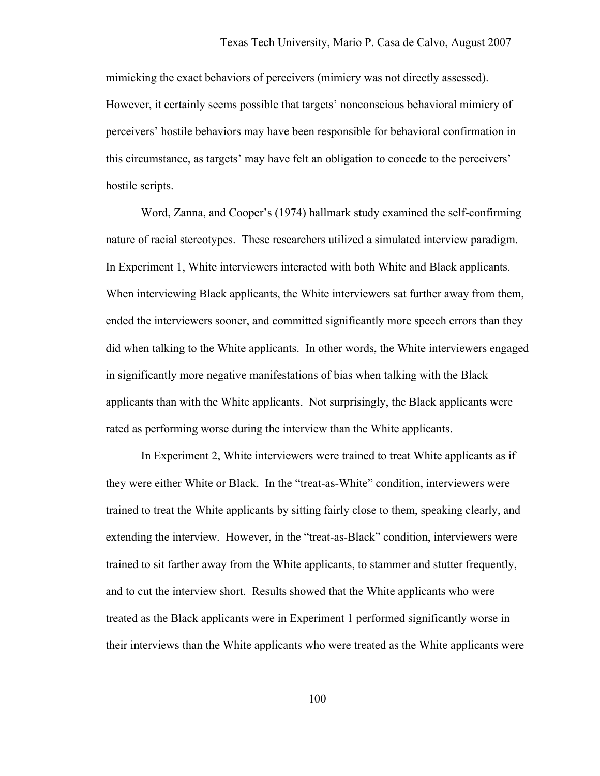mimicking the exact behaviors of perceivers (mimicry was not directly assessed). However, it certainly seems possible that targets' nonconscious behavioral mimicry of perceivers' hostile behaviors may have been responsible for behavioral confirmation in this circumstance, as targets' may have felt an obligation to concede to the perceivers' hostile scripts.

Word, Zanna, and Cooper's (1974) hallmark study examined the self-confirming nature of racial stereotypes. These researchers utilized a simulated interview paradigm. In Experiment 1, White interviewers interacted with both White and Black applicants. When interviewing Black applicants, the White interviewers sat further away from them, ended the interviewers sooner, and committed significantly more speech errors than they did when talking to the White applicants. In other words, the White interviewers engaged in significantly more negative manifestations of bias when talking with the Black applicants than with the White applicants. Not surprisingly, the Black applicants were rated as performing worse during the interview than the White applicants.

 In Experiment 2, White interviewers were trained to treat White applicants as if they were either White or Black. In the "treat-as-White" condition, interviewers were trained to treat the White applicants by sitting fairly close to them, speaking clearly, and extending the interview. However, in the "treat-as-Black" condition, interviewers were trained to sit farther away from the White applicants, to stammer and stutter frequently, and to cut the interview short. Results showed that the White applicants who were treated as the Black applicants were in Experiment 1 performed significantly worse in their interviews than the White applicants who were treated as the White applicants were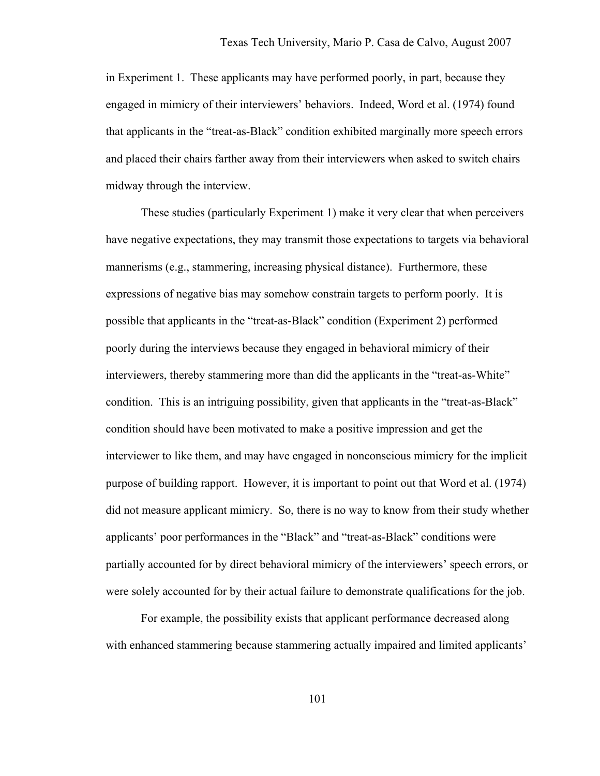in Experiment 1. These applicants may have performed poorly, in part, because they engaged in mimicry of their interviewers' behaviors. Indeed, Word et al. (1974) found that applicants in the "treat-as-Black" condition exhibited marginally more speech errors and placed their chairs farther away from their interviewers when asked to switch chairs midway through the interview.

 These studies (particularly Experiment 1) make it very clear that when perceivers have negative expectations, they may transmit those expectations to targets via behavioral mannerisms (e.g., stammering, increasing physical distance). Furthermore, these expressions of negative bias may somehow constrain targets to perform poorly. It is possible that applicants in the "treat-as-Black" condition (Experiment 2) performed poorly during the interviews because they engaged in behavioral mimicry of their interviewers, thereby stammering more than did the applicants in the "treat-as-White" condition. This is an intriguing possibility, given that applicants in the "treat-as-Black" condition should have been motivated to make a positive impression and get the interviewer to like them, and may have engaged in nonconscious mimicry for the implicit purpose of building rapport. However, it is important to point out that Word et al. (1974) did not measure applicant mimicry. So, there is no way to know from their study whether applicants' poor performances in the "Black" and "treat-as-Black" conditions were partially accounted for by direct behavioral mimicry of the interviewers' speech errors, or were solely accounted for by their actual failure to demonstrate qualifications for the job.

 For example, the possibility exists that applicant performance decreased along with enhanced stammering because stammering actually impaired and limited applicants'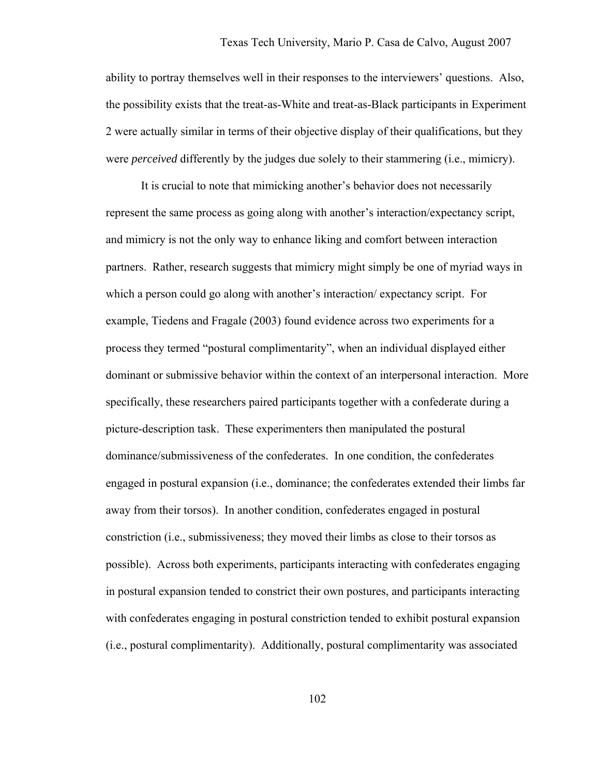ability to portray themselves well in their responses to the interviewers' questions. Also, the possibility exists that the treat-as-White and treat-as-Black participants in Experiment 2 were actually similar in terms of their objective display of their qualifications, but they were *perceived* differently by the judges due solely to their stammering (i.e., mimicry).

 It is crucial to note that mimicking another's behavior does not necessarily represent the same process as going along with another's interaction/expectancy script, and mimicry is not the only way to enhance liking and comfort between interaction partners. Rather, research suggests that mimicry might simply be one of myriad ways in which a person could go along with another's interaction/ expectancy script. For example, Tiedens and Fragale (2003) found evidence across two experiments for a process they termed "postural complimentarity", when an individual displayed either dominant or submissive behavior within the context of an interpersonal interaction. More specifically, these researchers paired participants together with a confederate during a picture-description task. These experimenters then manipulated the postural dominance/submissiveness of the confederates. In one condition, the confederates engaged in postural expansion (i.e., dominance; the confederates extended their limbs far away from their torsos). In another condition, confederates engaged in postural constriction (i.e., submissiveness; they moved their limbs as close to their torsos as possible). Across both experiments, participants interacting with confederates engaging in postural expansion tended to constrict their own postures, and participants interacting with confederates engaging in postural constriction tended to exhibit postural expansion (i.e., postural complimentarity). Additionally, postural complimentarity was associated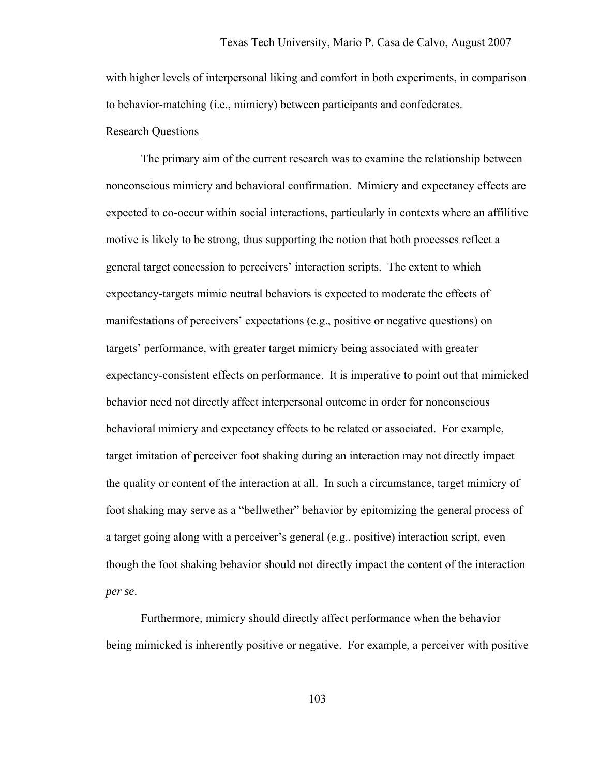with higher levels of interpersonal liking and comfort in both experiments, in comparison to behavior-matching (i.e., mimicry) between participants and confederates.

#### Research Questions

The primary aim of the current research was to examine the relationship between nonconscious mimicry and behavioral confirmation. Mimicry and expectancy effects are expected to co-occur within social interactions, particularly in contexts where an affilitive motive is likely to be strong, thus supporting the notion that both processes reflect a general target concession to perceivers' interaction scripts. The extent to which expectancy-targets mimic neutral behaviors is expected to moderate the effects of manifestations of perceivers' expectations (e.g., positive or negative questions) on targets' performance, with greater target mimicry being associated with greater expectancy-consistent effects on performance. It is imperative to point out that mimicked behavior need not directly affect interpersonal outcome in order for nonconscious behavioral mimicry and expectancy effects to be related or associated. For example, target imitation of perceiver foot shaking during an interaction may not directly impact the quality or content of the interaction at all. In such a circumstance, target mimicry of foot shaking may serve as a "bellwether" behavior by epitomizing the general process of a target going along with a perceiver's general (e.g., positive) interaction script, even though the foot shaking behavior should not directly impact the content of the interaction *per se*.

Furthermore, mimicry should directly affect performance when the behavior being mimicked is inherently positive or negative. For example, a perceiver with positive

103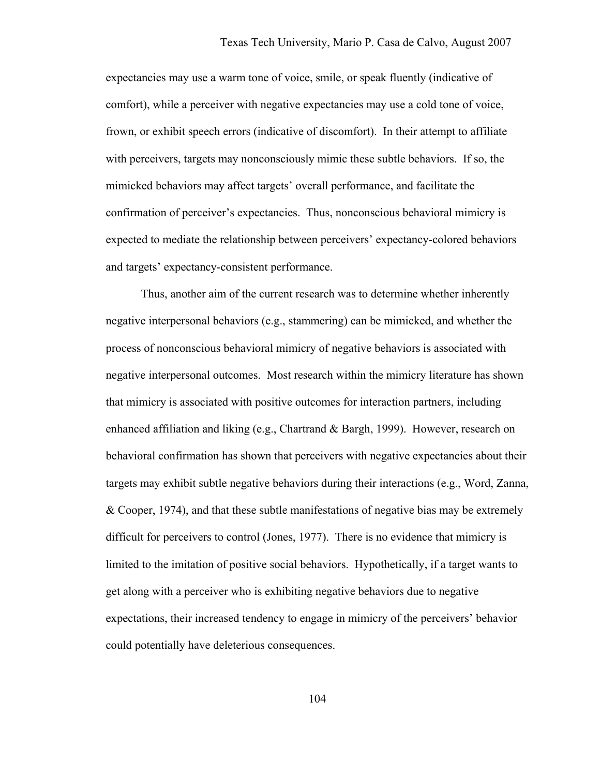expectancies may use a warm tone of voice, smile, or speak fluently (indicative of comfort), while a perceiver with negative expectancies may use a cold tone of voice, frown, or exhibit speech errors (indicative of discomfort). In their attempt to affiliate with perceivers, targets may nonconsciously mimic these subtle behaviors. If so, the mimicked behaviors may affect targets' overall performance, and facilitate the confirmation of perceiver's expectancies. Thus, nonconscious behavioral mimicry is expected to mediate the relationship between perceivers' expectancy-colored behaviors and targets' expectancy-consistent performance.

Thus, another aim of the current research was to determine whether inherently negative interpersonal behaviors (e.g., stammering) can be mimicked, and whether the process of nonconscious behavioral mimicry of negative behaviors is associated with negative interpersonal outcomes. Most research within the mimicry literature has shown that mimicry is associated with positive outcomes for interaction partners, including enhanced affiliation and liking (e.g., Chartrand & Bargh, 1999). However, research on behavioral confirmation has shown that perceivers with negative expectancies about their targets may exhibit subtle negative behaviors during their interactions (e.g., Word, Zanna, & Cooper, 1974), and that these subtle manifestations of negative bias may be extremely difficult for perceivers to control (Jones, 1977). There is no evidence that mimicry is limited to the imitation of positive social behaviors. Hypothetically, if a target wants to get along with a perceiver who is exhibiting negative behaviors due to negative expectations, their increased tendency to engage in mimicry of the perceivers' behavior could potentially have deleterious consequences.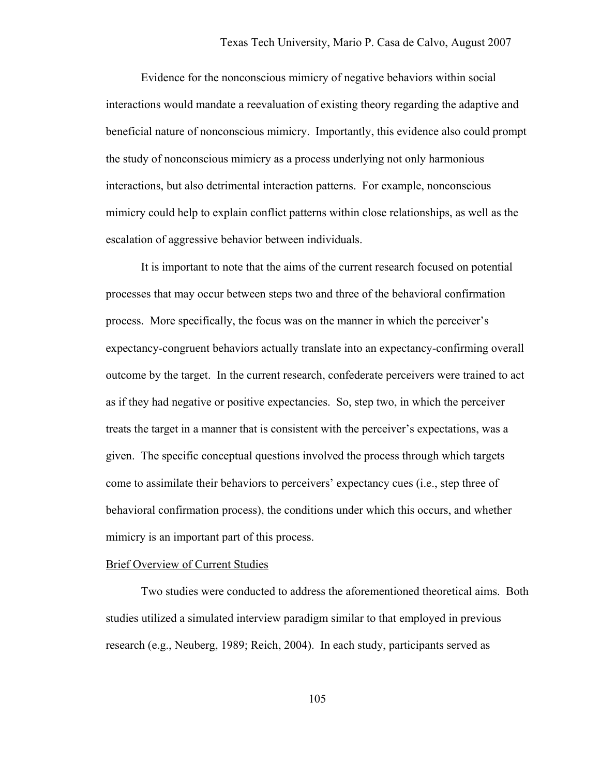Evidence for the nonconscious mimicry of negative behaviors within social interactions would mandate a reevaluation of existing theory regarding the adaptive and beneficial nature of nonconscious mimicry. Importantly, this evidence also could prompt the study of nonconscious mimicry as a process underlying not only harmonious interactions, but also detrimental interaction patterns. For example, nonconscious mimicry could help to explain conflict patterns within close relationships, as well as the escalation of aggressive behavior between individuals.

It is important to note that the aims of the current research focused on potential processes that may occur between steps two and three of the behavioral confirmation process. More specifically, the focus was on the manner in which the perceiver's expectancy-congruent behaviors actually translate into an expectancy-confirming overall outcome by the target. In the current research, confederate perceivers were trained to act as if they had negative or positive expectancies. So, step two, in which the perceiver treats the target in a manner that is consistent with the perceiver's expectations, was a given. The specific conceptual questions involved the process through which targets come to assimilate their behaviors to perceivers' expectancy cues (i.e., step three of behavioral confirmation process), the conditions under which this occurs, and whether mimicry is an important part of this process.

#### Brief Overview of Current Studies

Two studies were conducted to address the aforementioned theoretical aims. Both studies utilized a simulated interview paradigm similar to that employed in previous research (e.g., Neuberg, 1989; Reich, 2004). In each study, participants served as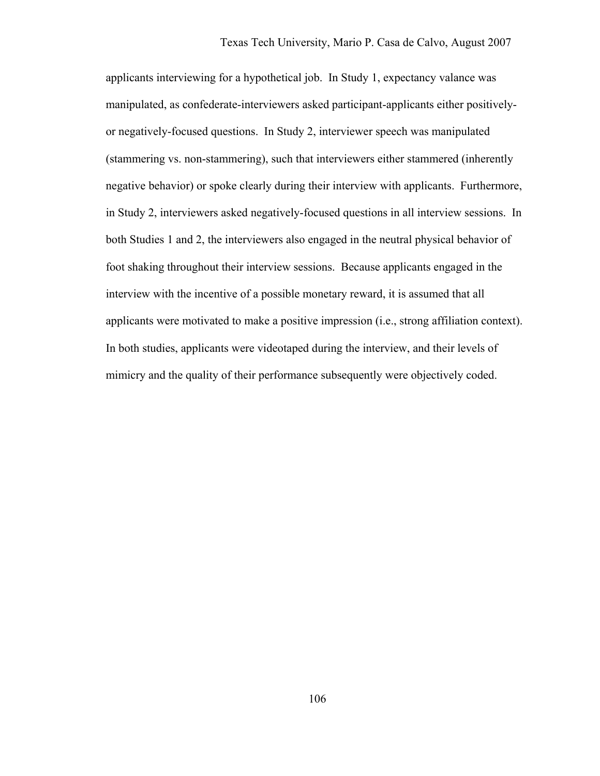applicants interviewing for a hypothetical job. In Study 1, expectancy valance was manipulated, as confederate-interviewers asked participant-applicants either positivelyor negatively-focused questions. In Study 2, interviewer speech was manipulated (stammering vs. non-stammering), such that interviewers either stammered (inherently negative behavior) or spoke clearly during their interview with applicants. Furthermore, in Study 2, interviewers asked negatively-focused questions in all interview sessions. In both Studies 1 and 2, the interviewers also engaged in the neutral physical behavior of foot shaking throughout their interview sessions. Because applicants engaged in the interview with the incentive of a possible monetary reward, it is assumed that all applicants were motivated to make a positive impression (i.e., strong affiliation context). In both studies, applicants were videotaped during the interview, and their levels of mimicry and the quality of their performance subsequently were objectively coded.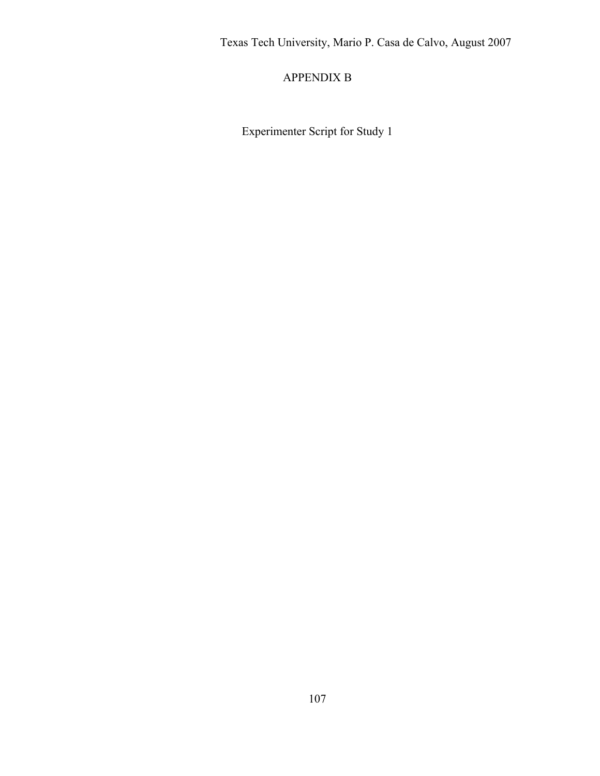## APPENDIX B

Experimenter Script for Study 1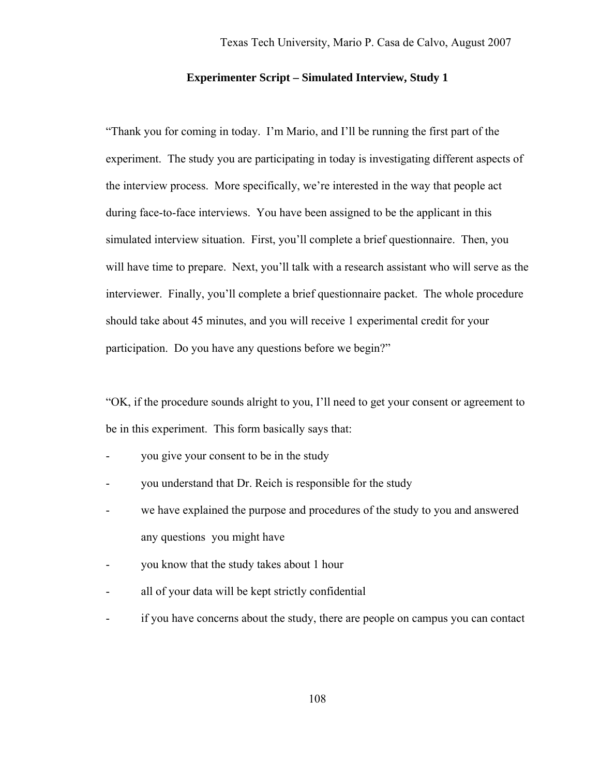#### **Experimenter Script – Simulated Interview, Study 1**

"Thank you for coming in today. I'm Mario, and I'll be running the first part of the experiment. The study you are participating in today is investigating different aspects of the interview process. More specifically, we're interested in the way that people act during face-to-face interviews. You have been assigned to be the applicant in this simulated interview situation. First, you'll complete a brief questionnaire. Then, you will have time to prepare. Next, you'll talk with a research assistant who will serve as the interviewer. Finally, you'll complete a brief questionnaire packet. The whole procedure should take about 45 minutes, and you will receive 1 experimental credit for your participation. Do you have any questions before we begin?"

"OK, if the procedure sounds alright to you, I'll need to get your consent or agreement to be in this experiment. This form basically says that:

- you give your consent to be in the study
- you understand that Dr. Reich is responsible for the study
- we have explained the purpose and procedures of the study to you and answered any questions you might have
- you know that the study takes about 1 hour
- all of your data will be kept strictly confidential
- if you have concerns about the study, there are people on campus you can contact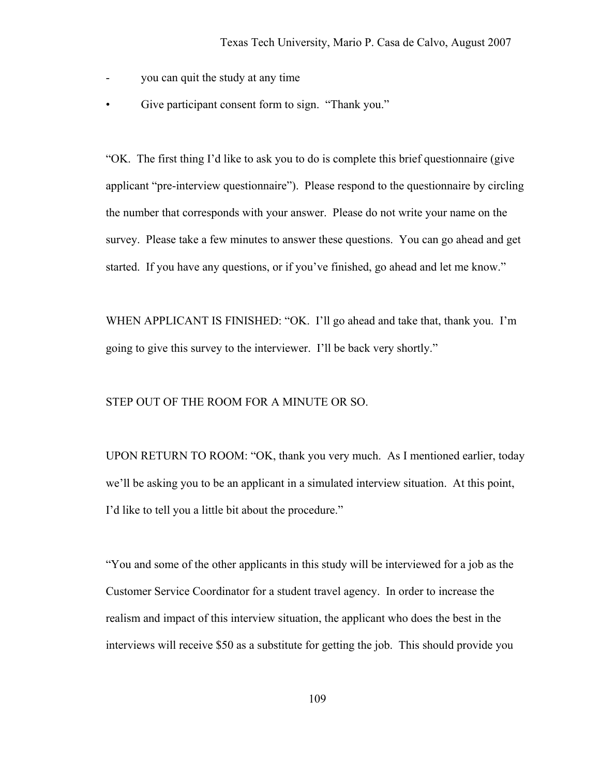- you can quit the study at any time
- Give participant consent form to sign. "Thank you."

"OK. The first thing I'd like to ask you to do is complete this brief questionnaire (give applicant "pre-interview questionnaire"). Please respond to the questionnaire by circling the number that corresponds with your answer. Please do not write your name on the survey. Please take a few minutes to answer these questions. You can go ahead and get started. If you have any questions, or if you've finished, go ahead and let me know."

WHEN APPLICANT IS FINISHED: "OK. I'll go ahead and take that, thank you. I'm going to give this survey to the interviewer. I'll be back very shortly."

STEP OUT OF THE ROOM FOR A MINUTE OR SO.

UPON RETURN TO ROOM: "OK, thank you very much. As I mentioned earlier, today we'll be asking you to be an applicant in a simulated interview situation. At this point, I'd like to tell you a little bit about the procedure."

"You and some of the other applicants in this study will be interviewed for a job as the Customer Service Coordinator for a student travel agency. In order to increase the realism and impact of this interview situation, the applicant who does the best in the interviews will receive \$50 as a substitute for getting the job. This should provide you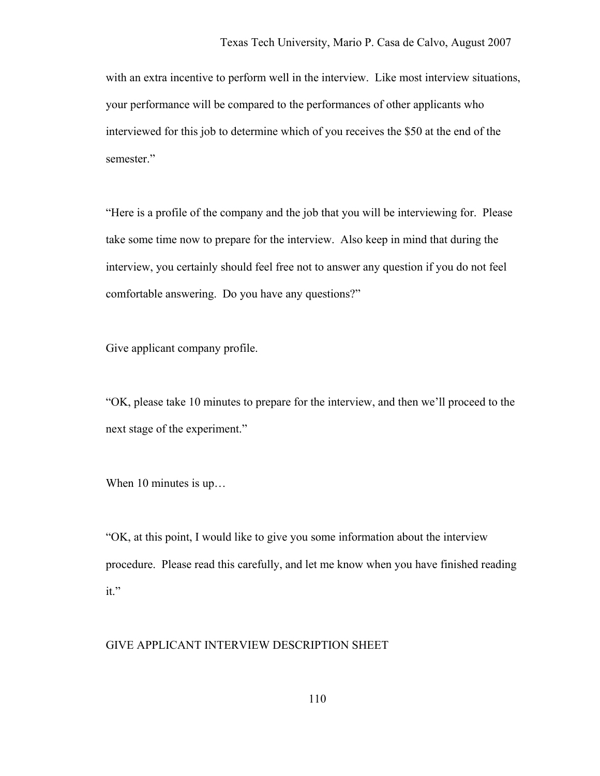with an extra incentive to perform well in the interview. Like most interview situations, your performance will be compared to the performances of other applicants who interviewed for this job to determine which of you receives the \$50 at the end of the semester."

"Here is a profile of the company and the job that you will be interviewing for. Please take some time now to prepare for the interview. Also keep in mind that during the interview, you certainly should feel free not to answer any question if you do not feel comfortable answering. Do you have any questions?"

Give applicant company profile.

"OK, please take 10 minutes to prepare for the interview, and then we'll proceed to the next stage of the experiment."

When 10 minutes is up...

"OK, at this point, I would like to give you some information about the interview procedure. Please read this carefully, and let me know when you have finished reading it."

#### GIVE APPLICANT INTERVIEW DESCRIPTION SHEET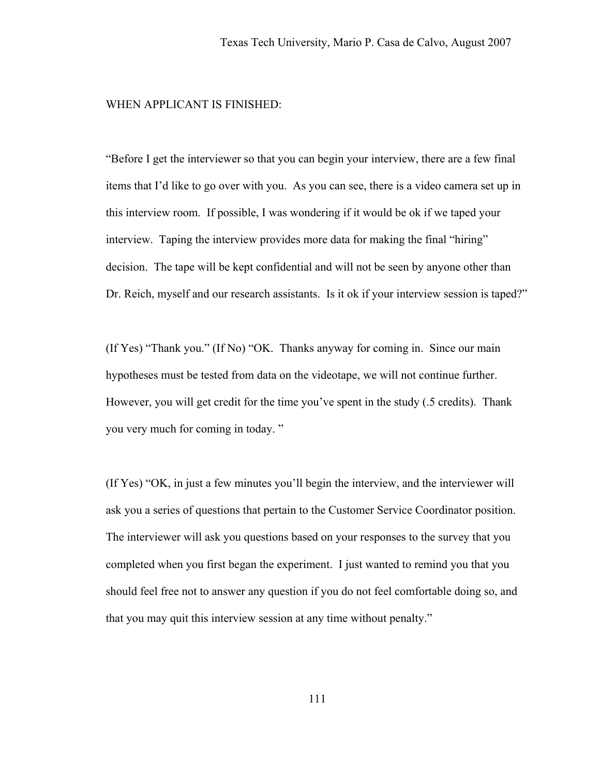#### WHEN APPLICANT IS FINISHED:

"Before I get the interviewer so that you can begin your interview, there are a few final items that I'd like to go over with you. As you can see, there is a video camera set up in this interview room. If possible, I was wondering if it would be ok if we taped your interview. Taping the interview provides more data for making the final "hiring" decision. The tape will be kept confidential and will not be seen by anyone other than Dr. Reich, myself and our research assistants. Is it ok if your interview session is taped?"

(If Yes) "Thank you." (If No) "OK. Thanks anyway for coming in. Since our main hypotheses must be tested from data on the videotape, we will not continue further. However, you will get credit for the time you've spent in the study (.5 credits). Thank you very much for coming in today. "

(If Yes) "OK, in just a few minutes you'll begin the interview, and the interviewer will ask you a series of questions that pertain to the Customer Service Coordinator position. The interviewer will ask you questions based on your responses to the survey that you completed when you first began the experiment. I just wanted to remind you that you should feel free not to answer any question if you do not feel comfortable doing so, and that you may quit this interview session at any time without penalty."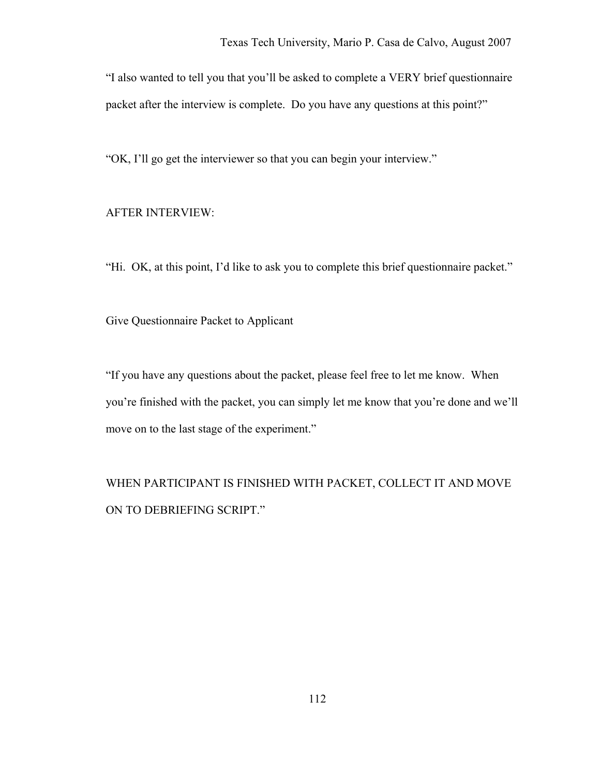"I also wanted to tell you that you'll be asked to complete a VERY brief questionnaire packet after the interview is complete. Do you have any questions at this point?"

"OK, I'll go get the interviewer so that you can begin your interview."

#### AFTER INTERVIEW:

"Hi. OK, at this point, I'd like to ask you to complete this brief questionnaire packet."

Give Questionnaire Packet to Applicant

"If you have any questions about the packet, please feel free to let me know. When you're finished with the packet, you can simply let me know that you're done and we'll move on to the last stage of the experiment."

WHEN PARTICIPANT IS FINISHED WITH PACKET, COLLECT IT AND MOVE ON TO DEBRIEFING SCRIPT."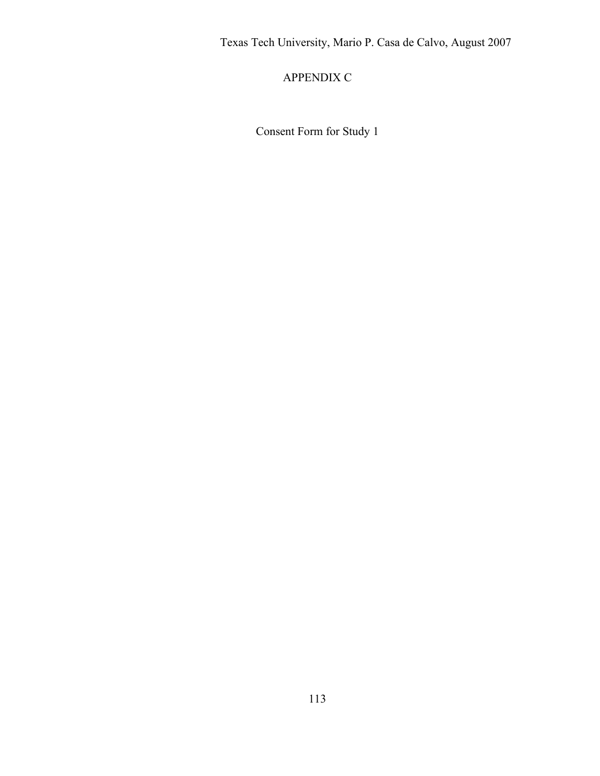APPENDIX C

Consent Form for Study 1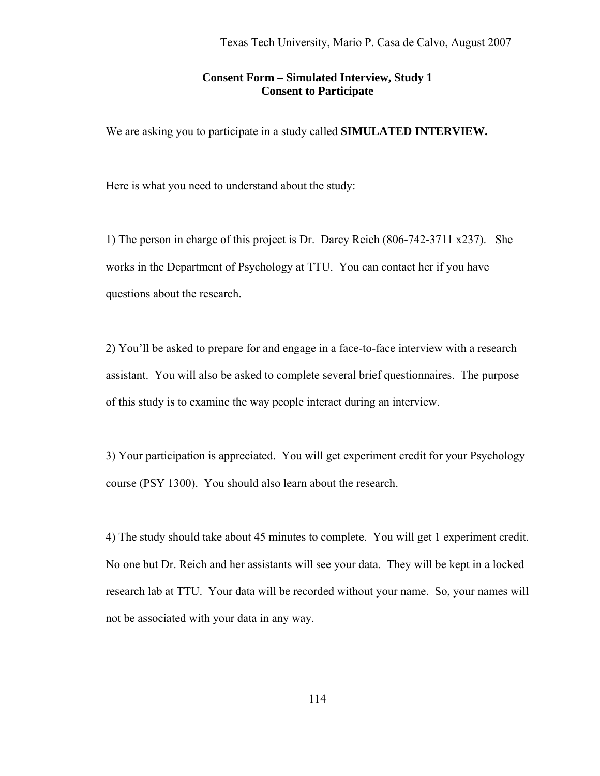### **Consent Form – Simulated Interview, Study 1 Consent to Participate**

We are asking you to participate in a study called **SIMULATED INTERVIEW.** 

Here is what you need to understand about the study:

1) The person in charge of this project is Dr. Darcy Reich (806-742-3711 x237). She works in the Department of Psychology at TTU. You can contact her if you have questions about the research.

2) You'll be asked to prepare for and engage in a face-to-face interview with a research assistant. You will also be asked to complete several brief questionnaires. The purpose of this study is to examine the way people interact during an interview.

3) Your participation is appreciated. You will get experiment credit for your Psychology course (PSY 1300). You should also learn about the research.

4) The study should take about 45 minutes to complete. You will get 1 experiment credit. No one but Dr. Reich and her assistants will see your data. They will be kept in a locked research lab at TTU. Your data will be recorded without your name. So, your names will not be associated with your data in any way.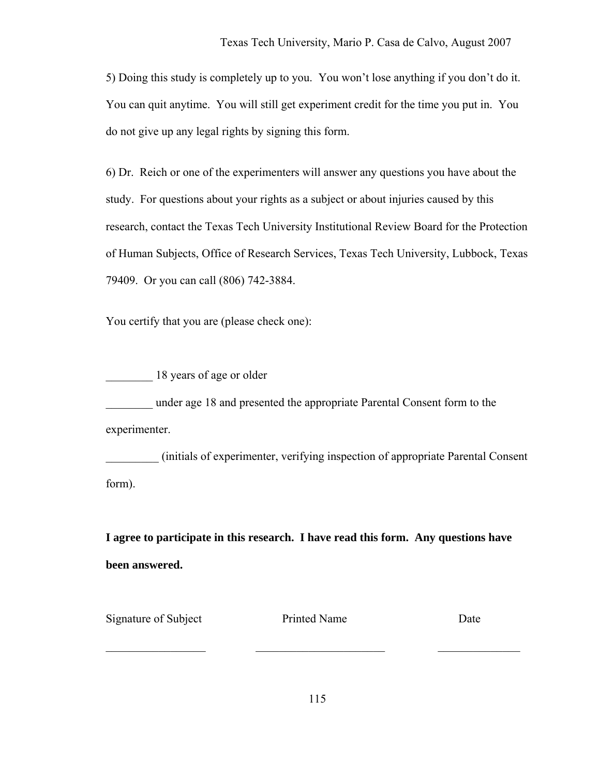5) Doing this study is completely up to you. You won't lose anything if you don't do it. You can quit anytime. You will still get experiment credit for the time you put in. You do not give up any legal rights by signing this form.

6) Dr. Reich or one of the experimenters will answer any questions you have about the study. For questions about your rights as a subject or about injuries caused by this research, contact the Texas Tech University Institutional Review Board for the Protection of Human Subjects, Office of Research Services, Texas Tech University, Lubbock, Texas 79409. Or you can call (806) 742-3884.

You certify that you are (please check one):

18 years of age or older \_\_\_\_\_\_\_\_ under age 18 and presented the appropriate Parental Consent form to the

experimenter.

\_\_\_\_\_\_\_\_\_ (initials of experimenter, verifying inspection of appropriate Parental Consent form).

**I agree to participate in this research. I have read this form. Any questions have been answered.** 

Signature of Subject Printed Name Date

\_\_\_\_\_\_\_\_\_\_\_\_\_\_\_\_\_ \_\_\_\_\_\_\_\_\_\_\_\_\_\_\_\_\_\_\_\_\_\_ \_\_\_\_\_\_\_\_\_\_\_\_\_\_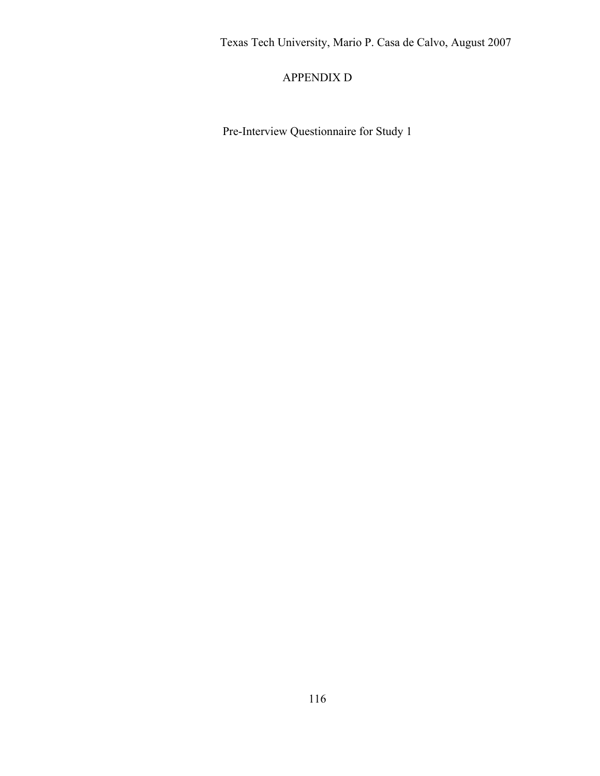## APPENDIX D

Pre-Interview Questionnaire for Study 1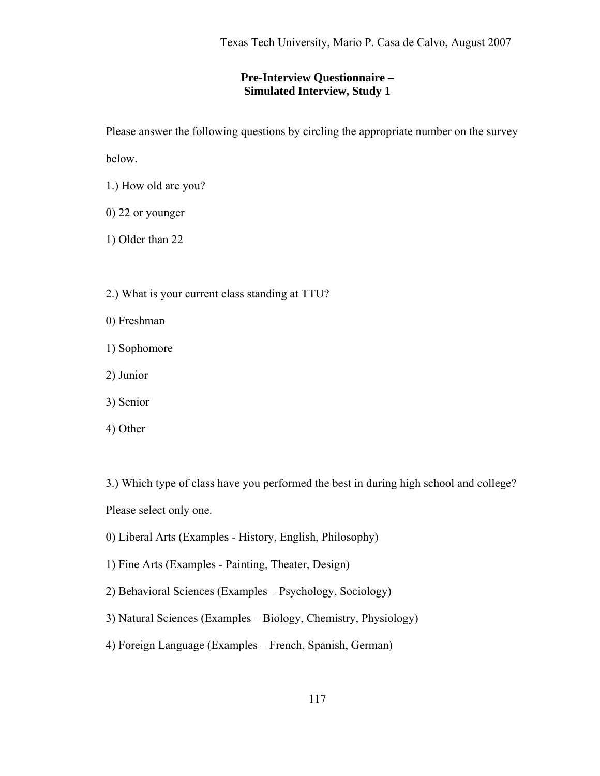### **Pre-Interview Questionnaire – Simulated Interview, Study 1**

Please answer the following questions by circling the appropriate number on the survey

below.

- 1.) How old are you?
- 0) 22 or younger

1) Older than 22

- 2.) What is your current class standing at TTU?
- 0) Freshman
- 1) Sophomore
- 2) Junior
- 3) Senior
- 4) Other

3.) Which type of class have you performed the best in during high school and college? Please select only one.

- 0) Liberal Arts (Examples History, English, Philosophy)
- 1) Fine Arts (Examples Painting, Theater, Design)
- 2) Behavioral Sciences (Examples Psychology, Sociology)
- 3) Natural Sciences (Examples Biology, Chemistry, Physiology)
- 4) Foreign Language (Examples French, Spanish, German)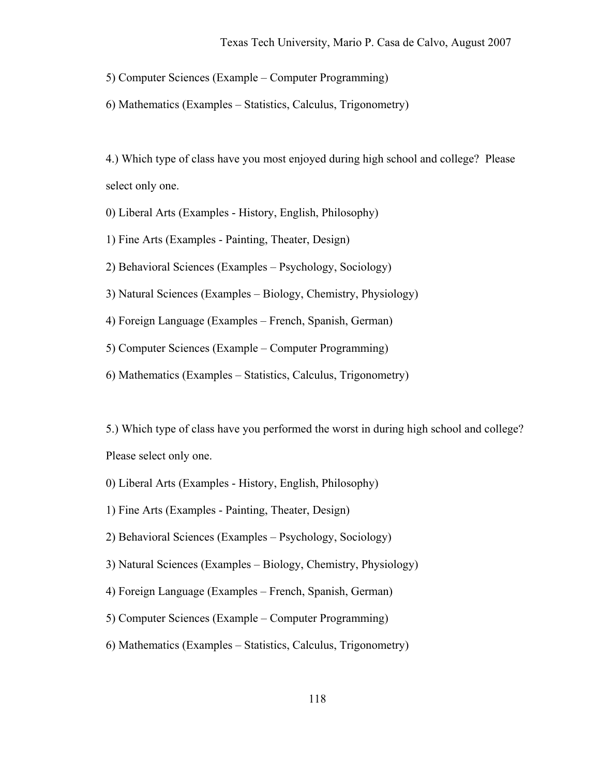5) Computer Sciences (Example – Computer Programming)

6) Mathematics (Examples – Statistics, Calculus, Trigonometry)

4.) Which type of class have you most enjoyed during high school and college? Please select only one.

0) Liberal Arts (Examples - History, English, Philosophy)

1) Fine Arts (Examples - Painting, Theater, Design)

2) Behavioral Sciences (Examples – Psychology, Sociology)

3) Natural Sciences (Examples – Biology, Chemistry, Physiology)

4) Foreign Language (Examples – French, Spanish, German)

5) Computer Sciences (Example – Computer Programming)

6) Mathematics (Examples – Statistics, Calculus, Trigonometry)

5.) Which type of class have you performed the worst in during high school and college? Please select only one.

- 0) Liberal Arts (Examples History, English, Philosophy)
- 1) Fine Arts (Examples Painting, Theater, Design)
- 2) Behavioral Sciences (Examples Psychology, Sociology)
- 3) Natural Sciences (Examples Biology, Chemistry, Physiology)
- 4) Foreign Language (Examples French, Spanish, German)
- 5) Computer Sciences (Example Computer Programming)
- 6) Mathematics (Examples Statistics, Calculus, Trigonometry)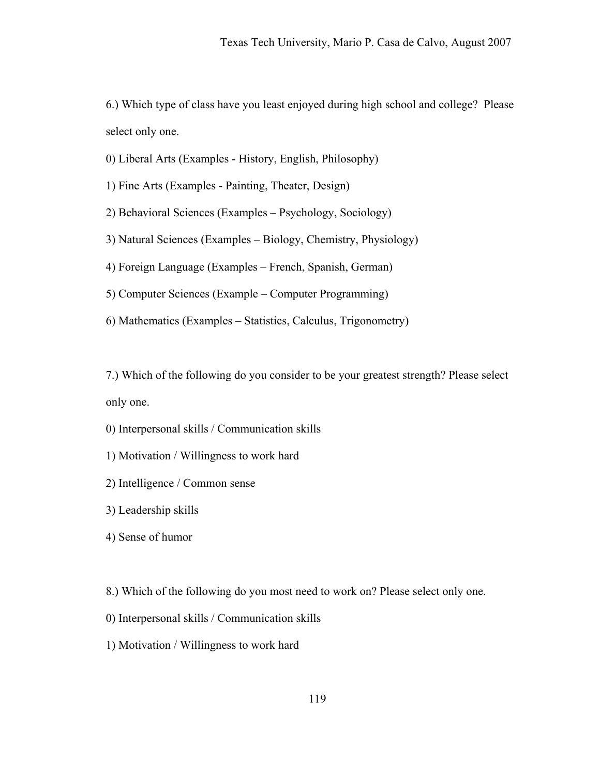6.) Which type of class have you least enjoyed during high school and college? Please select only one.

0) Liberal Arts (Examples - History, English, Philosophy)

1) Fine Arts (Examples - Painting, Theater, Design)

2) Behavioral Sciences (Examples – Psychology, Sociology)

3) Natural Sciences (Examples – Biology, Chemistry, Physiology)

4) Foreign Language (Examples – French, Spanish, German)

5) Computer Sciences (Example – Computer Programming)

6) Mathematics (Examples – Statistics, Calculus, Trigonometry)

7.) Which of the following do you consider to be your greatest strength? Please select only one.

0) Interpersonal skills / Communication skills

1) Motivation / Willingness to work hard

2) Intelligence / Common sense

3) Leadership skills

4) Sense of humor

8.) Which of the following do you most need to work on? Please select only one.

0) Interpersonal skills / Communication skills

1) Motivation / Willingness to work hard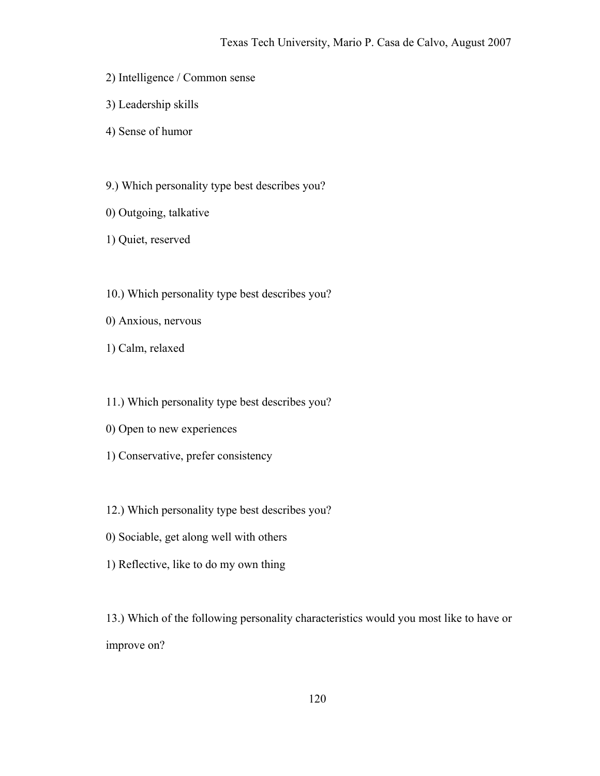- 2) Intelligence / Common sense
- 3) Leadership skills
- 4) Sense of humor
- 9.) Which personality type best describes you?
- 0) Outgoing, talkative
- 1) Quiet, reserved
- 10.) Which personality type best describes you?
- 0) Anxious, nervous
- 1) Calm, relaxed
- 11.) Which personality type best describes you?
- 0) Open to new experiences
- 1) Conservative, prefer consistency
- 12.) Which personality type best describes you?
- 0) Sociable, get along well with others
- 1) Reflective, like to do my own thing

13.) Which of the following personality characteristics would you most like to have or improve on?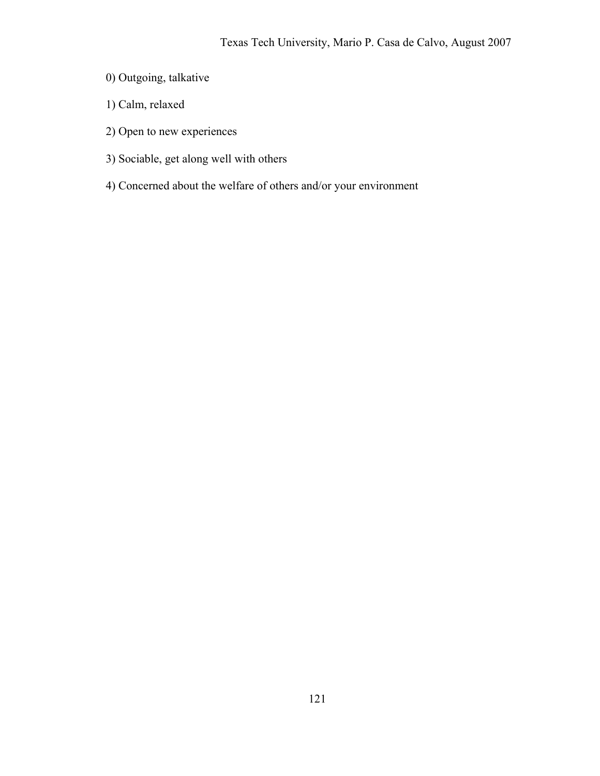- 0) Outgoing, talkative
- 1) Calm, relaxed
- 2) Open to new experiences
- 3) Sociable, get along well with others
- 4) Concerned about the welfare of others and/or your environment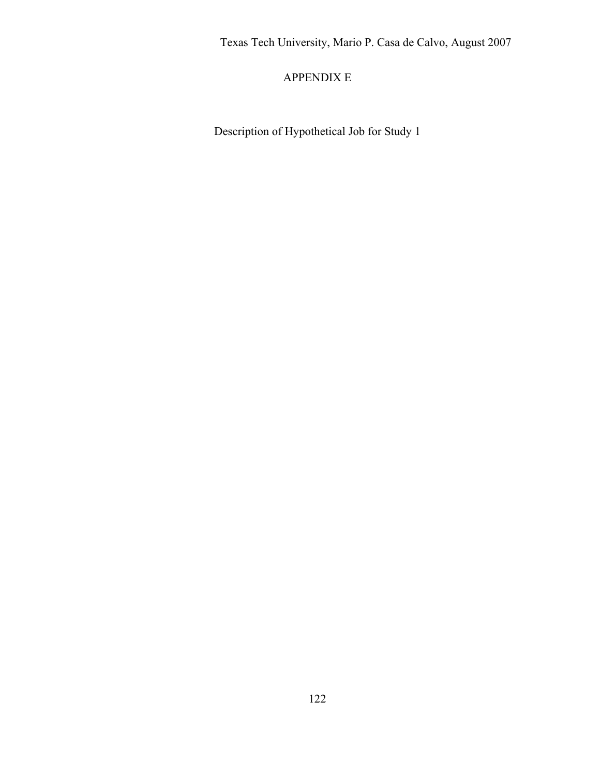# APPENDIX E

Description of Hypothetical Job for Study 1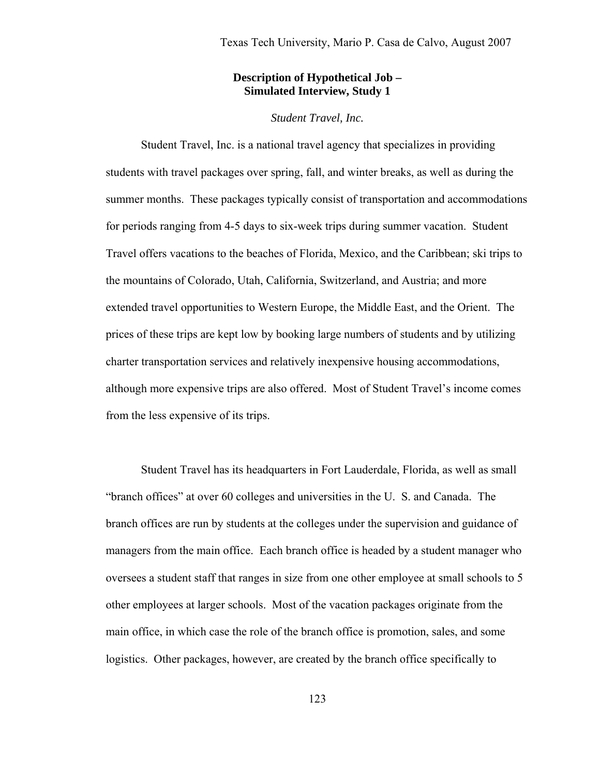### **Description of Hypothetical Job – Simulated Interview, Study 1**

#### *Student Travel, Inc.*

 Student Travel, Inc. is a national travel agency that specializes in providing students with travel packages over spring, fall, and winter breaks, as well as during the summer months. These packages typically consist of transportation and accommodations for periods ranging from 4-5 days to six-week trips during summer vacation. Student Travel offers vacations to the beaches of Florida, Mexico, and the Caribbean; ski trips to the mountains of Colorado, Utah, California, Switzerland, and Austria; and more extended travel opportunities to Western Europe, the Middle East, and the Orient. The prices of these trips are kept low by booking large numbers of students and by utilizing charter transportation services and relatively inexpensive housing accommodations, although more expensive trips are also offered. Most of Student Travel's income comes from the less expensive of its trips.

 Student Travel has its headquarters in Fort Lauderdale, Florida, as well as small "branch offices" at over 60 colleges and universities in the U. S. and Canada. The branch offices are run by students at the colleges under the supervision and guidance of managers from the main office. Each branch office is headed by a student manager who oversees a student staff that ranges in size from one other employee at small schools to 5 other employees at larger schools. Most of the vacation packages originate from the main office, in which case the role of the branch office is promotion, sales, and some logistics. Other packages, however, are created by the branch office specifically to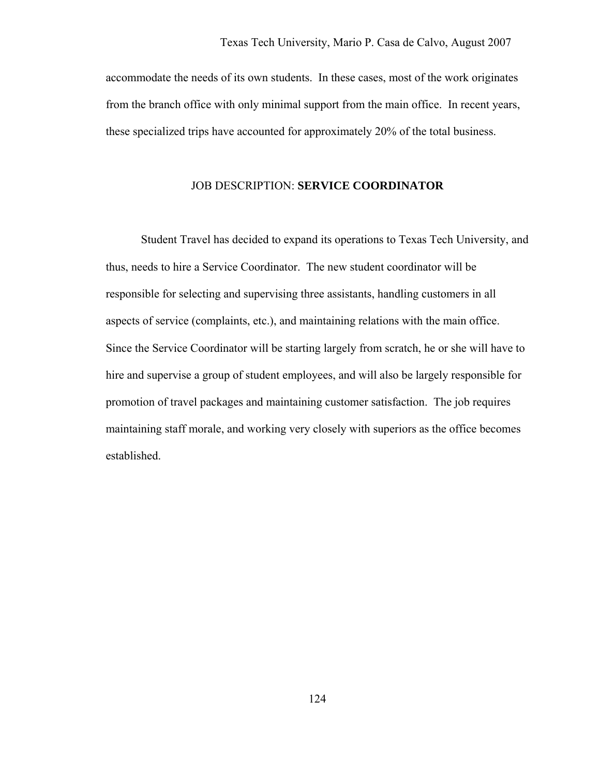accommodate the needs of its own students. In these cases, most of the work originates from the branch office with only minimal support from the main office. In recent years, these specialized trips have accounted for approximately 20% of the total business.

### JOB DESCRIPTION: **SERVICE COORDINATOR**

 Student Travel has decided to expand its operations to Texas Tech University, and thus, needs to hire a Service Coordinator. The new student coordinator will be responsible for selecting and supervising three assistants, handling customers in all aspects of service (complaints, etc.), and maintaining relations with the main office. Since the Service Coordinator will be starting largely from scratch, he or she will have to hire and supervise a group of student employees, and will also be largely responsible for promotion of travel packages and maintaining customer satisfaction. The job requires maintaining staff morale, and working very closely with superiors as the office becomes established.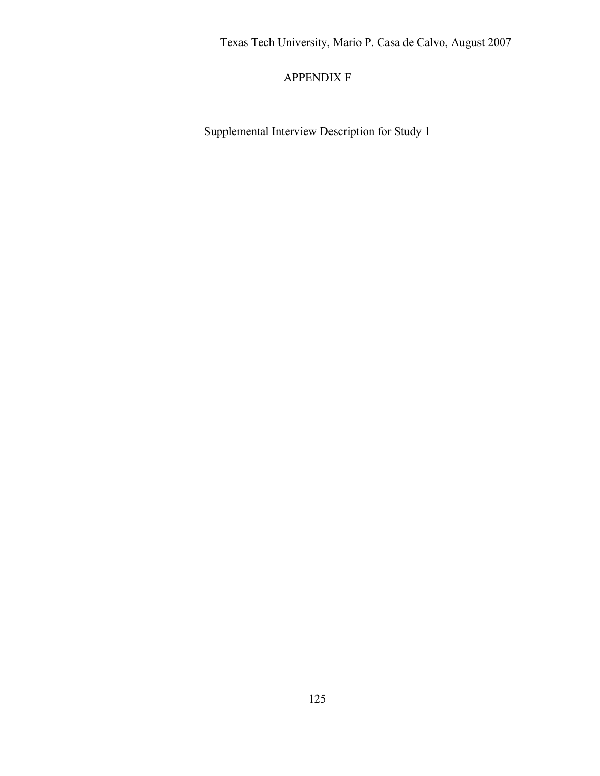## APPENDIX F

Supplemental Interview Description for Study 1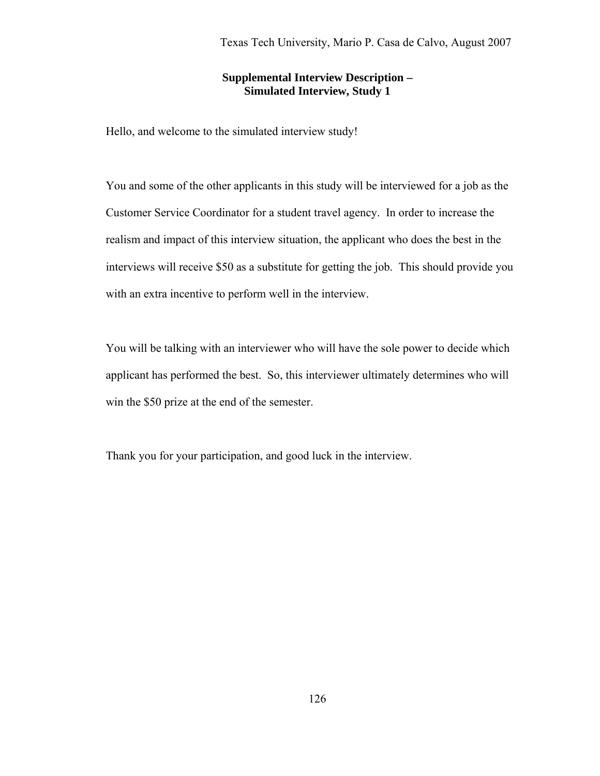### **Supplemental Interview Description – Simulated Interview, Study 1**

Hello, and welcome to the simulated interview study!

You and some of the other applicants in this study will be interviewed for a job as the Customer Service Coordinator for a student travel agency. In order to increase the realism and impact of this interview situation, the applicant who does the best in the interviews will receive \$50 as a substitute for getting the job. This should provide you with an extra incentive to perform well in the interview.

You will be talking with an interviewer who will have the sole power to decide which applicant has performed the best. So, this interviewer ultimately determines who will win the \$50 prize at the end of the semester.

Thank you for your participation, and good luck in the interview.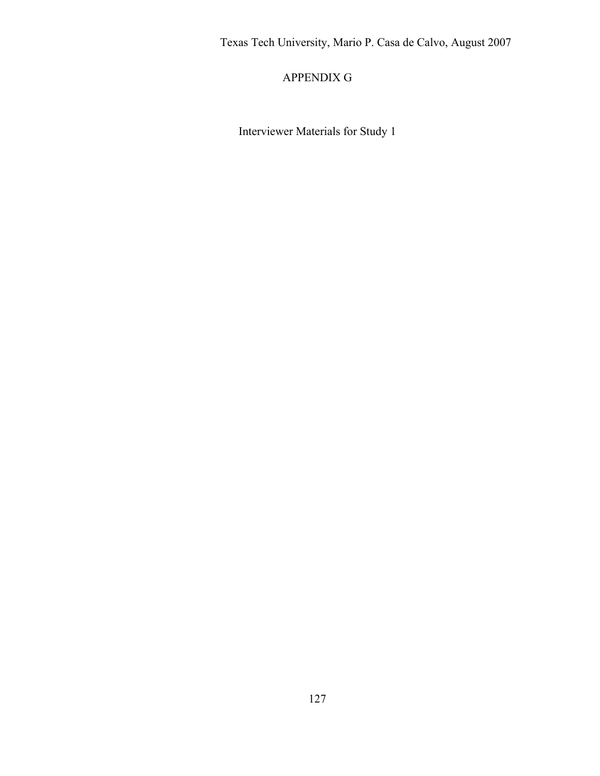## APPENDIX G

Interviewer Materials for Study 1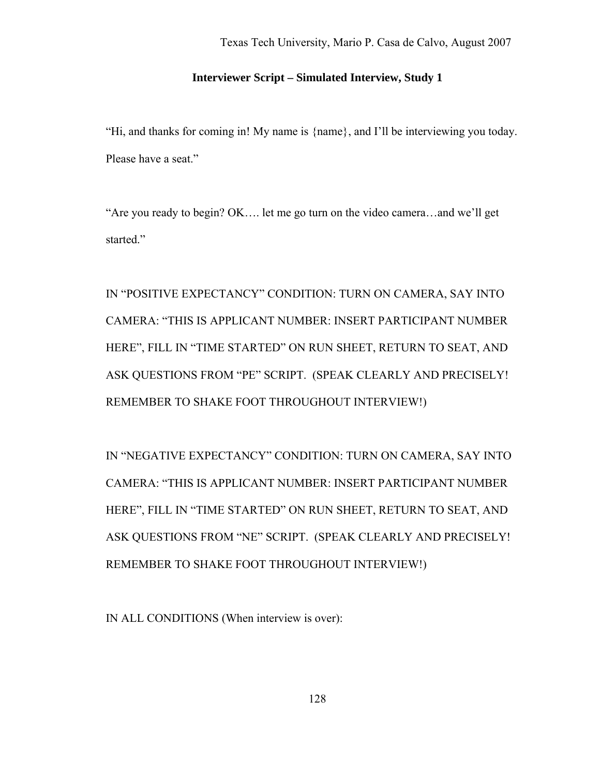## **Interviewer Script – Simulated Interview, Study 1**

"Hi, and thanks for coming in! My name is {name}, and I'll be interviewing you today. Please have a seat."

"Are you ready to begin? OK…. let me go turn on the video camera…and we'll get started."

IN "POSITIVE EXPECTANCY" CONDITION: TURN ON CAMERA, SAY INTO CAMERA: "THIS IS APPLICANT NUMBER: INSERT PARTICIPANT NUMBER HERE", FILL IN "TIME STARTED" ON RUN SHEET, RETURN TO SEAT, AND ASK QUESTIONS FROM "PE" SCRIPT. (SPEAK CLEARLY AND PRECISELY! REMEMBER TO SHAKE FOOT THROUGHOUT INTERVIEW!)

IN "NEGATIVE EXPECTANCY" CONDITION: TURN ON CAMERA, SAY INTO CAMERA: "THIS IS APPLICANT NUMBER: INSERT PARTICIPANT NUMBER HERE", FILL IN "TIME STARTED" ON RUN SHEET, RETURN TO SEAT, AND ASK QUESTIONS FROM "NE" SCRIPT. (SPEAK CLEARLY AND PRECISELY! REMEMBER TO SHAKE FOOT THROUGHOUT INTERVIEW!)

IN ALL CONDITIONS (When interview is over):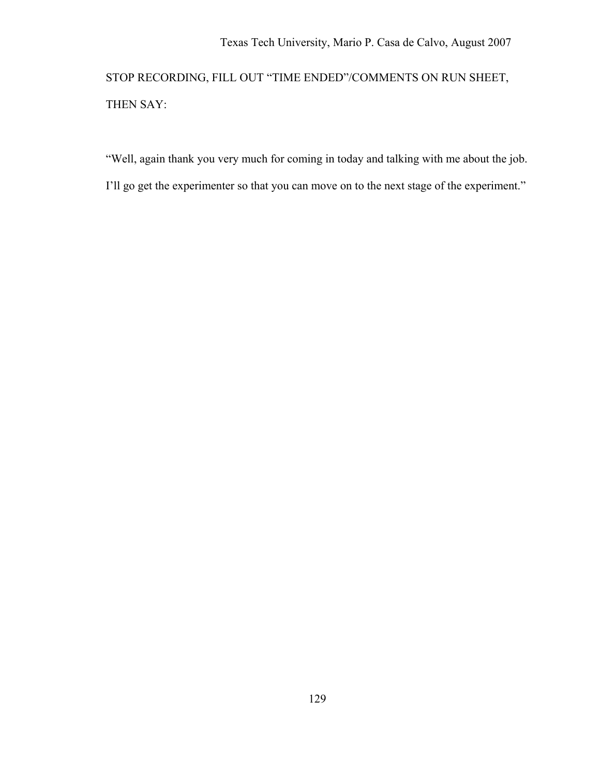STOP RECORDING, FILL OUT "TIME ENDED"/COMMENTS ON RUN SHEET, THEN SAY:

"Well, again thank you very much for coming in today and talking with me about the job.

I'll go get the experimenter so that you can move on to the next stage of the experiment."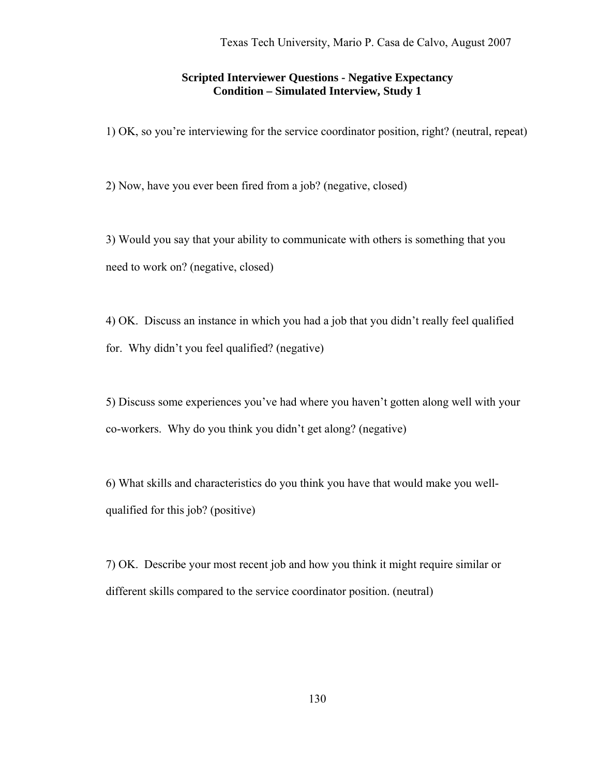### **Scripted Interviewer Questions - Negative Expectancy Condition – Simulated Interview, Study 1**

1) OK, so you're interviewing for the service coordinator position, right? (neutral, repeat)

2) Now, have you ever been fired from a job? (negative, closed)

3) Would you say that your ability to communicate with others is something that you need to work on? (negative, closed)

4) OK. Discuss an instance in which you had a job that you didn't really feel qualified for. Why didn't you feel qualified? (negative)

5) Discuss some experiences you've had where you haven't gotten along well with your co-workers. Why do you think you didn't get along? (negative)

6) What skills and characteristics do you think you have that would make you wellqualified for this job? (positive)

7) OK. Describe your most recent job and how you think it might require similar or different skills compared to the service coordinator position. (neutral)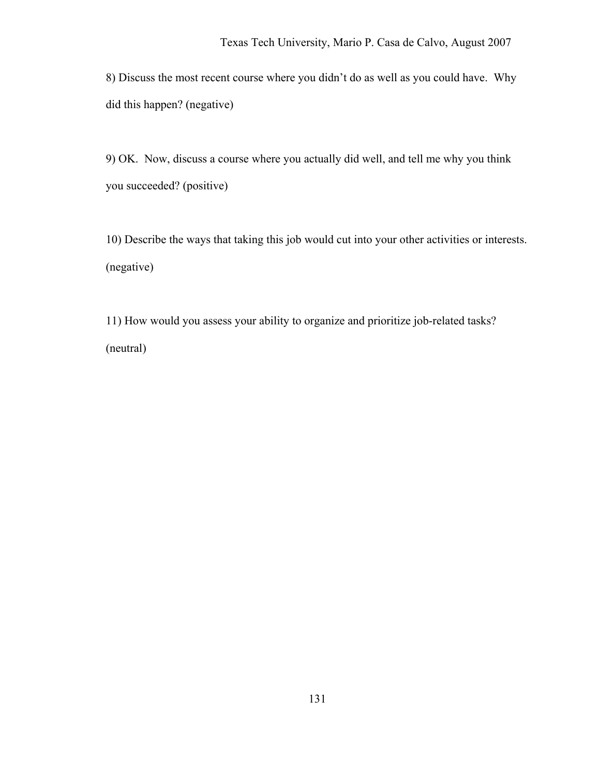8) Discuss the most recent course where you didn't do as well as you could have. Why did this happen? (negative)

9) OK. Now, discuss a course where you actually did well, and tell me why you think you succeeded? (positive)

10) Describe the ways that taking this job would cut into your other activities or interests. (negative)

11) How would you assess your ability to organize and prioritize job-related tasks? (neutral)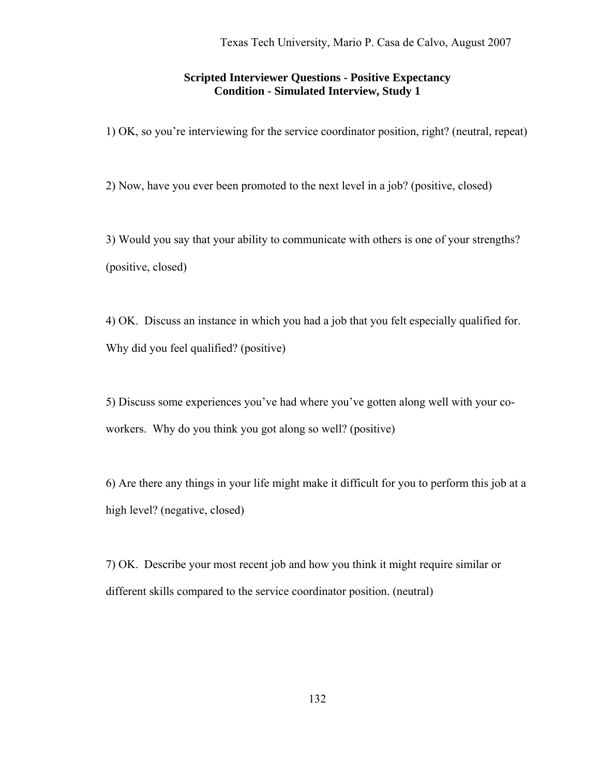### **Scripted Interviewer Questions - Positive Expectancy Condition - Simulated Interview, Study 1**

1) OK, so you're interviewing for the service coordinator position, right? (neutral, repeat)

2) Now, have you ever been promoted to the next level in a job? (positive, closed)

3) Would you say that your ability to communicate with others is one of your strengths? (positive, closed)

4) OK. Discuss an instance in which you had a job that you felt especially qualified for. Why did you feel qualified? (positive)

5) Discuss some experiences you've had where you've gotten along well with your coworkers. Why do you think you got along so well? (positive)

6) Are there any things in your life might make it difficult for you to perform this job at a high level? (negative, closed)

7) OK. Describe your most recent job and how you think it might require similar or different skills compared to the service coordinator position. (neutral)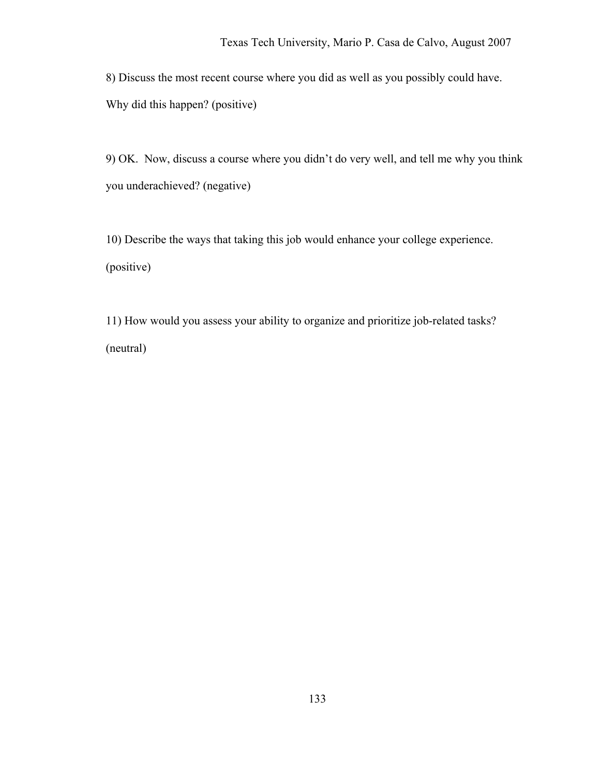8) Discuss the most recent course where you did as well as you possibly could have. Why did this happen? (positive)

9) OK. Now, discuss a course where you didn't do very well, and tell me why you think you underachieved? (negative)

10) Describe the ways that taking this job would enhance your college experience. (positive)

11) How would you assess your ability to organize and prioritize job-related tasks? (neutral)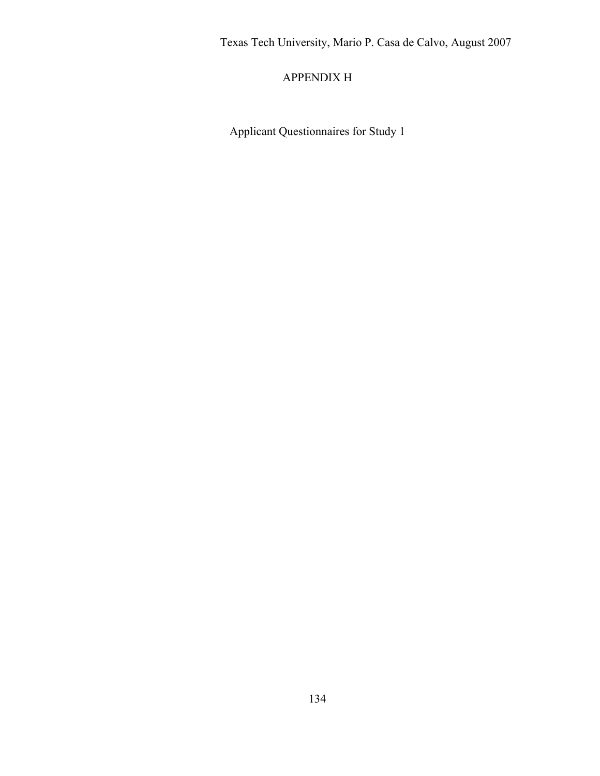## APPENDIX H

Applicant Questionnaires for Study 1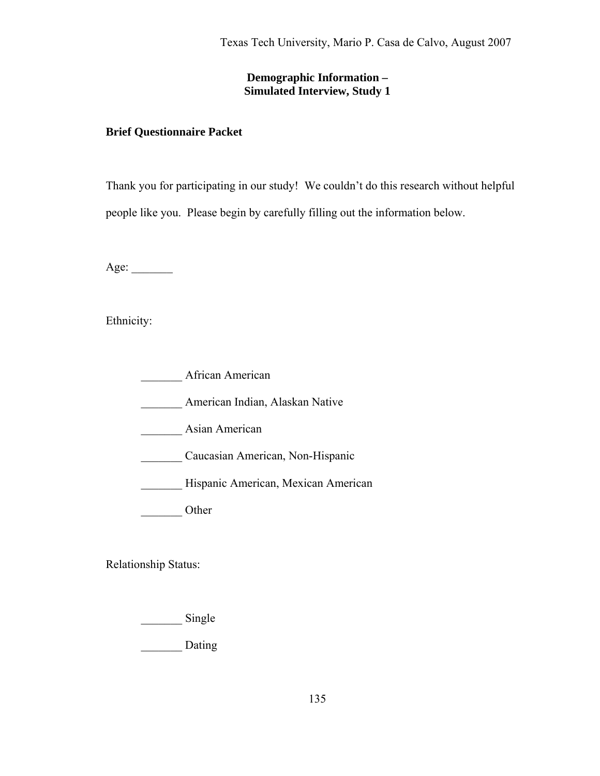## **Demographic Information – Simulated Interview, Study 1**

## **Brief Questionnaire Packet**

Thank you for participating in our study! We couldn't do this research without helpful people like you. Please begin by carefully filling out the information below.

Age: \_\_\_\_\_\_\_

Ethnicity:

African American

\_\_\_\_\_\_\_ American Indian, Alaskan Native

\_\_\_\_\_\_\_ Asian American

\_\_\_\_\_\_\_ Caucasian American, Non-Hispanic

\_\_\_\_\_\_\_ Hispanic American, Mexican American

Other

Relationship Status:

\_\_\_\_\_\_\_\_\_\_ Single

\_\_\_\_\_\_\_ Dating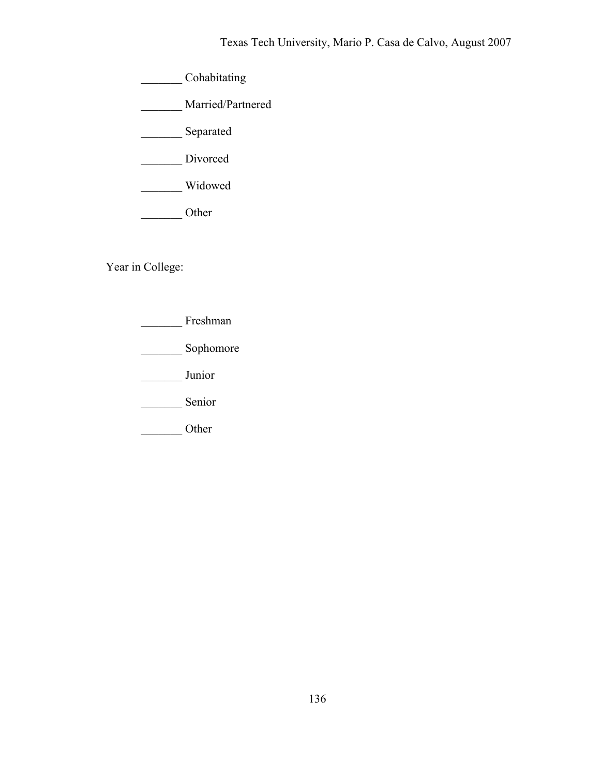\_\_\_\_\_\_\_ Cohabitating

\_\_\_\_\_\_\_ Married/Partnered

\_\_\_\_\_\_\_ Separated

Divorced

\_\_\_\_\_\_\_ Widowed

\_\_\_\_\_\_\_ Other

Year in College:

\_\_\_\_\_\_\_ Freshman

\_\_\_\_\_\_\_\_\_ Sophomore

\_\_\_\_\_\_\_ Junior

Senior

\_\_\_\_\_\_\_ Other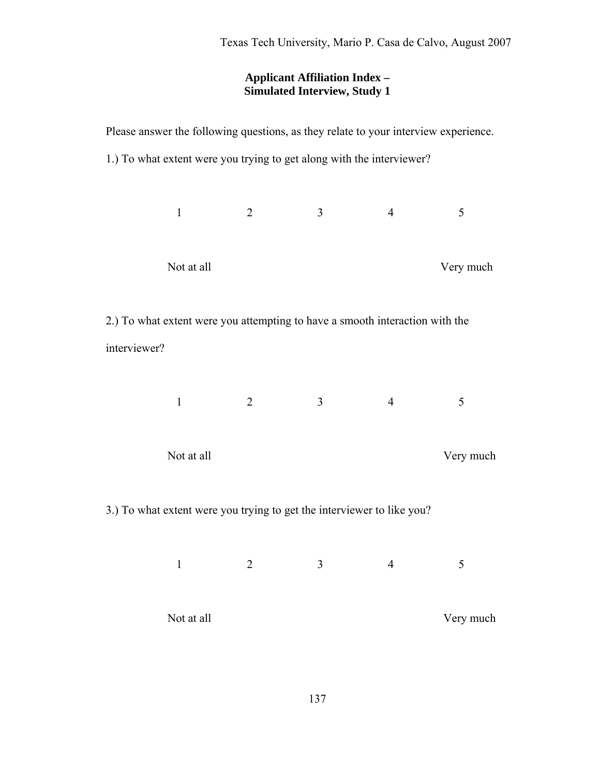## **Applicant Affiliation Index – Simulated Interview, Study 1**

| Please answer the following questions, as they relate to your interview experience. |              |                                                                        |                |                |           |  |  |  |
|-------------------------------------------------------------------------------------|--------------|------------------------------------------------------------------------|----------------|----------------|-----------|--|--|--|
|                                                                                     |              | 1.) To what extent were you trying to get along with the interviewer?  |                |                |           |  |  |  |
|                                                                                     |              |                                                                        |                |                |           |  |  |  |
|                                                                                     | $\mathbf{1}$ | $\overline{2}$                                                         | $\overline{3}$ | $\overline{4}$ | 5         |  |  |  |
|                                                                                     |              |                                                                        |                |                |           |  |  |  |
|                                                                                     | Not at all   |                                                                        |                |                | Very much |  |  |  |
|                                                                                     |              |                                                                        |                |                |           |  |  |  |
| 2.) To what extent were you attempting to have a smooth interaction with the        |              |                                                                        |                |                |           |  |  |  |
| interviewer?                                                                        |              |                                                                        |                |                |           |  |  |  |
|                                                                                     |              |                                                                        |                |                |           |  |  |  |
|                                                                                     | $\mathbf{1}$ | 2                                                                      | $\overline{3}$ | $\overline{4}$ | 5         |  |  |  |
|                                                                                     |              |                                                                        |                |                |           |  |  |  |
|                                                                                     | Not at all   |                                                                        |                | Very much      |           |  |  |  |
|                                                                                     |              |                                                                        |                |                |           |  |  |  |
|                                                                                     |              | 3.) To what extent were you trying to get the interviewer to like you? |                |                |           |  |  |  |
|                                                                                     |              |                                                                        |                |                |           |  |  |  |
|                                                                                     | $\mathbf{1}$ | $\overline{2}$                                                         | 3              | $\overline{4}$ | 5         |  |  |  |
|                                                                                     |              |                                                                        |                |                |           |  |  |  |
| Not at all                                                                          |              |                                                                        |                | Very much      |           |  |  |  |
|                                                                                     |              |                                                                        |                |                |           |  |  |  |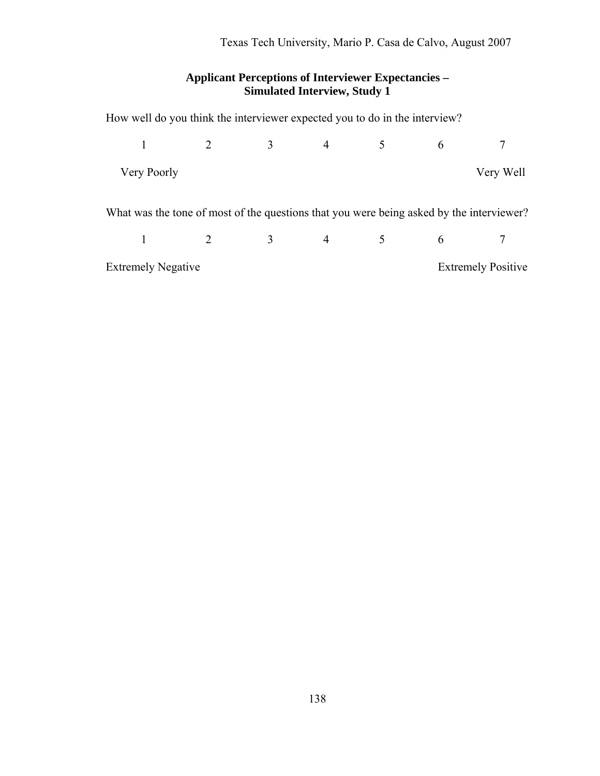## **Applicant Perceptions of Interviewer Expectancies – Simulated Interview, Study 1**

How well do you think the interviewer expected you to do in the interview?

|                                                                                          |             |  | $\overline{3}$          |                |  |                           |           |
|------------------------------------------------------------------------------------------|-------------|--|-------------------------|----------------|--|---------------------------|-----------|
|                                                                                          | Very Poorly |  |                         |                |  |                           | Very Well |
| What was the tone of most of the questions that you were being asked by the interviewer? |             |  |                         |                |  |                           |           |
|                                                                                          |             |  | $\overline{\mathbf{3}}$ | $\overline{4}$ |  | $6\overline{6}$           |           |
| <b>Extremely Negative</b>                                                                |             |  |                         |                |  | <b>Extremely Positive</b> |           |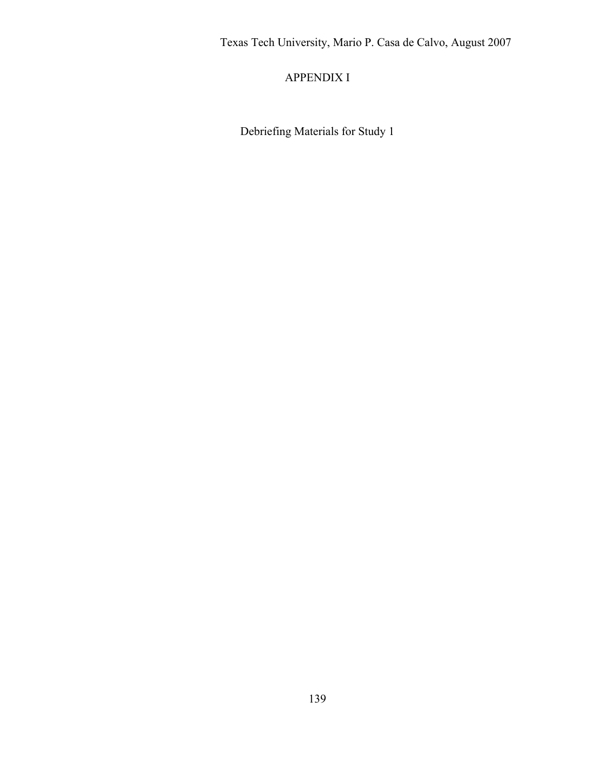APPENDIX I

Debriefing Materials for Study 1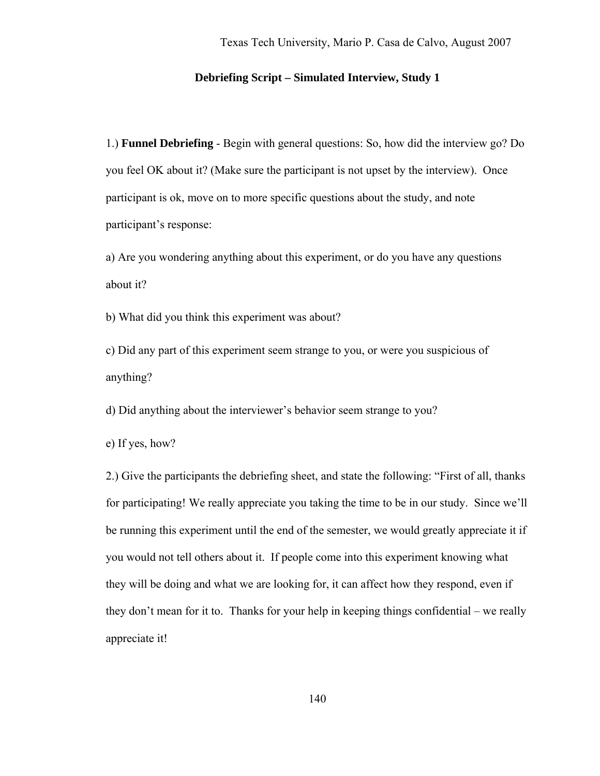### **Debriefing Script – Simulated Interview, Study 1**

1.) **Funnel Debriefing** - Begin with general questions: So, how did the interview go? Do you feel OK about it? (Make sure the participant is not upset by the interview). Once participant is ok, move on to more specific questions about the study, and note participant's response:

a) Are you wondering anything about this experiment, or do you have any questions about it?

b) What did you think this experiment was about?

c) Did any part of this experiment seem strange to you, or were you suspicious of anything?

d) Did anything about the interviewer's behavior seem strange to you?

e) If yes, how?

2.) Give the participants the debriefing sheet, and state the following: "First of all, thanks for participating! We really appreciate you taking the time to be in our study. Since we'll be running this experiment until the end of the semester, we would greatly appreciate it if you would not tell others about it. If people come into this experiment knowing what they will be doing and what we are looking for, it can affect how they respond, even if they don't mean for it to. Thanks for your help in keeping things confidential – we really appreciate it!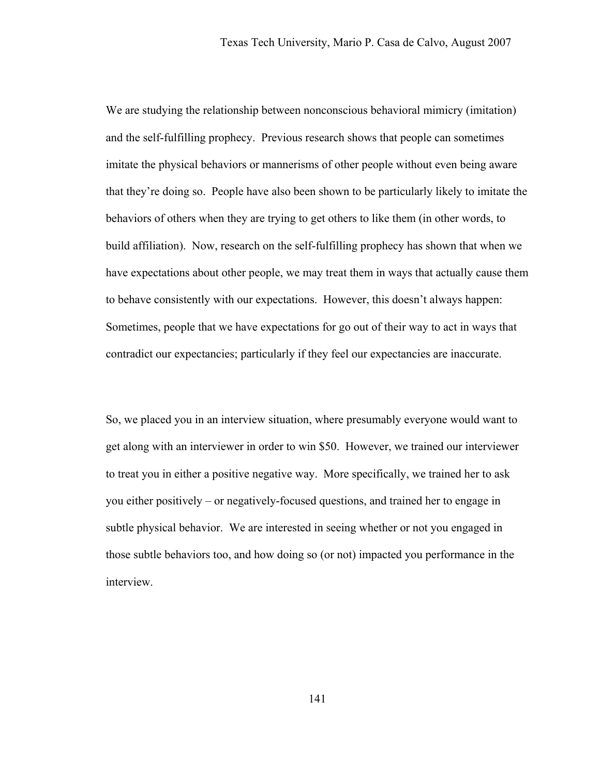We are studying the relationship between nonconscious behavioral mimicry (imitation) and the self-fulfilling prophecy. Previous research shows that people can sometimes imitate the physical behaviors or mannerisms of other people without even being aware that they're doing so. People have also been shown to be particularly likely to imitate the behaviors of others when they are trying to get others to like them (in other words, to build affiliation). Now, research on the self-fulfilling prophecy has shown that when we have expectations about other people, we may treat them in ways that actually cause them to behave consistently with our expectations. However, this doesn't always happen: Sometimes, people that we have expectations for go out of their way to act in ways that contradict our expectancies; particularly if they feel our expectancies are inaccurate.

So, we placed you in an interview situation, where presumably everyone would want to get along with an interviewer in order to win \$50. However, we trained our interviewer to treat you in either a positive negative way. More specifically, we trained her to ask you either positively – or negatively-focused questions, and trained her to engage in subtle physical behavior. We are interested in seeing whether or not you engaged in those subtle behaviors too, and how doing so (or not) impacted you performance in the interview.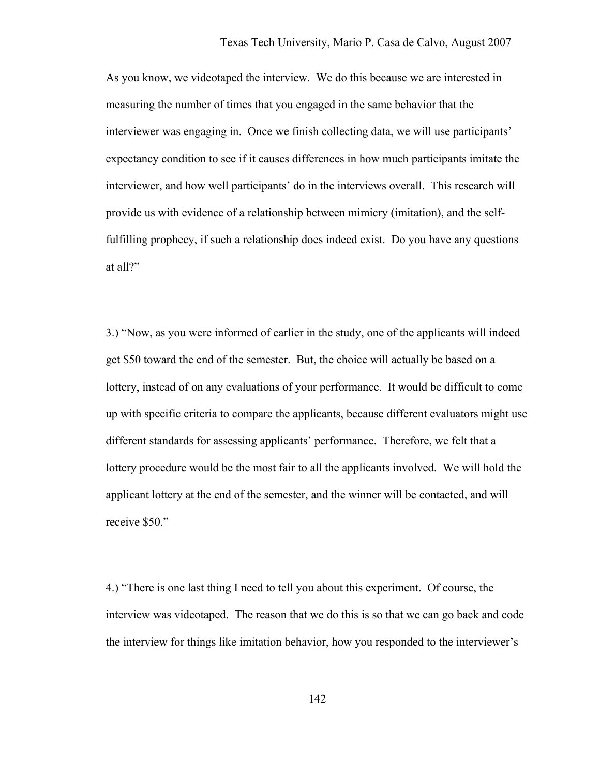As you know, we videotaped the interview. We do this because we are interested in measuring the number of times that you engaged in the same behavior that the interviewer was engaging in. Once we finish collecting data, we will use participants' expectancy condition to see if it causes differences in how much participants imitate the interviewer, and how well participants' do in the interviews overall. This research will provide us with evidence of a relationship between mimicry (imitation), and the selffulfilling prophecy, if such a relationship does indeed exist. Do you have any questions at all?"

3.) "Now, as you were informed of earlier in the study, one of the applicants will indeed get \$50 toward the end of the semester. But, the choice will actually be based on a lottery, instead of on any evaluations of your performance. It would be difficult to come up with specific criteria to compare the applicants, because different evaluators might use different standards for assessing applicants' performance. Therefore, we felt that a lottery procedure would be the most fair to all the applicants involved. We will hold the applicant lottery at the end of the semester, and the winner will be contacted, and will receive \$50."

4.) "There is one last thing I need to tell you about this experiment. Of course, the interview was videotaped. The reason that we do this is so that we can go back and code the interview for things like imitation behavior, how you responded to the interviewer's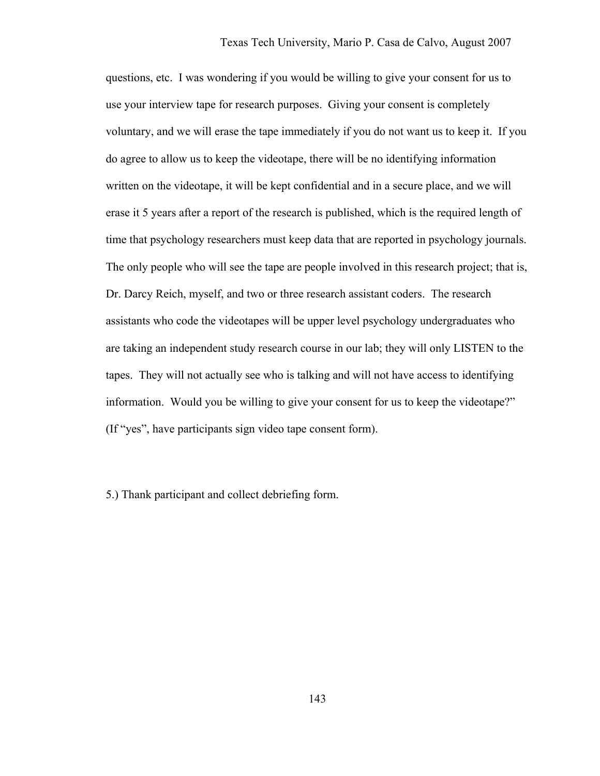questions, etc. I was wondering if you would be willing to give your consent for us to use your interview tape for research purposes. Giving your consent is completely voluntary, and we will erase the tape immediately if you do not want us to keep it. If you do agree to allow us to keep the videotape, there will be no identifying information written on the videotape, it will be kept confidential and in a secure place, and we will erase it 5 years after a report of the research is published, which is the required length of time that psychology researchers must keep data that are reported in psychology journals. The only people who will see the tape are people involved in this research project; that is, Dr. Darcy Reich, myself, and two or three research assistant coders. The research assistants who code the videotapes will be upper level psychology undergraduates who are taking an independent study research course in our lab; they will only LISTEN to the tapes. They will not actually see who is talking and will not have access to identifying information. Would you be willing to give your consent for us to keep the videotape?" (If "yes", have participants sign video tape consent form).

5.) Thank participant and collect debriefing form.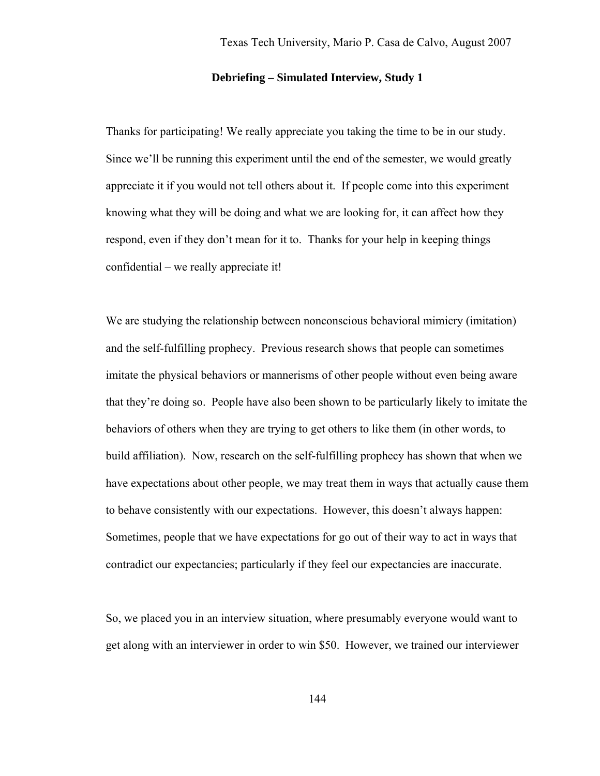#### **Debriefing – Simulated Interview, Study 1**

Thanks for participating! We really appreciate you taking the time to be in our study. Since we'll be running this experiment until the end of the semester, we would greatly appreciate it if you would not tell others about it. If people come into this experiment knowing what they will be doing and what we are looking for, it can affect how they respond, even if they don't mean for it to. Thanks for your help in keeping things confidential – we really appreciate it!

We are studying the relationship between nonconscious behavioral mimicry (imitation) and the self-fulfilling prophecy. Previous research shows that people can sometimes imitate the physical behaviors or mannerisms of other people without even being aware that they're doing so. People have also been shown to be particularly likely to imitate the behaviors of others when they are trying to get others to like them (in other words, to build affiliation). Now, research on the self-fulfilling prophecy has shown that when we have expectations about other people, we may treat them in ways that actually cause them to behave consistently with our expectations. However, this doesn't always happen: Sometimes, people that we have expectations for go out of their way to act in ways that contradict our expectancies; particularly if they feel our expectancies are inaccurate.

So, we placed you in an interview situation, where presumably everyone would want to get along with an interviewer in order to win \$50. However, we trained our interviewer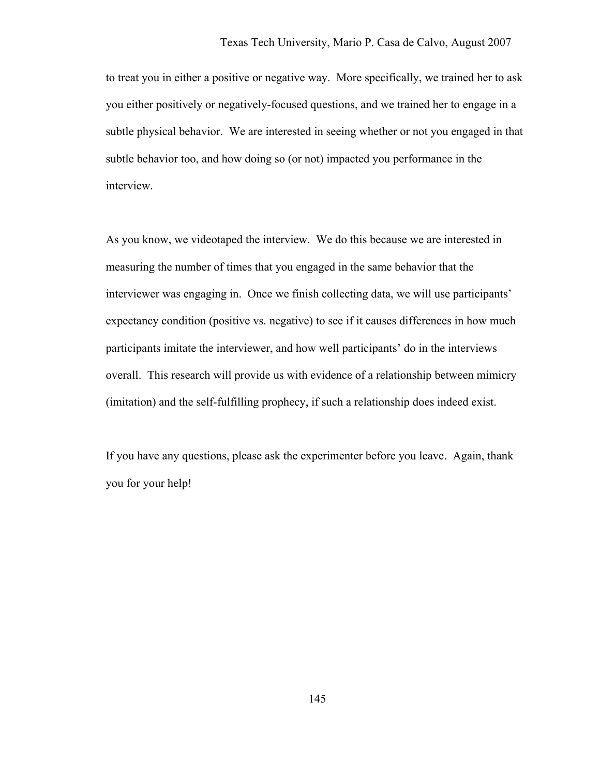to treat you in either a positive or negative way. More specifically, we trained her to ask you either positively or negatively-focused questions, and we trained her to engage in a subtle physical behavior. We are interested in seeing whether or not you engaged in that subtle behavior too, and how doing so (or not) impacted you performance in the interview.

As you know, we videotaped the interview. We do this because we are interested in measuring the number of times that you engaged in the same behavior that the interviewer was engaging in. Once we finish collecting data, we will use participants' expectancy condition (positive vs. negative) to see if it causes differences in how much participants imitate the interviewer, and how well participants' do in the interviews overall. This research will provide us with evidence of a relationship between mimicry (imitation) and the self-fulfilling prophecy, if such a relationship does indeed exist.

If you have any questions, please ask the experimenter before you leave. Again, thank you for your help!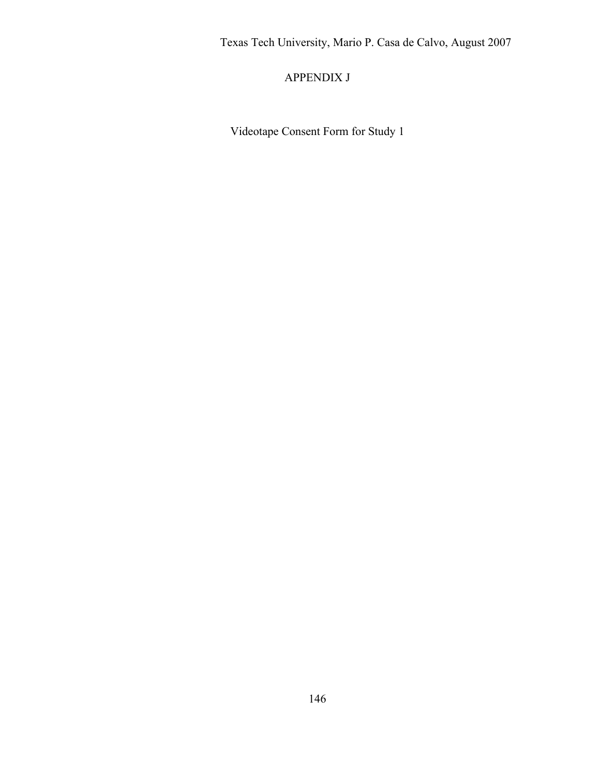# APPENDIX J

Videotape Consent Form for Study 1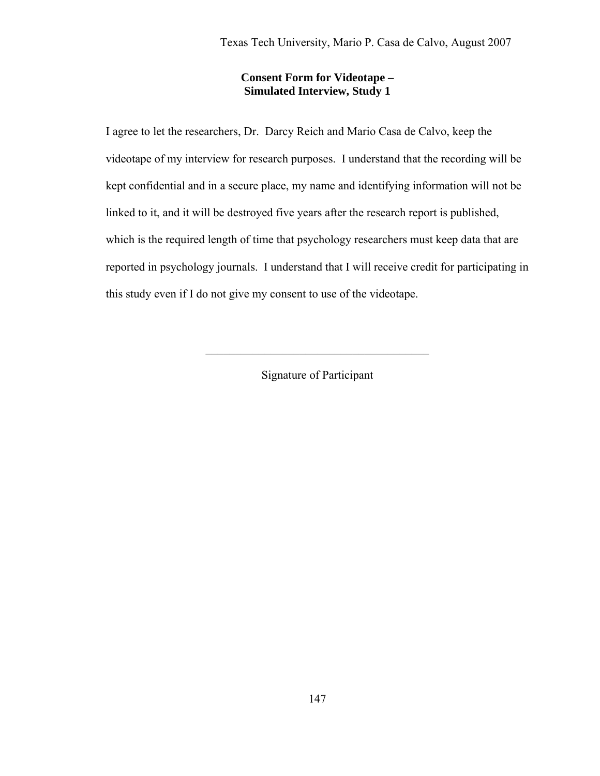## **Consent Form for Videotape – Simulated Interview, Study 1**

I agree to let the researchers, Dr. Darcy Reich and Mario Casa de Calvo, keep the videotape of my interview for research purposes. I understand that the recording will be kept confidential and in a secure place, my name and identifying information will not be linked to it, and it will be destroyed five years after the research report is published, which is the required length of time that psychology researchers must keep data that are reported in psychology journals. I understand that I will receive credit for participating in this study even if I do not give my consent to use of the videotape.

Signature of Participant

 $\mathcal{L}_\text{max}$  and  $\mathcal{L}_\text{max}$  and  $\mathcal{L}_\text{max}$  and  $\mathcal{L}_\text{max}$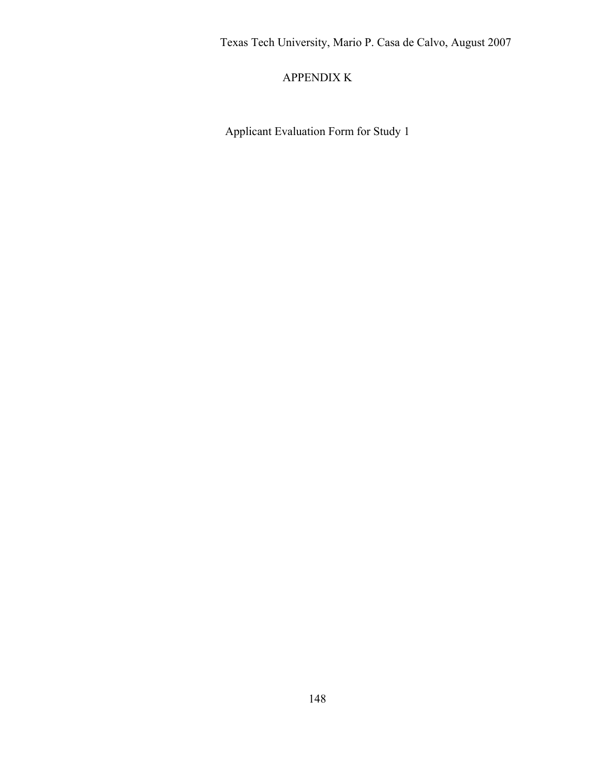## APPENDIX K

Applicant Evaluation Form for Study 1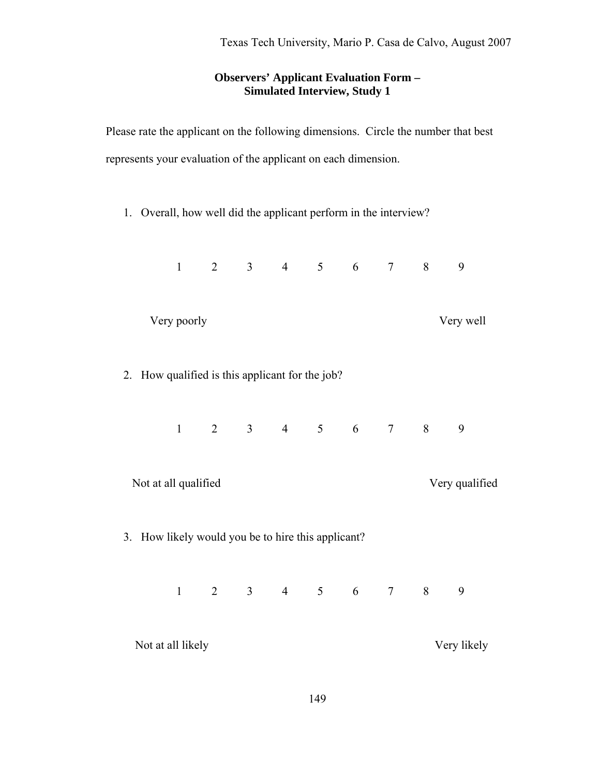## **Observers' Applicant Evaluation Form – Simulated Interview, Study 1**

Please rate the applicant on the following dimensions. Circle the number that best represents your evaluation of the applicant on each dimension.

1. Overall, how well did the applicant perform in the interview?

|                                                    | $\mathbf{1}$ | $\overline{2}$ |  | $3 \t 4 \t 5 \t 6$              |  |  | $\overline{7}$ | 8              | 9         |  |
|----------------------------------------------------|--------------|----------------|--|---------------------------------|--|--|----------------|----------------|-----------|--|
|                                                    | Very poorly  |                |  |                                 |  |  |                |                | Very well |  |
| 2. How qualified is this applicant for the job?    |              |                |  |                                 |  |  |                |                |           |  |
|                                                    |              |                |  | $1 \t2 \t3 \t4 \t5 \t6 \t7 \t8$ |  |  |                |                | 9         |  |
| Not at all qualified                               |              |                |  |                                 |  |  |                | Very qualified |           |  |
| 3. How likely would you be to hire this applicant? |              |                |  |                                 |  |  |                |                |           |  |
|                                                    | $\mathbf{1}$ |                |  |                                 |  |  |                | 2 3 4 5 6 7 8  | 9         |  |
| Not at all likely                                  |              |                |  |                                 |  |  | Very likely    |                |           |  |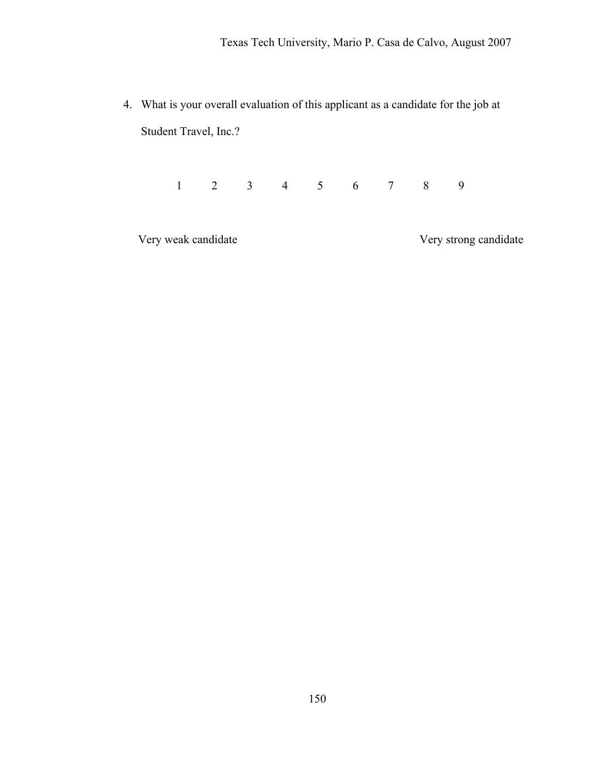4. What is your overall evaluation of this applicant as a candidate for the job at Student Travel, Inc.?

1 2 3 4 5 6 7 8 9

Very weak candidate Very strong candidate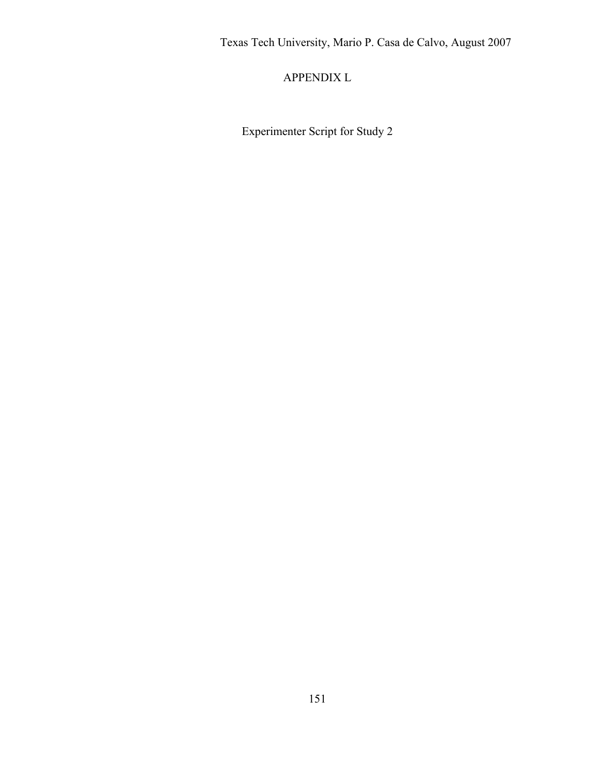APPENDIX L

Experimenter Script for Study 2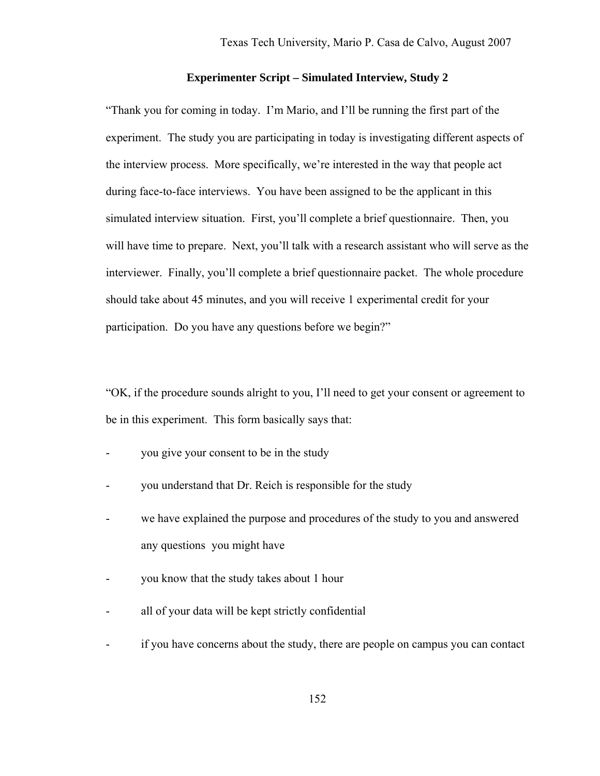#### **Experimenter Script – Simulated Interview, Study 2**

"Thank you for coming in today. I'm Mario, and I'll be running the first part of the experiment. The study you are participating in today is investigating different aspects of the interview process. More specifically, we're interested in the way that people act during face-to-face interviews. You have been assigned to be the applicant in this simulated interview situation. First, you'll complete a brief questionnaire. Then, you will have time to prepare. Next, you'll talk with a research assistant who will serve as the interviewer. Finally, you'll complete a brief questionnaire packet. The whole procedure should take about 45 minutes, and you will receive 1 experimental credit for your participation. Do you have any questions before we begin?"

"OK, if the procedure sounds alright to you, I'll need to get your consent or agreement to be in this experiment. This form basically says that:

- you give your consent to be in the study
- you understand that Dr. Reich is responsible for the study
- we have explained the purpose and procedures of the study to you and answered any questions you might have
- you know that the study takes about 1 hour
- all of your data will be kept strictly confidential
- if you have concerns about the study, there are people on campus you can contact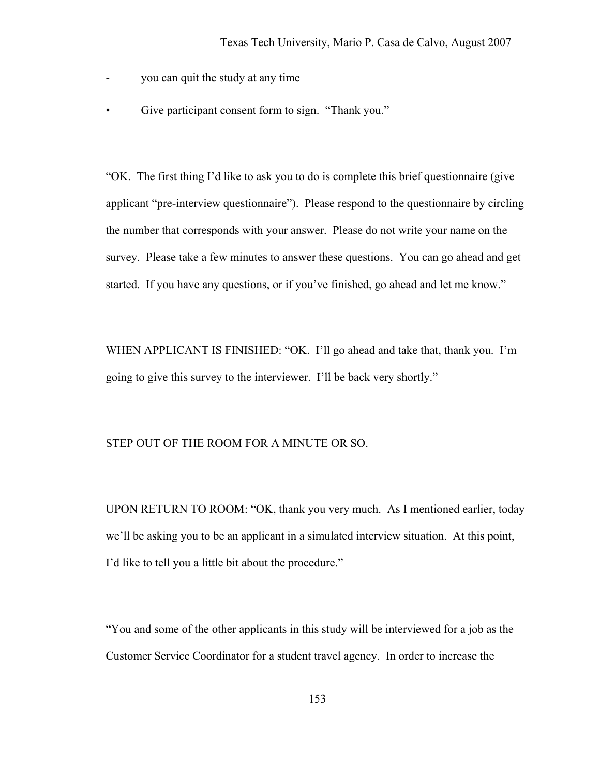- you can quit the study at any time
- Give participant consent form to sign. "Thank you."

"OK. The first thing I'd like to ask you to do is complete this brief questionnaire (give applicant "pre-interview questionnaire"). Please respond to the questionnaire by circling the number that corresponds with your answer. Please do not write your name on the survey. Please take a few minutes to answer these questions. You can go ahead and get started. If you have any questions, or if you've finished, go ahead and let me know."

WHEN APPLICANT IS FINISHED: "OK. I'll go ahead and take that, thank you. I'm going to give this survey to the interviewer. I'll be back very shortly."

#### STEP OUT OF THE ROOM FOR A MINUTE OR SO.

UPON RETURN TO ROOM: "OK, thank you very much. As I mentioned earlier, today we'll be asking you to be an applicant in a simulated interview situation. At this point, I'd like to tell you a little bit about the procedure."

"You and some of the other applicants in this study will be interviewed for a job as the Customer Service Coordinator for a student travel agency. In order to increase the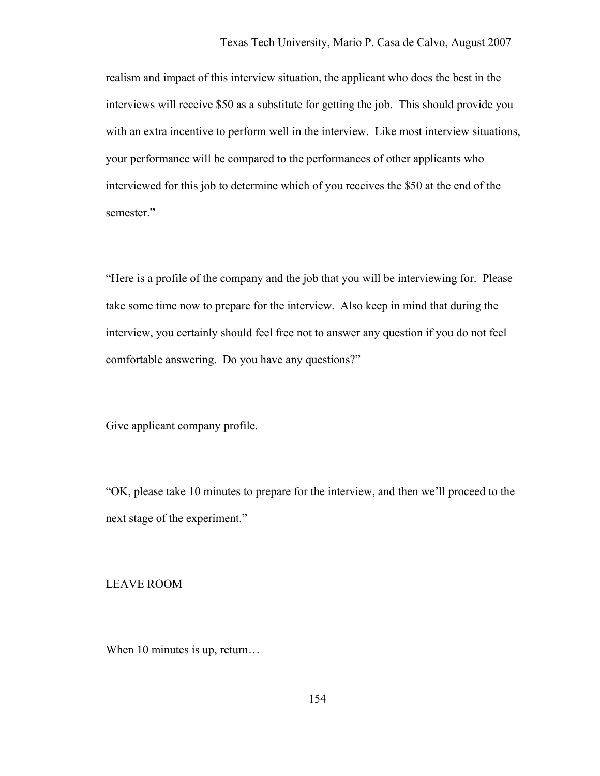realism and impact of this interview situation, the applicant who does the best in the interviews will receive \$50 as a substitute for getting the job. This should provide you with an extra incentive to perform well in the interview. Like most interview situations, your performance will be compared to the performances of other applicants who interviewed for this job to determine which of you receives the \$50 at the end of the semester."

"Here is a profile of the company and the job that you will be interviewing for. Please take some time now to prepare for the interview. Also keep in mind that during the interview, you certainly should feel free not to answer any question if you do not feel comfortable answering. Do you have any questions?"

Give applicant company profile.

"OK, please take 10 minutes to prepare for the interview, and then we'll proceed to the next stage of the experiment."

LEAVE ROOM

When 10 minutes is up, return...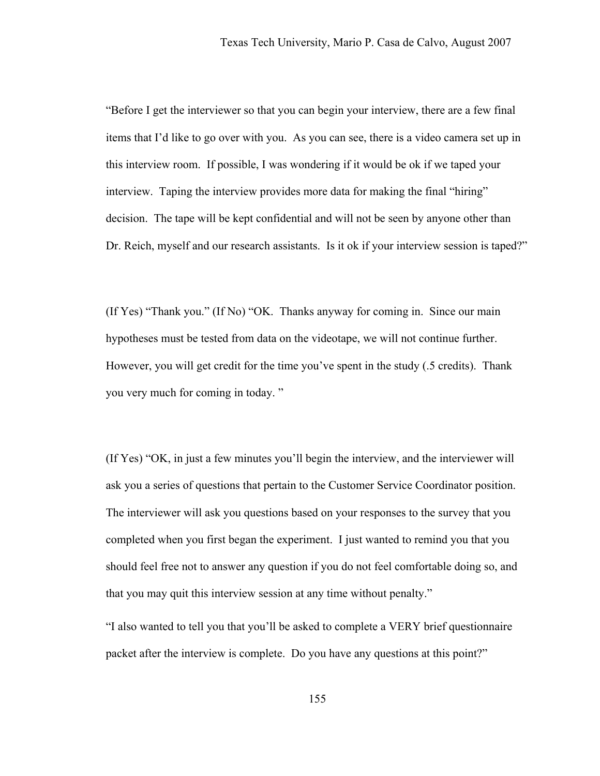"Before I get the interviewer so that you can begin your interview, there are a few final items that I'd like to go over with you. As you can see, there is a video camera set up in this interview room. If possible, I was wondering if it would be ok if we taped your interview. Taping the interview provides more data for making the final "hiring" decision. The tape will be kept confidential and will not be seen by anyone other than Dr. Reich, myself and our research assistants. Is it ok if your interview session is taped?"

(If Yes) "Thank you." (If No) "OK. Thanks anyway for coming in. Since our main hypotheses must be tested from data on the videotape, we will not continue further. However, you will get credit for the time you've spent in the study (.5 credits). Thank you very much for coming in today. "

(If Yes) "OK, in just a few minutes you'll begin the interview, and the interviewer will ask you a series of questions that pertain to the Customer Service Coordinator position. The interviewer will ask you questions based on your responses to the survey that you completed when you first began the experiment. I just wanted to remind you that you should feel free not to answer any question if you do not feel comfortable doing so, and that you may quit this interview session at any time without penalty."

"I also wanted to tell you that you'll be asked to complete a VERY brief questionnaire packet after the interview is complete. Do you have any questions at this point?"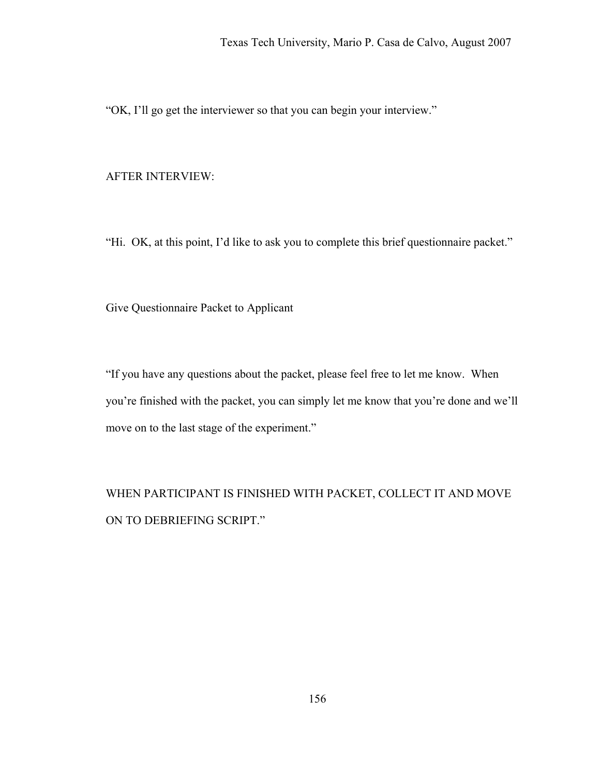"OK, I'll go get the interviewer so that you can begin your interview."

#### AFTER INTERVIEW:

"Hi. OK, at this point, I'd like to ask you to complete this brief questionnaire packet."

Give Questionnaire Packet to Applicant

"If you have any questions about the packet, please feel free to let me know. When you're finished with the packet, you can simply let me know that you're done and we'll move on to the last stage of the experiment."

WHEN PARTICIPANT IS FINISHED WITH PACKET, COLLECT IT AND MOVE ON TO DEBRIEFING SCRIPT."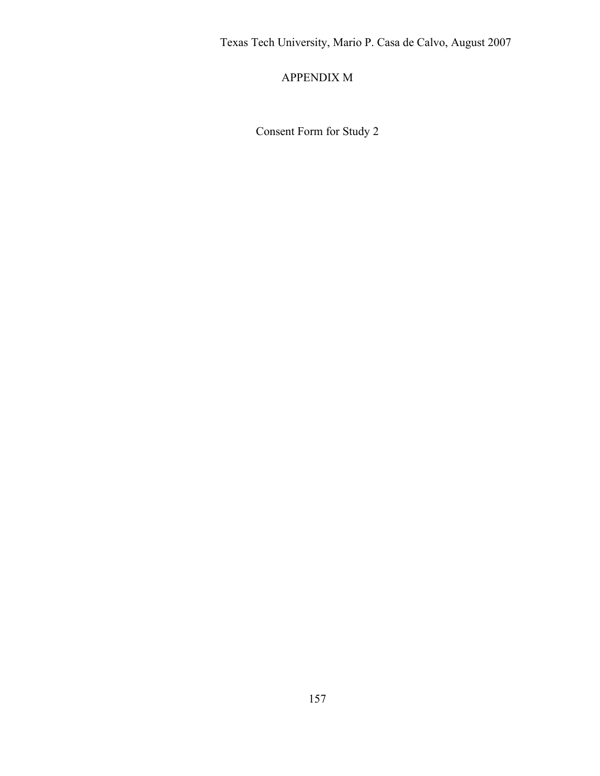# APPENDIX M

Consent Form for Study 2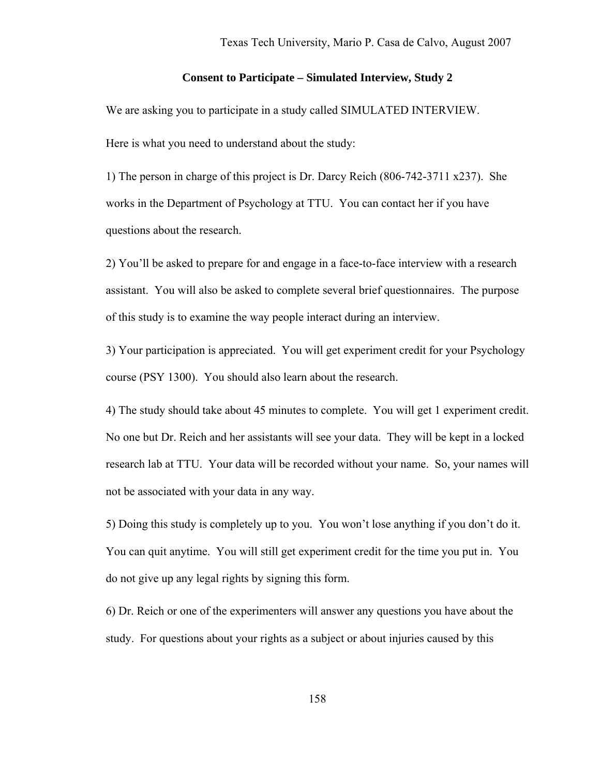#### **Consent to Participate – Simulated Interview, Study 2**

We are asking you to participate in a study called SIMULATED INTERVIEW. Here is what you need to understand about the study:

1) The person in charge of this project is Dr. Darcy Reich (806-742-3711 x237). She works in the Department of Psychology at TTU. You can contact her if you have questions about the research.

2) You'll be asked to prepare for and engage in a face-to-face interview with a research assistant. You will also be asked to complete several brief questionnaires. The purpose of this study is to examine the way people interact during an interview.

3) Your participation is appreciated. You will get experiment credit for your Psychology course (PSY 1300). You should also learn about the research.

4) The study should take about 45 minutes to complete. You will get 1 experiment credit. No one but Dr. Reich and her assistants will see your data. They will be kept in a locked research lab at TTU. Your data will be recorded without your name. So, your names will not be associated with your data in any way.

5) Doing this study is completely up to you. You won't lose anything if you don't do it. You can quit anytime. You will still get experiment credit for the time you put in. You do not give up any legal rights by signing this form.

6) Dr. Reich or one of the experimenters will answer any questions you have about the study. For questions about your rights as a subject or about injuries caused by this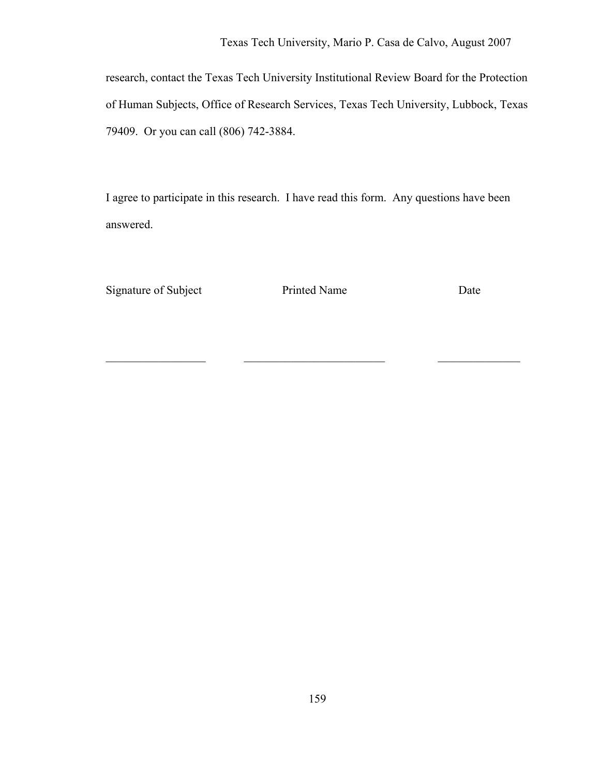research, contact the Texas Tech University Institutional Review Board for the Protection of Human Subjects, Office of Research Services, Texas Tech University, Lubbock, Texas 79409. Or you can call (806) 742-3884.

I agree to participate in this research. I have read this form. Any questions have been answered.

Signature of Subject Printed Name Date

 $\_$  , and the contribution of  $\_$  , and  $\_$  , and  $\_$  , and  $\_$  , and  $\_$  , and  $\_$  , and  $\_$  , and  $\_$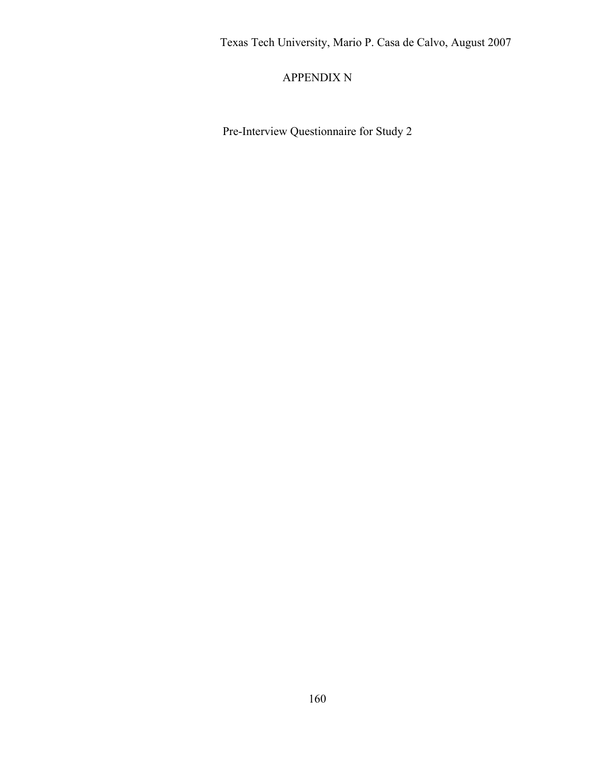## APPENDIX N

Pre-Interview Questionnaire for Study 2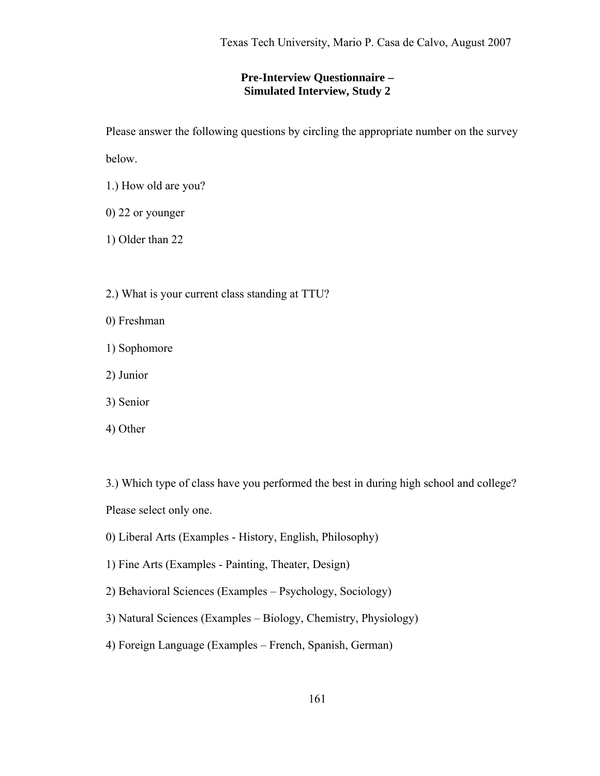### **Pre-Interview Questionnaire – Simulated Interview, Study 2**

Please answer the following questions by circling the appropriate number on the survey

below.

- 1.) How old are you?
- 0) 22 or younger

1) Older than 22

- 2.) What is your current class standing at TTU?
- 0) Freshman
- 1) Sophomore
- 2) Junior
- 3) Senior
- 4) Other

3.) Which type of class have you performed the best in during high school and college? Please select only one.

- 0) Liberal Arts (Examples History, English, Philosophy)
- 1) Fine Arts (Examples Painting, Theater, Design)
- 2) Behavioral Sciences (Examples Psychology, Sociology)
- 3) Natural Sciences (Examples Biology, Chemistry, Physiology)
- 4) Foreign Language (Examples French, Spanish, German)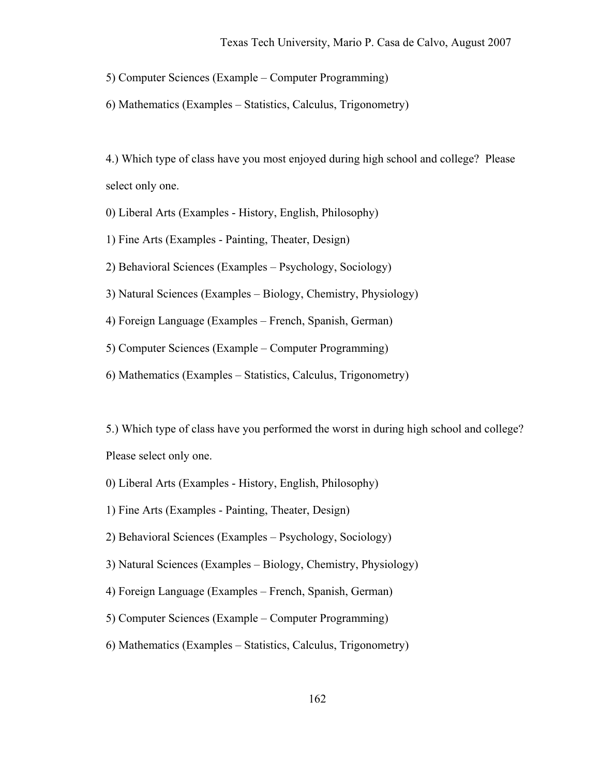5) Computer Sciences (Example – Computer Programming)

6) Mathematics (Examples – Statistics, Calculus, Trigonometry)

4.) Which type of class have you most enjoyed during high school and college? Please select only one.

0) Liberal Arts (Examples - History, English, Philosophy)

1) Fine Arts (Examples - Painting, Theater, Design)

2) Behavioral Sciences (Examples – Psychology, Sociology)

3) Natural Sciences (Examples – Biology, Chemistry, Physiology)

4) Foreign Language (Examples – French, Spanish, German)

5) Computer Sciences (Example – Computer Programming)

6) Mathematics (Examples – Statistics, Calculus, Trigonometry)

5.) Which type of class have you performed the worst in during high school and college? Please select only one.

- 0) Liberal Arts (Examples History, English, Philosophy)
- 1) Fine Arts (Examples Painting, Theater, Design)
- 2) Behavioral Sciences (Examples Psychology, Sociology)
- 3) Natural Sciences (Examples Biology, Chemistry, Physiology)
- 4) Foreign Language (Examples French, Spanish, German)
- 5) Computer Sciences (Example Computer Programming)
- 6) Mathematics (Examples Statistics, Calculus, Trigonometry)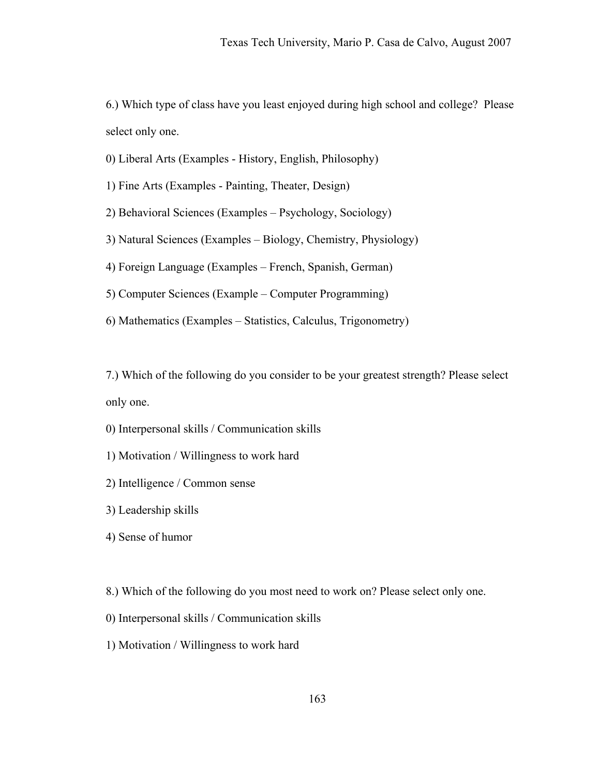6.) Which type of class have you least enjoyed during high school and college? Please select only one.

0) Liberal Arts (Examples - History, English, Philosophy)

1) Fine Arts (Examples - Painting, Theater, Design)

2) Behavioral Sciences (Examples – Psychology, Sociology)

3) Natural Sciences (Examples – Biology, Chemistry, Physiology)

4) Foreign Language (Examples – French, Spanish, German)

5) Computer Sciences (Example – Computer Programming)

6) Mathematics (Examples – Statistics, Calculus, Trigonometry)

7.) Which of the following do you consider to be your greatest strength? Please select only one.

0) Interpersonal skills / Communication skills

1) Motivation / Willingness to work hard

2) Intelligence / Common sense

3) Leadership skills

4) Sense of humor

8.) Which of the following do you most need to work on? Please select only one.

0) Interpersonal skills / Communication skills

1) Motivation / Willingness to work hard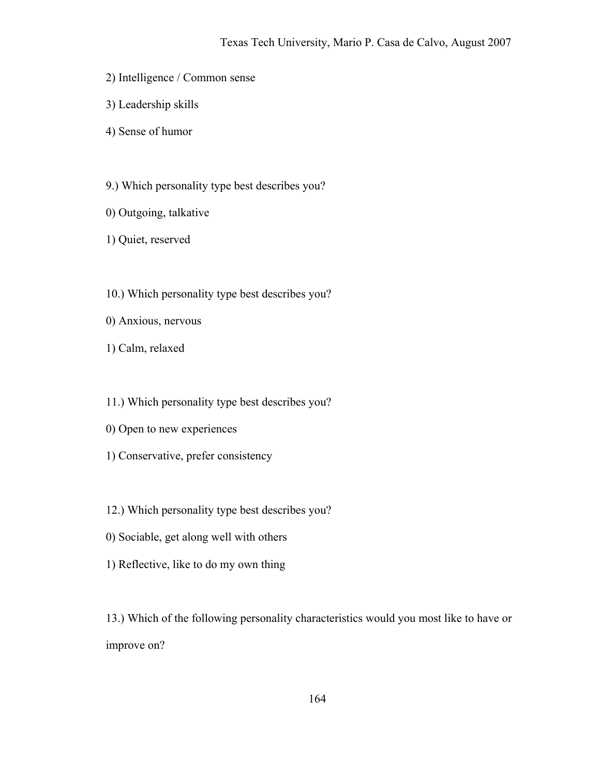- 2) Intelligence / Common sense
- 3) Leadership skills
- 4) Sense of humor
- 9.) Which personality type best describes you?
- 0) Outgoing, talkative
- 1) Quiet, reserved
- 10.) Which personality type best describes you?
- 0) Anxious, nervous
- 1) Calm, relaxed
- 11.) Which personality type best describes you?
- 0) Open to new experiences
- 1) Conservative, prefer consistency
- 12.) Which personality type best describes you?
- 0) Sociable, get along well with others
- 1) Reflective, like to do my own thing

13.) Which of the following personality characteristics would you most like to have or improve on?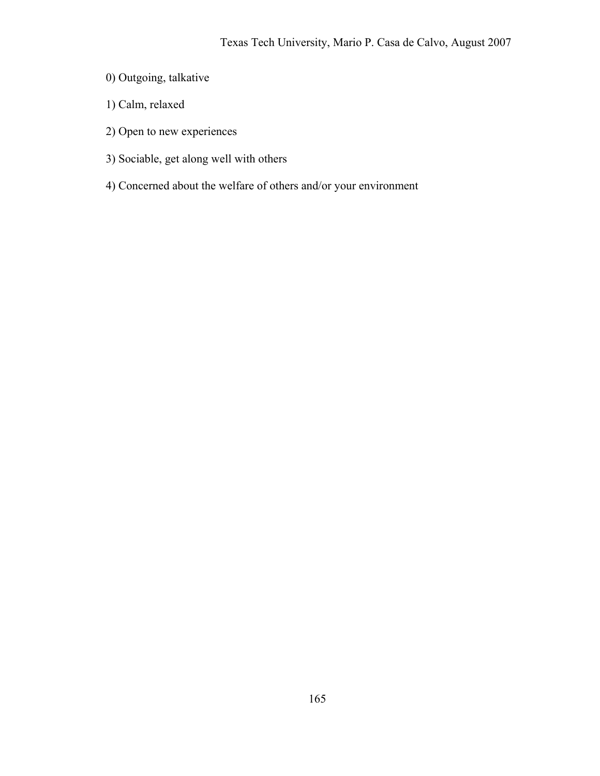- 0) Outgoing, talkative
- 1) Calm, relaxed
- 2) Open to new experiences
- 3) Sociable, get along well with others
- 4) Concerned about the welfare of others and/or your environment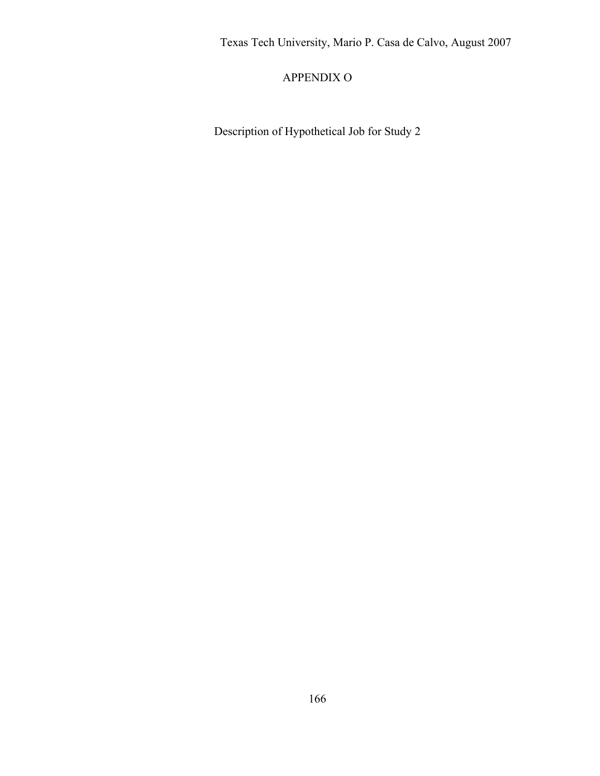## APPENDIX O

Description of Hypothetical Job for Study 2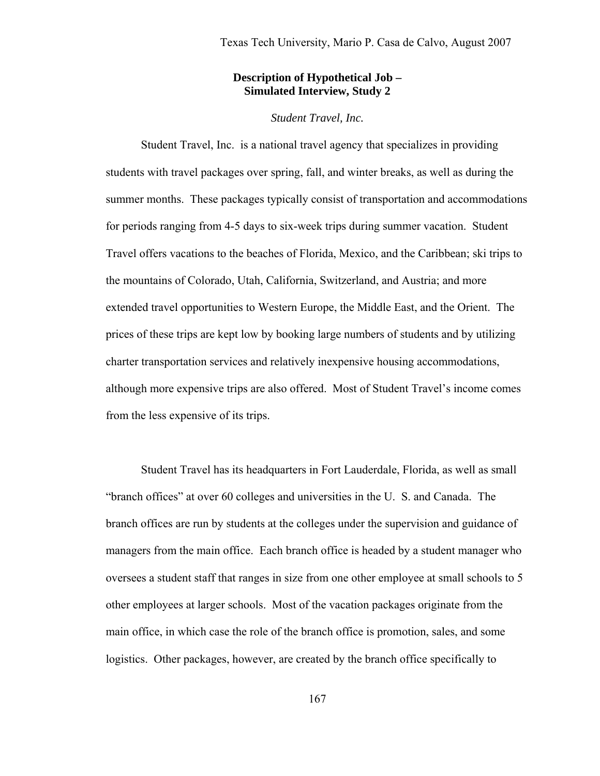### **Description of Hypothetical Job – Simulated Interview, Study 2**

### *Student Travel, Inc.*

 Student Travel, Inc. is a national travel agency that specializes in providing students with travel packages over spring, fall, and winter breaks, as well as during the summer months. These packages typically consist of transportation and accommodations for periods ranging from 4-5 days to six-week trips during summer vacation. Student Travel offers vacations to the beaches of Florida, Mexico, and the Caribbean; ski trips to the mountains of Colorado, Utah, California, Switzerland, and Austria; and more extended travel opportunities to Western Europe, the Middle East, and the Orient. The prices of these trips are kept low by booking large numbers of students and by utilizing charter transportation services and relatively inexpensive housing accommodations, although more expensive trips are also offered. Most of Student Travel's income comes from the less expensive of its trips.

 Student Travel has its headquarters in Fort Lauderdale, Florida, as well as small "branch offices" at over 60 colleges and universities in the U. S. and Canada. The branch offices are run by students at the colleges under the supervision and guidance of managers from the main office. Each branch office is headed by a student manager who oversees a student staff that ranges in size from one other employee at small schools to 5 other employees at larger schools. Most of the vacation packages originate from the main office, in which case the role of the branch office is promotion, sales, and some logistics. Other packages, however, are created by the branch office specifically to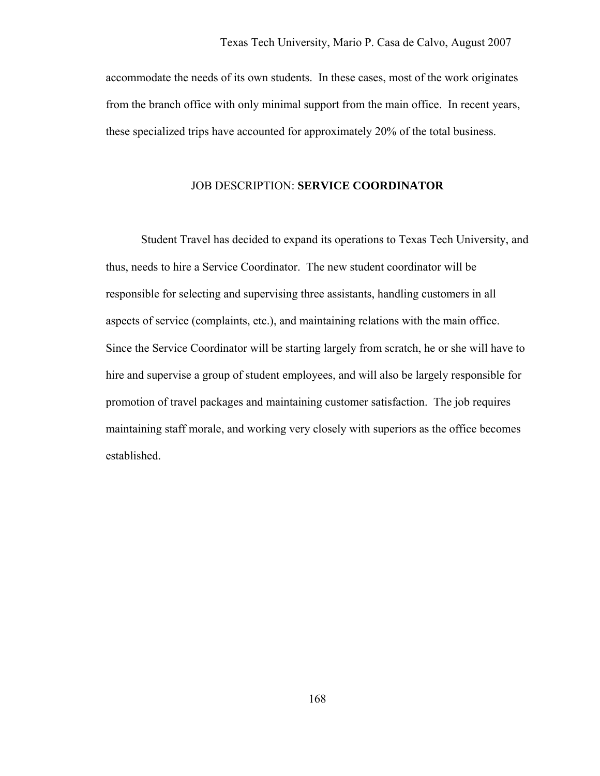accommodate the needs of its own students. In these cases, most of the work originates from the branch office with only minimal support from the main office. In recent years, these specialized trips have accounted for approximately 20% of the total business.

### JOB DESCRIPTION: **SERVICE COORDINATOR**

 Student Travel has decided to expand its operations to Texas Tech University, and thus, needs to hire a Service Coordinator. The new student coordinator will be responsible for selecting and supervising three assistants, handling customers in all aspects of service (complaints, etc.), and maintaining relations with the main office. Since the Service Coordinator will be starting largely from scratch, he or she will have to hire and supervise a group of student employees, and will also be largely responsible for promotion of travel packages and maintaining customer satisfaction. The job requires maintaining staff morale, and working very closely with superiors as the office becomes established.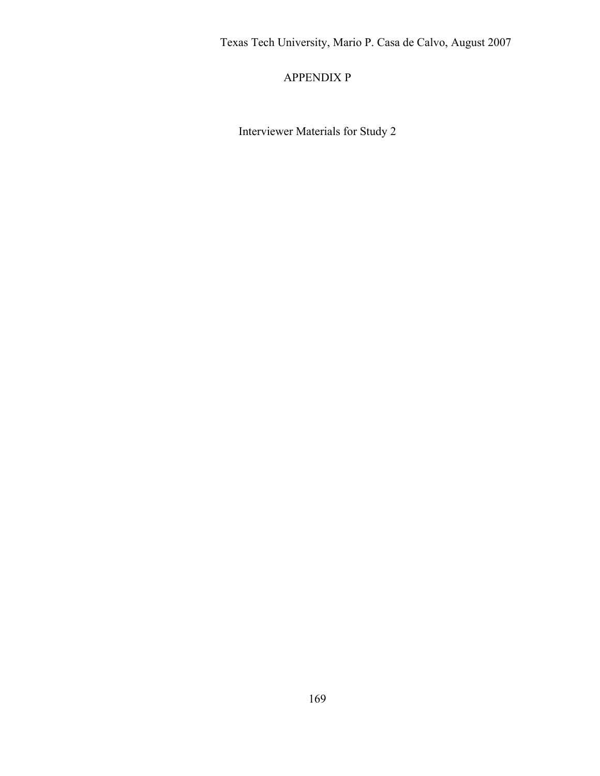## APPENDIX P

Interviewer Materials for Study 2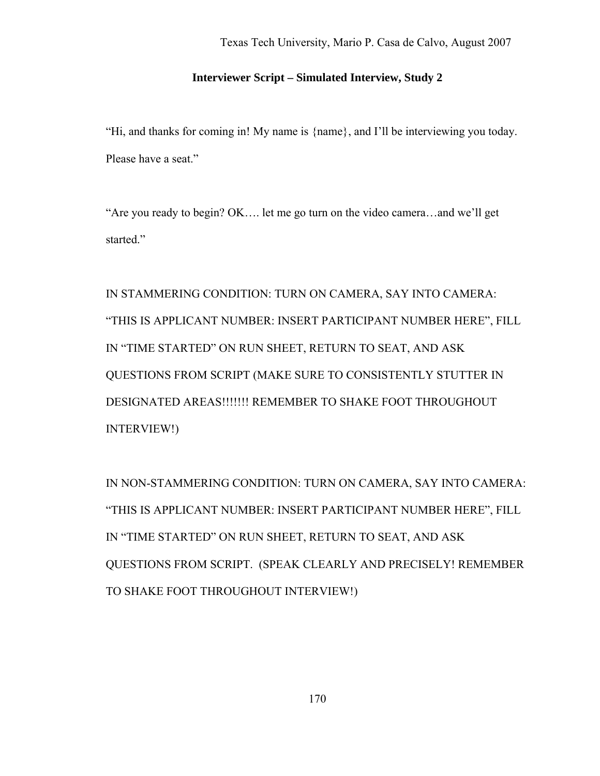### **Interviewer Script – Simulated Interview, Study 2**

"Hi, and thanks for coming in! My name is {name}, and I'll be interviewing you today. Please have a seat."

"Are you ready to begin? OK…. let me go turn on the video camera…and we'll get started."

IN STAMMERING CONDITION: TURN ON CAMERA, SAY INTO CAMERA: "THIS IS APPLICANT NUMBER: INSERT PARTICIPANT NUMBER HERE", FILL IN "TIME STARTED" ON RUN SHEET, RETURN TO SEAT, AND ASK QUESTIONS FROM SCRIPT (MAKE SURE TO CONSISTENTLY STUTTER IN DESIGNATED AREAS!!!!!!! REMEMBER TO SHAKE FOOT THROUGHOUT INTERVIEW!)

IN NON-STAMMERING CONDITION: TURN ON CAMERA, SAY INTO CAMERA: "THIS IS APPLICANT NUMBER: INSERT PARTICIPANT NUMBER HERE", FILL IN "TIME STARTED" ON RUN SHEET, RETURN TO SEAT, AND ASK QUESTIONS FROM SCRIPT. (SPEAK CLEARLY AND PRECISELY! REMEMBER TO SHAKE FOOT THROUGHOUT INTERVIEW!)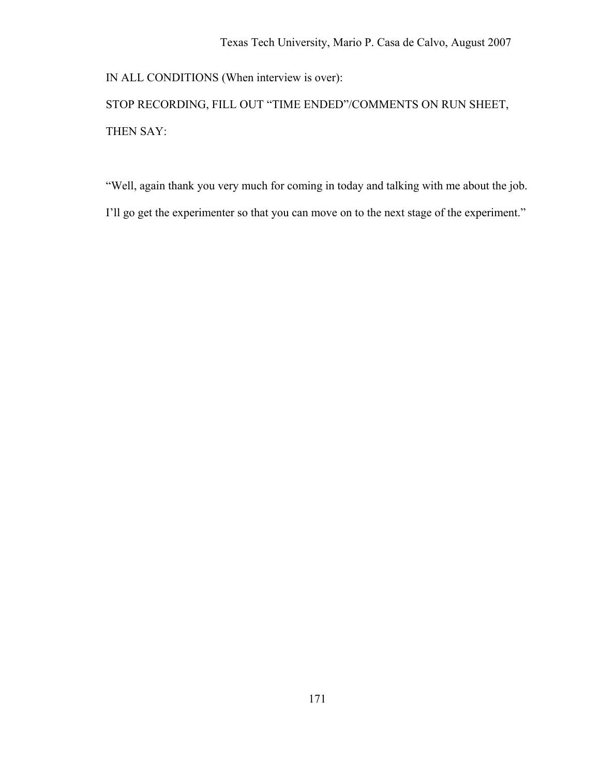IN ALL CONDITIONS (When interview is over):

STOP RECORDING, FILL OUT "TIME ENDED"/COMMENTS ON RUN SHEET, THEN SAY:

"Well, again thank you very much for coming in today and talking with me about the job. I'll go get the experimenter so that you can move on to the next stage of the experiment."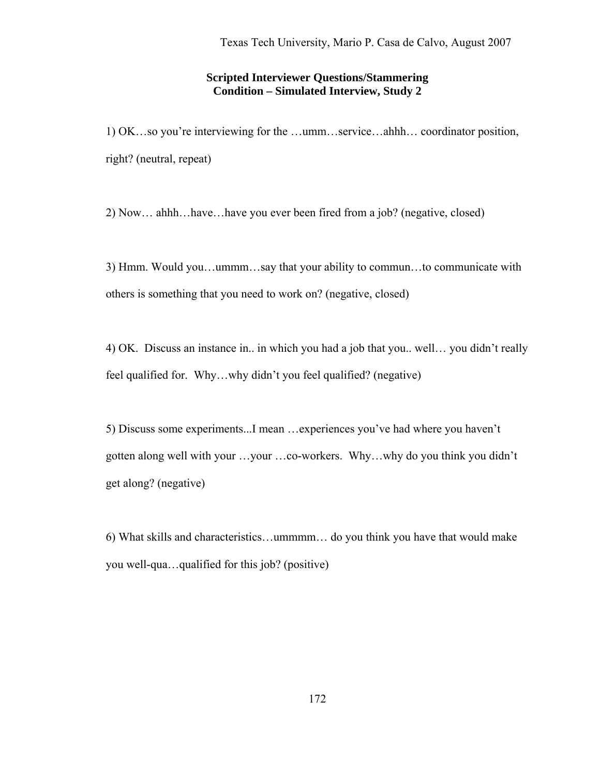### **Scripted Interviewer Questions/Stammering Condition – Simulated Interview, Study 2**

1) OK…so you're interviewing for the …umm…service…ahhh… coordinator position, right? (neutral, repeat)

2) Now… ahhh…have…have you ever been fired from a job? (negative, closed)

3) Hmm. Would you…ummm…say that your ability to commun…to communicate with others is something that you need to work on? (negative, closed)

4) OK. Discuss an instance in.. in which you had a job that you.. well… you didn't really feel qualified for. Why…why didn't you feel qualified? (negative)

5) Discuss some experiments...I mean …experiences you've had where you haven't gotten along well with your …your …co-workers. Why…why do you think you didn't get along? (negative)

6) What skills and characteristics…ummmm… do you think you have that would make you well-qua…qualified for this job? (positive)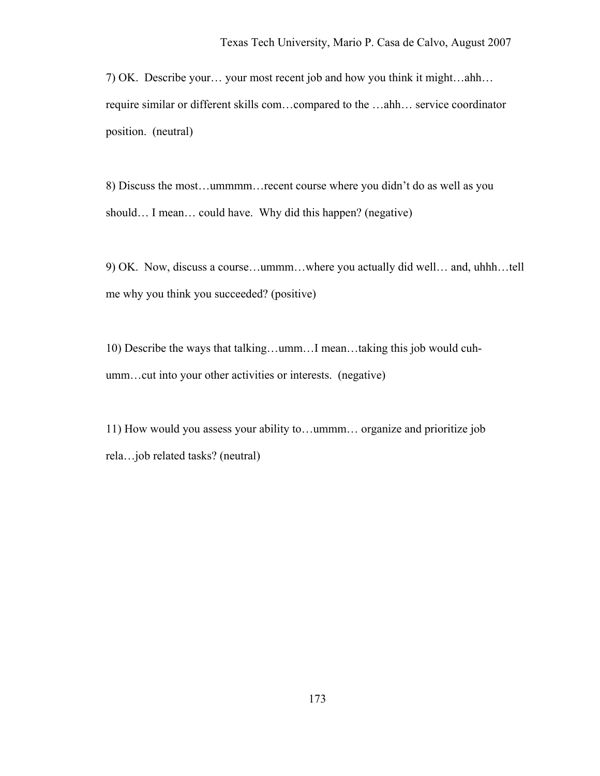7) OK. Describe your… your most recent job and how you think it might…ahh… require similar or different skills com…compared to the …ahh… service coordinator position. (neutral)

8) Discuss the most…ummmm…recent course where you didn't do as well as you should... I mean... could have. Why did this happen? (negative)

9) OK. Now, discuss a course…ummm…where you actually did well… and, uhhh…tell me why you think you succeeded? (positive)

10) Describe the ways that talking…umm…I mean…taking this job would cuhumm…cut into your other activities or interests. (negative)

11) How would you assess your ability to…ummm… organize and prioritize job rela…job related tasks? (neutral)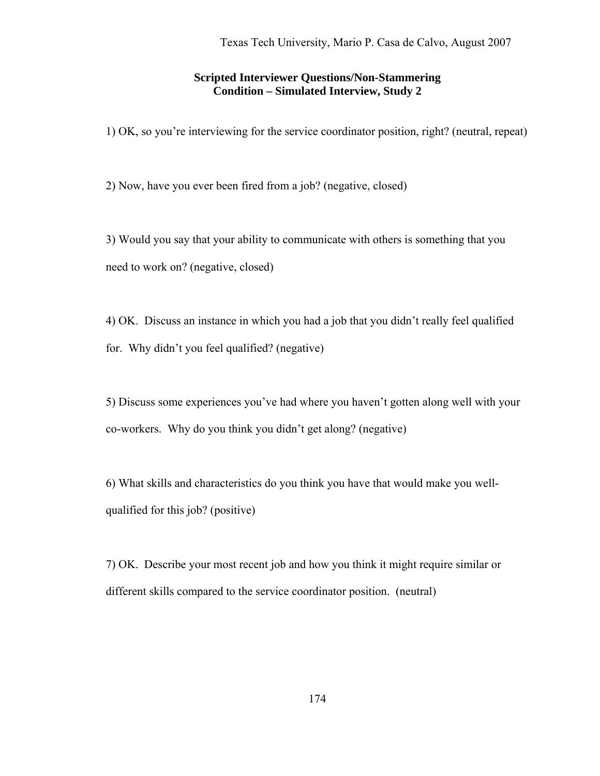#### **Scripted Interviewer Questions/Non-Stammering Condition – Simulated Interview, Study 2**

1) OK, so you're interviewing for the service coordinator position, right? (neutral, repeat)

2) Now, have you ever been fired from a job? (negative, closed)

3) Would you say that your ability to communicate with others is something that you need to work on? (negative, closed)

4) OK. Discuss an instance in which you had a job that you didn't really feel qualified for. Why didn't you feel qualified? (negative)

5) Discuss some experiences you've had where you haven't gotten along well with your co-workers. Why do you think you didn't get along? (negative)

6) What skills and characteristics do you think you have that would make you wellqualified for this job? (positive)

7) OK. Describe your most recent job and how you think it might require similar or different skills compared to the service coordinator position. (neutral)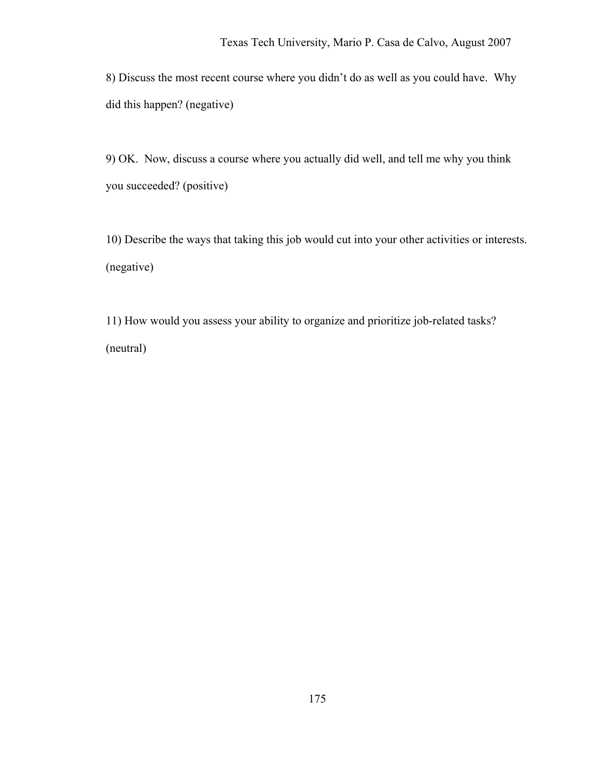8) Discuss the most recent course where you didn't do as well as you could have. Why did this happen? (negative)

9) OK. Now, discuss a course where you actually did well, and tell me why you think you succeeded? (positive)

10) Describe the ways that taking this job would cut into your other activities or interests. (negative)

11) How would you assess your ability to organize and prioritize job-related tasks? (neutral)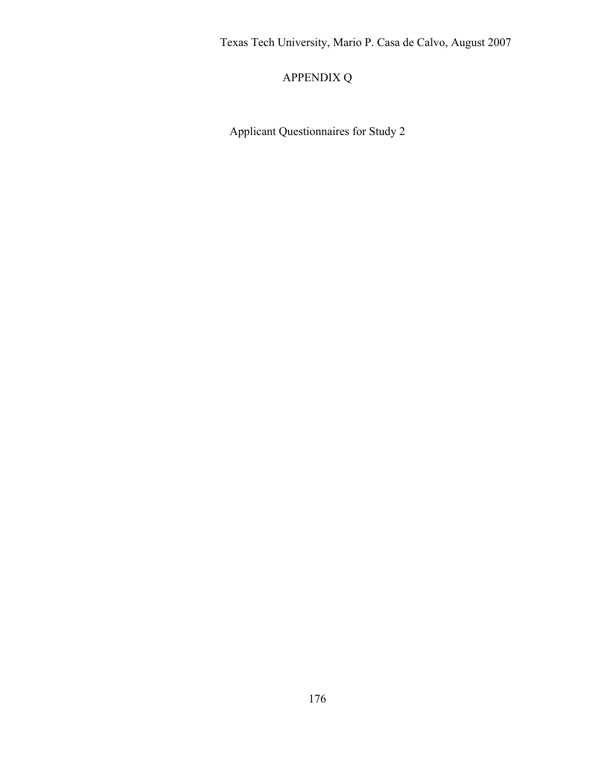# APPENDIX Q

Applicant Questionnaires for Study 2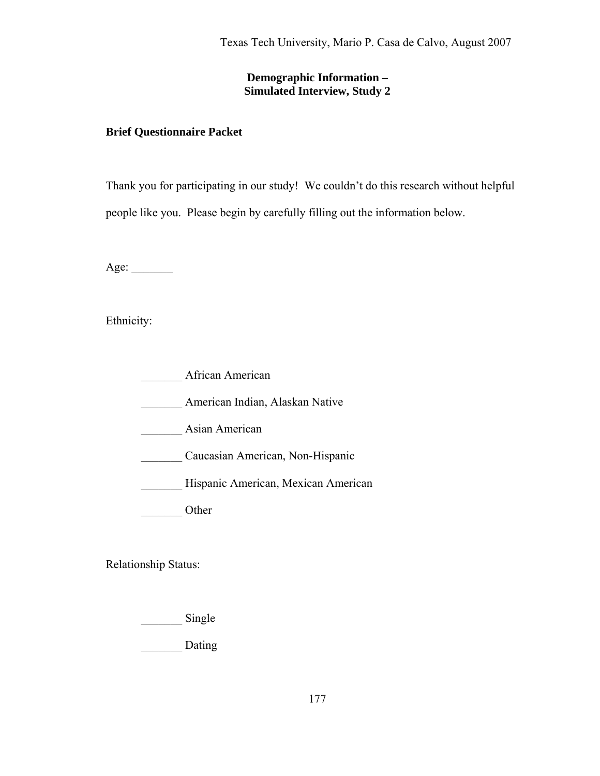## **Demographic Information – Simulated Interview, Study 2**

### **Brief Questionnaire Packet**

Thank you for participating in our study! We couldn't do this research without helpful people like you. Please begin by carefully filling out the information below.

Age: \_\_\_\_\_\_\_

Ethnicity:

African American

\_\_\_\_\_\_\_ American Indian, Alaskan Native

\_\_\_\_\_\_\_ Asian American

\_\_\_\_\_\_\_ Caucasian American, Non-Hispanic

\_\_\_\_\_\_\_ Hispanic American, Mexican American

Other

Relationship Status:

\_\_\_\_\_\_\_\_\_\_ Single

\_\_\_\_\_\_\_ Dating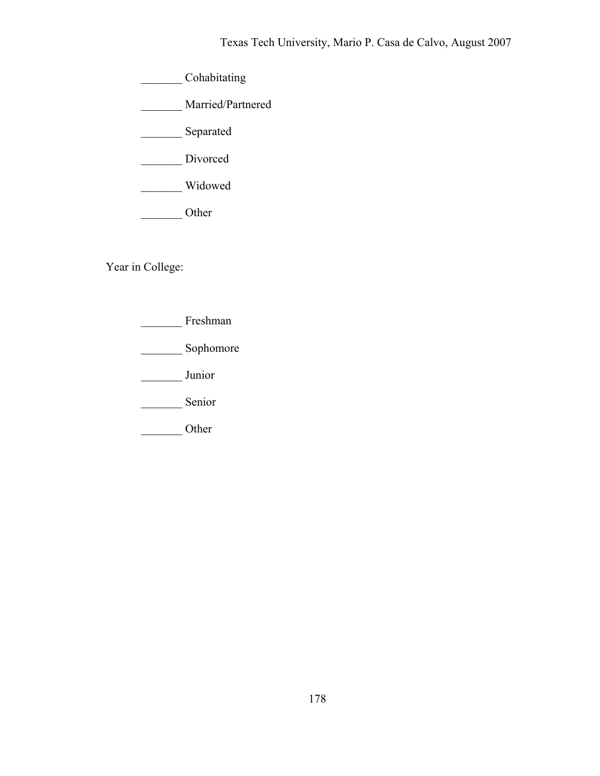\_\_\_\_\_\_\_ Cohabitating

\_\_\_\_\_\_\_ Married/Partnered

\_\_\_\_\_\_\_ Separated

Divorced

\_\_\_\_\_\_\_ Widowed

\_\_\_\_\_\_\_ Other

Year in College:

\_\_\_\_\_\_\_ Freshman

\_\_\_\_\_\_\_\_\_ Sophomore

\_\_\_\_\_\_\_ Junior

Senior

\_\_\_\_\_\_\_ Other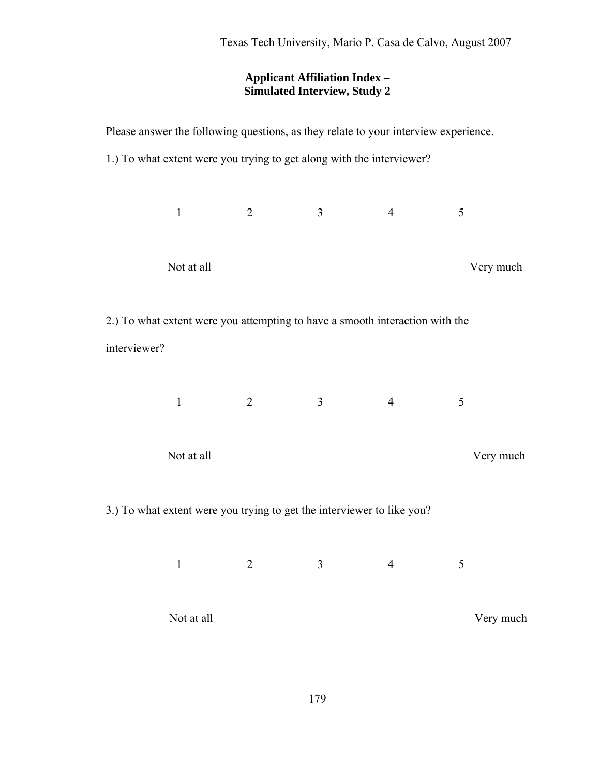## **Applicant Affiliation Index – Simulated Interview, Study 2**

| Please answer the following questions, as they relate to your interview experience. |              |                                                                        |   |                |           |  |  |  |
|-------------------------------------------------------------------------------------|--------------|------------------------------------------------------------------------|---|----------------|-----------|--|--|--|
|                                                                                     |              | 1.) To what extent were you trying to get along with the interviewer?  |   |                |           |  |  |  |
|                                                                                     |              |                                                                        |   |                |           |  |  |  |
|                                                                                     | $\mathbf{1}$ | 2                                                                      | 3 | $\overline{4}$ | 5         |  |  |  |
|                                                                                     |              |                                                                        |   |                |           |  |  |  |
|                                                                                     | Not at all   |                                                                        |   |                | Very much |  |  |  |
|                                                                                     |              |                                                                        |   |                |           |  |  |  |
| 2.) To what extent were you attempting to have a smooth interaction with the        |              |                                                                        |   |                |           |  |  |  |
| interviewer?                                                                        |              |                                                                        |   |                |           |  |  |  |
|                                                                                     |              |                                                                        |   |                |           |  |  |  |
|                                                                                     | $\mathbf{1}$ | $\overline{2}$                                                         | 3 | $\overline{4}$ | 5         |  |  |  |
|                                                                                     |              |                                                                        |   |                |           |  |  |  |
|                                                                                     | Very much    |                                                                        |   |                |           |  |  |  |
|                                                                                     | Not at all   |                                                                        |   |                |           |  |  |  |
|                                                                                     |              | 3.) To what extent were you trying to get the interviewer to like you? |   |                |           |  |  |  |
|                                                                                     |              |                                                                        |   |                |           |  |  |  |
|                                                                                     | $\mathbf{1}$ | $\overline{2}$                                                         | 3 | $\overline{4}$ | 5         |  |  |  |
|                                                                                     |              |                                                                        |   |                |           |  |  |  |
|                                                                                     | Not at all   |                                                                        |   |                | Very much |  |  |  |
|                                                                                     |              |                                                                        |   |                |           |  |  |  |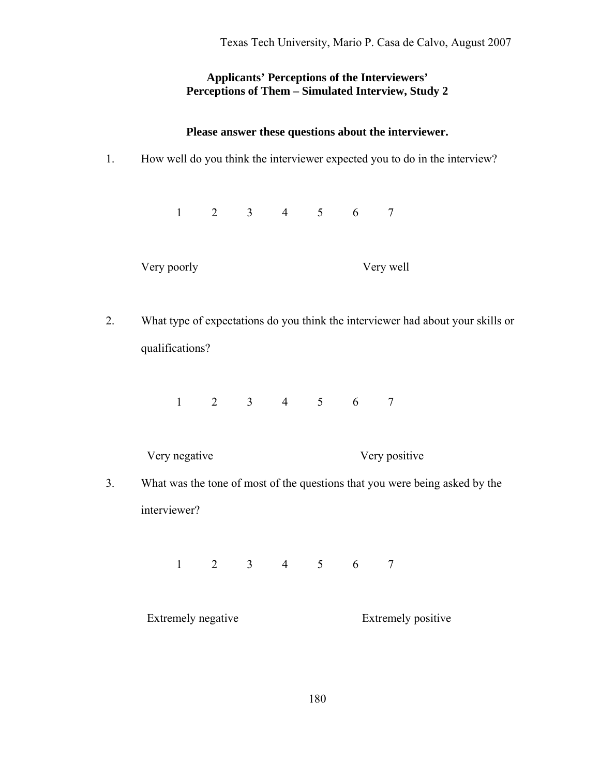### **Applicants' Perceptions of the Interviewers' Perceptions of Them – Simulated Interview, Study 2**

#### **Please answer these questions about the interviewer.**

1. How well do you think the interviewer expected you to do in the interview?

1 2 3 4 5 6 7

Very poorly Very well

2. What type of expectations do you think the interviewer had about your skills or qualifications?

1 2 3 4 5 6 7

Very negative Very positive

3. What was the tone of most of the questions that you were being asked by the interviewer?

1 2 3 4 5 6 7

Extremely negative Extremely positive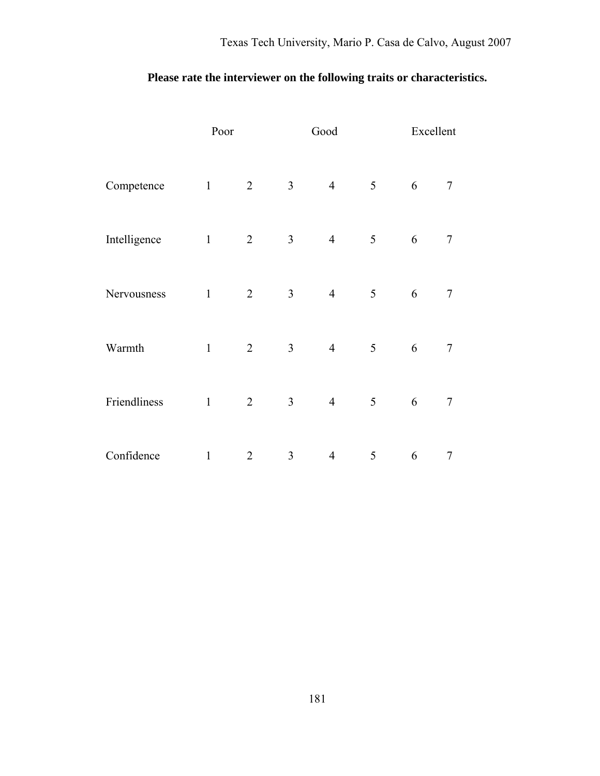# **Please rate the interviewer on the following traits or characteristics.**

|              | Poor         |                |                | Good           |   | Excellent |   |  |
|--------------|--------------|----------------|----------------|----------------|---|-----------|---|--|
| Competence   | $\mathbf{1}$ | $\overline{2}$ | $\overline{3}$ | $\overline{4}$ | 5 | 6         | 7 |  |
| Intelligence | $\mathbf{1}$ | $\overline{2}$ | $\mathfrak{Z}$ | $\overline{4}$ | 5 | 6         | 7 |  |
| Nervousness  | $\mathbf{1}$ | $\overline{2}$ | $\mathfrak{Z}$ | $\overline{4}$ | 5 | 6         | 7 |  |
| Warmth       | $\mathbf{1}$ | $\overline{2}$ | $\overline{3}$ | $\overline{4}$ | 5 | 6         | 7 |  |
| Friendliness | $\mathbf{1}$ | $\overline{2}$ | $\overline{3}$ | $\overline{4}$ | 5 | 6         | 7 |  |
| Confidence   | $\mathbf{1}$ | $\overline{2}$ | 3              | $\overline{4}$ | 5 | 6         | 7 |  |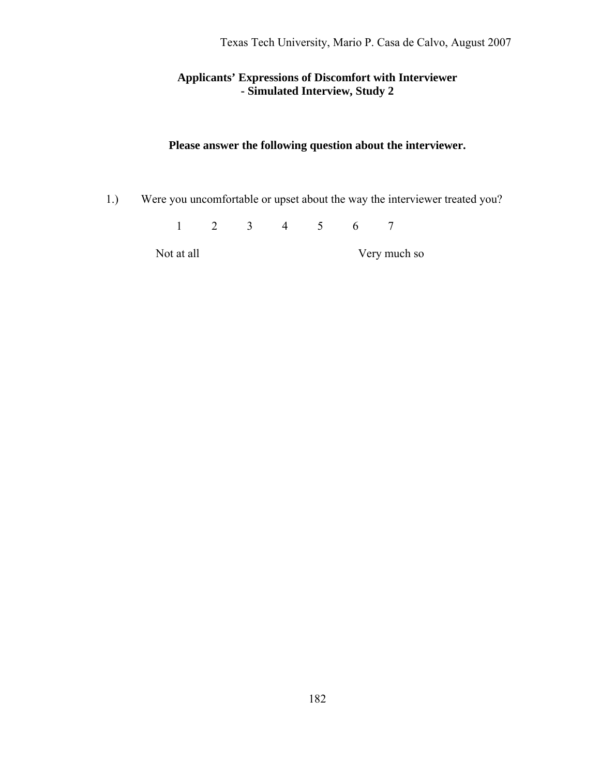## **Applicants' Expressions of Discomfort with Interviewer - Simulated Interview, Study 2**

## **Please answer the following question about the interviewer.**

1.) Were you uncomfortable or upset about the way the interviewer treated you?

1 2 3 4 5 6 7

Not at all Very much so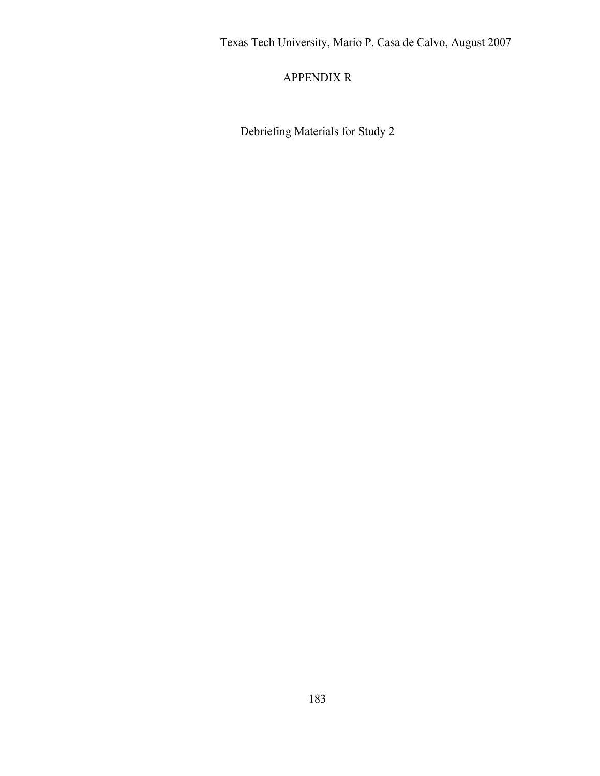# APPENDIX R

Debriefing Materials for Study 2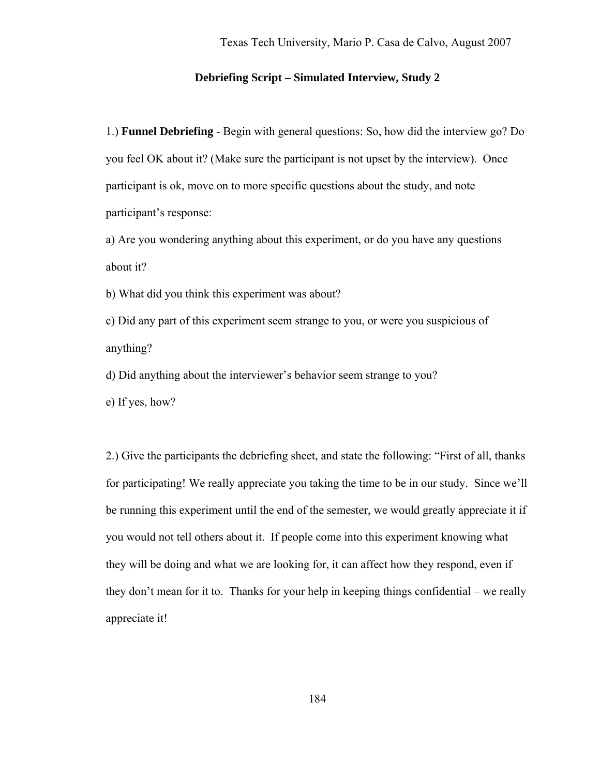#### **Debriefing Script – Simulated Interview, Study 2**

1.) **Funnel Debriefing** - Begin with general questions: So, how did the interview go? Do you feel OK about it? (Make sure the participant is not upset by the interview). Once participant is ok, move on to more specific questions about the study, and note participant's response:

a) Are you wondering anything about this experiment, or do you have any questions about it?

b) What did you think this experiment was about?

c) Did any part of this experiment seem strange to you, or were you suspicious of anything?

d) Did anything about the interviewer's behavior seem strange to you?

e) If yes, how?

2.) Give the participants the debriefing sheet, and state the following: "First of all, thanks for participating! We really appreciate you taking the time to be in our study. Since we'll be running this experiment until the end of the semester, we would greatly appreciate it if you would not tell others about it. If people come into this experiment knowing what they will be doing and what we are looking for, it can affect how they respond, even if they don't mean for it to. Thanks for your help in keeping things confidential – we really appreciate it!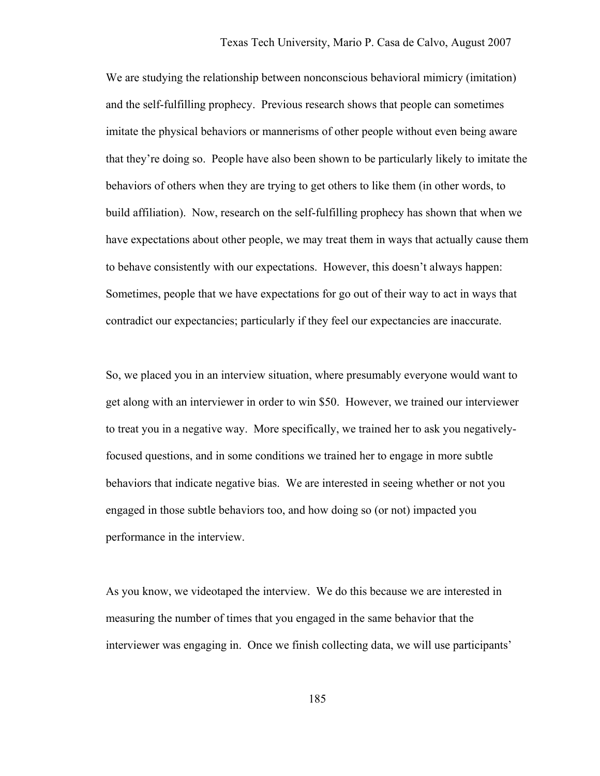We are studying the relationship between nonconscious behavioral mimicry (imitation) and the self-fulfilling prophecy. Previous research shows that people can sometimes imitate the physical behaviors or mannerisms of other people without even being aware that they're doing so. People have also been shown to be particularly likely to imitate the behaviors of others when they are trying to get others to like them (in other words, to build affiliation). Now, research on the self-fulfilling prophecy has shown that when we have expectations about other people, we may treat them in ways that actually cause them to behave consistently with our expectations. However, this doesn't always happen: Sometimes, people that we have expectations for go out of their way to act in ways that contradict our expectancies; particularly if they feel our expectancies are inaccurate.

So, we placed you in an interview situation, where presumably everyone would want to get along with an interviewer in order to win \$50. However, we trained our interviewer to treat you in a negative way. More specifically, we trained her to ask you negativelyfocused questions, and in some conditions we trained her to engage in more subtle behaviors that indicate negative bias. We are interested in seeing whether or not you engaged in those subtle behaviors too, and how doing so (or not) impacted you performance in the interview.

As you know, we videotaped the interview. We do this because we are interested in measuring the number of times that you engaged in the same behavior that the interviewer was engaging in. Once we finish collecting data, we will use participants'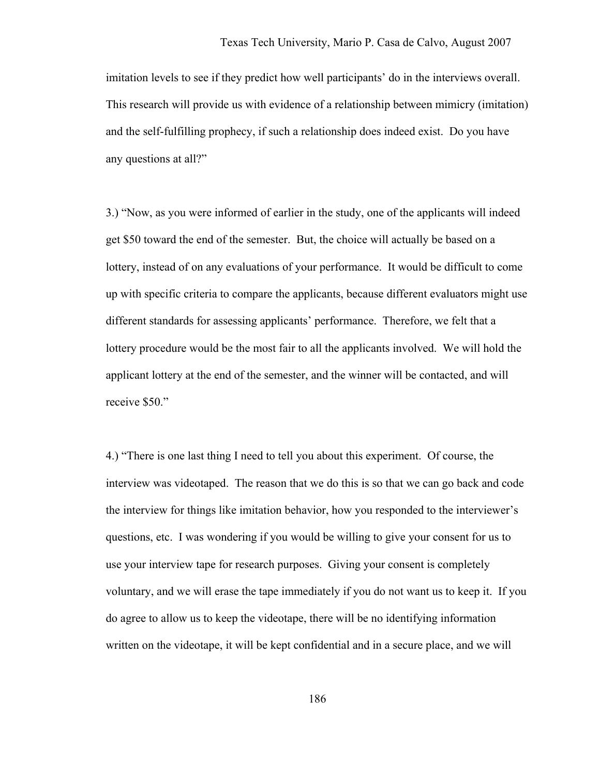imitation levels to see if they predict how well participants' do in the interviews overall. This research will provide us with evidence of a relationship between mimicry (imitation) and the self-fulfilling prophecy, if such a relationship does indeed exist. Do you have any questions at all?"

3.) "Now, as you were informed of earlier in the study, one of the applicants will indeed get \$50 toward the end of the semester. But, the choice will actually be based on a lottery, instead of on any evaluations of your performance. It would be difficult to come up with specific criteria to compare the applicants, because different evaluators might use different standards for assessing applicants' performance. Therefore, we felt that a lottery procedure would be the most fair to all the applicants involved. We will hold the applicant lottery at the end of the semester, and the winner will be contacted, and will receive \$50."

4.) "There is one last thing I need to tell you about this experiment. Of course, the interview was videotaped. The reason that we do this is so that we can go back and code the interview for things like imitation behavior, how you responded to the interviewer's questions, etc. I was wondering if you would be willing to give your consent for us to use your interview tape for research purposes. Giving your consent is completely voluntary, and we will erase the tape immediately if you do not want us to keep it. If you do agree to allow us to keep the videotape, there will be no identifying information written on the videotape, it will be kept confidential and in a secure place, and we will

186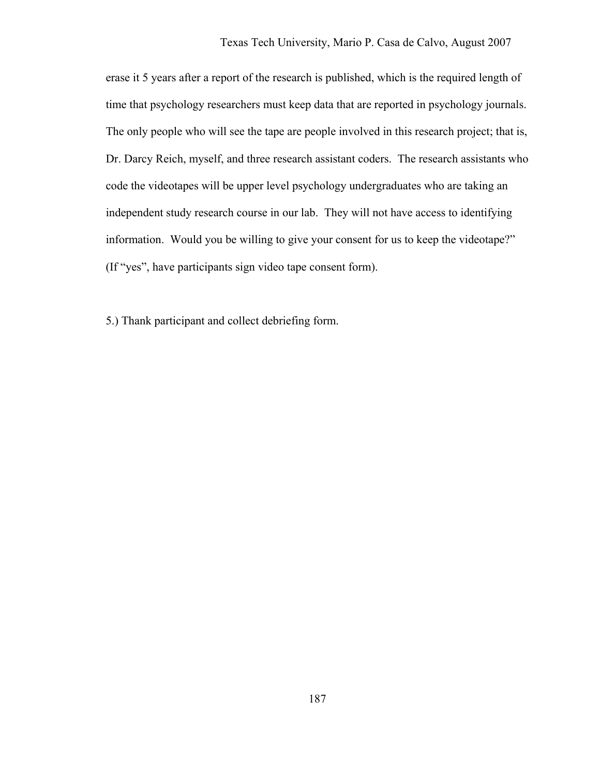erase it 5 years after a report of the research is published, which is the required length of time that psychology researchers must keep data that are reported in psychology journals. The only people who will see the tape are people involved in this research project; that is, Dr. Darcy Reich, myself, and three research assistant coders. The research assistants who code the videotapes will be upper level psychology undergraduates who are taking an independent study research course in our lab. They will not have access to identifying information. Would you be willing to give your consent for us to keep the videotape?" (If "yes", have participants sign video tape consent form).

5.) Thank participant and collect debriefing form.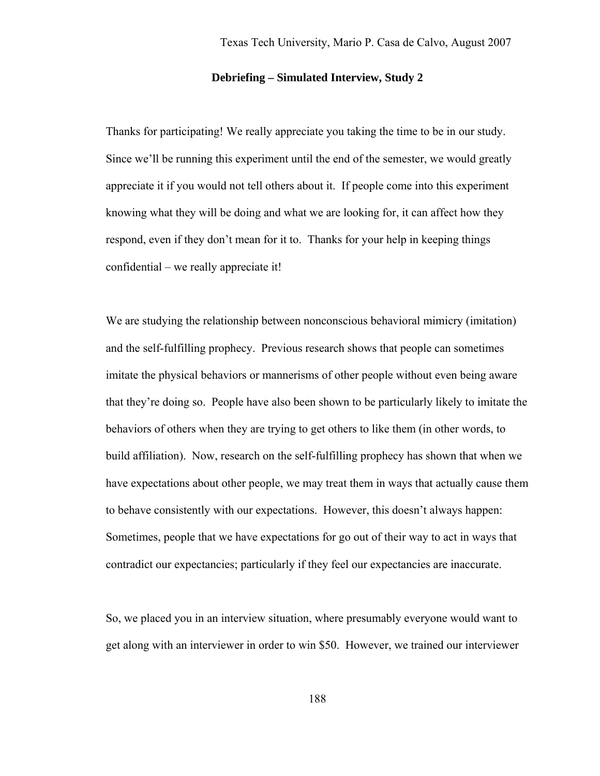#### **Debriefing – Simulated Interview, Study 2**

Thanks for participating! We really appreciate you taking the time to be in our study. Since we'll be running this experiment until the end of the semester, we would greatly appreciate it if you would not tell others about it. If people come into this experiment knowing what they will be doing and what we are looking for, it can affect how they respond, even if they don't mean for it to. Thanks for your help in keeping things confidential – we really appreciate it!

We are studying the relationship between nonconscious behavioral mimicry (imitation) and the self-fulfilling prophecy. Previous research shows that people can sometimes imitate the physical behaviors or mannerisms of other people without even being aware that they're doing so. People have also been shown to be particularly likely to imitate the behaviors of others when they are trying to get others to like them (in other words, to build affiliation). Now, research on the self-fulfilling prophecy has shown that when we have expectations about other people, we may treat them in ways that actually cause them to behave consistently with our expectations. However, this doesn't always happen: Sometimes, people that we have expectations for go out of their way to act in ways that contradict our expectancies; particularly if they feel our expectancies are inaccurate.

So, we placed you in an interview situation, where presumably everyone would want to get along with an interviewer in order to win \$50. However, we trained our interviewer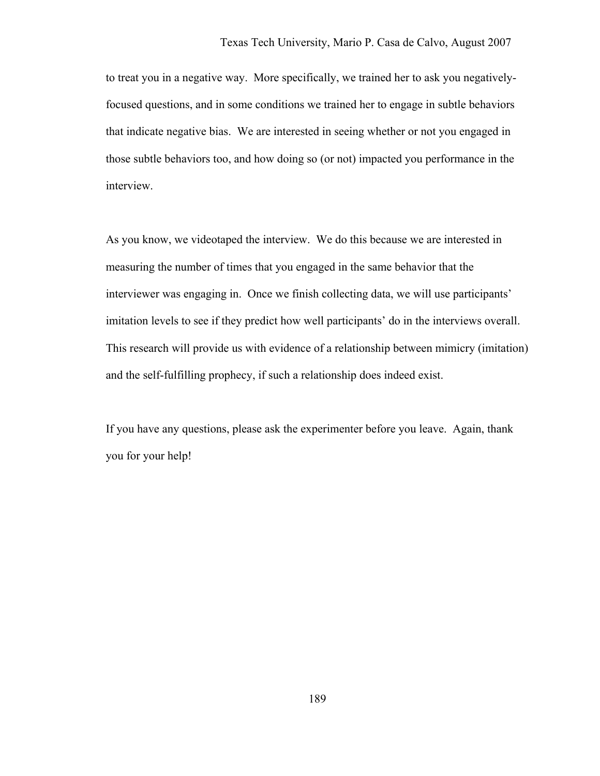to treat you in a negative way. More specifically, we trained her to ask you negativelyfocused questions, and in some conditions we trained her to engage in subtle behaviors that indicate negative bias. We are interested in seeing whether or not you engaged in those subtle behaviors too, and how doing so (or not) impacted you performance in the interview.

As you know, we videotaped the interview. We do this because we are interested in measuring the number of times that you engaged in the same behavior that the interviewer was engaging in. Once we finish collecting data, we will use participants' imitation levels to see if they predict how well participants' do in the interviews overall. This research will provide us with evidence of a relationship between mimicry (imitation) and the self-fulfilling prophecy, if such a relationship does indeed exist.

If you have any questions, please ask the experimenter before you leave. Again, thank you for your help!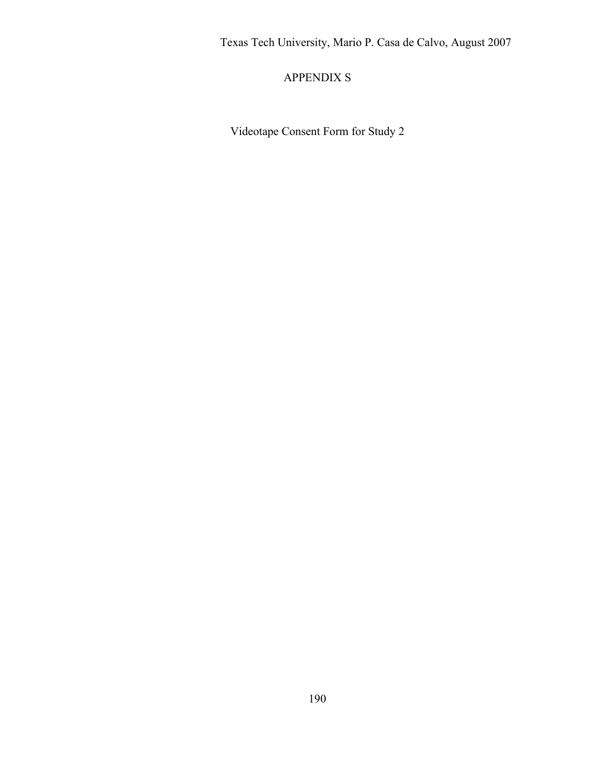# APPENDIX S

Videotape Consent Form for Study 2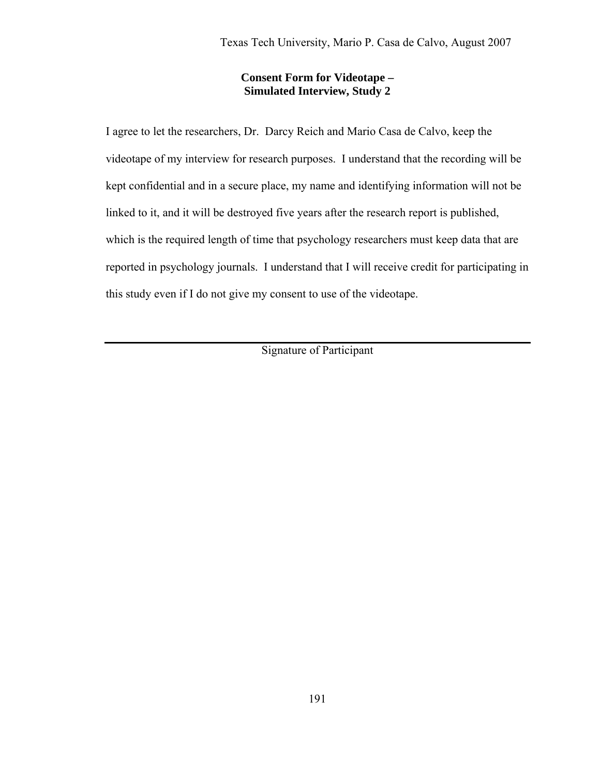### **Consent Form for Videotape – Simulated Interview, Study 2**

I agree to let the researchers, Dr. Darcy Reich and Mario Casa de Calvo, keep the videotape of my interview for research purposes. I understand that the recording will be kept confidential and in a secure place, my name and identifying information will not be linked to it, and it will be destroyed five years after the research report is published, which is the required length of time that psychology researchers must keep data that are reported in psychology journals. I understand that I will receive credit for participating in this study even if I do not give my consent to use of the videotape.

Signature of Participant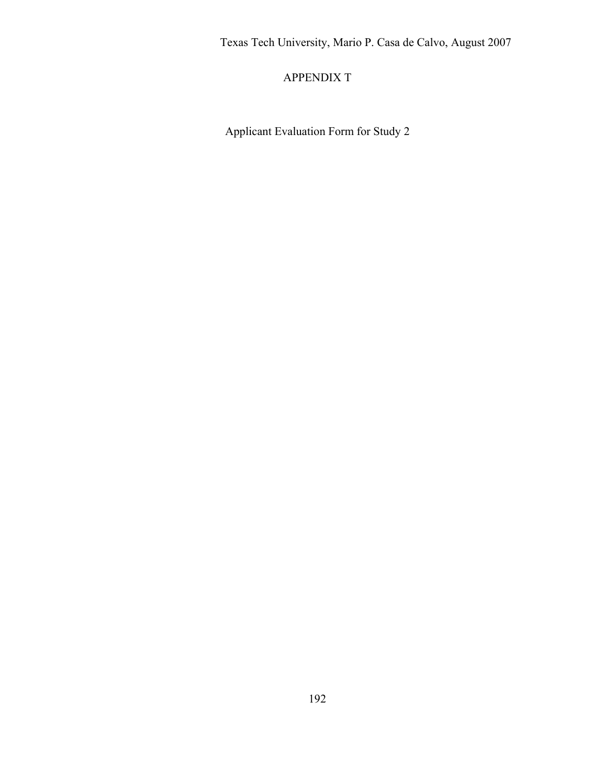# APPENDIX T

Applicant Evaluation Form for Study 2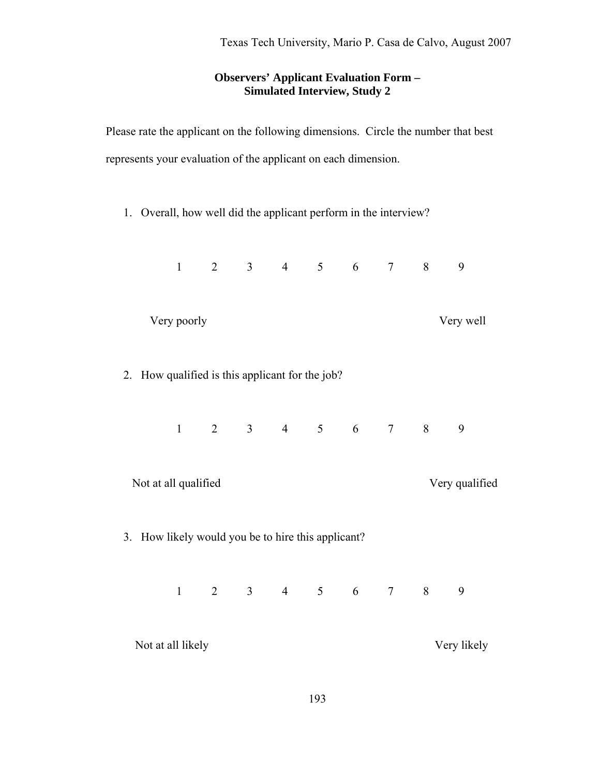## **Observers' Applicant Evaluation Form – Simulated Interview, Study 2**

Please rate the applicant on the following dimensions. Circle the number that best represents your evaluation of the applicant on each dimension.

1. Overall, how well did the applicant perform in the interview?

|                                                    | $\mathbf{1}$ | $\overline{2}$ |  | $3 \t 4 \t 5 \t 6$          |  |  | $\tau$         | 8                               | 9         |  |
|----------------------------------------------------|--------------|----------------|--|-----------------------------|--|--|----------------|---------------------------------|-----------|--|
|                                                    | Very poorly  |                |  |                             |  |  |                |                                 | Very well |  |
| 2. How qualified is this applicant for the job?    |              |                |  |                             |  |  |                |                                 |           |  |
|                                                    |              |                |  | $1 \t2 \t3 \t4 \t5 \t6 \t7$ |  |  |                | $\sim$ 8                        | 9         |  |
| Not at all qualified                               |              |                |  |                             |  |  | Very qualified |                                 |           |  |
| 3. How likely would you be to hire this applicant? |              |                |  |                             |  |  |                |                                 |           |  |
|                                                    |              |                |  |                             |  |  |                | $1 \t2 \t3 \t4 \t5 \t6 \t7 \t8$ | 9         |  |
| Not at all likely                                  |              |                |  |                             |  |  | Very likely    |                                 |           |  |